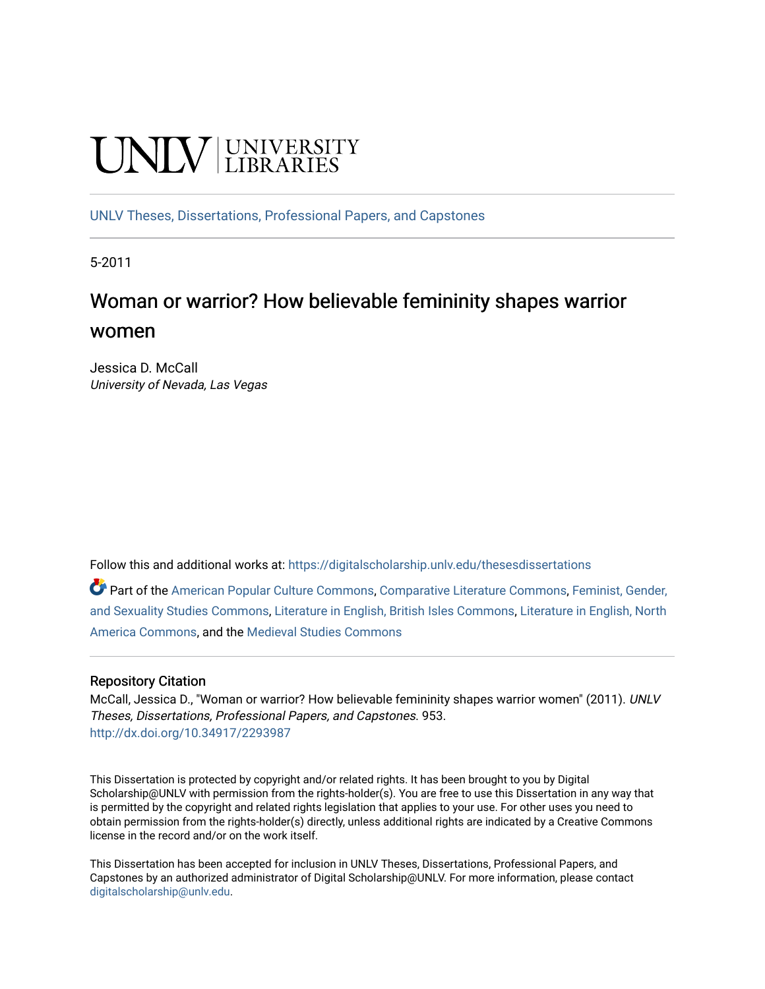# UNIV UNIVERSITY

[UNLV Theses, Dissertations, Professional Papers, and Capstones](https://digitalscholarship.unlv.edu/thesesdissertations)

5-2011

## Woman or warrior? How believable femininity shapes warrior women

Jessica D. McCall University of Nevada, Las Vegas

Follow this and additional works at: [https://digitalscholarship.unlv.edu/thesesdissertations](https://digitalscholarship.unlv.edu/thesesdissertations?utm_source=digitalscholarship.unlv.edu%2Fthesesdissertations%2F953&utm_medium=PDF&utm_campaign=PDFCoverPages)

Part of the [American Popular Culture Commons,](http://network.bepress.com/hgg/discipline/443?utm_source=digitalscholarship.unlv.edu%2Fthesesdissertations%2F953&utm_medium=PDF&utm_campaign=PDFCoverPages) [Comparative Literature Commons,](http://network.bepress.com/hgg/discipline/454?utm_source=digitalscholarship.unlv.edu%2Fthesesdissertations%2F953&utm_medium=PDF&utm_campaign=PDFCoverPages) [Feminist, Gender,](http://network.bepress.com/hgg/discipline/559?utm_source=digitalscholarship.unlv.edu%2Fthesesdissertations%2F953&utm_medium=PDF&utm_campaign=PDFCoverPages) [and Sexuality Studies Commons](http://network.bepress.com/hgg/discipline/559?utm_source=digitalscholarship.unlv.edu%2Fthesesdissertations%2F953&utm_medium=PDF&utm_campaign=PDFCoverPages), [Literature in English, British Isles Commons](http://network.bepress.com/hgg/discipline/456?utm_source=digitalscholarship.unlv.edu%2Fthesesdissertations%2F953&utm_medium=PDF&utm_campaign=PDFCoverPages), [Literature in English, North](http://network.bepress.com/hgg/discipline/458?utm_source=digitalscholarship.unlv.edu%2Fthesesdissertations%2F953&utm_medium=PDF&utm_campaign=PDFCoverPages)  [America Commons,](http://network.bepress.com/hgg/discipline/458?utm_source=digitalscholarship.unlv.edu%2Fthesesdissertations%2F953&utm_medium=PDF&utm_campaign=PDFCoverPages) and the [Medieval Studies Commons](http://network.bepress.com/hgg/discipline/480?utm_source=digitalscholarship.unlv.edu%2Fthesesdissertations%2F953&utm_medium=PDF&utm_campaign=PDFCoverPages) 

#### Repository Citation

McCall, Jessica D., "Woman or warrior? How believable femininity shapes warrior women" (2011). UNLV Theses, Dissertations, Professional Papers, and Capstones. 953. <http://dx.doi.org/10.34917/2293987>

This Dissertation is protected by copyright and/or related rights. It has been brought to you by Digital Scholarship@UNLV with permission from the rights-holder(s). You are free to use this Dissertation in any way that is permitted by the copyright and related rights legislation that applies to your use. For other uses you need to obtain permission from the rights-holder(s) directly, unless additional rights are indicated by a Creative Commons license in the record and/or on the work itself.

This Dissertation has been accepted for inclusion in UNLV Theses, Dissertations, Professional Papers, and Capstones by an authorized administrator of Digital Scholarship@UNLV. For more information, please contact [digitalscholarship@unlv.edu](mailto:digitalscholarship@unlv.edu).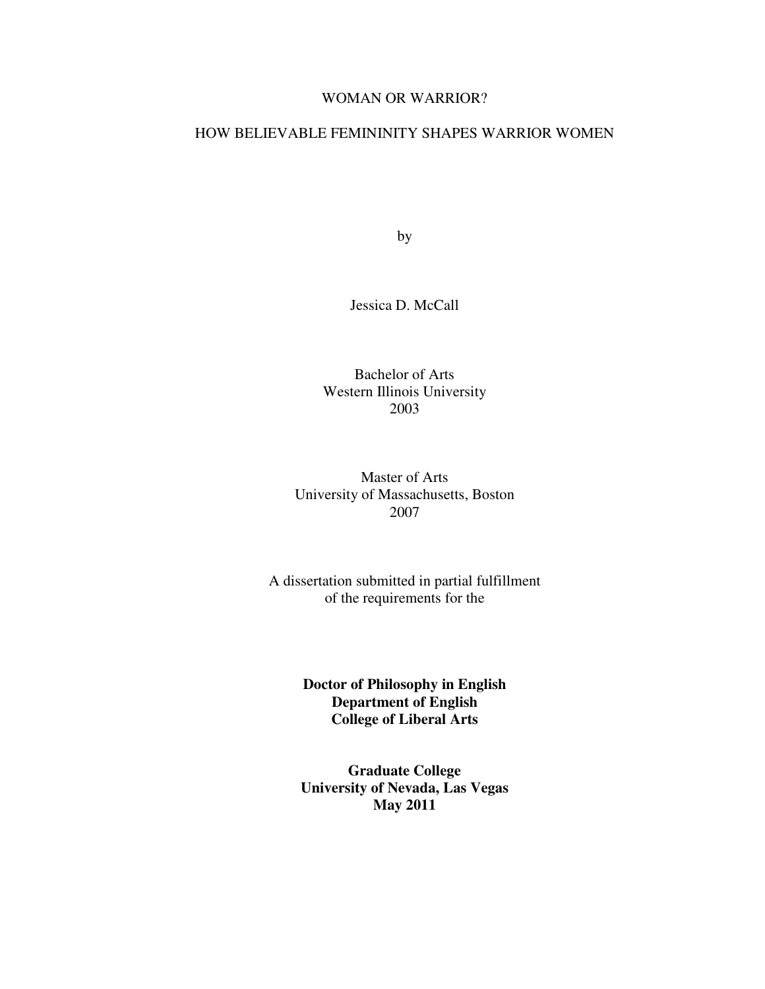#### WOMAN OR WARRIOR?

#### HOW BELIEVABLE FEMININITY SHAPES WARRIOR WOMEN

by

Jessica D. McCall

Bachelor of Arts Western Illinois University 2003

Master of Arts University of Massachusetts, Boston 2007

A dissertation submitted in partial fulfillment of the requirements for the

> **Doctor of Philosophy in English Department of English College of Liberal Arts**

> **Graduate College University of Nevada, Las Vegas May 2011**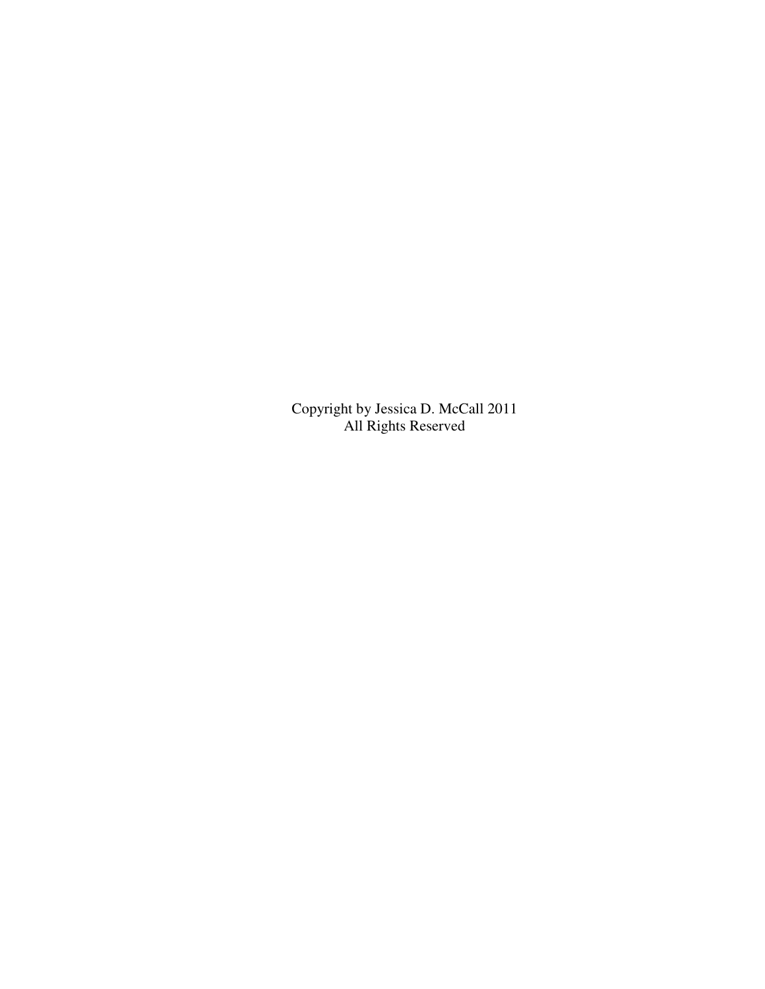Copyright by Jessica D. McCall 2011 All Rights Reserved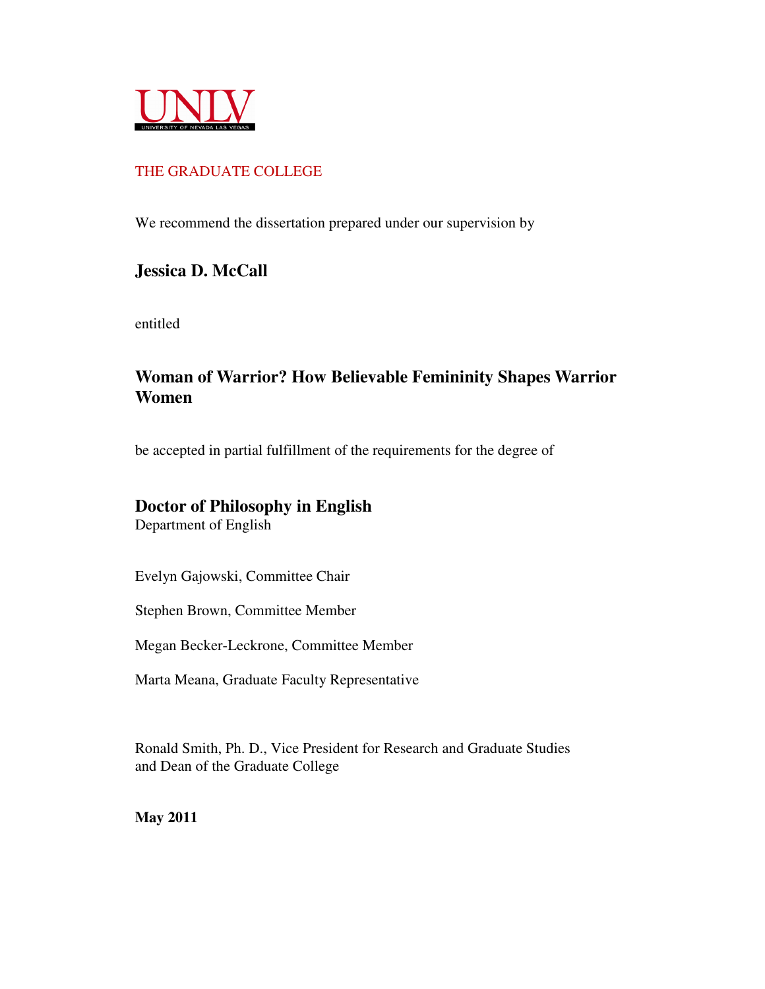

## THE GRADUATE COLLEGE

We recommend the dissertation prepared under our supervision by

## **Jessica D. McCall**

entitled

## **Woman of Warrior? How Believable Femininity Shapes Warrior Women**

be accepted in partial fulfillment of the requirements for the degree of

## **Doctor of Philosophy in English**

Department of English

Evelyn Gajowski, Committee Chair

Stephen Brown, Committee Member

Megan Becker-Leckrone, Committee Member

Marta Meana, Graduate Faculty Representative

Ronald Smith, Ph. D., Vice President for Research and Graduate Studies and Dean of the Graduate College

**May 2011**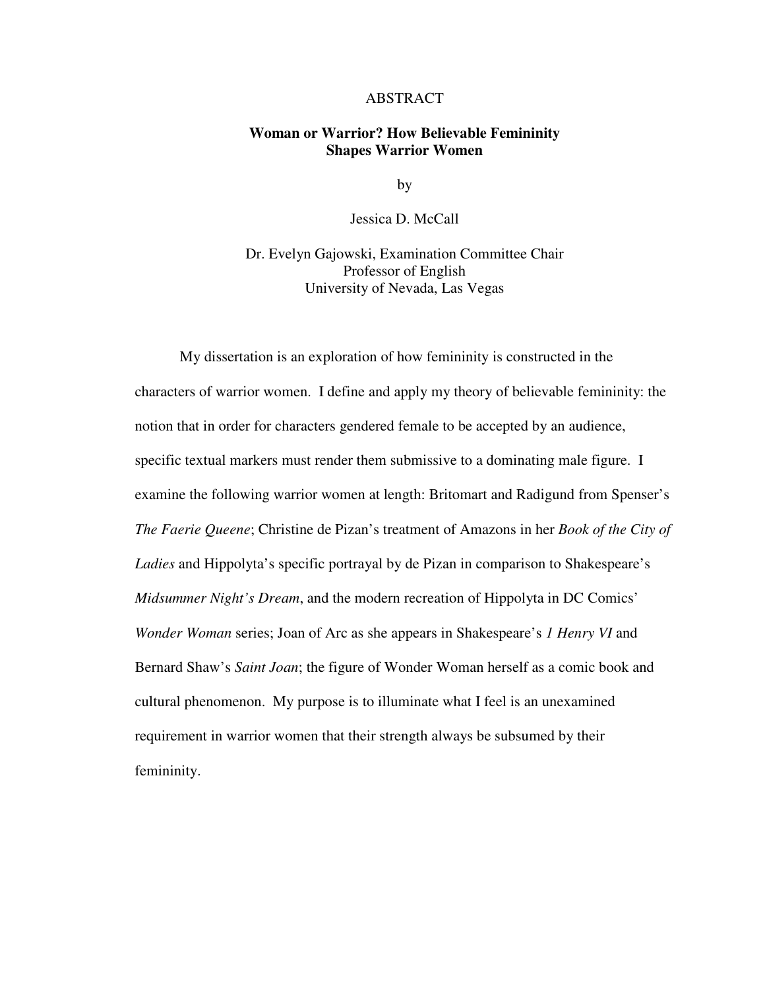#### ABSTRACT

#### **Woman or Warrior? How Believable Femininity Shapes Warrior Women**

by

Jessica D. McCall

Dr. Evelyn Gajowski, Examination Committee Chair Professor of English University of Nevada, Las Vegas

 My dissertation is an exploration of how femininity is constructed in the characters of warrior women. I define and apply my theory of believable femininity: the notion that in order for characters gendered female to be accepted by an audience, specific textual markers must render them submissive to a dominating male figure. I examine the following warrior women at length: Britomart and Radigund from Spenser's *The Faerie Queene*; Christine de Pizan's treatment of Amazons in her *Book of the City of Ladies* and Hippolyta's specific portrayal by de Pizan in comparison to Shakespeare's *Midsummer Night's Dream*, and the modern recreation of Hippolyta in DC Comics' *Wonder Woman* series; Joan of Arc as she appears in Shakespeare's *1 Henry VI* and Bernard Shaw's *Saint Joan*; the figure of Wonder Woman herself as a comic book and cultural phenomenon. My purpose is to illuminate what I feel is an unexamined requirement in warrior women that their strength always be subsumed by their femininity.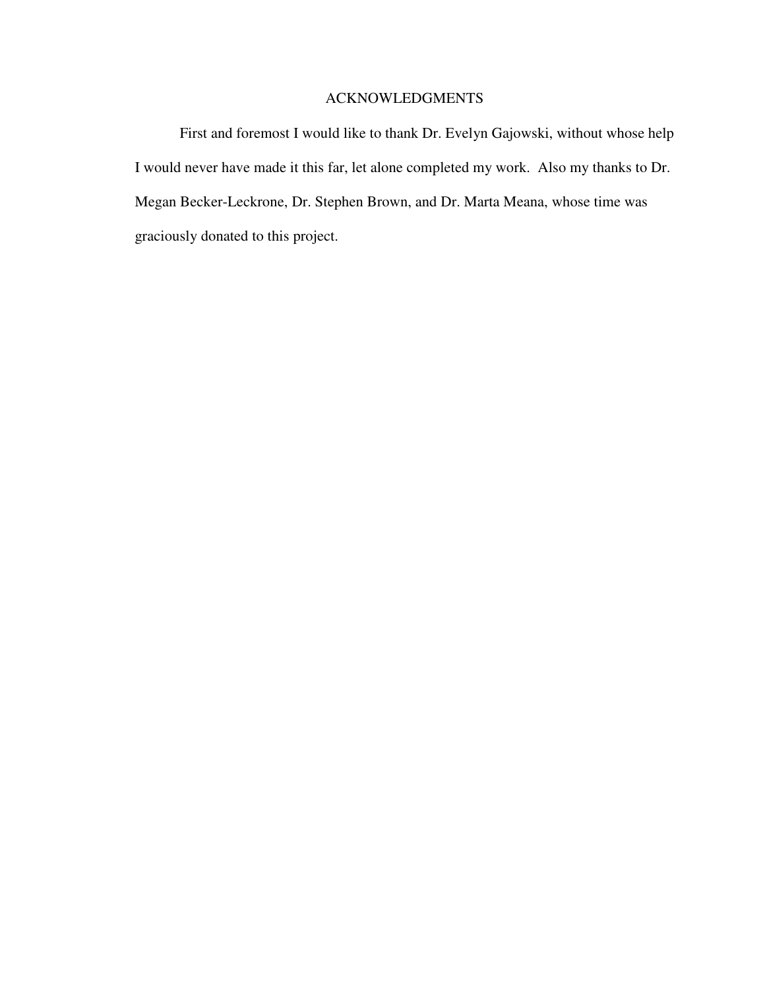#### ACKNOWLEDGMENTS

 First and foremost I would like to thank Dr. Evelyn Gajowski, without whose help I would never have made it this far, let alone completed my work. Also my thanks to Dr. Megan Becker-Leckrone, Dr. Stephen Brown, and Dr. Marta Meana, whose time was graciously donated to this project.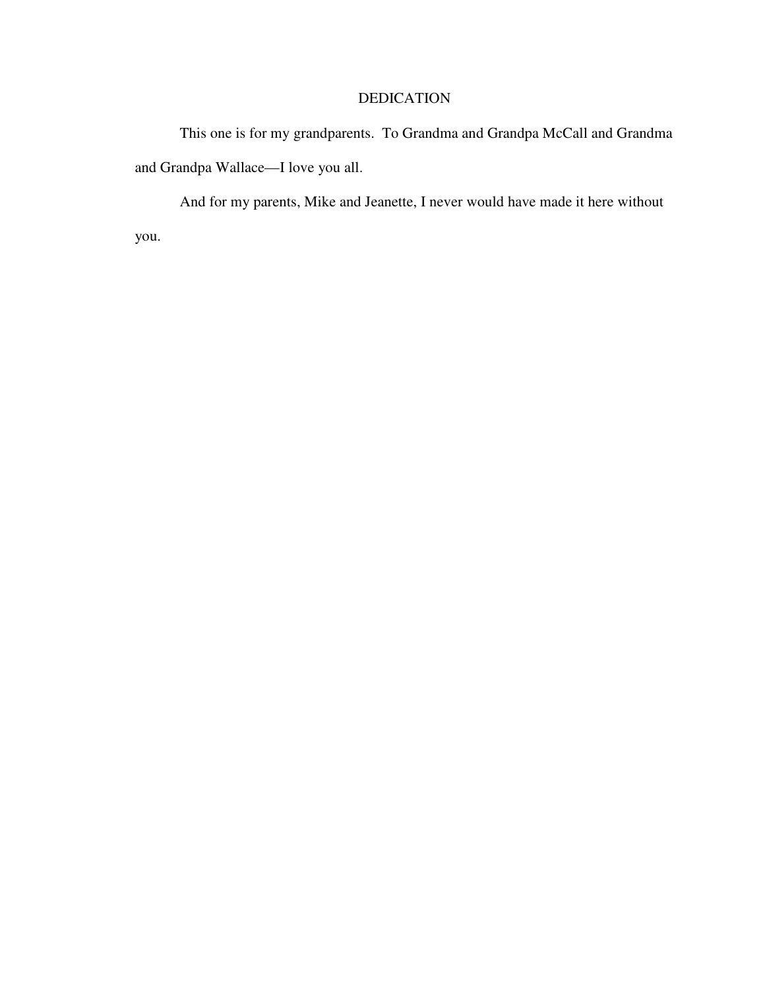### DEDICATION

 This one is for my grandparents. To Grandma and Grandpa McCall and Grandma and Grandpa Wallace—I love you all.

 And for my parents, Mike and Jeanette, I never would have made it here without you.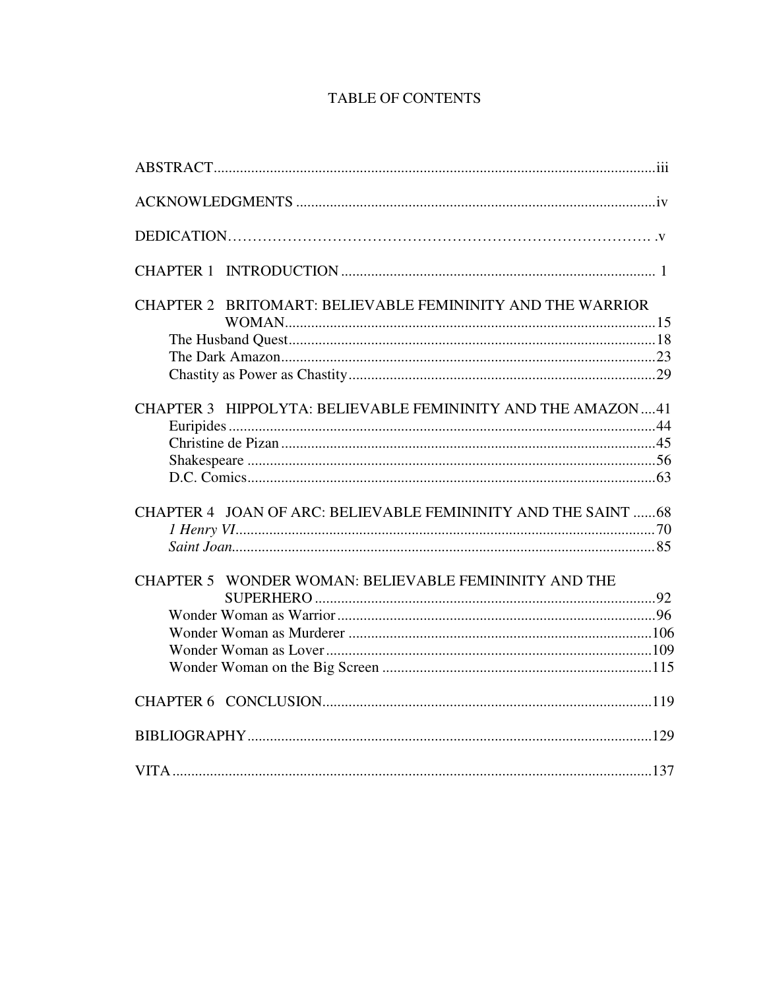## **TABLE OF CONTENTS**

| CHAPTER 2 BRITOMART: BELIEVABLE FEMININITY AND THE WARRIOR    |  |
|---------------------------------------------------------------|--|
| CHAPTER 3 HIPPOLYTA: BELIEVABLE FEMININITY AND THE AMAZON41   |  |
| CHAPTER 4 JOAN OF ARC: BELIEVABLE FEMININITY AND THE SAINT 68 |  |
| CHAPTER 5 WONDER WOMAN: BELIEVABLE FEMININITY AND THE         |  |
|                                                               |  |
|                                                               |  |
|                                                               |  |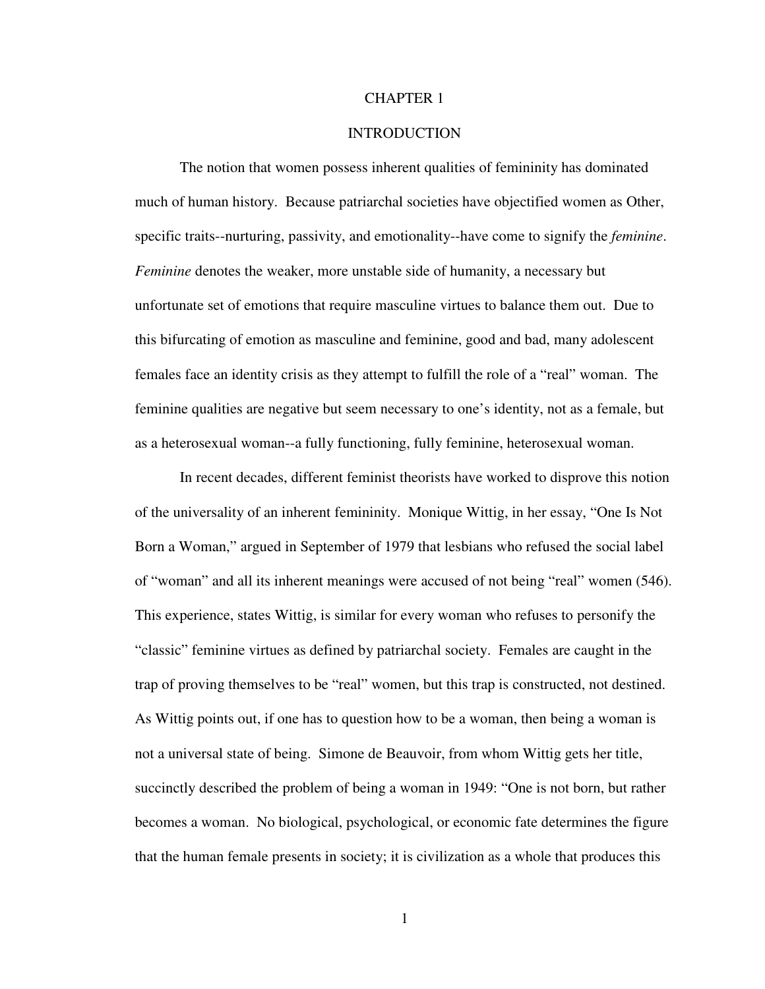#### CHAPTER 1

#### INTRODUCTION

The notion that women possess inherent qualities of femininity has dominated much of human history. Because patriarchal societies have objectified women as Other, specific traits--nurturing, passivity, and emotionality--have come to signify the *feminine*. *Feminine* denotes the weaker, more unstable side of humanity, a necessary but unfortunate set of emotions that require masculine virtues to balance them out. Due to this bifurcating of emotion as masculine and feminine, good and bad, many adolescent females face an identity crisis as they attempt to fulfill the role of a "real" woman. The feminine qualities are negative but seem necessary to one's identity, not as a female, but as a heterosexual woman--a fully functioning, fully feminine, heterosexual woman.

In recent decades, different feminist theorists have worked to disprove this notion of the universality of an inherent femininity. Monique Wittig, in her essay, "One Is Not Born a Woman," argued in September of 1979 that lesbians who refused the social label of "woman" and all its inherent meanings were accused of not being "real" women (546). This experience, states Wittig, is similar for every woman who refuses to personify the "classic" feminine virtues as defined by patriarchal society. Females are caught in the trap of proving themselves to be "real" women, but this trap is constructed, not destined. As Wittig points out, if one has to question how to be a woman, then being a woman is not a universal state of being. Simone de Beauvoir, from whom Wittig gets her title, succinctly described the problem of being a woman in 1949: "One is not born, but rather becomes a woman. No biological, psychological, or economic fate determines the figure that the human female presents in society; it is civilization as a whole that produces this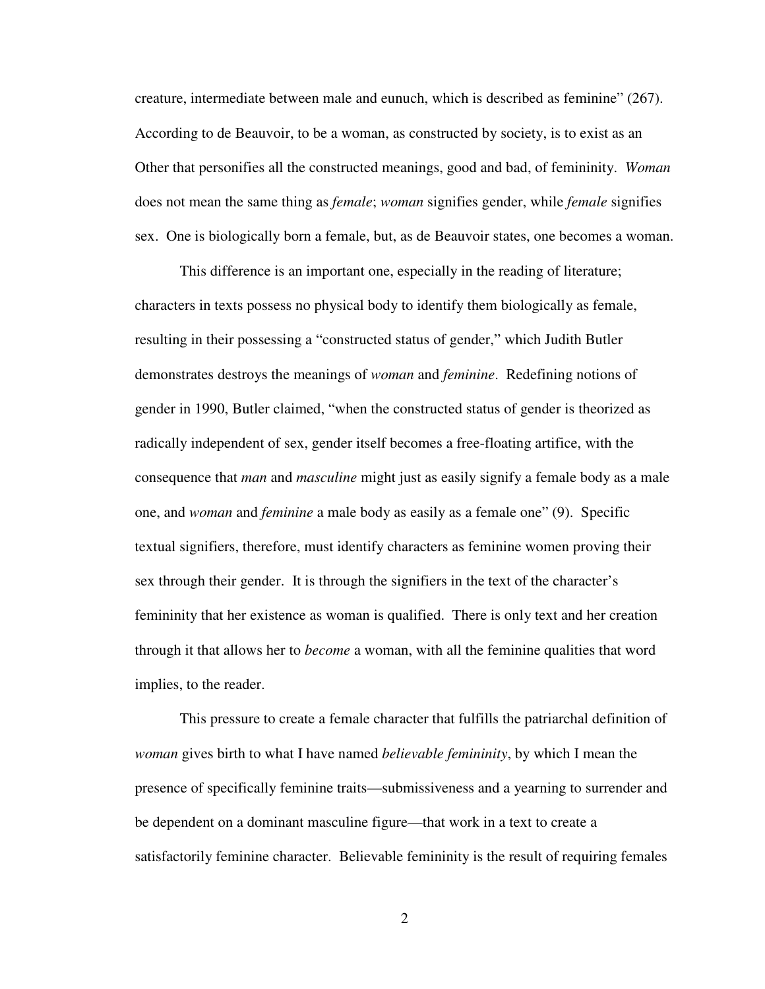creature, intermediate between male and eunuch, which is described as feminine" (267). According to de Beauvoir, to be a woman, as constructed by society, is to exist as an Other that personifies all the constructed meanings, good and bad, of femininity. *Woman* does not mean the same thing as *female*; *woman* signifies gender, while *female* signifies sex. One is biologically born a female, but, as de Beauvoir states, one becomes a woman.

This difference is an important one, especially in the reading of literature; characters in texts possess no physical body to identify them biologically as female, resulting in their possessing a "constructed status of gender," which Judith Butler demonstrates destroys the meanings of *woman* and *feminine*. Redefining notions of gender in 1990, Butler claimed, "when the constructed status of gender is theorized as radically independent of sex, gender itself becomes a free-floating artifice, with the consequence that *man* and *masculine* might just as easily signify a female body as a male one, and *woman* and *feminine* a male body as easily as a female one" (9). Specific textual signifiers, therefore, must identify characters as feminine women proving their sex through their gender. It is through the signifiers in the text of the character's femininity that her existence as woman is qualified. There is only text and her creation through it that allows her to *become* a woman, with all the feminine qualities that word implies, to the reader.

 This pressure to create a female character that fulfills the patriarchal definition of *woman* gives birth to what I have named *believable femininity*, by which I mean the presence of specifically feminine traits—submissiveness and a yearning to surrender and be dependent on a dominant masculine figure—that work in a text to create a satisfactorily feminine character. Believable femininity is the result of requiring females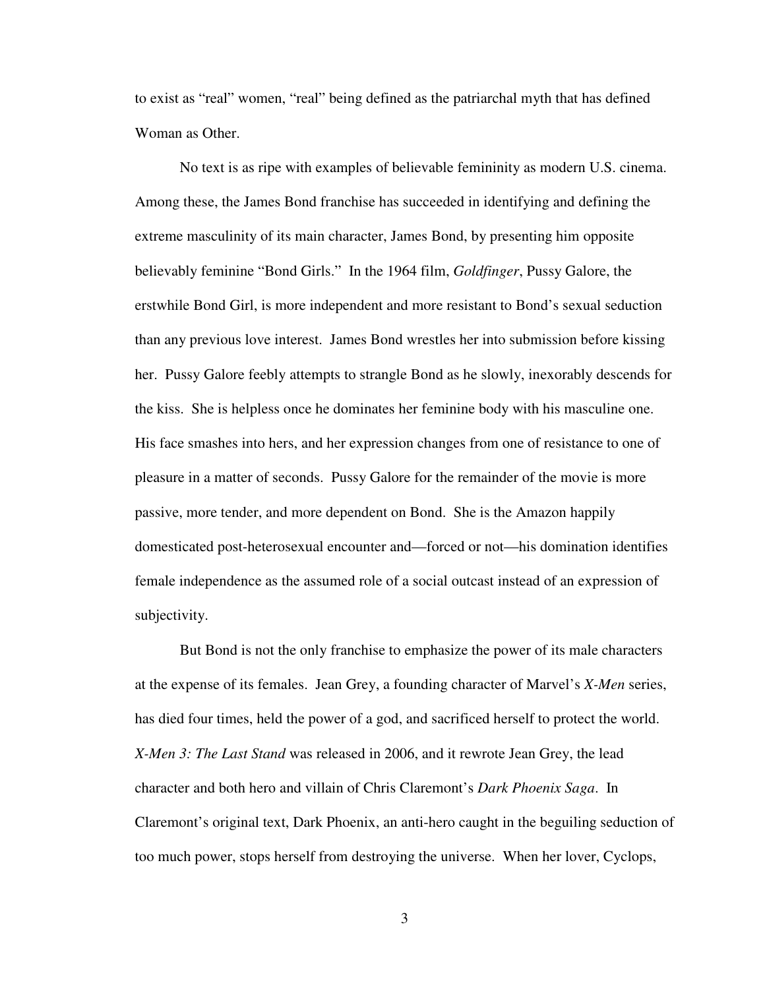to exist as "real" women, "real" being defined as the patriarchal myth that has defined Woman as Other.

 No text is as ripe with examples of believable femininity as modern U.S. cinema. Among these, the James Bond franchise has succeeded in identifying and defining the extreme masculinity of its main character, James Bond, by presenting him opposite believably feminine "Bond Girls." In the 1964 film, *Goldfinger*, Pussy Galore, the erstwhile Bond Girl, is more independent and more resistant to Bond's sexual seduction than any previous love interest. James Bond wrestles her into submission before kissing her. Pussy Galore feebly attempts to strangle Bond as he slowly, inexorably descends for the kiss. She is helpless once he dominates her feminine body with his masculine one. His face smashes into hers, and her expression changes from one of resistance to one of pleasure in a matter of seconds. Pussy Galore for the remainder of the movie is more passive, more tender, and more dependent on Bond. She is the Amazon happily domesticated post-heterosexual encounter and—forced or not—his domination identifies female independence as the assumed role of a social outcast instead of an expression of subjectivity.

 But Bond is not the only franchise to emphasize the power of its male characters at the expense of its females. Jean Grey, a founding character of Marvel's *X-Men* series, has died four times, held the power of a god, and sacrificed herself to protect the world. *X-Men 3: The Last Stand* was released in 2006, and it rewrote Jean Grey, the lead character and both hero and villain of Chris Claremont's *Dark Phoenix Saga*. In Claremont's original text, Dark Phoenix, an anti-hero caught in the beguiling seduction of too much power, stops herself from destroying the universe. When her lover, Cyclops,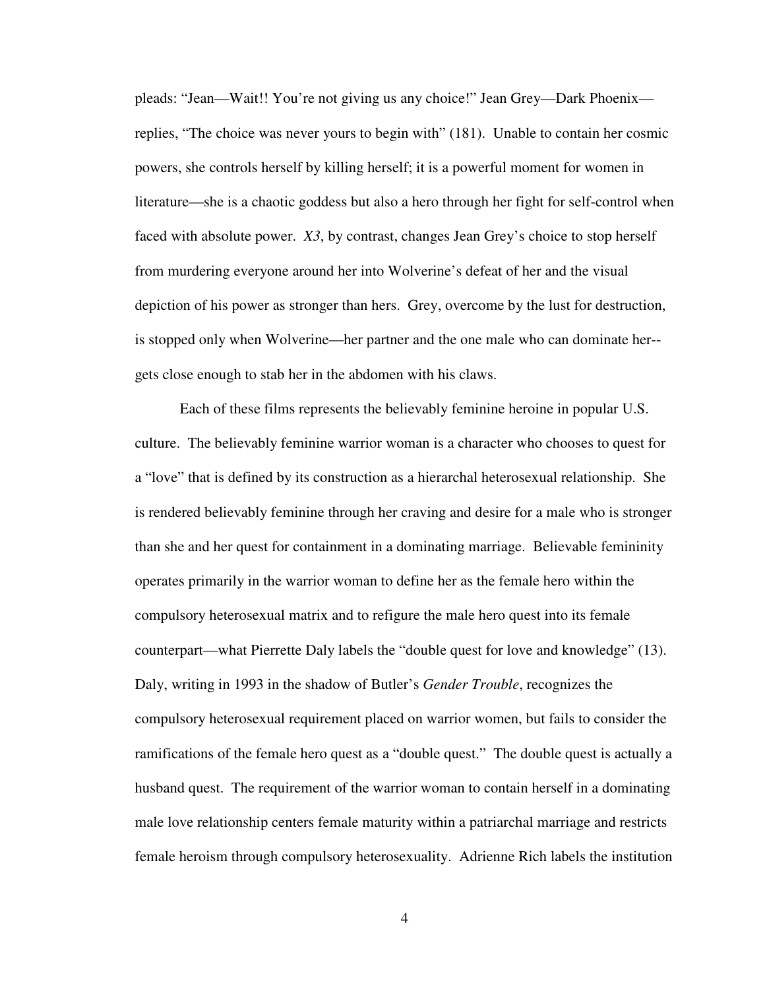pleads: "Jean—Wait!! You're not giving us any choice!" Jean Grey—Dark Phoenix replies, "The choice was never yours to begin with" (181). Unable to contain her cosmic powers, she controls herself by killing herself; it is a powerful moment for women in literature—she is a chaotic goddess but also a hero through her fight for self-control when faced with absolute power. *X3*, by contrast, changes Jean Grey's choice to stop herself from murdering everyone around her into Wolverine's defeat of her and the visual depiction of his power as stronger than hers. Grey, overcome by the lust for destruction, is stopped only when Wolverine—her partner and the one male who can dominate her- gets close enough to stab her in the abdomen with his claws.

 Each of these films represents the believably feminine heroine in popular U.S. culture. The believably feminine warrior woman is a character who chooses to quest for a "love" that is defined by its construction as a hierarchal heterosexual relationship. She is rendered believably feminine through her craving and desire for a male who is stronger than she and her quest for containment in a dominating marriage. Believable femininity operates primarily in the warrior woman to define her as the female hero within the compulsory heterosexual matrix and to refigure the male hero quest into its female counterpart—what Pierrette Daly labels the "double quest for love and knowledge" (13). Daly, writing in 1993 in the shadow of Butler's *Gender Trouble*, recognizes the compulsory heterosexual requirement placed on warrior women, but fails to consider the ramifications of the female hero quest as a "double quest." The double quest is actually a husband quest. The requirement of the warrior woman to contain herself in a dominating male love relationship centers female maturity within a patriarchal marriage and restricts female heroism through compulsory heterosexuality. Adrienne Rich labels the institution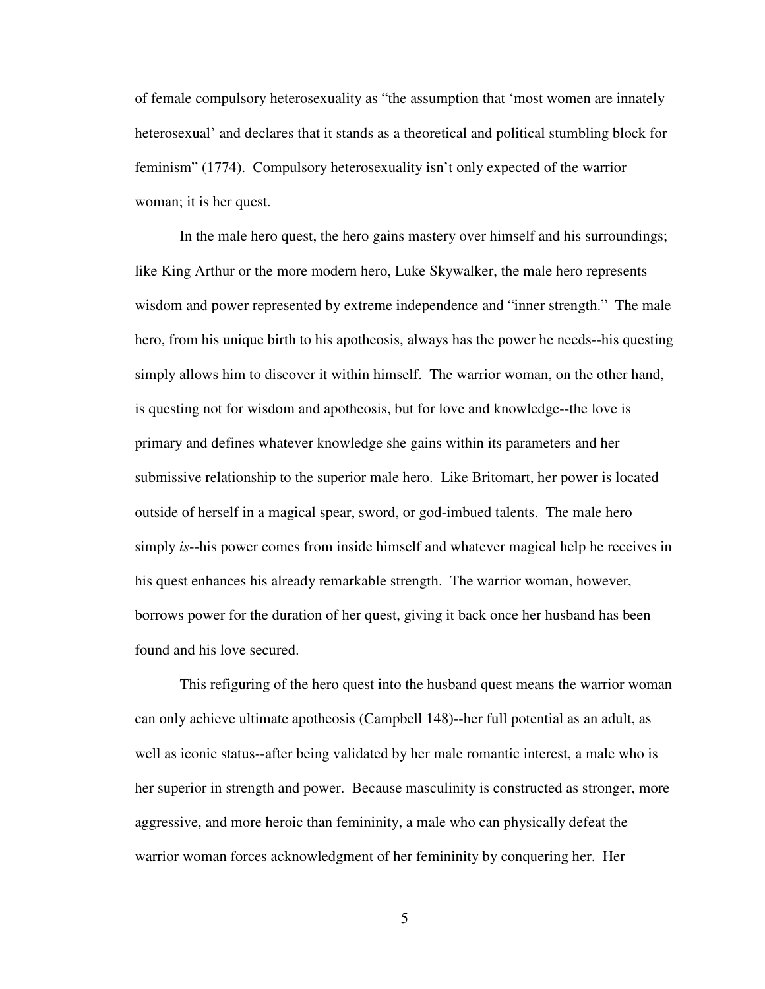of female compulsory heterosexuality as "the assumption that 'most women are innately heterosexual' and declares that it stands as a theoretical and political stumbling block for feminism" (1774). Compulsory heterosexuality isn't only expected of the warrior woman; it is her quest.

 In the male hero quest, the hero gains mastery over himself and his surroundings; like King Arthur or the more modern hero, Luke Skywalker, the male hero represents wisdom and power represented by extreme independence and "inner strength." The male hero, from his unique birth to his apotheosis, always has the power he needs--his questing simply allows him to discover it within himself. The warrior woman, on the other hand, is questing not for wisdom and apotheosis, but for love and knowledge--the love is primary and defines whatever knowledge she gains within its parameters and her submissive relationship to the superior male hero. Like Britomart, her power is located outside of herself in a magical spear, sword, or god-imbued talents. The male hero simply *is*--his power comes from inside himself and whatever magical help he receives in his quest enhances his already remarkable strength. The warrior woman, however, borrows power for the duration of her quest, giving it back once her husband has been found and his love secured.

 This refiguring of the hero quest into the husband quest means the warrior woman can only achieve ultimate apotheosis (Campbell 148)--her full potential as an adult, as well as iconic status--after being validated by her male romantic interest, a male who is her superior in strength and power. Because masculinity is constructed as stronger, more aggressive, and more heroic than femininity, a male who can physically defeat the warrior woman forces acknowledgment of her femininity by conquering her. Her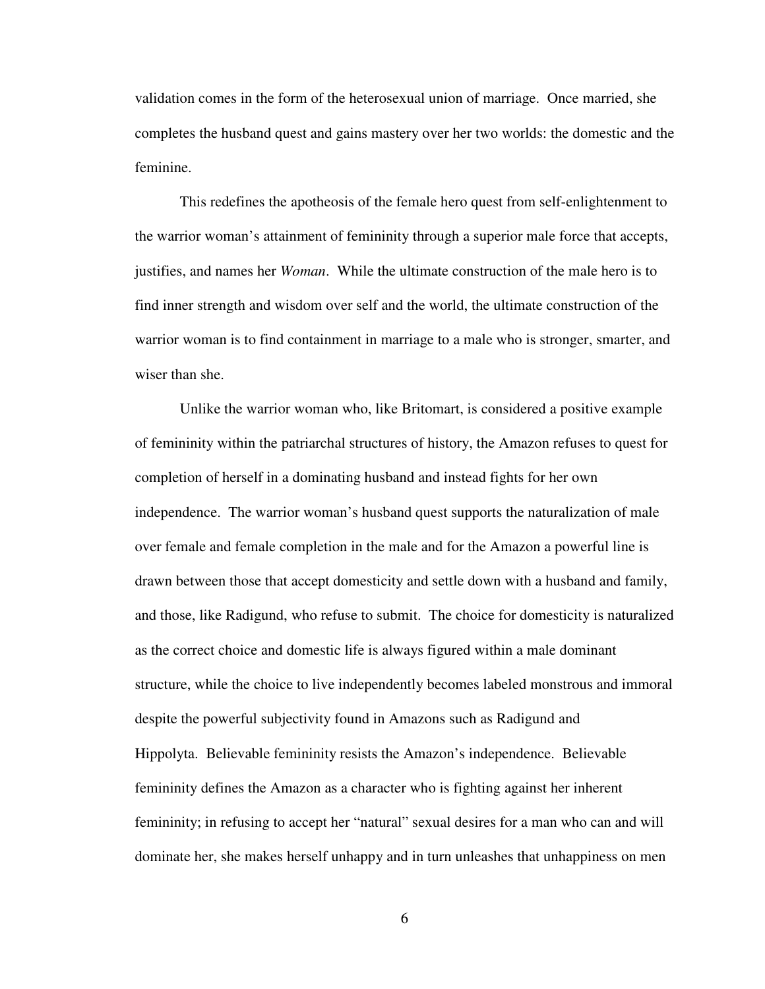validation comes in the form of the heterosexual union of marriage. Once married, she completes the husband quest and gains mastery over her two worlds: the domestic and the feminine.

 This redefines the apotheosis of the female hero quest from self-enlightenment to the warrior woman's attainment of femininity through a superior male force that accepts, justifies, and names her *Woman*. While the ultimate construction of the male hero is to find inner strength and wisdom over self and the world, the ultimate construction of the warrior woman is to find containment in marriage to a male who is stronger, smarter, and wiser than she.

 Unlike the warrior woman who, like Britomart, is considered a positive example of femininity within the patriarchal structures of history, the Amazon refuses to quest for completion of herself in a dominating husband and instead fights for her own independence. The warrior woman's husband quest supports the naturalization of male over female and female completion in the male and for the Amazon a powerful line is drawn between those that accept domesticity and settle down with a husband and family, and those, like Radigund, who refuse to submit. The choice for domesticity is naturalized as the correct choice and domestic life is always figured within a male dominant structure, while the choice to live independently becomes labeled monstrous and immoral despite the powerful subjectivity found in Amazons such as Radigund and Hippolyta. Believable femininity resists the Amazon's independence. Believable femininity defines the Amazon as a character who is fighting against her inherent femininity; in refusing to accept her "natural" sexual desires for a man who can and will dominate her, she makes herself unhappy and in turn unleashes that unhappiness on men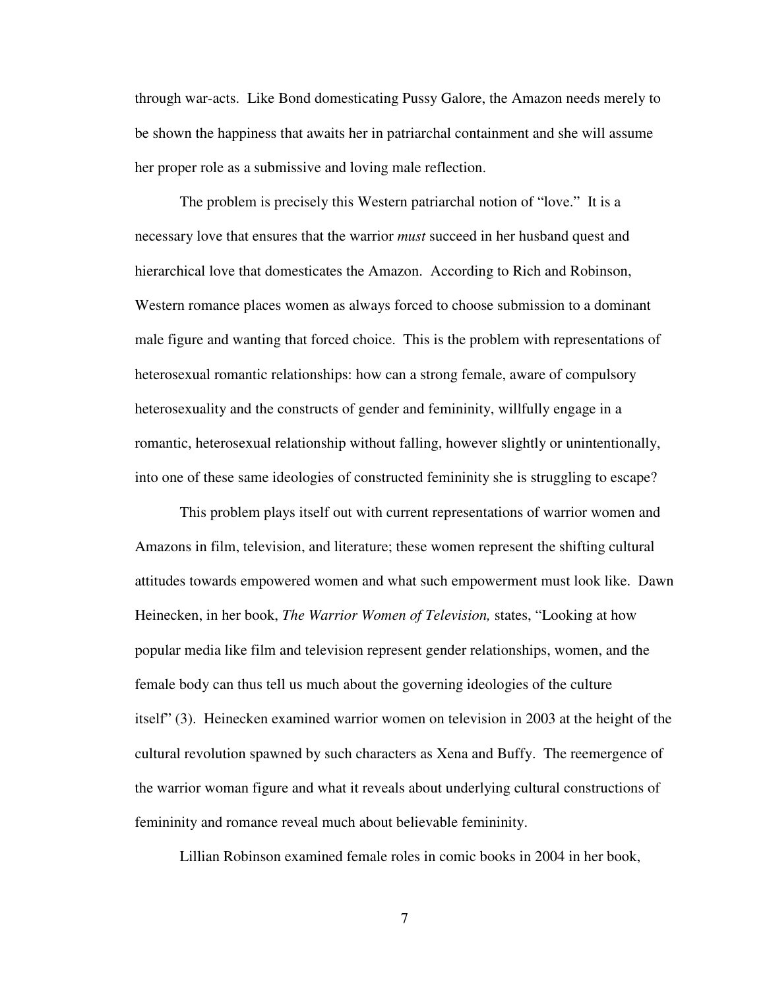through war-acts. Like Bond domesticating Pussy Galore, the Amazon needs merely to be shown the happiness that awaits her in patriarchal containment and she will assume her proper role as a submissive and loving male reflection.

 The problem is precisely this Western patriarchal notion of "love." It is a necessary love that ensures that the warrior *must* succeed in her husband quest and hierarchical love that domesticates the Amazon. According to Rich and Robinson, Western romance places women as always forced to choose submission to a dominant male figure and wanting that forced choice. This is the problem with representations of heterosexual romantic relationships: how can a strong female, aware of compulsory heterosexuality and the constructs of gender and femininity, willfully engage in a romantic, heterosexual relationship without falling, however slightly or unintentionally, into one of these same ideologies of constructed femininity she is struggling to escape?

 This problem plays itself out with current representations of warrior women and Amazons in film, television, and literature; these women represent the shifting cultural attitudes towards empowered women and what such empowerment must look like. Dawn Heinecken, in her book, *The Warrior Women of Television,* states, "Looking at how popular media like film and television represent gender relationships, women, and the female body can thus tell us much about the governing ideologies of the culture itself" (3). Heinecken examined warrior women on television in 2003 at the height of the cultural revolution spawned by such characters as Xena and Buffy. The reemergence of the warrior woman figure and what it reveals about underlying cultural constructions of femininity and romance reveal much about believable femininity.

Lillian Robinson examined female roles in comic books in 2004 in her book,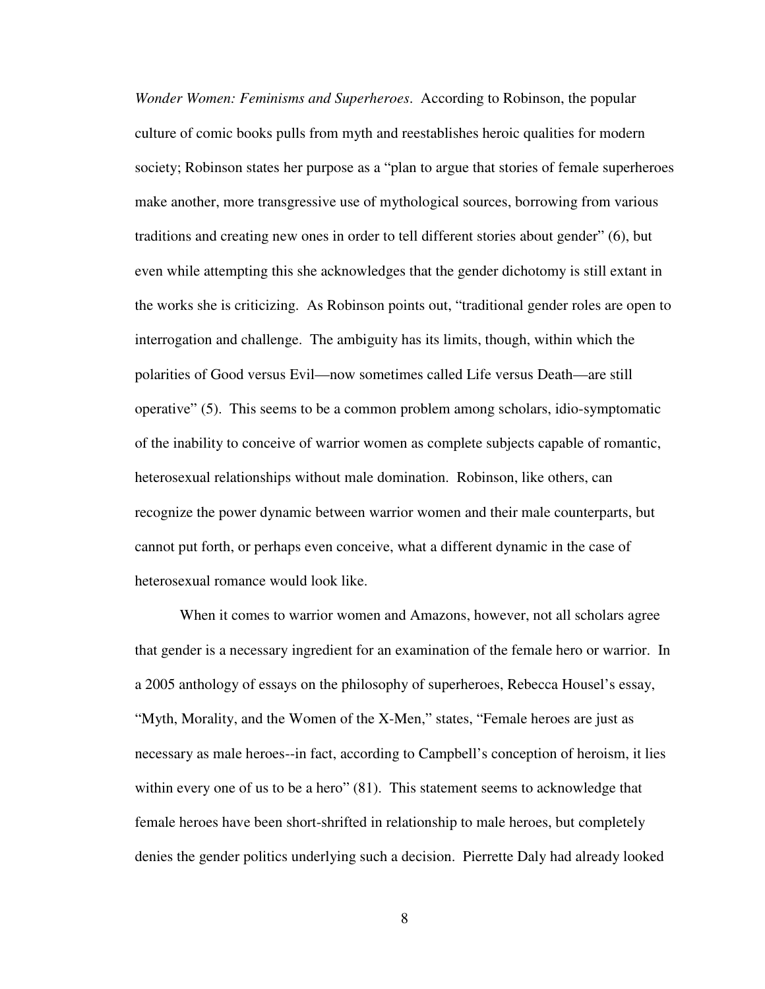*Wonder Women: Feminisms and Superheroes*. According to Robinson, the popular culture of comic books pulls from myth and reestablishes heroic qualities for modern society; Robinson states her purpose as a "plan to argue that stories of female superheroes make another, more transgressive use of mythological sources, borrowing from various traditions and creating new ones in order to tell different stories about gender" (6), but even while attempting this she acknowledges that the gender dichotomy is still extant in the works she is criticizing. As Robinson points out, "traditional gender roles are open to interrogation and challenge. The ambiguity has its limits, though, within which the polarities of Good versus Evil—now sometimes called Life versus Death—are still operative" (5). This seems to be a common problem among scholars, idio-symptomatic of the inability to conceive of warrior women as complete subjects capable of romantic, heterosexual relationships without male domination. Robinson, like others, can recognize the power dynamic between warrior women and their male counterparts, but cannot put forth, or perhaps even conceive, what a different dynamic in the case of heterosexual romance would look like.

 When it comes to warrior women and Amazons, however, not all scholars agree that gender is a necessary ingredient for an examination of the female hero or warrior. In a 2005 anthology of essays on the philosophy of superheroes, Rebecca Housel's essay, "Myth, Morality, and the Women of the X-Men," states, "Female heroes are just as necessary as male heroes--in fact, according to Campbell's conception of heroism, it lies within every one of us to be a hero" (81). This statement seems to acknowledge that female heroes have been short-shrifted in relationship to male heroes, but completely denies the gender politics underlying such a decision. Pierrette Daly had already looked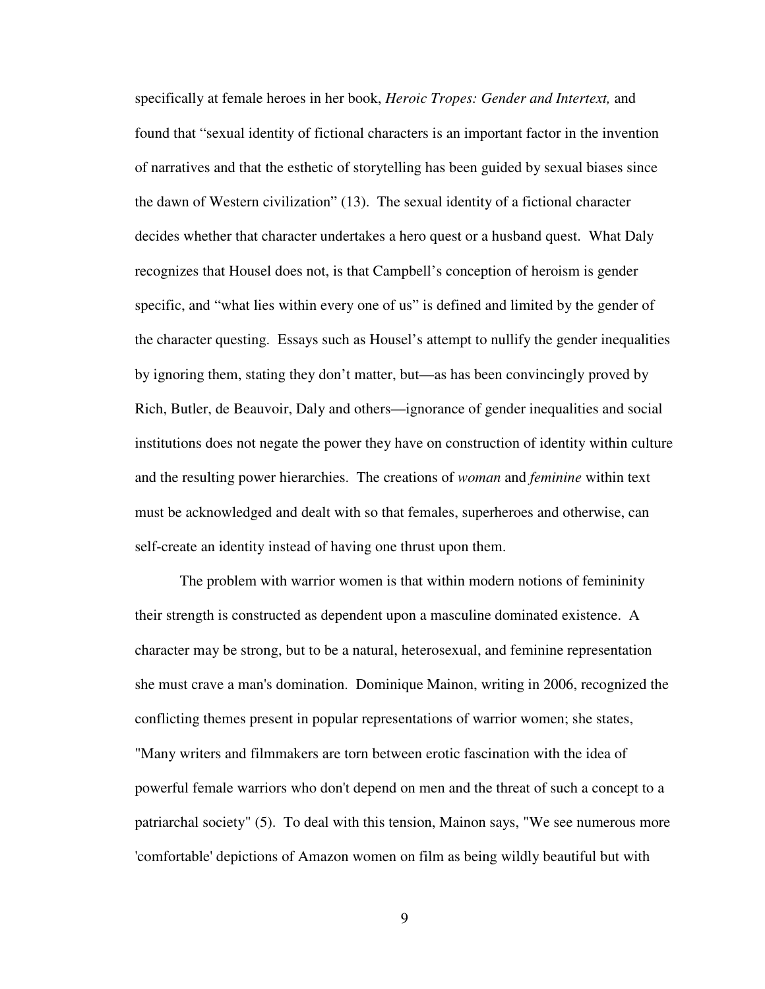specifically at female heroes in her book, *Heroic Tropes: Gender and Intertext,* and found that "sexual identity of fictional characters is an important factor in the invention of narratives and that the esthetic of storytelling has been guided by sexual biases since the dawn of Western civilization" (13). The sexual identity of a fictional character decides whether that character undertakes a hero quest or a husband quest. What Daly recognizes that Housel does not, is that Campbell's conception of heroism is gender specific, and "what lies within every one of us" is defined and limited by the gender of the character questing. Essays such as Housel's attempt to nullify the gender inequalities by ignoring them, stating they don't matter, but—as has been convincingly proved by Rich, Butler, de Beauvoir, Daly and others—ignorance of gender inequalities and social institutions does not negate the power they have on construction of identity within culture and the resulting power hierarchies. The creations of *woman* and *feminine* within text must be acknowledged and dealt with so that females, superheroes and otherwise, can self-create an identity instead of having one thrust upon them.

 The problem with warrior women is that within modern notions of femininity their strength is constructed as dependent upon a masculine dominated existence. A character may be strong, but to be a natural, heterosexual, and feminine representation she must crave a man's domination. Dominique Mainon, writing in 2006, recognized the conflicting themes present in popular representations of warrior women; she states, "Many writers and filmmakers are torn between erotic fascination with the idea of powerful female warriors who don't depend on men and the threat of such a concept to a patriarchal society" (5). To deal with this tension, Mainon says, "We see numerous more 'comfortable' depictions of Amazon women on film as being wildly beautiful but with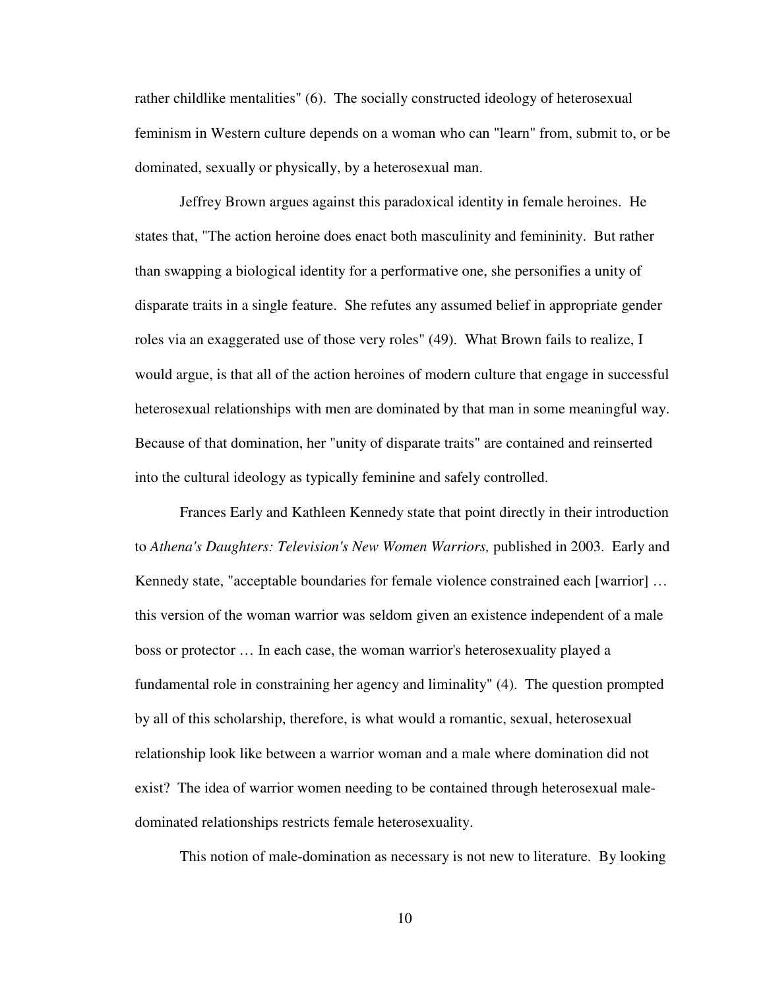rather childlike mentalities" (6). The socially constructed ideology of heterosexual feminism in Western culture depends on a woman who can "learn" from, submit to, or be dominated, sexually or physically, by a heterosexual man.

 Jeffrey Brown argues against this paradoxical identity in female heroines. He states that, "The action heroine does enact both masculinity and femininity. But rather than swapping a biological identity for a performative one, she personifies a unity of disparate traits in a single feature. She refutes any assumed belief in appropriate gender roles via an exaggerated use of those very roles" (49). What Brown fails to realize, I would argue, is that all of the action heroines of modern culture that engage in successful heterosexual relationships with men are dominated by that man in some meaningful way. Because of that domination, her "unity of disparate traits" are contained and reinserted into the cultural ideology as typically feminine and safely controlled.

 Frances Early and Kathleen Kennedy state that point directly in their introduction to *Athena's Daughters: Television's New Women Warriors,* published in 2003. Early and Kennedy state, "acceptable boundaries for female violence constrained each [warrior] ... this version of the woman warrior was seldom given an existence independent of a male boss or protector … In each case, the woman warrior's heterosexuality played a fundamental role in constraining her agency and liminality" (4). The question prompted by all of this scholarship, therefore, is what would a romantic, sexual, heterosexual relationship look like between a warrior woman and a male where domination did not exist? The idea of warrior women needing to be contained through heterosexual maledominated relationships restricts female heterosexuality.

This notion of male-domination as necessary is not new to literature. By looking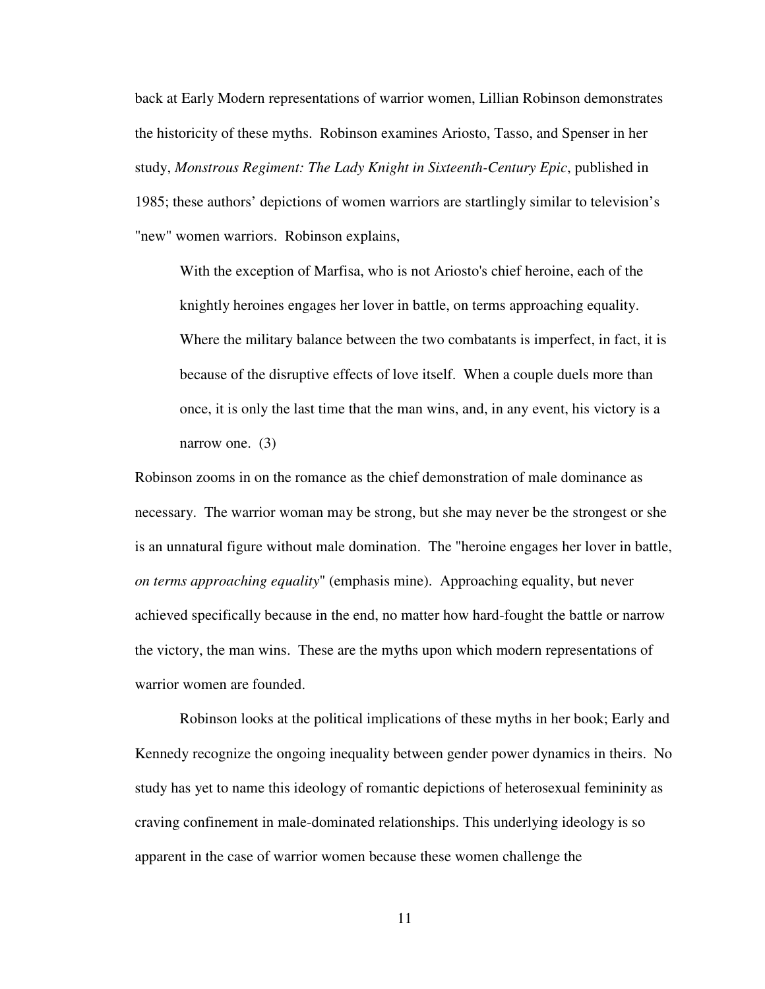back at Early Modern representations of warrior women, Lillian Robinson demonstrates the historicity of these myths. Robinson examines Ariosto, Tasso, and Spenser in her study, *Monstrous Regiment: The Lady Knight in Sixteenth-Century Epic*, published in 1985; these authors' depictions of women warriors are startlingly similar to television's "new" women warriors. Robinson explains,

With the exception of Marfisa, who is not Ariosto's chief heroine, each of the knightly heroines engages her lover in battle, on terms approaching equality. Where the military balance between the two combatants is imperfect, in fact, it is because of the disruptive effects of love itself. When a couple duels more than once, it is only the last time that the man wins, and, in any event, his victory is a narrow one. (3)

Robinson zooms in on the romance as the chief demonstration of male dominance as necessary. The warrior woman may be strong, but she may never be the strongest or she is an unnatural figure without male domination. The "heroine engages her lover in battle, *on terms approaching equality*" (emphasis mine). Approaching equality, but never achieved specifically because in the end, no matter how hard-fought the battle or narrow the victory, the man wins. These are the myths upon which modern representations of warrior women are founded.

 Robinson looks at the political implications of these myths in her book; Early and Kennedy recognize the ongoing inequality between gender power dynamics in theirs. No study has yet to name this ideology of romantic depictions of heterosexual femininity as craving confinement in male-dominated relationships. This underlying ideology is so apparent in the case of warrior women because these women challenge the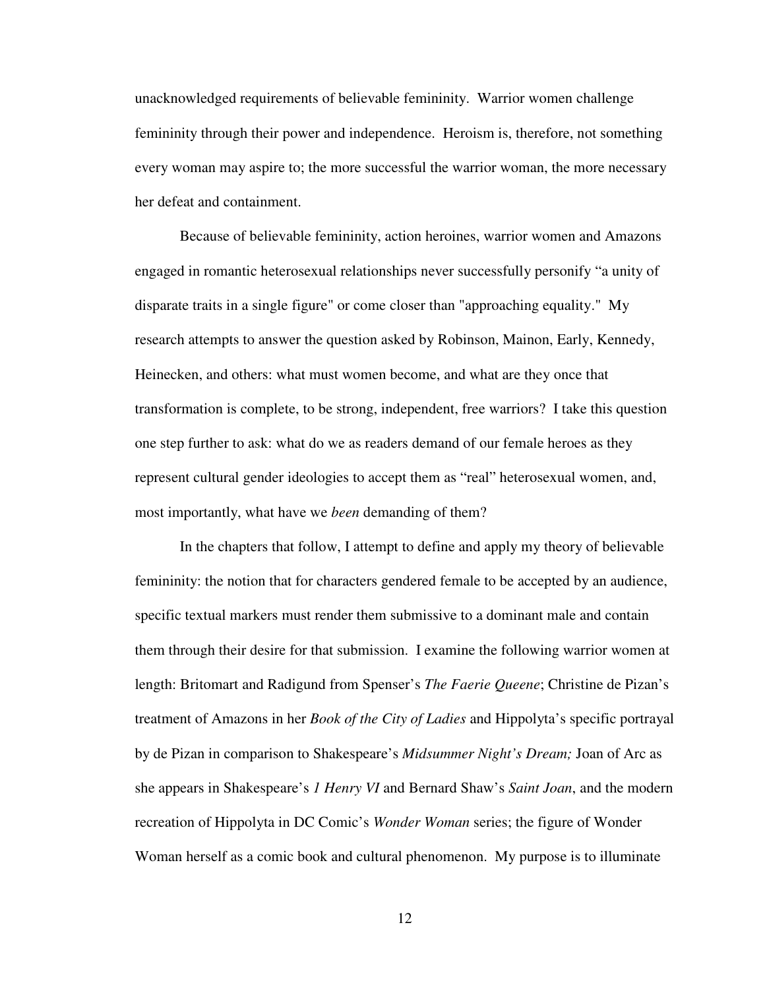unacknowledged requirements of believable femininity. Warrior women challenge femininity through their power and independence. Heroism is, therefore, not something every woman may aspire to; the more successful the warrior woman, the more necessary her defeat and containment.

 Because of believable femininity, action heroines, warrior women and Amazons engaged in romantic heterosexual relationships never successfully personify "a unity of disparate traits in a single figure" or come closer than "approaching equality." My research attempts to answer the question asked by Robinson, Mainon, Early, Kennedy, Heinecken, and others: what must women become, and what are they once that transformation is complete, to be strong, independent, free warriors? I take this question one step further to ask: what do we as readers demand of our female heroes as they represent cultural gender ideologies to accept them as "real" heterosexual women, and, most importantly, what have we *been* demanding of them?

 In the chapters that follow, I attempt to define and apply my theory of believable femininity: the notion that for characters gendered female to be accepted by an audience, specific textual markers must render them submissive to a dominant male and contain them through their desire for that submission. I examine the following warrior women at length: Britomart and Radigund from Spenser's *The Faerie Queene*; Christine de Pizan's treatment of Amazons in her *Book of the City of Ladies* and Hippolyta's specific portrayal by de Pizan in comparison to Shakespeare's *Midsummer Night's Dream;* Joan of Arc as she appears in Shakespeare's *1 Henry VI* and Bernard Shaw's *Saint Joan*, and the modern recreation of Hippolyta in DC Comic's *Wonder Woman* series; the figure of Wonder Woman herself as a comic book and cultural phenomenon. My purpose is to illuminate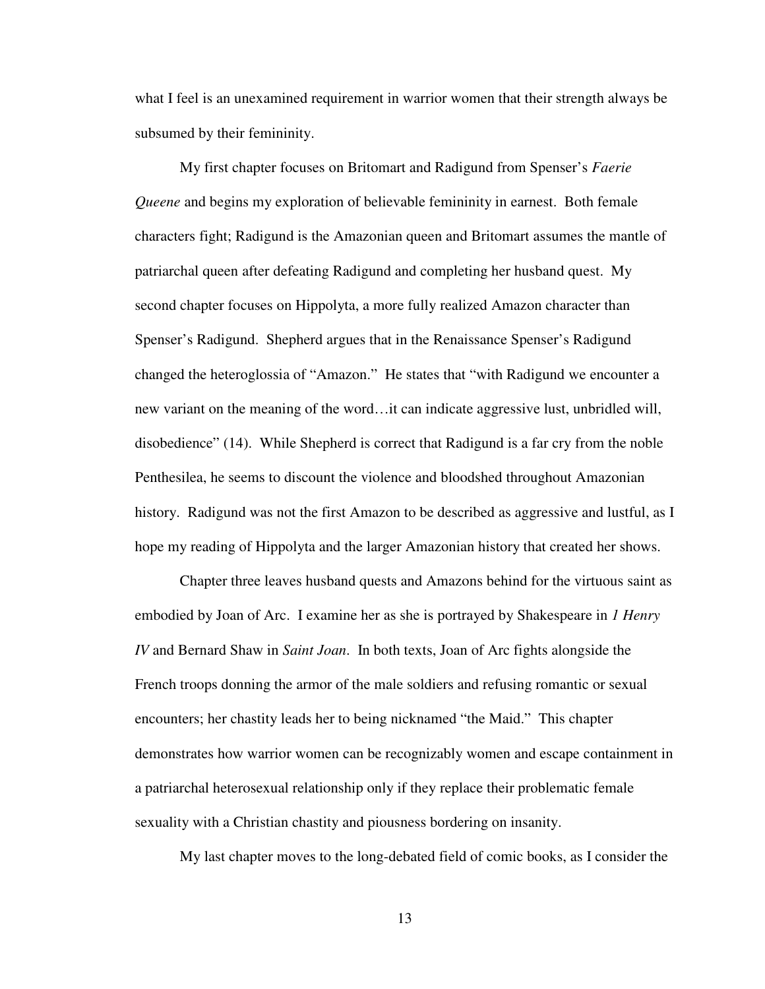what I feel is an unexamined requirement in warrior women that their strength always be subsumed by their femininity.

 My first chapter focuses on Britomart and Radigund from Spenser's *Faerie Queene* and begins my exploration of believable femininity in earnest. Both female characters fight; Radigund is the Amazonian queen and Britomart assumes the mantle of patriarchal queen after defeating Radigund and completing her husband quest. My second chapter focuses on Hippolyta, a more fully realized Amazon character than Spenser's Radigund. Shepherd argues that in the Renaissance Spenser's Radigund changed the heteroglossia of "Amazon." He states that "with Radigund we encounter a new variant on the meaning of the word…it can indicate aggressive lust, unbridled will, disobedience" (14). While Shepherd is correct that Radigund is a far cry from the noble Penthesilea, he seems to discount the violence and bloodshed throughout Amazonian history. Radigund was not the first Amazon to be described as aggressive and lustful, as I hope my reading of Hippolyta and the larger Amazonian history that created her shows.

 Chapter three leaves husband quests and Amazons behind for the virtuous saint as embodied by Joan of Arc. I examine her as she is portrayed by Shakespeare in *1 Henry IV* and Bernard Shaw in *Saint Joan*. In both texts, Joan of Arc fights alongside the French troops donning the armor of the male soldiers and refusing romantic or sexual encounters; her chastity leads her to being nicknamed "the Maid." This chapter demonstrates how warrior women can be recognizably women and escape containment in a patriarchal heterosexual relationship only if they replace their problematic female sexuality with a Christian chastity and piousness bordering on insanity.

My last chapter moves to the long-debated field of comic books, as I consider the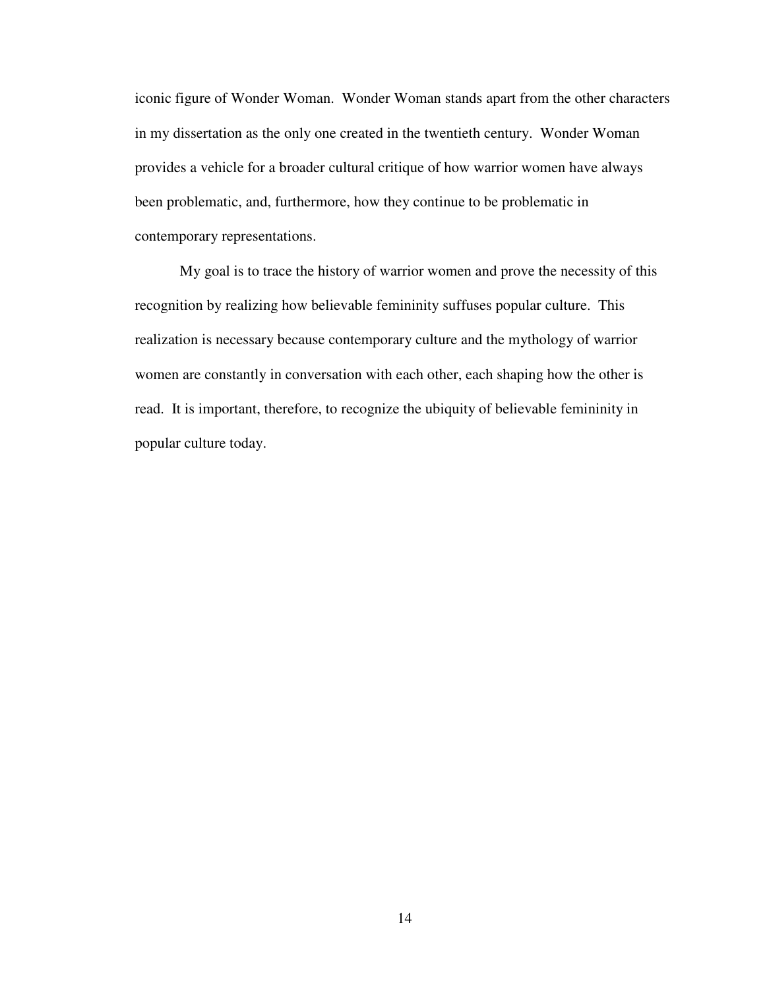iconic figure of Wonder Woman. Wonder Woman stands apart from the other characters in my dissertation as the only one created in the twentieth century. Wonder Woman provides a vehicle for a broader cultural critique of how warrior women have always been problematic, and, furthermore, how they continue to be problematic in contemporary representations.

 My goal is to trace the history of warrior women and prove the necessity of this recognition by realizing how believable femininity suffuses popular culture. This realization is necessary because contemporary culture and the mythology of warrior women are constantly in conversation with each other, each shaping how the other is read. It is important, therefore, to recognize the ubiquity of believable femininity in popular culture today.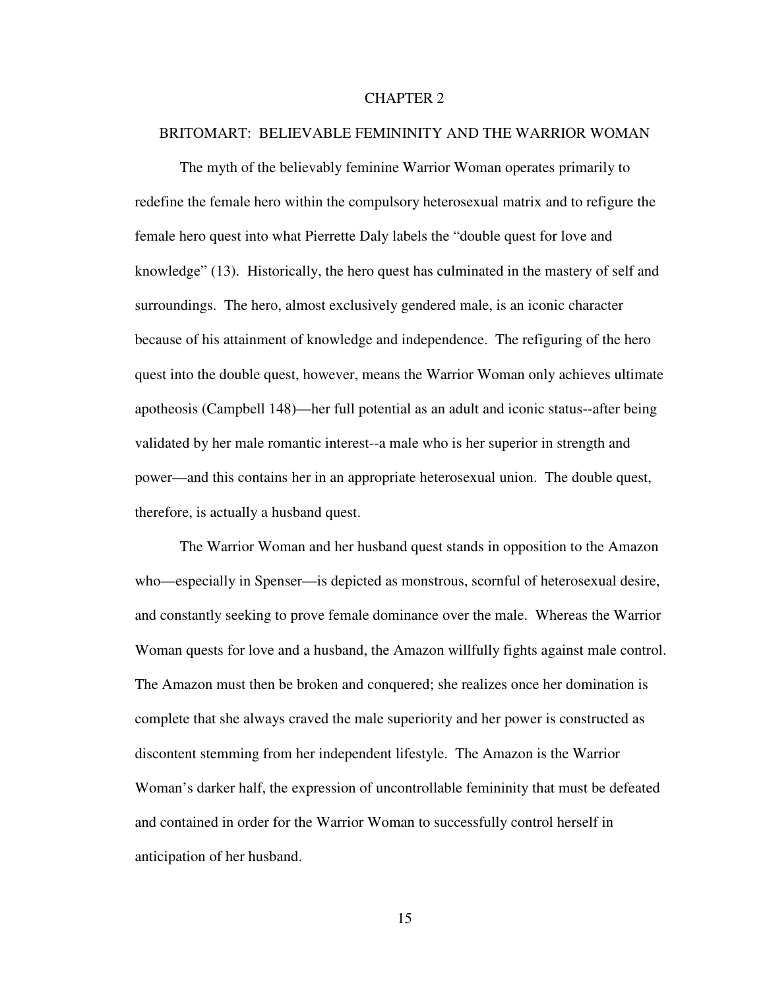#### CHAPTER 2

#### BRITOMART: BELIEVABLE FEMININITY AND THE WARRIOR WOMAN

The myth of the believably feminine Warrior Woman operates primarily to redefine the female hero within the compulsory heterosexual matrix and to refigure the female hero quest into what Pierrette Daly labels the "double quest for love and knowledge" (13). Historically, the hero quest has culminated in the mastery of self and surroundings. The hero, almost exclusively gendered male, is an iconic character because of his attainment of knowledge and independence. The refiguring of the hero quest into the double quest, however, means the Warrior Woman only achieves ultimate apotheosis (Campbell 148)—her full potential as an adult and iconic status--after being validated by her male romantic interest--a male who is her superior in strength and power—and this contains her in an appropriate heterosexual union. The double quest, therefore, is actually a husband quest.

 The Warrior Woman and her husband quest stands in opposition to the Amazon who—especially in Spenser—is depicted as monstrous, scornful of heterosexual desire, and constantly seeking to prove female dominance over the male. Whereas the Warrior Woman quests for love and a husband, the Amazon willfully fights against male control. The Amazon must then be broken and conquered; she realizes once her domination is complete that she always craved the male superiority and her power is constructed as discontent stemming from her independent lifestyle. The Amazon is the Warrior Woman's darker half, the expression of uncontrollable femininity that must be defeated and contained in order for the Warrior Woman to successfully control herself in anticipation of her husband.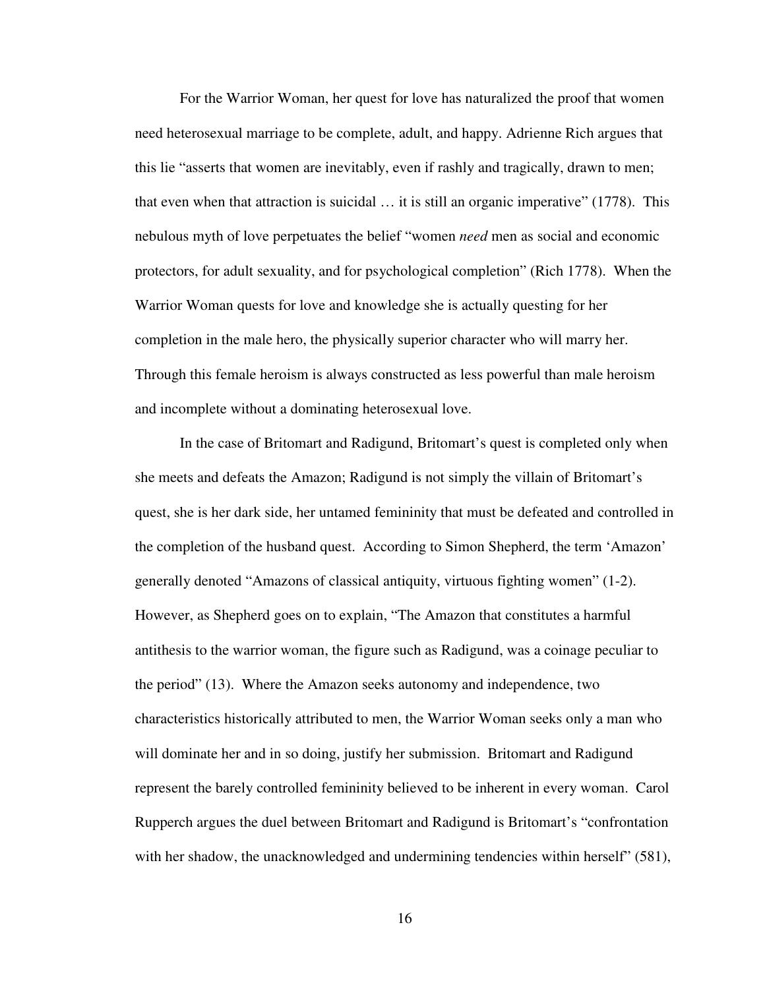For the Warrior Woman, her quest for love has naturalized the proof that women need heterosexual marriage to be complete, adult, and happy. Adrienne Rich argues that this lie "asserts that women are inevitably, even if rashly and tragically, drawn to men; that even when that attraction is suicidal … it is still an organic imperative" (1778). This nebulous myth of love perpetuates the belief "women *need* men as social and economic protectors, for adult sexuality, and for psychological completion" (Rich 1778). When the Warrior Woman quests for love and knowledge she is actually questing for her completion in the male hero, the physically superior character who will marry her. Through this female heroism is always constructed as less powerful than male heroism and incomplete without a dominating heterosexual love.

 In the case of Britomart and Radigund, Britomart's quest is completed only when she meets and defeats the Amazon; Radigund is not simply the villain of Britomart's quest, she is her dark side, her untamed femininity that must be defeated and controlled in the completion of the husband quest. According to Simon Shepherd, the term 'Amazon' generally denoted "Amazons of classical antiquity, virtuous fighting women" (1-2). However, as Shepherd goes on to explain, "The Amazon that constitutes a harmful antithesis to the warrior woman, the figure such as Radigund, was a coinage peculiar to the period" (13). Where the Amazon seeks autonomy and independence, two characteristics historically attributed to men, the Warrior Woman seeks only a man who will dominate her and in so doing, justify her submission. Britomart and Radigund represent the barely controlled femininity believed to be inherent in every woman. Carol Rupperch argues the duel between Britomart and Radigund is Britomart's "confrontation with her shadow, the unacknowledged and undermining tendencies within herself" (581),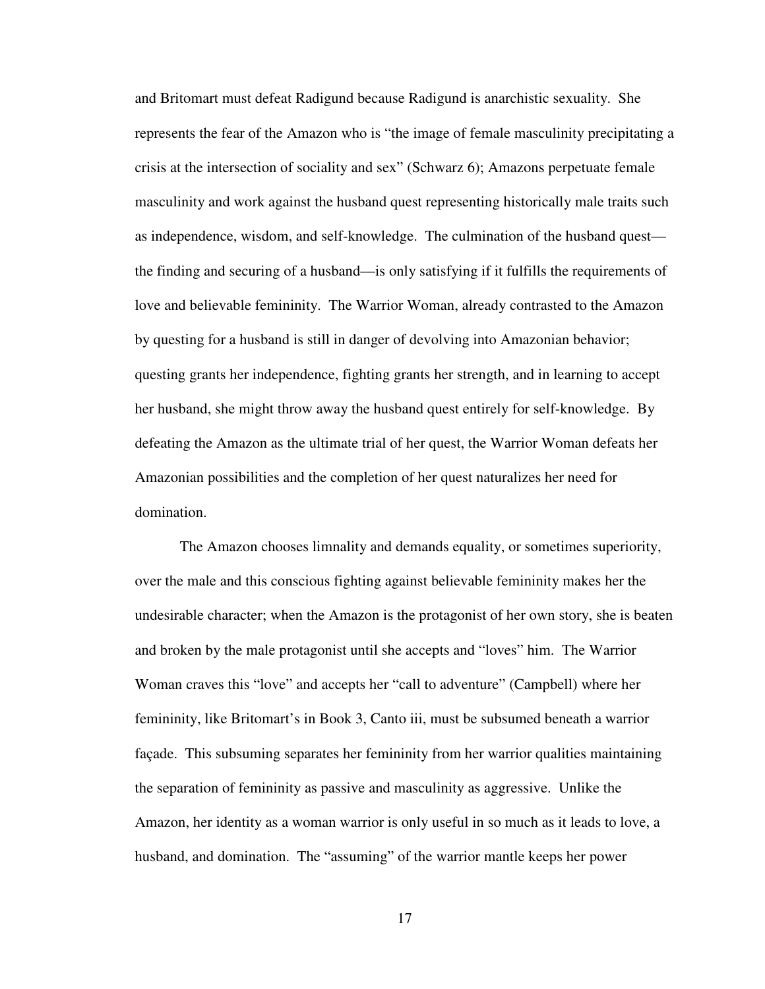and Britomart must defeat Radigund because Radigund is anarchistic sexuality. She represents the fear of the Amazon who is "the image of female masculinity precipitating a crisis at the intersection of sociality and sex" (Schwarz 6); Amazons perpetuate female masculinity and work against the husband quest representing historically male traits such as independence, wisdom, and self-knowledge. The culmination of the husband quest the finding and securing of a husband—is only satisfying if it fulfills the requirements of love and believable femininity. The Warrior Woman, already contrasted to the Amazon by questing for a husband is still in danger of devolving into Amazonian behavior; questing grants her independence, fighting grants her strength, and in learning to accept her husband, she might throw away the husband quest entirely for self-knowledge. By defeating the Amazon as the ultimate trial of her quest, the Warrior Woman defeats her Amazonian possibilities and the completion of her quest naturalizes her need for domination.

 The Amazon chooses limnality and demands equality, or sometimes superiority, over the male and this conscious fighting against believable femininity makes her the undesirable character; when the Amazon is the protagonist of her own story, she is beaten and broken by the male protagonist until she accepts and "loves" him. The Warrior Woman craves this "love" and accepts her "call to adventure" (Campbell) where her femininity, like Britomart's in Book 3, Canto iii, must be subsumed beneath a warrior façade. This subsuming separates her femininity from her warrior qualities maintaining the separation of femininity as passive and masculinity as aggressive. Unlike the Amazon, her identity as a woman warrior is only useful in so much as it leads to love, a husband, and domination. The "assuming" of the warrior mantle keeps her power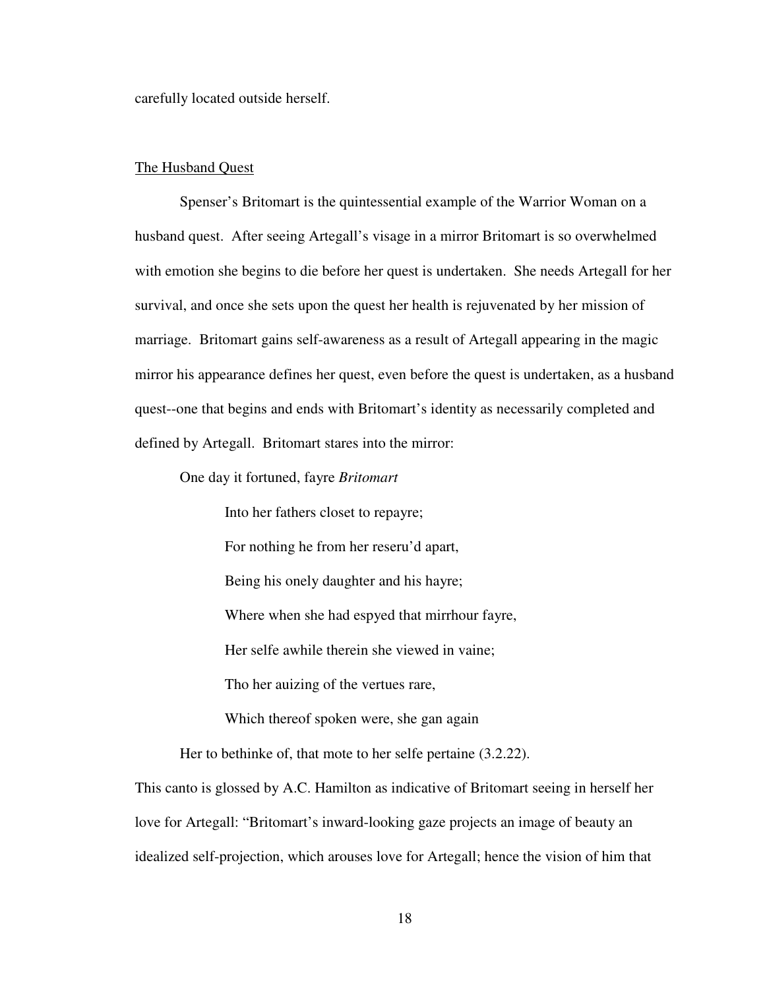carefully located outside herself.

#### The Husband Quest

 Spenser's Britomart is the quintessential example of the Warrior Woman on a husband quest. After seeing Artegall's visage in a mirror Britomart is so overwhelmed with emotion she begins to die before her quest is undertaken. She needs Artegall for her survival, and once she sets upon the quest her health is rejuvenated by her mission of marriage. Britomart gains self-awareness as a result of Artegall appearing in the magic mirror his appearance defines her quest, even before the quest is undertaken, as a husband quest--one that begins and ends with Britomart's identity as necessarily completed and defined by Artegall. Britomart stares into the mirror:

One day it fortuned, fayre *Britomart*

Into her fathers closet to repayre;

For nothing he from her reseru'd apart,

Being his onely daughter and his hayre;

Where when she had espyed that mirrhour fayre,

Her selfe awhile therein she viewed in vaine;

Tho her auizing of the vertues rare,

Which thereof spoken were, she gan again

Her to bethinke of, that mote to her selfe pertaine (3.2.22).

This canto is glossed by A.C. Hamilton as indicative of Britomart seeing in herself her love for Artegall: "Britomart's inward-looking gaze projects an image of beauty an idealized self-projection, which arouses love for Artegall; hence the vision of him that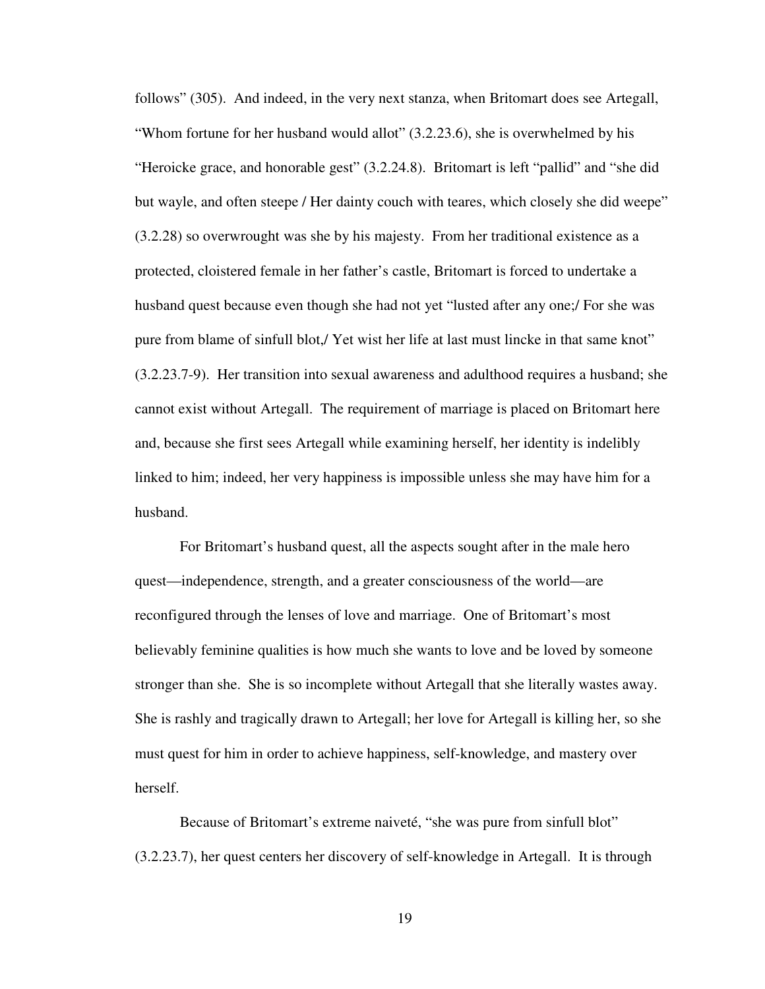follows" (305). And indeed, in the very next stanza, when Britomart does see Artegall, "Whom fortune for her husband would allot" (3.2.23.6), she is overwhelmed by his "Heroicke grace, and honorable gest" (3.2.24.8). Britomart is left "pallid" and "she did but wayle, and often steepe / Her dainty couch with teares, which closely she did weepe" (3.2.28) so overwrought was she by his majesty. From her traditional existence as a protected, cloistered female in her father's castle, Britomart is forced to undertake a husband quest because even though she had not yet "lusted after any one;/ For she was pure from blame of sinfull blot,/ Yet wist her life at last must lincke in that same knot" (3.2.23.7-9). Her transition into sexual awareness and adulthood requires a husband; she cannot exist without Artegall. The requirement of marriage is placed on Britomart here and, because she first sees Artegall while examining herself, her identity is indelibly linked to him; indeed, her very happiness is impossible unless she may have him for a husband.

 For Britomart's husband quest, all the aspects sought after in the male hero quest—independence, strength, and a greater consciousness of the world—are reconfigured through the lenses of love and marriage. One of Britomart's most believably feminine qualities is how much she wants to love and be loved by someone stronger than she. She is so incomplete without Artegall that she literally wastes away. She is rashly and tragically drawn to Artegall; her love for Artegall is killing her, so she must quest for him in order to achieve happiness, self-knowledge, and mastery over herself.

 Because of Britomart's extreme naiveté, "she was pure from sinfull blot" (3.2.23.7), her quest centers her discovery of self-knowledge in Artegall. It is through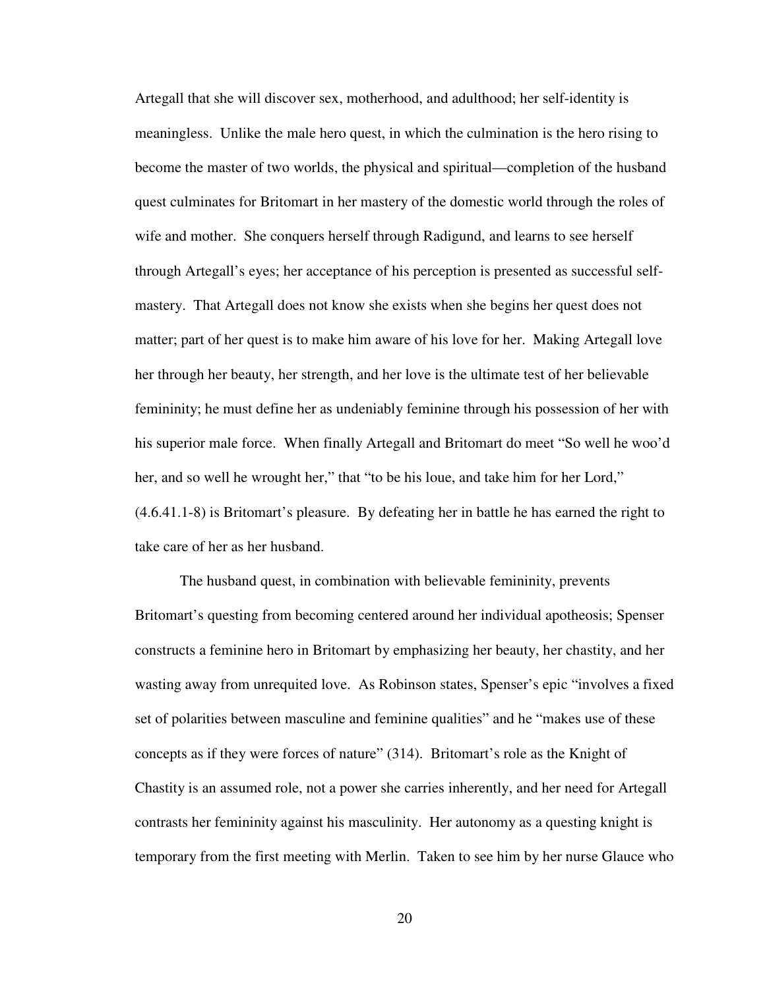Artegall that she will discover sex, motherhood, and adulthood; her self-identity is meaningless. Unlike the male hero quest, in which the culmination is the hero rising to become the master of two worlds, the physical and spiritual—completion of the husband quest culminates for Britomart in her mastery of the domestic world through the roles of wife and mother. She conquers herself through Radigund, and learns to see herself through Artegall's eyes; her acceptance of his perception is presented as successful selfmastery. That Artegall does not know she exists when she begins her quest does not matter; part of her quest is to make him aware of his love for her. Making Artegall love her through her beauty, her strength, and her love is the ultimate test of her believable femininity; he must define her as undeniably feminine through his possession of her with his superior male force. When finally Artegall and Britomart do meet "So well he woo'd her, and so well he wrought her," that "to be his loue, and take him for her Lord," (4.6.41.1-8) is Britomart's pleasure. By defeating her in battle he has earned the right to take care of her as her husband.

 The husband quest, in combination with believable femininity, prevents Britomart's questing from becoming centered around her individual apotheosis; Spenser constructs a feminine hero in Britomart by emphasizing her beauty, her chastity, and her wasting away from unrequited love. As Robinson states, Spenser's epic "involves a fixed set of polarities between masculine and feminine qualities" and he "makes use of these concepts as if they were forces of nature" (314). Britomart's role as the Knight of Chastity is an assumed role, not a power she carries inherently, and her need for Artegall contrasts her femininity against his masculinity. Her autonomy as a questing knight is temporary from the first meeting with Merlin. Taken to see him by her nurse Glauce who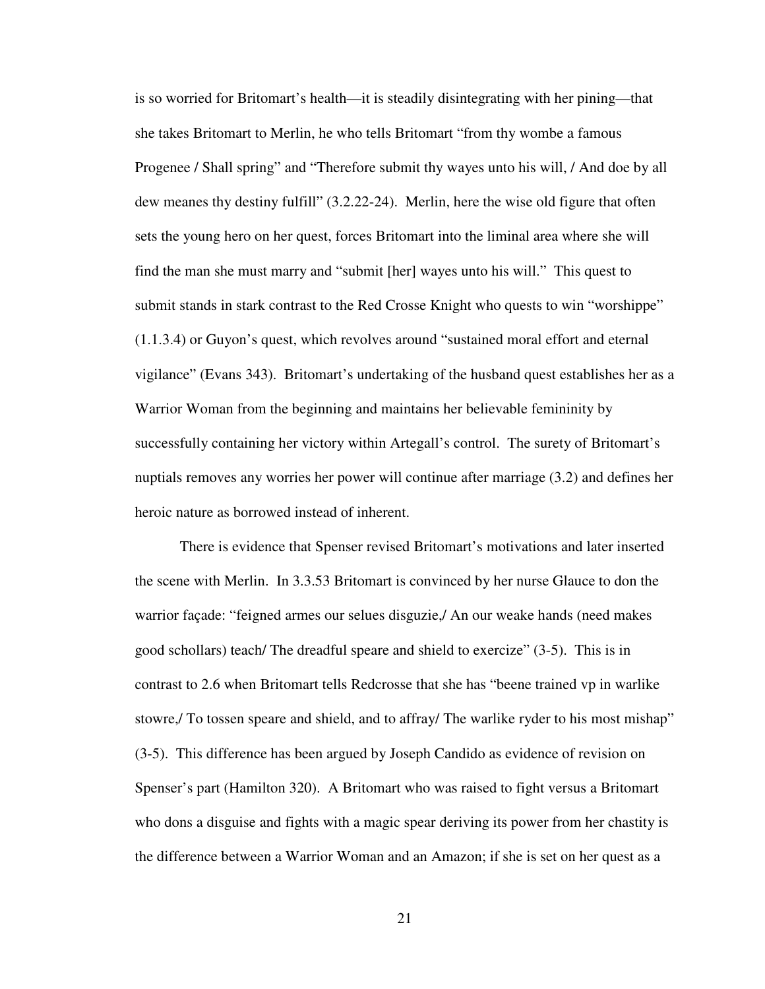is so worried for Britomart's health—it is steadily disintegrating with her pining—that she takes Britomart to Merlin, he who tells Britomart "from thy wombe a famous Progenee / Shall spring" and "Therefore submit thy wayes unto his will, / And doe by all dew meanes thy destiny fulfill" (3.2.22-24). Merlin, here the wise old figure that often sets the young hero on her quest, forces Britomart into the liminal area where she will find the man she must marry and "submit [her] wayes unto his will." This quest to submit stands in stark contrast to the Red Crosse Knight who quests to win "worshippe" (1.1.3.4) or Guyon's quest, which revolves around "sustained moral effort and eternal vigilance" (Evans 343). Britomart's undertaking of the husband quest establishes her as a Warrior Woman from the beginning and maintains her believable femininity by successfully containing her victory within Artegall's control. The surety of Britomart's nuptials removes any worries her power will continue after marriage (3.2) and defines her heroic nature as borrowed instead of inherent.

 There is evidence that Spenser revised Britomart's motivations and later inserted the scene with Merlin. In 3.3.53 Britomart is convinced by her nurse Glauce to don the warrior façade: "feigned armes our selues disguzie,/ An our weake hands (need makes good schollars) teach/ The dreadful speare and shield to exercize" (3-5). This is in contrast to 2.6 when Britomart tells Redcrosse that she has "beene trained vp in warlike stowre,/ To tossen speare and shield, and to affray/ The warlike ryder to his most mishap" (3-5). This difference has been argued by Joseph Candido as evidence of revision on Spenser's part (Hamilton 320). A Britomart who was raised to fight versus a Britomart who dons a disguise and fights with a magic spear deriving its power from her chastity is the difference between a Warrior Woman and an Amazon; if she is set on her quest as a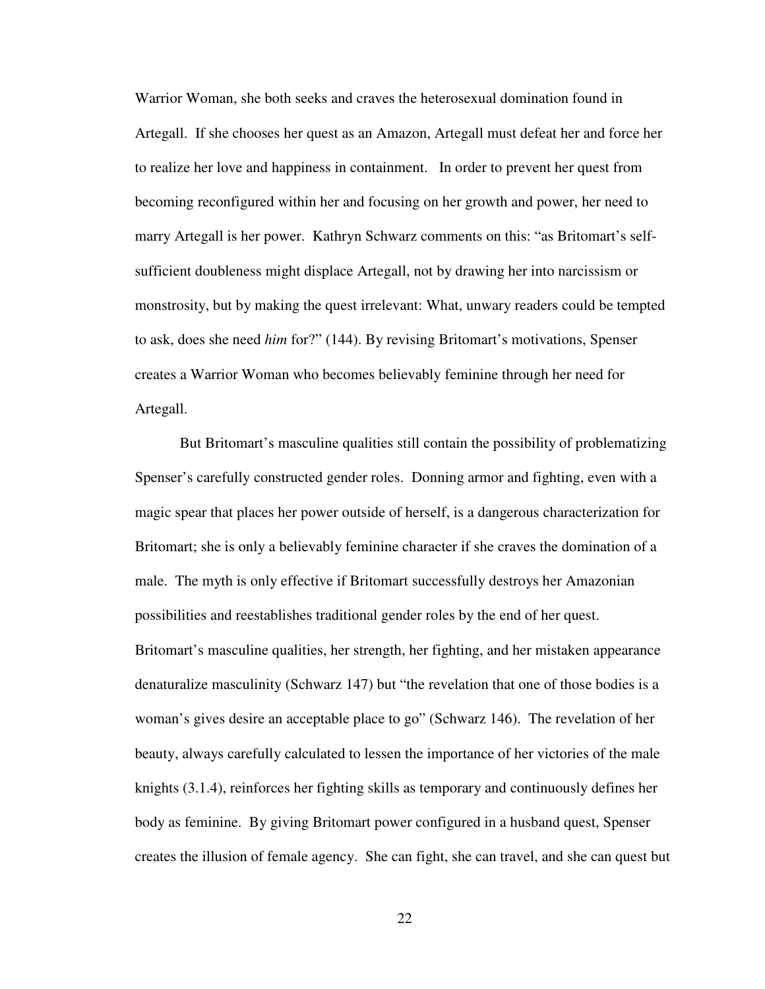Warrior Woman, she both seeks and craves the heterosexual domination found in Artegall. If she chooses her quest as an Amazon, Artegall must defeat her and force her to realize her love and happiness in containment. In order to prevent her quest from becoming reconfigured within her and focusing on her growth and power, her need to marry Artegall is her power. Kathryn Schwarz comments on this: "as Britomart's selfsufficient doubleness might displace Artegall, not by drawing her into narcissism or monstrosity, but by making the quest irrelevant: What, unwary readers could be tempted to ask, does she need *him* for?" (144). By revising Britomart's motivations, Spenser creates a Warrior Woman who becomes believably feminine through her need for Artegall.

But Britomart's masculine qualities still contain the possibility of problematizing Spenser's carefully constructed gender roles. Donning armor and fighting, even with a magic spear that places her power outside of herself, is a dangerous characterization for Britomart; she is only a believably feminine character if she craves the domination of a male. The myth is only effective if Britomart successfully destroys her Amazonian possibilities and reestablishes traditional gender roles by the end of her quest. Britomart's masculine qualities, her strength, her fighting, and her mistaken appearance denaturalize masculinity (Schwarz 147) but "the revelation that one of those bodies is a woman's gives desire an acceptable place to go" (Schwarz 146). The revelation of her beauty, always carefully calculated to lessen the importance of her victories of the male knights (3.1.4), reinforces her fighting skills as temporary and continuously defines her body as feminine. By giving Britomart power configured in a husband quest, Spenser creates the illusion of female agency. She can fight, she can travel, and she can quest but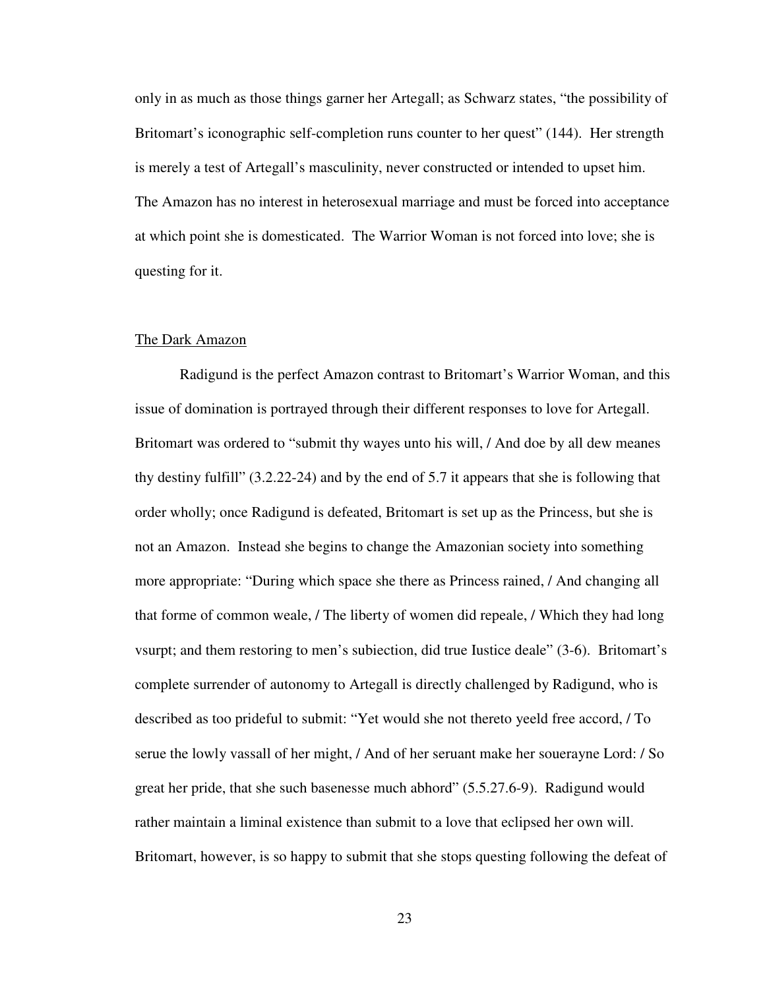only in as much as those things garner her Artegall; as Schwarz states, "the possibility of Britomart's iconographic self-completion runs counter to her quest" (144). Her strength is merely a test of Artegall's masculinity, never constructed or intended to upset him. The Amazon has no interest in heterosexual marriage and must be forced into acceptance at which point she is domesticated. The Warrior Woman is not forced into love; she is questing for it.

#### The Dark Amazon

 Radigund is the perfect Amazon contrast to Britomart's Warrior Woman, and this issue of domination is portrayed through their different responses to love for Artegall. Britomart was ordered to "submit thy wayes unto his will, / And doe by all dew meanes thy destiny fulfill" (3.2.22-24) and by the end of 5.7 it appears that she is following that order wholly; once Radigund is defeated, Britomart is set up as the Princess, but she is not an Amazon. Instead she begins to change the Amazonian society into something more appropriate: "During which space she there as Princess rained, / And changing all that forme of common weale, / The liberty of women did repeale, / Which they had long vsurpt; and them restoring to men's subiection, did true Iustice deale" (3-6). Britomart's complete surrender of autonomy to Artegall is directly challenged by Radigund, who is described as too prideful to submit: "Yet would she not thereto yeeld free accord, / To serue the lowly vassall of her might, / And of her seruant make her souerayne Lord: / So great her pride, that she such basenesse much abhord" (5.5.27.6-9). Radigund would rather maintain a liminal existence than submit to a love that eclipsed her own will. Britomart, however, is so happy to submit that she stops questing following the defeat of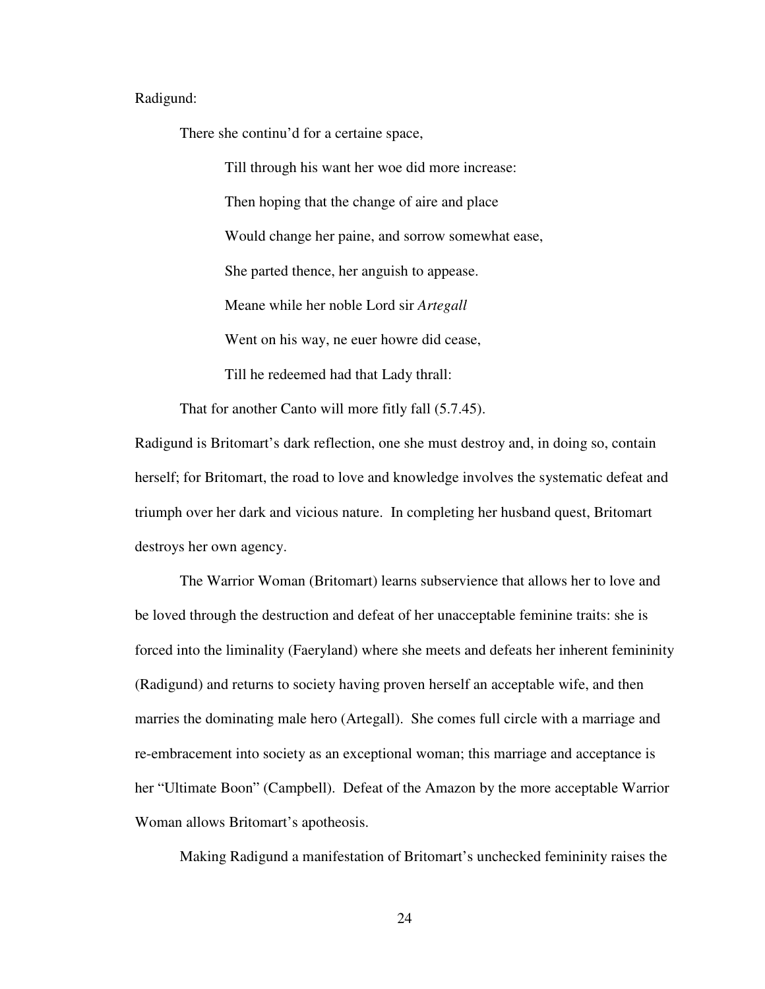Radigund:

There she continu'd for a certaine space,

 Till through his want her woe did more increase: Then hoping that the change of aire and place Would change her paine, and sorrow somewhat ease, She parted thence, her anguish to appease. Meane while her noble Lord sir *Artegall* Went on his way, ne euer howre did cease, Till he redeemed had that Lady thrall:

That for another Canto will more fitly fall (5.7.45).

Radigund is Britomart's dark reflection, one she must destroy and, in doing so, contain herself; for Britomart, the road to love and knowledge involves the systematic defeat and triumph over her dark and vicious nature. In completing her husband quest, Britomart destroys her own agency.

 The Warrior Woman (Britomart) learns subservience that allows her to love and be loved through the destruction and defeat of her unacceptable feminine traits: she is forced into the liminality (Faeryland) where she meets and defeats her inherent femininity (Radigund) and returns to society having proven herself an acceptable wife, and then marries the dominating male hero (Artegall). She comes full circle with a marriage and re-embracement into society as an exceptional woman; this marriage and acceptance is her "Ultimate Boon" (Campbell). Defeat of the Amazon by the more acceptable Warrior Woman allows Britomart's apotheosis.

Making Radigund a manifestation of Britomart's unchecked femininity raises the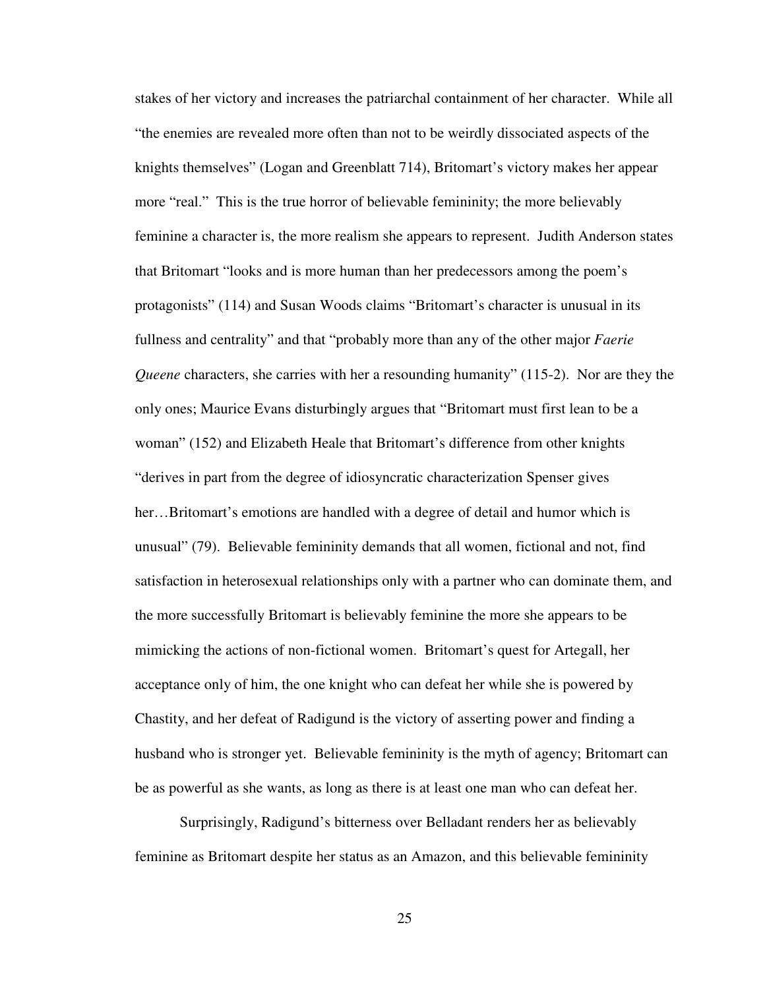stakes of her victory and increases the patriarchal containment of her character. While all "the enemies are revealed more often than not to be weirdly dissociated aspects of the knights themselves" (Logan and Greenblatt 714), Britomart's victory makes her appear more "real." This is the true horror of believable femininity; the more believably feminine a character is, the more realism she appears to represent. Judith Anderson states that Britomart "looks and is more human than her predecessors among the poem's protagonists" (114) and Susan Woods claims "Britomart's character is unusual in its fullness and centrality" and that "probably more than any of the other major *Faerie Queene* characters, she carries with her a resounding humanity" (115-2). Nor are they the only ones; Maurice Evans disturbingly argues that "Britomart must first lean to be a woman" (152) and Elizabeth Heale that Britomart's difference from other knights "derives in part from the degree of idiosyncratic characterization Spenser gives her…Britomart's emotions are handled with a degree of detail and humor which is unusual" (79). Believable femininity demands that all women, fictional and not, find satisfaction in heterosexual relationships only with a partner who can dominate them, and the more successfully Britomart is believably feminine the more she appears to be mimicking the actions of non-fictional women. Britomart's quest for Artegall, her acceptance only of him, the one knight who can defeat her while she is powered by Chastity, and her defeat of Radigund is the victory of asserting power and finding a husband who is stronger yet. Believable femininity is the myth of agency; Britomart can be as powerful as she wants, as long as there is at least one man who can defeat her.

 Surprisingly, Radigund's bitterness over Belladant renders her as believably feminine as Britomart despite her status as an Amazon, and this believable femininity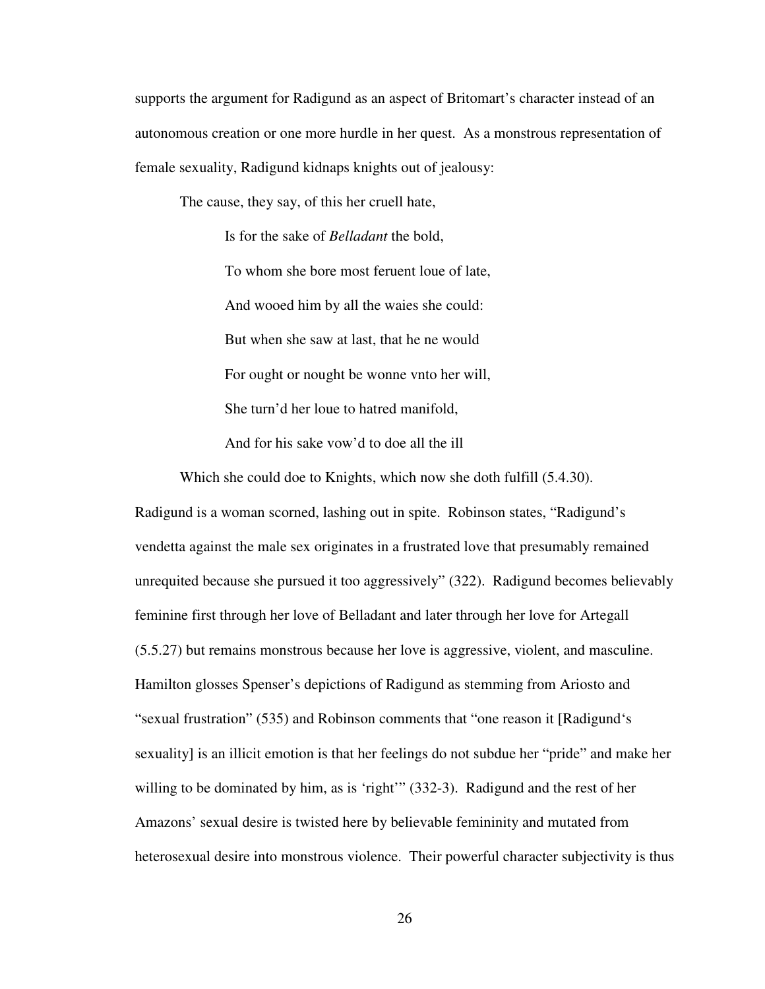supports the argument for Radigund as an aspect of Britomart's character instead of an autonomous creation or one more hurdle in her quest. As a monstrous representation of female sexuality, Radigund kidnaps knights out of jealousy:

The cause, they say, of this her cruell hate,

 Is for the sake of *Belladant* the bold, To whom she bore most feruent loue of late, And wooed him by all the waies she could: But when she saw at last, that he ne would For ought or nought be wonne vnto her will, She turn'd her loue to hatred manifold, And for his sake vow'd to doe all the ill

Which she could doe to Knights, which now she doth fulfill (5.4.30).

Radigund is a woman scorned, lashing out in spite. Robinson states, "Radigund's vendetta against the male sex originates in a frustrated love that presumably remained unrequited because she pursued it too aggressively" (322). Radigund becomes believably feminine first through her love of Belladant and later through her love for Artegall (5.5.27) but remains monstrous because her love is aggressive, violent, and masculine. Hamilton glosses Spenser's depictions of Radigund as stemming from Ariosto and "sexual frustration" (535) and Robinson comments that "one reason it [Radigund's sexuality] is an illicit emotion is that her feelings do not subdue her "pride" and make her willing to be dominated by him, as is 'right'" (332-3). Radigund and the rest of her Amazons' sexual desire is twisted here by believable femininity and mutated from heterosexual desire into monstrous violence. Their powerful character subjectivity is thus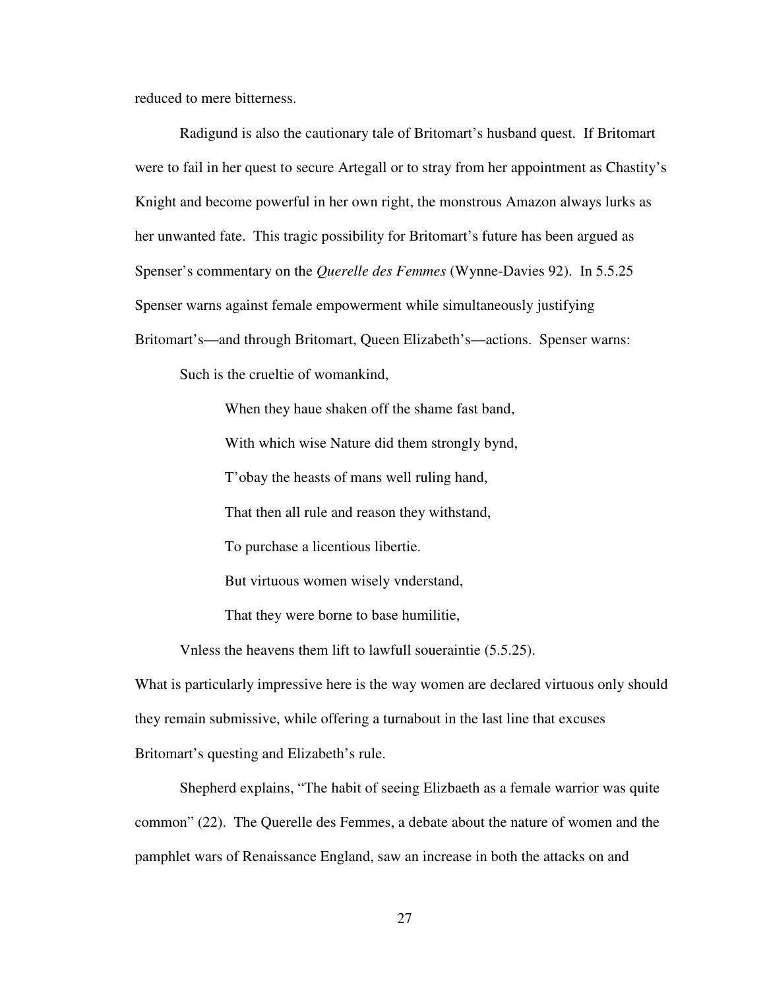reduced to mere bitterness.

 Radigund is also the cautionary tale of Britomart's husband quest. If Britomart were to fail in her quest to secure Artegall or to stray from her appointment as Chastity's Knight and become powerful in her own right, the monstrous Amazon always lurks as her unwanted fate. This tragic possibility for Britomart's future has been argued as Spenser's commentary on the *Querelle des Femmes* (Wynne-Davies 92). In 5.5.25 Spenser warns against female empowerment while simultaneously justifying Britomart's—and through Britomart, Queen Elizabeth's—actions. Spenser warns:

Such is the crueltie of womankind,

When they haue shaken off the shame fast band,

With which wise Nature did them strongly bynd,

T'obay the heasts of mans well ruling hand,

That then all rule and reason they withstand,

To purchase a licentious libertie.

But virtuous women wisely vnderstand,

That they were borne to base humilitie,

Vnless the heavens them lift to lawfull soueraintie (5.5.25).

What is particularly impressive here is the way women are declared virtuous only should they remain submissive, while offering a turnabout in the last line that excuses Britomart's questing and Elizabeth's rule.

 Shepherd explains, "The habit of seeing Elizbaeth as a female warrior was quite common" (22). The Querelle des Femmes, a debate about the nature of women and the pamphlet wars of Renaissance England, saw an increase in both the attacks on and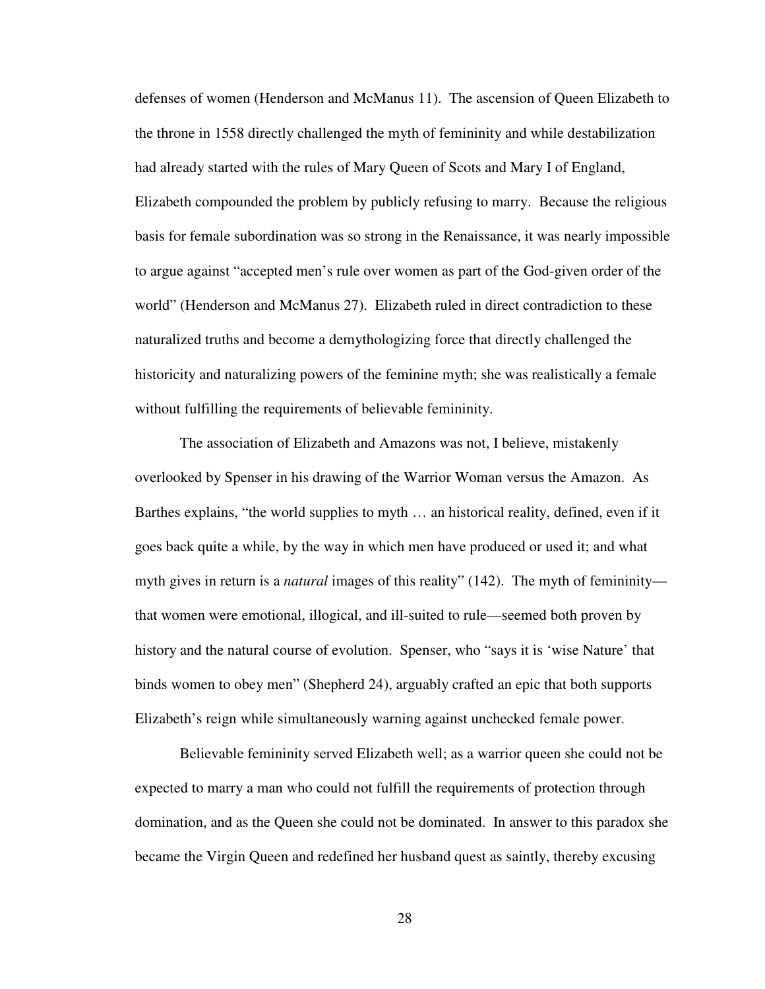defenses of women (Henderson and McManus 11). The ascension of Queen Elizabeth to the throne in 1558 directly challenged the myth of femininity and while destabilization had already started with the rules of Mary Queen of Scots and Mary I of England, Elizabeth compounded the problem by publicly refusing to marry. Because the religious basis for female subordination was so strong in the Renaissance, it was nearly impossible to argue against "accepted men's rule over women as part of the God-given order of the world" (Henderson and McManus 27).Elizabeth ruled in direct contradiction to these naturalized truths and become a demythologizing force that directly challenged the historicity and naturalizing powers of the feminine myth; she was realistically a female without fulfilling the requirements of believable femininity.

 The association of Elizabeth and Amazons was not, I believe, mistakenly overlooked by Spenser in his drawing of the Warrior Woman versus the Amazon. As Barthes explains, "the world supplies to myth … an historical reality, defined, even if it goes back quite a while, by the way in which men have produced or used it; and what myth gives in return is a *natural* images of this reality" (142). The myth of femininity that women were emotional, illogical, and ill-suited to rule—seemed both proven by history and the natural course of evolution. Spenser, who "says it is 'wise Nature' that binds women to obey men" (Shepherd 24), arguably crafted an epic that both supports Elizabeth's reign while simultaneously warning against unchecked female power.

 Believable femininity served Elizabeth well; as a warrior queen she could not be expected to marry a man who could not fulfill the requirements of protection through domination, and as the Queen she could not be dominated. In answer to this paradox she became the Virgin Queen and redefined her husband quest as saintly, thereby excusing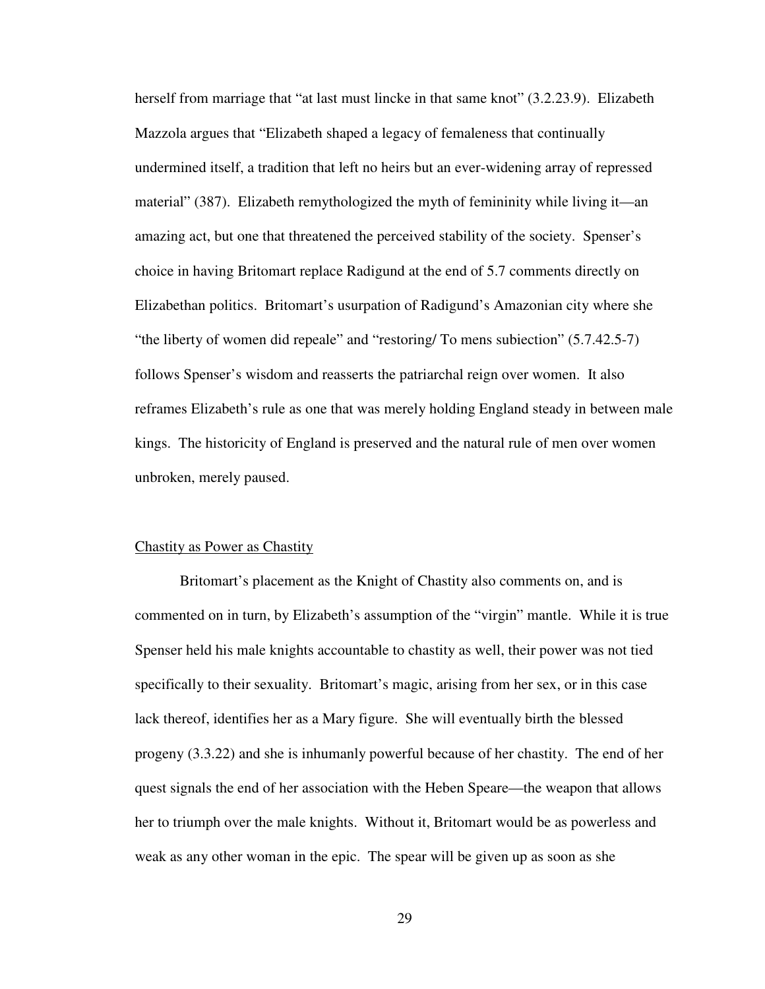herself from marriage that "at last must lincke in that same knot" (3.2.23.9). Elizabeth Mazzola argues that "Elizabeth shaped a legacy of femaleness that continually undermined itself, a tradition that left no heirs but an ever-widening array of repressed material" (387). Elizabeth remythologized the myth of femininity while living it—an amazing act, but one that threatened the perceived stability of the society. Spenser's choice in having Britomart replace Radigund at the end of 5.7 comments directly on Elizabethan politics. Britomart's usurpation of Radigund's Amazonian city where she "the liberty of women did repeale" and "restoring/ To mens subiection" (5.7.42.5-7) follows Spenser's wisdom and reasserts the patriarchal reign over women. It also reframes Elizabeth's rule as one that was merely holding England steady in between male kings. The historicity of England is preserved and the natural rule of men over women unbroken, merely paused.

#### Chastity as Power as Chastity

 Britomart's placement as the Knight of Chastity also comments on, and is commented on in turn, by Elizabeth's assumption of the "virgin" mantle. While it is true Spenser held his male knights accountable to chastity as well, their power was not tied specifically to their sexuality. Britomart's magic, arising from her sex, or in this case lack thereof, identifies her as a Mary figure. She will eventually birth the blessed progeny (3.3.22) and she is inhumanly powerful because of her chastity. The end of her quest signals the end of her association with the Heben Speare—the weapon that allows her to triumph over the male knights. Without it, Britomart would be as powerless and weak as any other woman in the epic. The spear will be given up as soon as she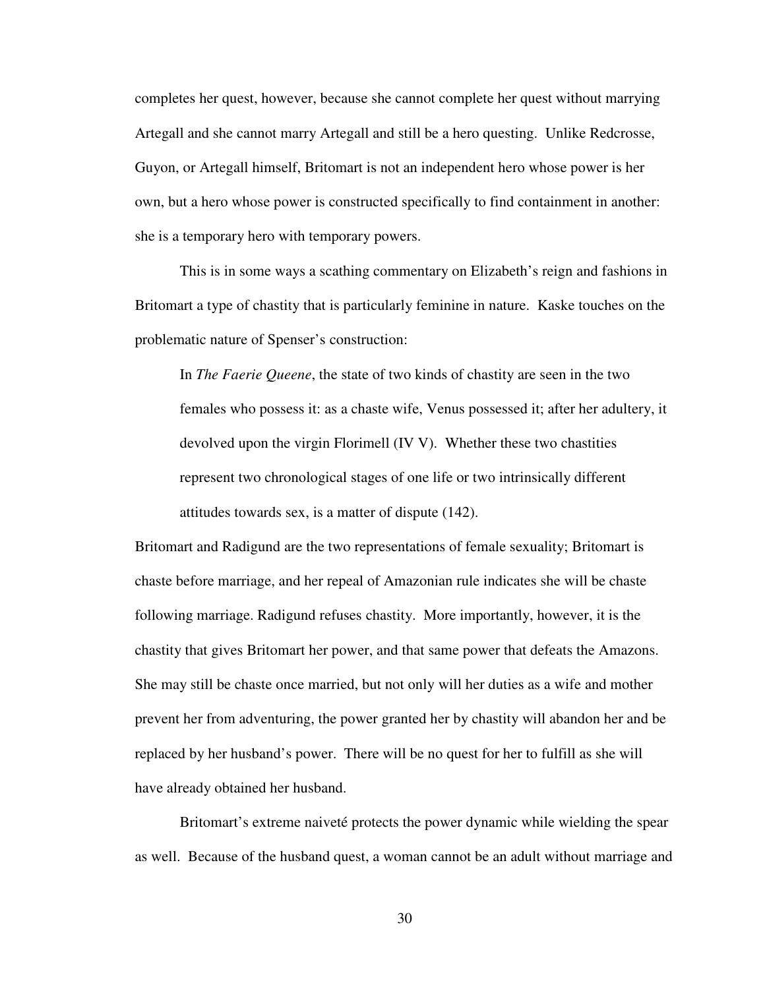completes her quest, however, because she cannot complete her quest without marrying Artegall and she cannot marry Artegall and still be a hero questing. Unlike Redcrosse, Guyon, or Artegall himself, Britomart is not an independent hero whose power is her own, but a hero whose power is constructed specifically to find containment in another: she is a temporary hero with temporary powers.

 This is in some ways a scathing commentary on Elizabeth's reign and fashions in Britomart a type of chastity that is particularly feminine in nature. Kaske touches on the problematic nature of Spenser's construction:

In *The Faerie Queene*, the state of two kinds of chastity are seen in the two females who possess it: as a chaste wife, Venus possessed it; after her adultery, it devolved upon the virgin Florimell (IV V). Whether these two chastities represent two chronological stages of one life or two intrinsically different attitudes towards sex, is a matter of dispute (142).

Britomart and Radigund are the two representations of female sexuality; Britomart is chaste before marriage, and her repeal of Amazonian rule indicates she will be chaste following marriage. Radigund refuses chastity. More importantly, however, it is the chastity that gives Britomart her power, and that same power that defeats the Amazons. She may still be chaste once married, but not only will her duties as a wife and mother prevent her from adventuring, the power granted her by chastity will abandon her and be replaced by her husband's power. There will be no quest for her to fulfill as she will have already obtained her husband.

 Britomart's extreme naiveté protects the power dynamic while wielding the spear as well. Because of the husband quest, a woman cannot be an adult without marriage and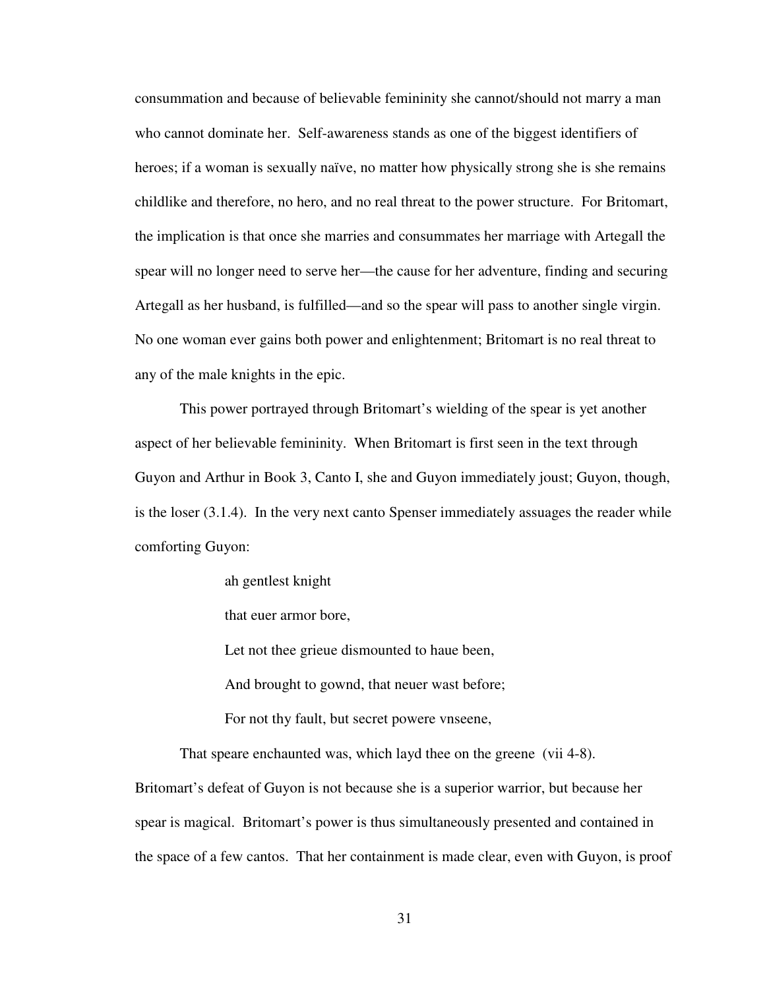consummation and because of believable femininity she cannot/should not marry a man who cannot dominate her. Self-awareness stands as one of the biggest identifiers of heroes; if a woman is sexually naïve, no matter how physically strong she is she remains childlike and therefore, no hero, and no real threat to the power structure. For Britomart, the implication is that once she marries and consummates her marriage with Artegall the spear will no longer need to serve her—the cause for her adventure, finding and securing Artegall as her husband, is fulfilled—and so the spear will pass to another single virgin. No one woman ever gains both power and enlightenment; Britomart is no real threat to any of the male knights in the epic.

 This power portrayed through Britomart's wielding of the spear is yet another aspect of her believable femininity. When Britomart is first seen in the text through Guyon and Arthur in Book 3, Canto I, she and Guyon immediately joust; Guyon, though, is the loser (3.1.4). In the very next canto Spenser immediately assuages the reader while comforting Guyon:

ah gentlest knight

that euer armor bore,

Let not thee grieue dismounted to haue been,

And brought to gownd, that neuer wast before;

For not thy fault, but secret powere vnseene,

That speare enchaunted was, which layd thee on the greene (vii 4-8).

Britomart's defeat of Guyon is not because she is a superior warrior, but because her spear is magical. Britomart's power is thus simultaneously presented and contained in the space of a few cantos. That her containment is made clear, even with Guyon, is proof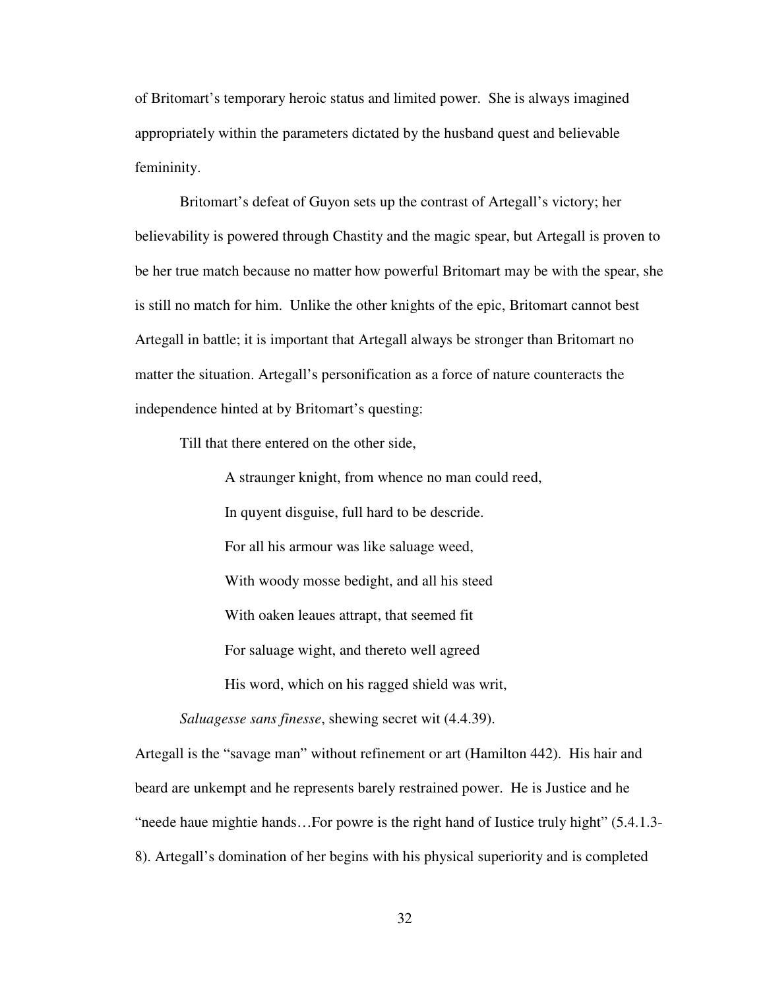of Britomart's temporary heroic status and limited power. She is always imagined appropriately within the parameters dictated by the husband quest and believable femininity.

 Britomart's defeat of Guyon sets up the contrast of Artegall's victory; her believability is powered through Chastity and the magic spear, but Artegall is proven to be her true match because no matter how powerful Britomart may be with the spear, she is still no match for him. Unlike the other knights of the epic, Britomart cannot best Artegall in battle; it is important that Artegall always be stronger than Britomart no matter the situation. Artegall's personification as a force of nature counteracts the independence hinted at by Britomart's questing:

Till that there entered on the other side,

 A straunger knight, from whence no man could reed, In quyent disguise, full hard to be descride. For all his armour was like saluage weed, With woody mosse bedight, and all his steed With oaken leaues attrapt, that seemed fit For saluage wight, and thereto well agreed His word, which on his ragged shield was writ,

*Saluagesse sans finesse*, shewing secret wit (4.4.39).

Artegall is the "savage man" without refinement or art (Hamilton 442). His hair and beard are unkempt and he represents barely restrained power. He is Justice and he "neede haue mightie hands…For powre is the right hand of Iustice truly hight" (5.4.1.3- 8). Artegall's domination of her begins with his physical superiority and is completed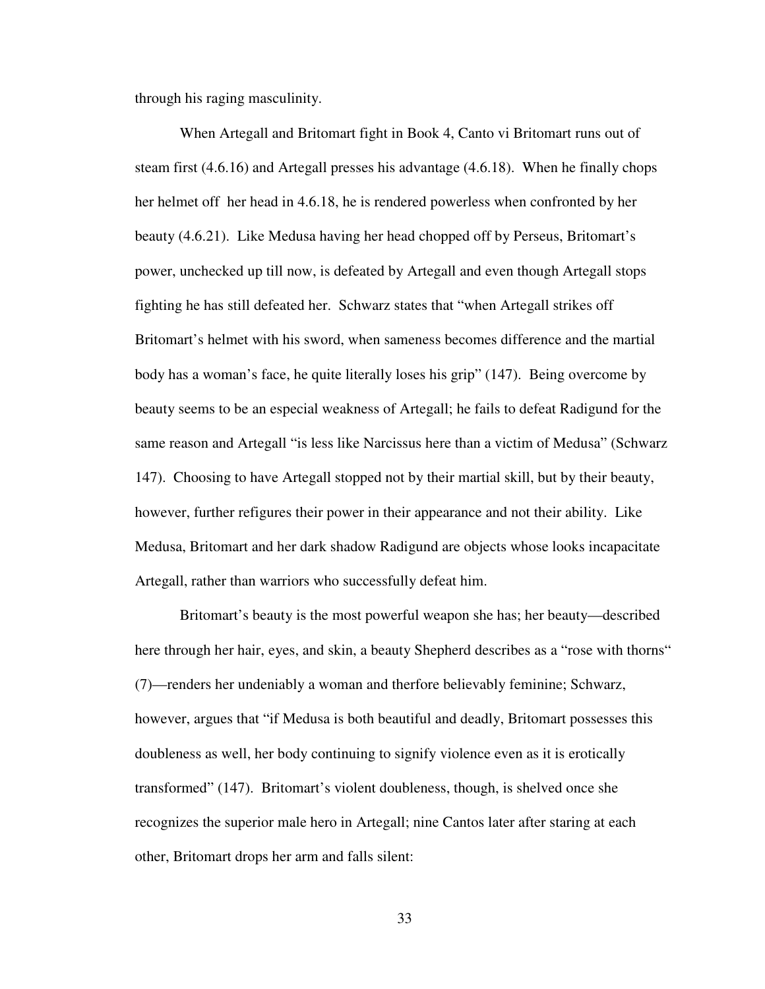through his raging masculinity.

 When Artegall and Britomart fight in Book 4, Canto vi Britomart runs out of steam first (4.6.16) and Artegall presses his advantage (4.6.18). When he finally chops her helmet off her head in 4.6.18, he is rendered powerless when confronted by her beauty (4.6.21). Like Medusa having her head chopped off by Perseus, Britomart's power, unchecked up till now, is defeated by Artegall and even though Artegall stops fighting he has still defeated her. Schwarz states that "when Artegall strikes off Britomart's helmet with his sword, when sameness becomes difference and the martial body has a woman's face, he quite literally loses his grip" (147). Being overcome by beauty seems to be an especial weakness of Artegall; he fails to defeat Radigund for the same reason and Artegall "is less like Narcissus here than a victim of Medusa" (Schwarz 147). Choosing to have Artegall stopped not by their martial skill, but by their beauty, however, further refigures their power in their appearance and not their ability. Like Medusa, Britomart and her dark shadow Radigund are objects whose looks incapacitate Artegall, rather than warriors who successfully defeat him.

 Britomart's beauty is the most powerful weapon she has; her beauty—described here through her hair, eyes, and skin, a beauty Shepherd describes as a "rose with thorns" (7)—renders her undeniably a woman and therfore believably feminine; Schwarz, however, argues that "if Medusa is both beautiful and deadly, Britomart possesses this doubleness as well, her body continuing to signify violence even as it is erotically transformed" (147). Britomart's violent doubleness, though, is shelved once she recognizes the superior male hero in Artegall; nine Cantos later after staring at each other, Britomart drops her arm and falls silent: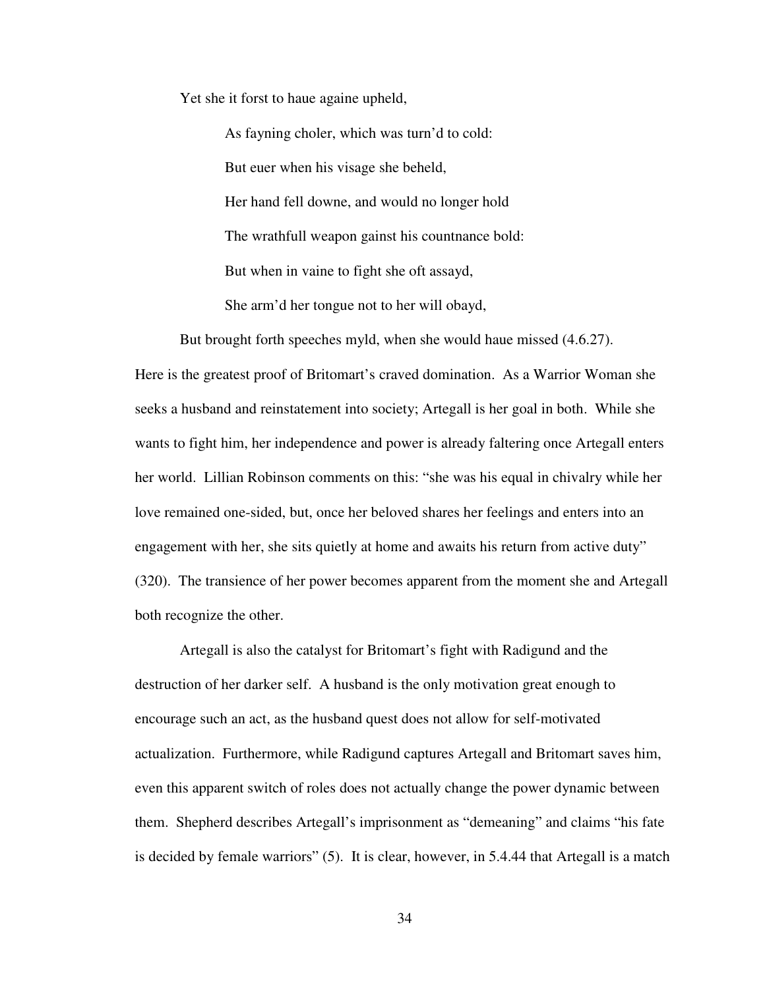Yet she it forst to haue againe upheld,

 As fayning choler, which was turn'd to cold: But euer when his visage she beheld, Her hand fell downe, and would no longer hold The wrathfull weapon gainst his countnance bold: But when in vaine to fight she oft assayd, She arm'd her tongue not to her will obayd,

But brought forth speeches myld, when she would haue missed (4.6.27). Here is the greatest proof of Britomart's craved domination. As a Warrior Woman she seeks a husband and reinstatement into society; Artegall is her goal in both. While she wants to fight him, her independence and power is already faltering once Artegall enters her world. Lillian Robinson comments on this: "she was his equal in chivalry while her love remained one-sided, but, once her beloved shares her feelings and enters into an engagement with her, she sits quietly at home and awaits his return from active duty" (320). The transience of her power becomes apparent from the moment she and Artegall both recognize the other.

 Artegall is also the catalyst for Britomart's fight with Radigund and the destruction of her darker self. A husband is the only motivation great enough to encourage such an act, as the husband quest does not allow for self-motivated actualization. Furthermore, while Radigund captures Artegall and Britomart saves him, even this apparent switch of roles does not actually change the power dynamic between them. Shepherd describes Artegall's imprisonment as "demeaning" and claims "his fate is decided by female warriors" (5). It is clear, however, in 5.4.44 that Artegall is a match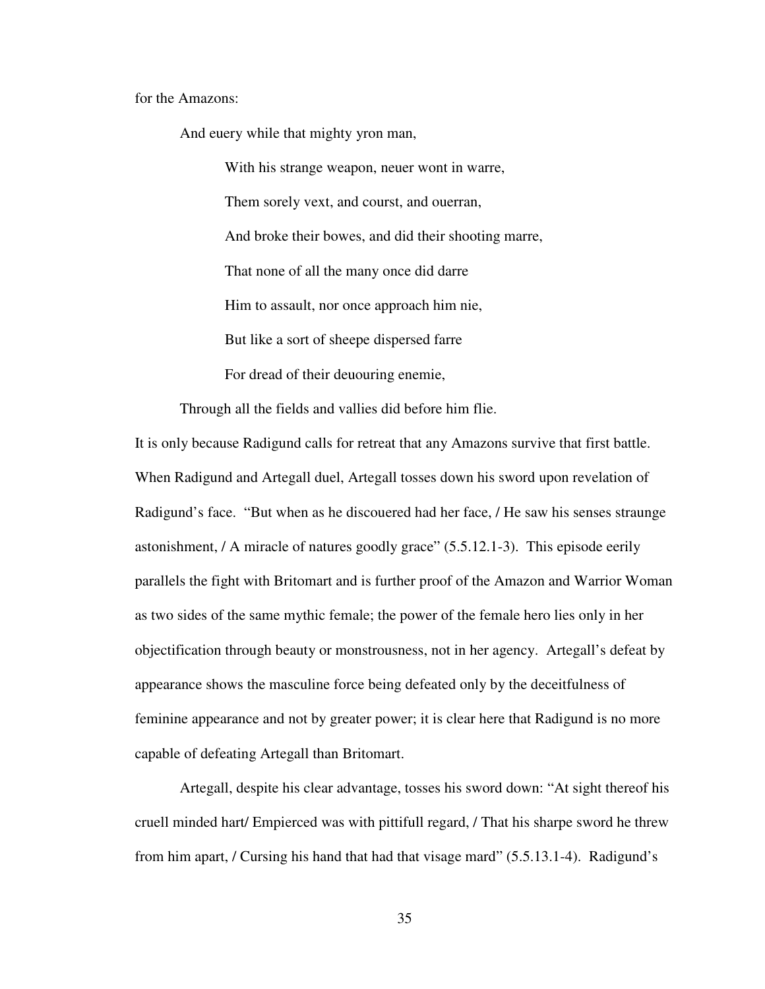for the Amazons:

And euery while that mighty yron man,

 With his strange weapon, neuer wont in warre, Them sorely vext, and courst, and ouerran, And broke their bowes, and did their shooting marre, That none of all the many once did darre Him to assault, nor once approach him nie, But like a sort of sheepe dispersed farre For dread of their deuouring enemie,

Through all the fields and vallies did before him flie.

It is only because Radigund calls for retreat that any Amazons survive that first battle. When Radigund and Artegall duel, Artegall tosses down his sword upon revelation of Radigund's face. "But when as he discouered had her face, / He saw his senses straunge astonishment, / A miracle of natures goodly grace" (5.5.12.1-3). This episode eerily parallels the fight with Britomart and is further proof of the Amazon and Warrior Woman as two sides of the same mythic female; the power of the female hero lies only in her objectification through beauty or monstrousness, not in her agency. Artegall's defeat by appearance shows the masculine force being defeated only by the deceitfulness of feminine appearance and not by greater power; it is clear here that Radigund is no more capable of defeating Artegall than Britomart.

 Artegall, despite his clear advantage, tosses his sword down: "At sight thereof his cruell minded hart/ Empierced was with pittifull regard, / That his sharpe sword he threw from him apart, / Cursing his hand that had that visage mard" (5.5.13.1-4). Radigund's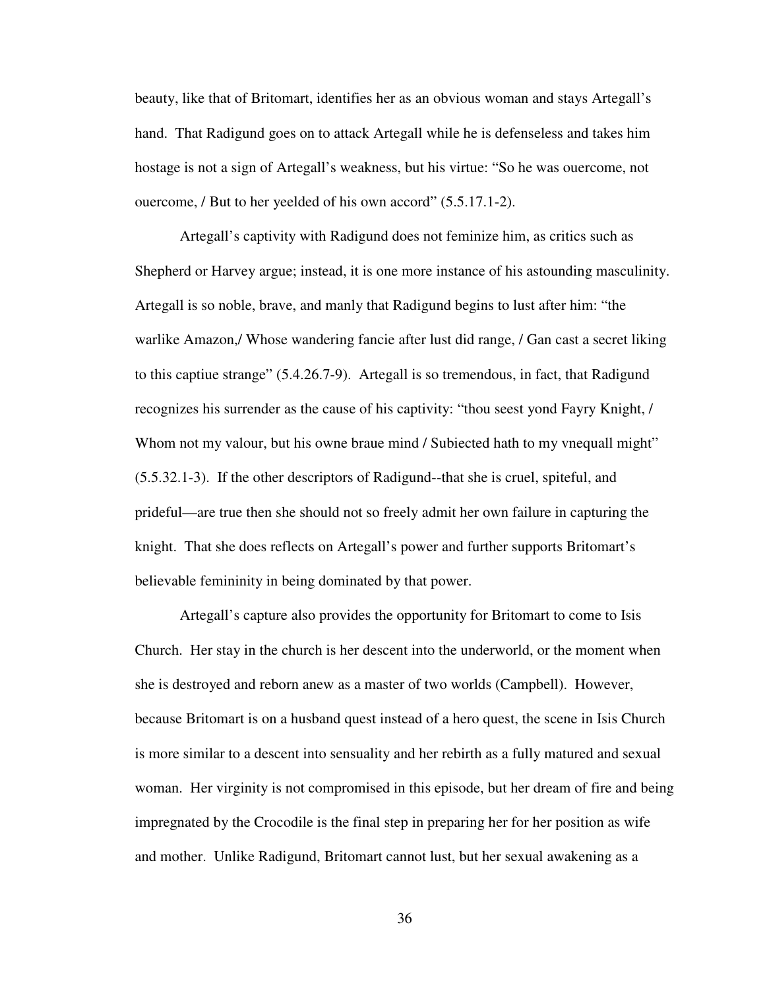beauty, like that of Britomart, identifies her as an obvious woman and stays Artegall's hand. That Radigund goes on to attack Artegall while he is defenseless and takes him hostage is not a sign of Artegall's weakness, but his virtue: "So he was ouercome, not ouercome, / But to her yeelded of his own accord" (5.5.17.1-2).

 Artegall's captivity with Radigund does not feminize him, as critics such as Shepherd or Harvey argue; instead, it is one more instance of his astounding masculinity. Artegall is so noble, brave, and manly that Radigund begins to lust after him: "the warlike Amazon,/ Whose wandering fancie after lust did range, / Gan cast a secret liking to this captiue strange" (5.4.26.7-9). Artegall is so tremendous, in fact, that Radigund recognizes his surrender as the cause of his captivity: "thou seest yond Fayry Knight, / Whom not my valour, but his owne braue mind / Subiected hath to my vnequall might" (5.5.32.1-3). If the other descriptors of Radigund--that she is cruel, spiteful, and prideful—are true then she should not so freely admit her own failure in capturing the knight. That she does reflects on Artegall's power and further supports Britomart's believable femininity in being dominated by that power.

 Artegall's capture also provides the opportunity for Britomart to come to Isis Church. Her stay in the church is her descent into the underworld, or the moment when she is destroyed and reborn anew as a master of two worlds (Campbell). However, because Britomart is on a husband quest instead of a hero quest, the scene in Isis Church is more similar to a descent into sensuality and her rebirth as a fully matured and sexual woman. Her virginity is not compromised in this episode, but her dream of fire and being impregnated by the Crocodile is the final step in preparing her for her position as wife and mother. Unlike Radigund, Britomart cannot lust, but her sexual awakening as a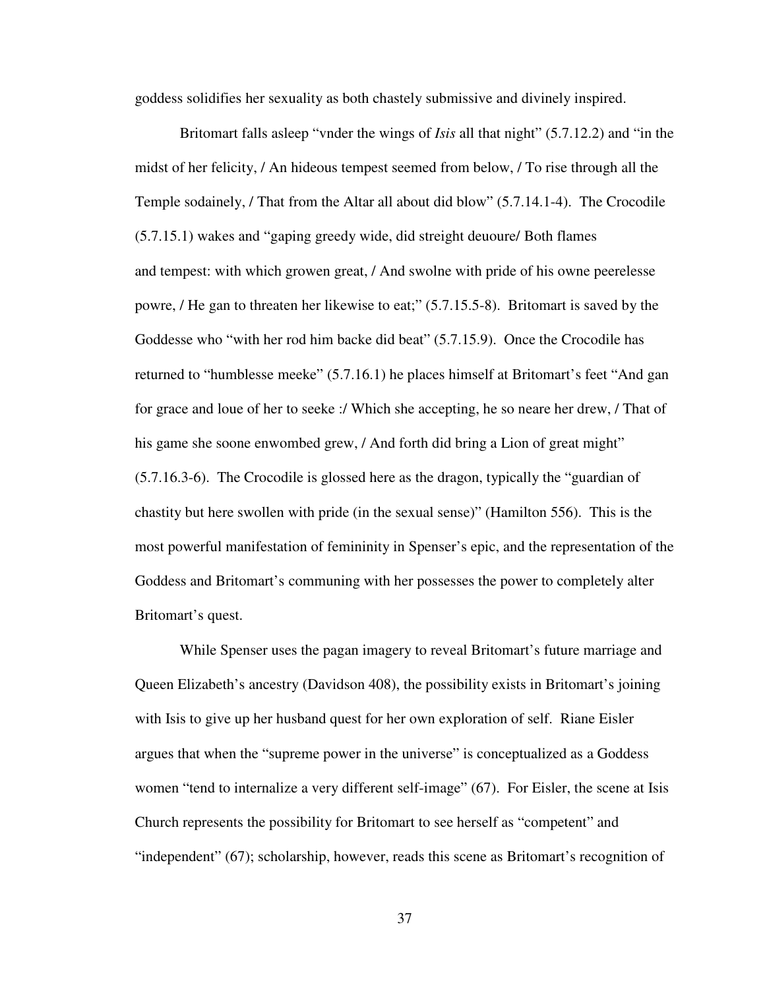goddess solidifies her sexuality as both chastely submissive and divinely inspired.

 Britomart falls asleep "vnder the wings of *Isis* all that night" (5.7.12.2) and "in the midst of her felicity, / An hideous tempest seemed from below, / To rise through all the Temple sodainely, / That from the Altar all about did blow" (5.7.14.1-4). The Crocodile (5.7.15.1) wakes and "gaping greedy wide, did streight deuoure/ Both flames and tempest: with which growen great, / And swolne with pride of his owne peerelesse powre, / He gan to threaten her likewise to eat;" (5.7.15.5-8). Britomart is saved by the Goddesse who "with her rod him backe did beat" (5.7.15.9). Once the Crocodile has returned to "humblesse meeke" (5.7.16.1) he places himself at Britomart's feet "And gan for grace and loue of her to seeke :/ Which she accepting, he so neare her drew, / That of his game she soone enwombed grew, / And forth did bring a Lion of great might" (5.7.16.3-6). The Crocodile is glossed here as the dragon, typically the "guardian of chastity but here swollen with pride (in the sexual sense)" (Hamilton 556). This is the most powerful manifestation of femininity in Spenser's epic, and the representation of the Goddess and Britomart's communing with her possesses the power to completely alter Britomart's quest.

 While Spenser uses the pagan imagery to reveal Britomart's future marriage and Queen Elizabeth's ancestry (Davidson 408), the possibility exists in Britomart's joining with Isis to give up her husband quest for her own exploration of self. Riane Eisler argues that when the "supreme power in the universe" is conceptualized as a Goddess women "tend to internalize a very different self-image" (67). For Eisler, the scene at Isis Church represents the possibility for Britomart to see herself as "competent" and "independent" (67); scholarship, however, reads this scene as Britomart's recognition of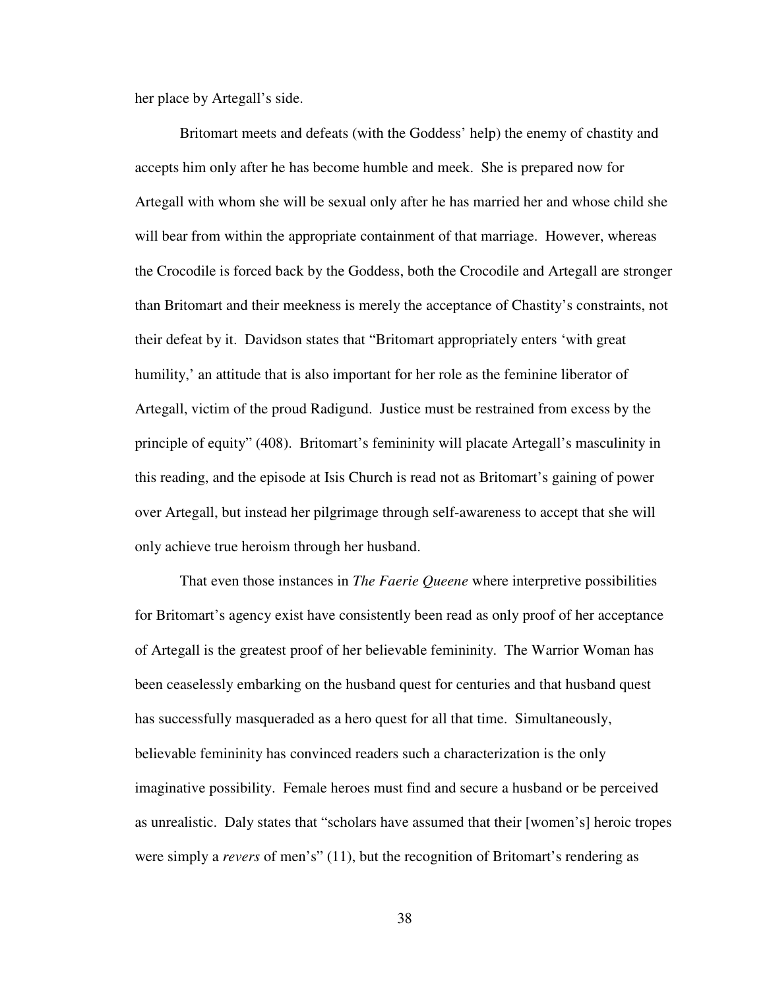her place by Artegall's side.

 Britomart meets and defeats (with the Goddess' help) the enemy of chastity and accepts him only after he has become humble and meek. She is prepared now for Artegall with whom she will be sexual only after he has married her and whose child she will bear from within the appropriate containment of that marriage. However, whereas the Crocodile is forced back by the Goddess, both the Crocodile and Artegall are stronger than Britomart and their meekness is merely the acceptance of Chastity's constraints, not their defeat by it. Davidson states that "Britomart appropriately enters 'with great humility,' an attitude that is also important for her role as the feminine liberator of Artegall, victim of the proud Radigund. Justice must be restrained from excess by the principle of equity" (408). Britomart's femininity will placate Artegall's masculinity in this reading, and the episode at Isis Church is read not as Britomart's gaining of power over Artegall, but instead her pilgrimage through self-awareness to accept that she will only achieve true heroism through her husband.

 That even those instances in *The Faerie Queene* where interpretive possibilities for Britomart's agency exist have consistently been read as only proof of her acceptance of Artegall is the greatest proof of her believable femininity. The Warrior Woman has been ceaselessly embarking on the husband quest for centuries and that husband quest has successfully masqueraded as a hero quest for all that time. Simultaneously, believable femininity has convinced readers such a characterization is the only imaginative possibility. Female heroes must find and secure a husband or be perceived as unrealistic. Daly states that "scholars have assumed that their [women's] heroic tropes were simply a *revers* of men's" (11), but the recognition of Britomart's rendering as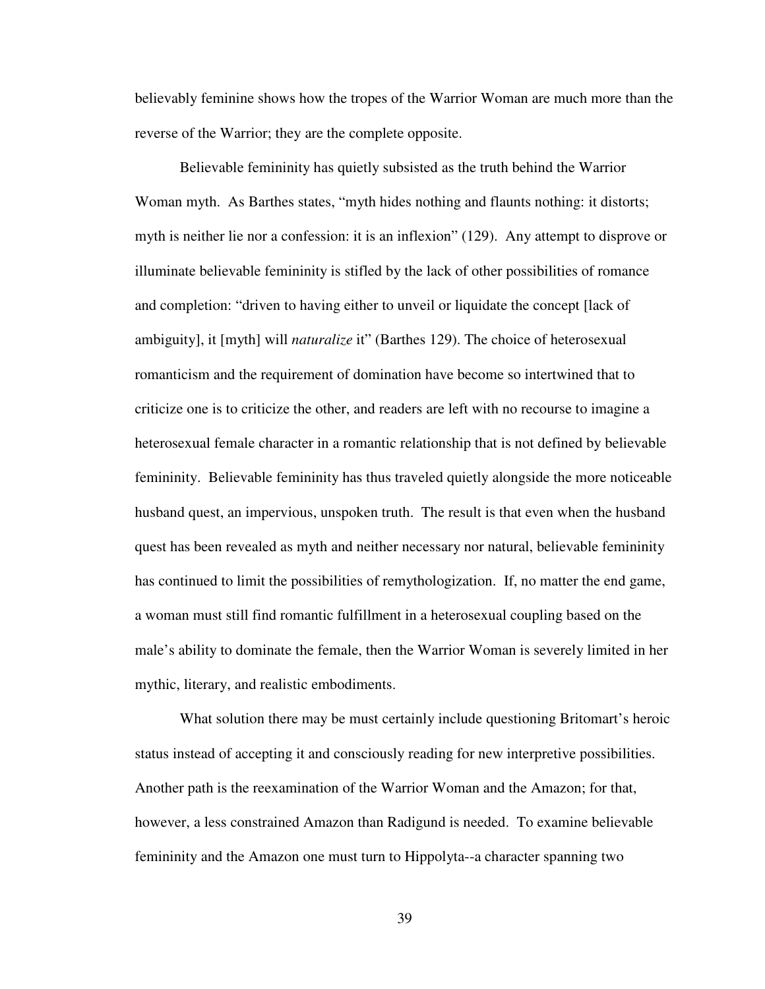believably feminine shows how the tropes of the Warrior Woman are much more than the reverse of the Warrior; they are the complete opposite.

 Believable femininity has quietly subsisted as the truth behind the Warrior Woman myth. As Barthes states, "myth hides nothing and flaunts nothing: it distorts; myth is neither lie nor a confession: it is an inflexion" (129). Any attempt to disprove or illuminate believable femininity is stifled by the lack of other possibilities of romance and completion: "driven to having either to unveil or liquidate the concept [lack of ambiguity], it [myth] will *naturalize* it" (Barthes 129). The choice of heterosexual romanticism and the requirement of domination have become so intertwined that to criticize one is to criticize the other, and readers are left with no recourse to imagine a heterosexual female character in a romantic relationship that is not defined by believable femininity. Believable femininity has thus traveled quietly alongside the more noticeable husband quest, an impervious, unspoken truth. The result is that even when the husband quest has been revealed as myth and neither necessary nor natural, believable femininity has continued to limit the possibilities of remythologization. If, no matter the end game, a woman must still find romantic fulfillment in a heterosexual coupling based on the male's ability to dominate the female, then the Warrior Woman is severely limited in her mythic, literary, and realistic embodiments.

 What solution there may be must certainly include questioning Britomart's heroic status instead of accepting it and consciously reading for new interpretive possibilities. Another path is the reexamination of the Warrior Woman and the Amazon; for that, however, a less constrained Amazon than Radigund is needed. To examine believable femininity and the Amazon one must turn to Hippolyta--a character spanning two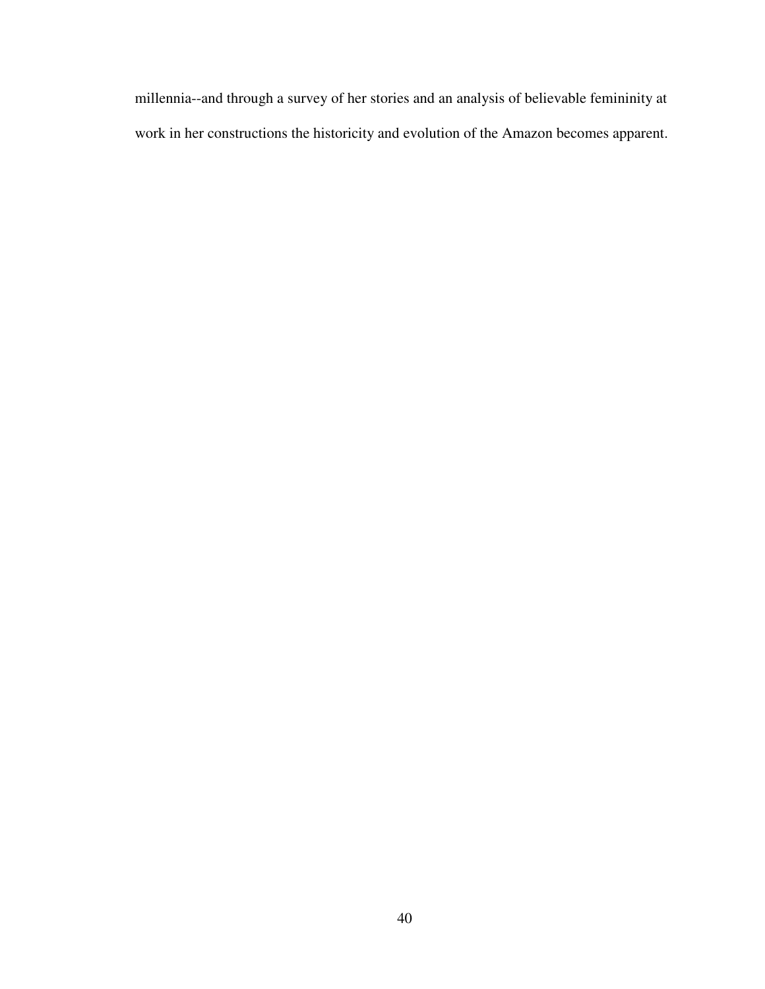millennia--and through a survey of her stories and an analysis of believable femininity at work in her constructions the historicity and evolution of the Amazon becomes apparent.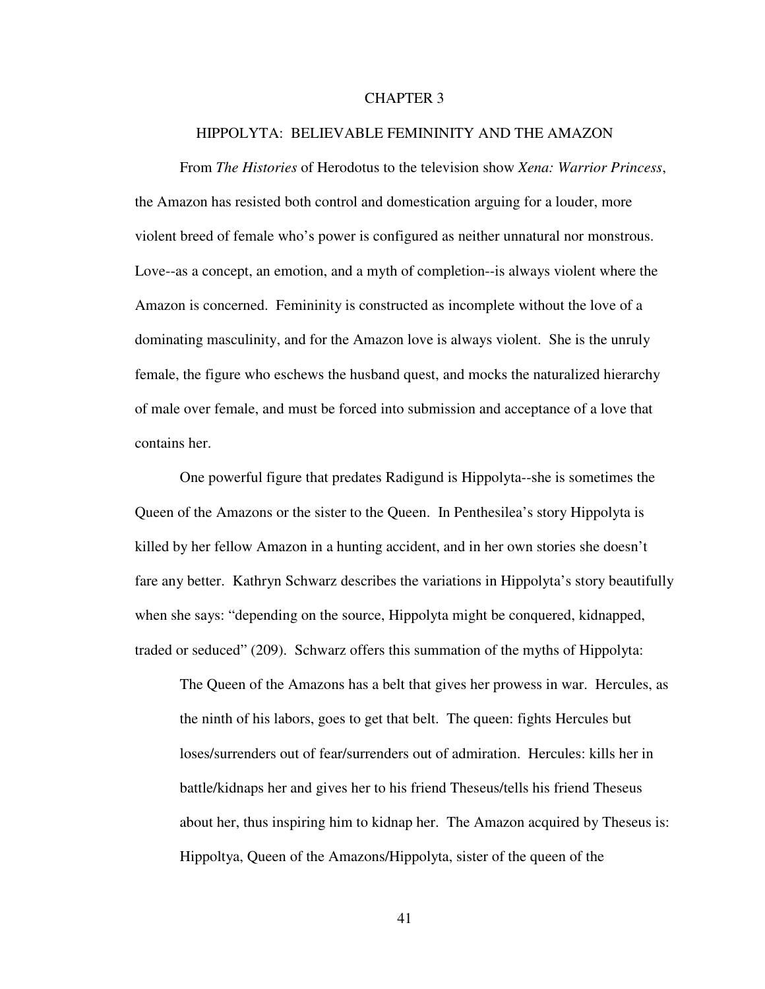## CHAPTER 3

#### HIPPOLYTA: BELIEVABLE FEMININITY AND THE AMAZON

From *The Histories* of Herodotus to the television show *Xena: Warrior Princess*, the Amazon has resisted both control and domestication arguing for a louder, more violent breed of female who's power is configured as neither unnatural nor monstrous. Love--as a concept, an emotion, and a myth of completion--is always violent where the Amazon is concerned. Femininity is constructed as incomplete without the love of a dominating masculinity, and for the Amazon love is always violent. She is the unruly female, the figure who eschews the husband quest, and mocks the naturalized hierarchy of male over female, and must be forced into submission and acceptance of a love that contains her.

 One powerful figure that predates Radigund is Hippolyta--she is sometimes the Queen of the Amazons or the sister to the Queen. In Penthesilea's story Hippolyta is killed by her fellow Amazon in a hunting accident, and in her own stories she doesn't fare any better. Kathryn Schwarz describes the variations in Hippolyta's story beautifully when she says: "depending on the source, Hippolyta might be conquered, kidnapped, traded or seduced" (209). Schwarz offers this summation of the myths of Hippolyta:

The Queen of the Amazons has a belt that gives her prowess in war. Hercules, as the ninth of his labors, goes to get that belt. The queen: fights Hercules but loses/surrenders out of fear/surrenders out of admiration. Hercules: kills her in battle/kidnaps her and gives her to his friend Theseus/tells his friend Theseus about her, thus inspiring him to kidnap her. The Amazon acquired by Theseus is: Hippoltya, Queen of the Amazons/Hippolyta, sister of the queen of the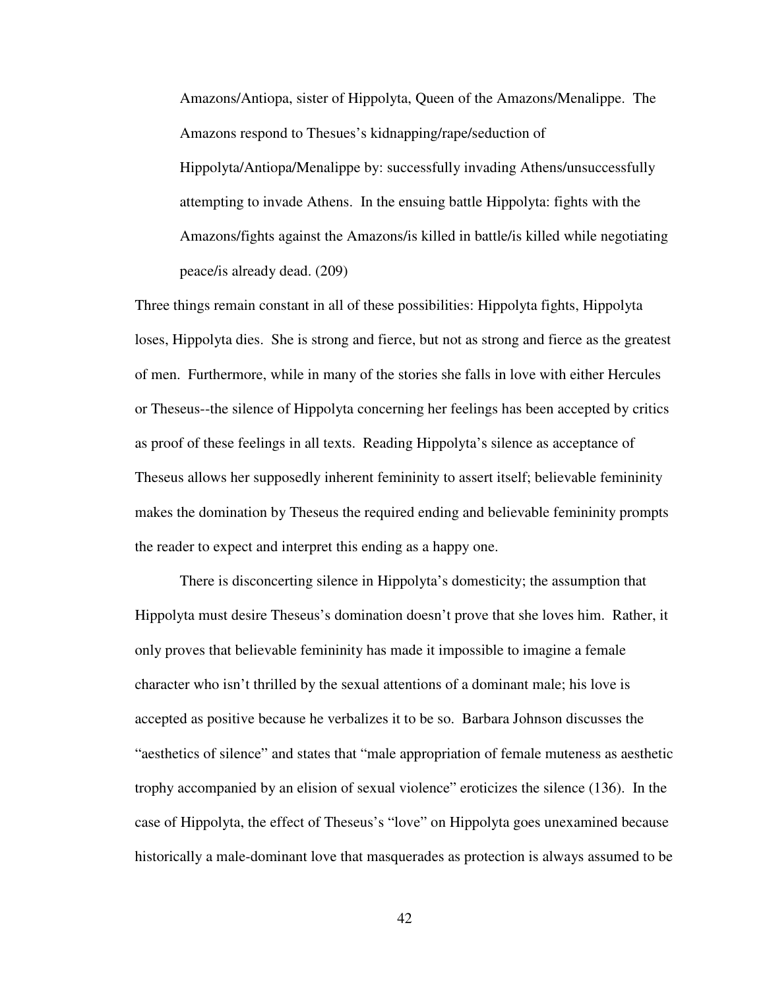Amazons/Antiopa, sister of Hippolyta, Queen of the Amazons/Menalippe. The Amazons respond to Thesues's kidnapping/rape/seduction of Hippolyta/Antiopa/Menalippe by: successfully invading Athens/unsuccessfully attempting to invade Athens. In the ensuing battle Hippolyta: fights with the Amazons/fights against the Amazons/is killed in battle/is killed while negotiating peace/is already dead. (209)

Three things remain constant in all of these possibilities: Hippolyta fights, Hippolyta loses, Hippolyta dies. She is strong and fierce, but not as strong and fierce as the greatest of men. Furthermore, while in many of the stories she falls in love with either Hercules or Theseus--the silence of Hippolyta concerning her feelings has been accepted by critics as proof of these feelings in all texts. Reading Hippolyta's silence as acceptance of Theseus allows her supposedly inherent femininity to assert itself; believable femininity makes the domination by Theseus the required ending and believable femininity prompts the reader to expect and interpret this ending as a happy one.

 There is disconcerting silence in Hippolyta's domesticity; the assumption that Hippolyta must desire Theseus's domination doesn't prove that she loves him. Rather, it only proves that believable femininity has made it impossible to imagine a female character who isn't thrilled by the sexual attentions of a dominant male; his love is accepted as positive because he verbalizes it to be so. Barbara Johnson discusses the "aesthetics of silence" and states that "male appropriation of female muteness as aesthetic trophy accompanied by an elision of sexual violence" eroticizes the silence (136). In the case of Hippolyta, the effect of Theseus's "love" on Hippolyta goes unexamined because historically a male-dominant love that masquerades as protection is always assumed to be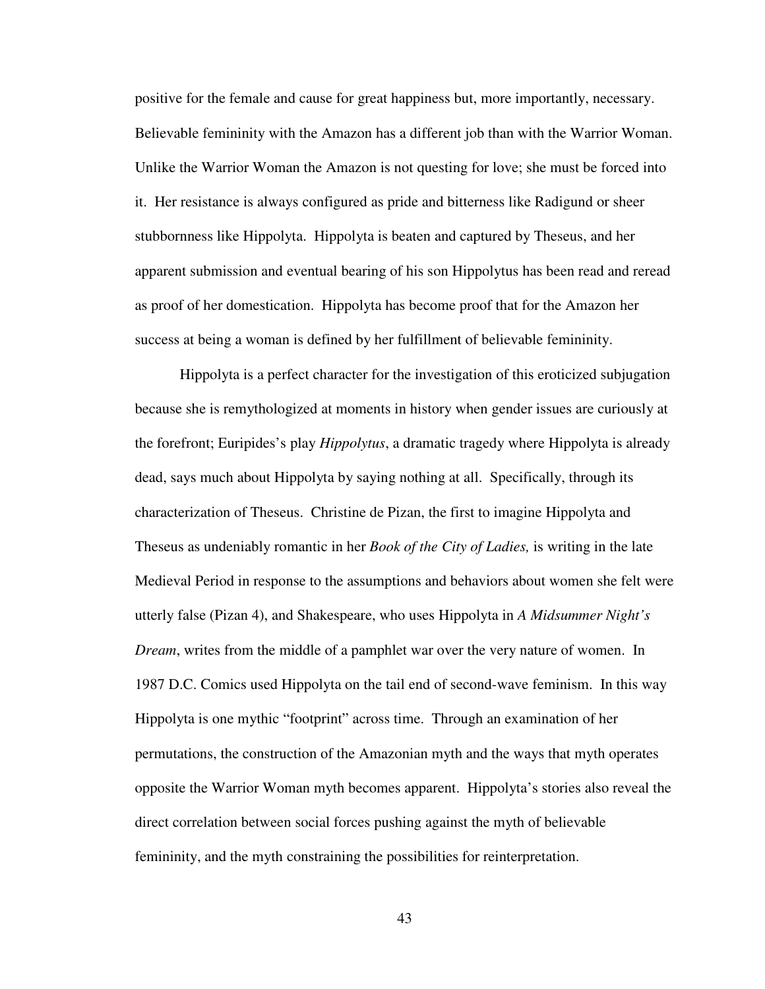positive for the female and cause for great happiness but, more importantly, necessary. Believable femininity with the Amazon has a different job than with the Warrior Woman. Unlike the Warrior Woman the Amazon is not questing for love; she must be forced into it. Her resistance is always configured as pride and bitterness like Radigund or sheer stubbornness like Hippolyta. Hippolyta is beaten and captured by Theseus, and her apparent submission and eventual bearing of his son Hippolytus has been read and reread as proof of her domestication. Hippolyta has become proof that for the Amazon her success at being a woman is defined by her fulfillment of believable femininity.

 Hippolyta is a perfect character for the investigation of this eroticized subjugation because she is remythologized at moments in history when gender issues are curiously at the forefront; Euripides's play *Hippolytus*, a dramatic tragedy where Hippolyta is already dead, says much about Hippolyta by saying nothing at all. Specifically, through its characterization of Theseus. Christine de Pizan, the first to imagine Hippolyta and Theseus as undeniably romantic in her *Book of the City of Ladies,* is writing in the late Medieval Period in response to the assumptions and behaviors about women she felt were utterly false (Pizan 4), and Shakespeare, who uses Hippolyta in *A Midsummer Night's Dream*, writes from the middle of a pamphlet war over the very nature of women. In 1987 D.C. Comics used Hippolyta on the tail end of second-wave feminism. In this way Hippolyta is one mythic "footprint" across time. Through an examination of her permutations, the construction of the Amazonian myth and the ways that myth operates opposite the Warrior Woman myth becomes apparent. Hippolyta's stories also reveal the direct correlation between social forces pushing against the myth of believable femininity, and the myth constraining the possibilities for reinterpretation.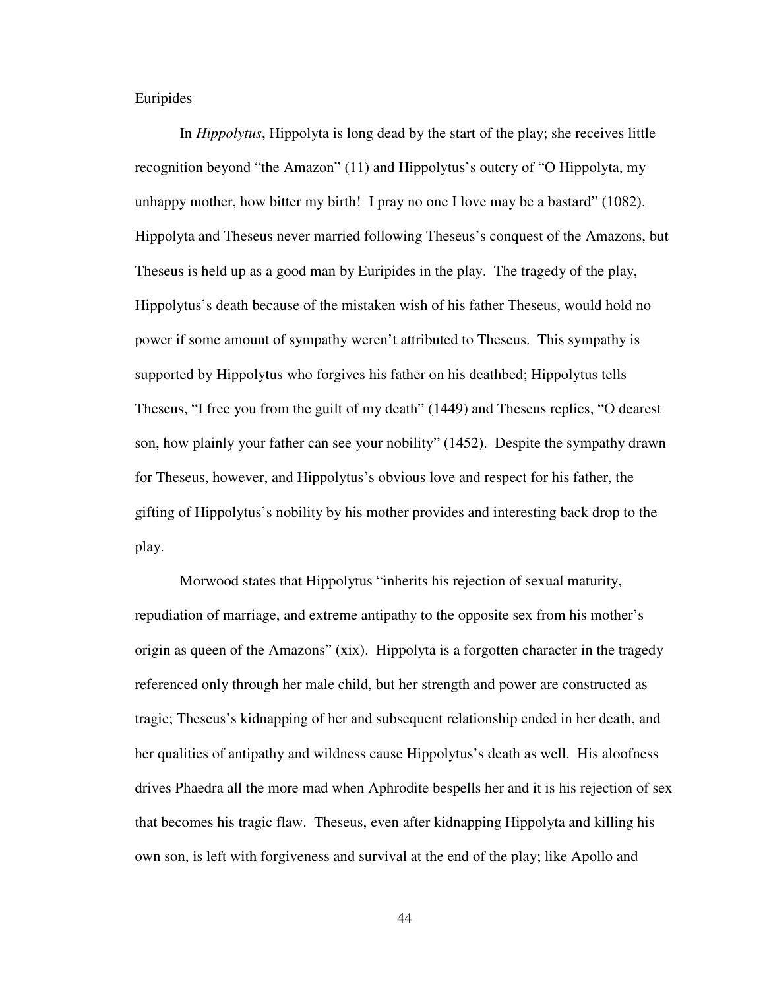#### Euripides

 In *Hippolytus*, Hippolyta is long dead by the start of the play; she receives little recognition beyond "the Amazon" (11) and Hippolytus's outcry of "O Hippolyta, my unhappy mother, how bitter my birth! I pray no one I love may be a bastard" (1082). Hippolyta and Theseus never married following Theseus's conquest of the Amazons, but Theseus is held up as a good man by Euripides in the play. The tragedy of the play, Hippolytus's death because of the mistaken wish of his father Theseus, would hold no power if some amount of sympathy weren't attributed to Theseus. This sympathy is supported by Hippolytus who forgives his father on his deathbed; Hippolytus tells Theseus, "I free you from the guilt of my death" (1449) and Theseus replies, "O dearest son, how plainly your father can see your nobility" (1452). Despite the sympathy drawn for Theseus, however, and Hippolytus's obvious love and respect for his father, the gifting of Hippolytus's nobility by his mother provides and interesting back drop to the play.

 Morwood states that Hippolytus "inherits his rejection of sexual maturity, repudiation of marriage, and extreme antipathy to the opposite sex from his mother's origin as queen of the Amazons" (xix). Hippolyta is a forgotten character in the tragedy referenced only through her male child, but her strength and power are constructed as tragic; Theseus's kidnapping of her and subsequent relationship ended in her death, and her qualities of antipathy and wildness cause Hippolytus's death as well. His aloofness drives Phaedra all the more mad when Aphrodite bespells her and it is his rejection of sex that becomes his tragic flaw. Theseus, even after kidnapping Hippolyta and killing his own son, is left with forgiveness and survival at the end of the play; like Apollo and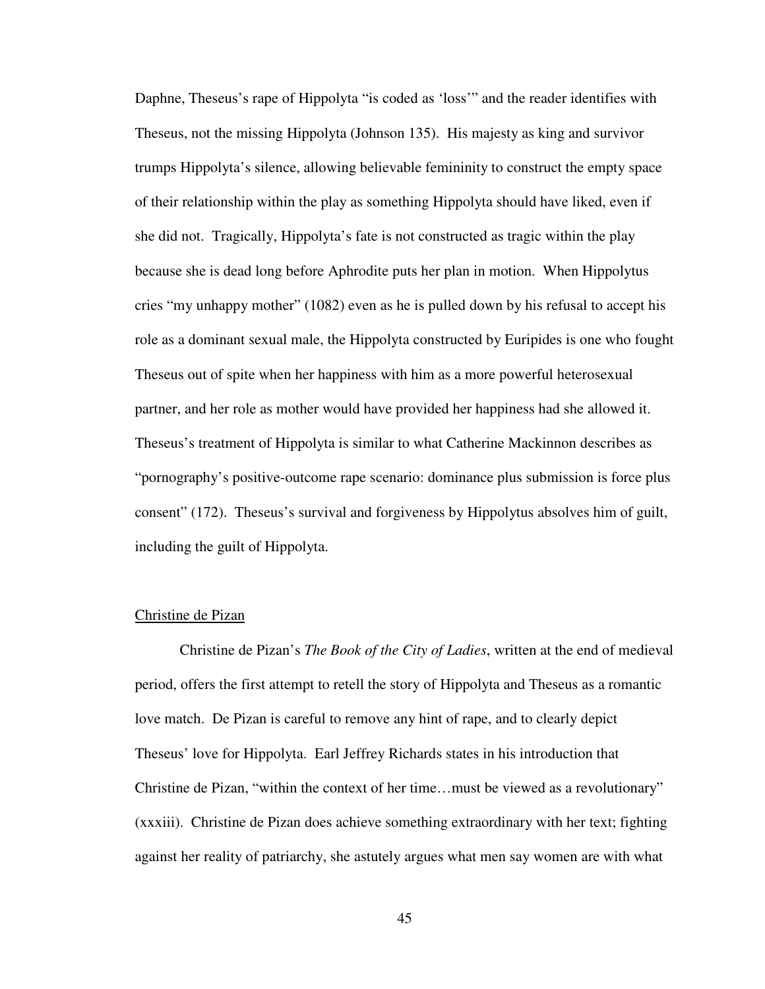Daphne, Theseus's rape of Hippolyta "is coded as 'loss'" and the reader identifies with Theseus, not the missing Hippolyta (Johnson 135). His majesty as king and survivor trumps Hippolyta's silence, allowing believable femininity to construct the empty space of their relationship within the play as something Hippolyta should have liked, even if she did not. Tragically, Hippolyta's fate is not constructed as tragic within the play because she is dead long before Aphrodite puts her plan in motion. When Hippolytus cries "my unhappy mother" (1082) even as he is pulled down by his refusal to accept his role as a dominant sexual male, the Hippolyta constructed by Euripides is one who fought Theseus out of spite when her happiness with him as a more powerful heterosexual partner, and her role as mother would have provided her happiness had she allowed it. Theseus's treatment of Hippolyta is similar to what Catherine Mackinnon describes as "pornography's positive-outcome rape scenario: dominance plus submission is force plus consent" (172). Theseus's survival and forgiveness by Hippolytus absolves him of guilt, including the guilt of Hippolyta.

# Christine de Pizan

 Christine de Pizan's *The Book of the City of Ladies*, written at the end of medieval period, offers the first attempt to retell the story of Hippolyta and Theseus as a romantic love match. De Pizan is careful to remove any hint of rape, and to clearly depict Theseus' love for Hippolyta. Earl Jeffrey Richards states in his introduction that Christine de Pizan, "within the context of her time…must be viewed as a revolutionary" (xxxiii). Christine de Pizan does achieve something extraordinary with her text; fighting against her reality of patriarchy, she astutely argues what men say women are with what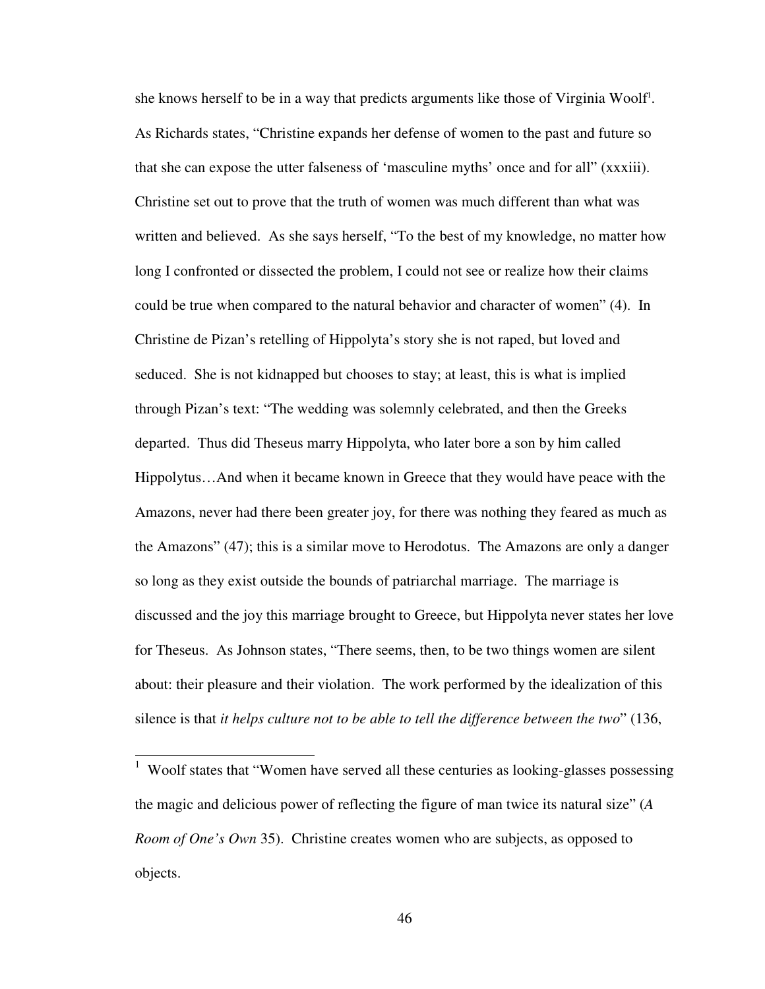she knows herself to be in a way that predicts arguments like those of Virginia Woolf<sup>1</sup>. As Richards states, "Christine expands her defense of women to the past and future so that she can expose the utter falseness of 'masculine myths' once and for all" (xxxiii). Christine set out to prove that the truth of women was much different than what was written and believed. As she says herself, "To the best of my knowledge, no matter how long I confronted or dissected the problem, I could not see or realize how their claims could be true when compared to the natural behavior and character of women" (4). In Christine de Pizan's retelling of Hippolyta's story she is not raped, but loved and seduced. She is not kidnapped but chooses to stay; at least, this is what is implied through Pizan's text: "The wedding was solemnly celebrated, and then the Greeks departed. Thus did Theseus marry Hippolyta, who later bore a son by him called Hippolytus…And when it became known in Greece that they would have peace with the Amazons, never had there been greater joy, for there was nothing they feared as much as the Amazons" (47); this is a similar move to Herodotus. The Amazons are only a danger so long as they exist outside the bounds of patriarchal marriage. The marriage is discussed and the joy this marriage brought to Greece, but Hippolyta never states her love for Theseus. As Johnson states, "There seems, then, to be two things women are silent about: their pleasure and their violation. The work performed by the idealization of this silence is that *it helps culture not to be able to tell the difference between the two*" (136,

 1 Woolf states that "Women have served all these centuries as looking-glasses possessing the magic and delicious power of reflecting the figure of man twice its natural size" (*A Room of One's Own* 35). Christine creates women who are subjects, as opposed to objects.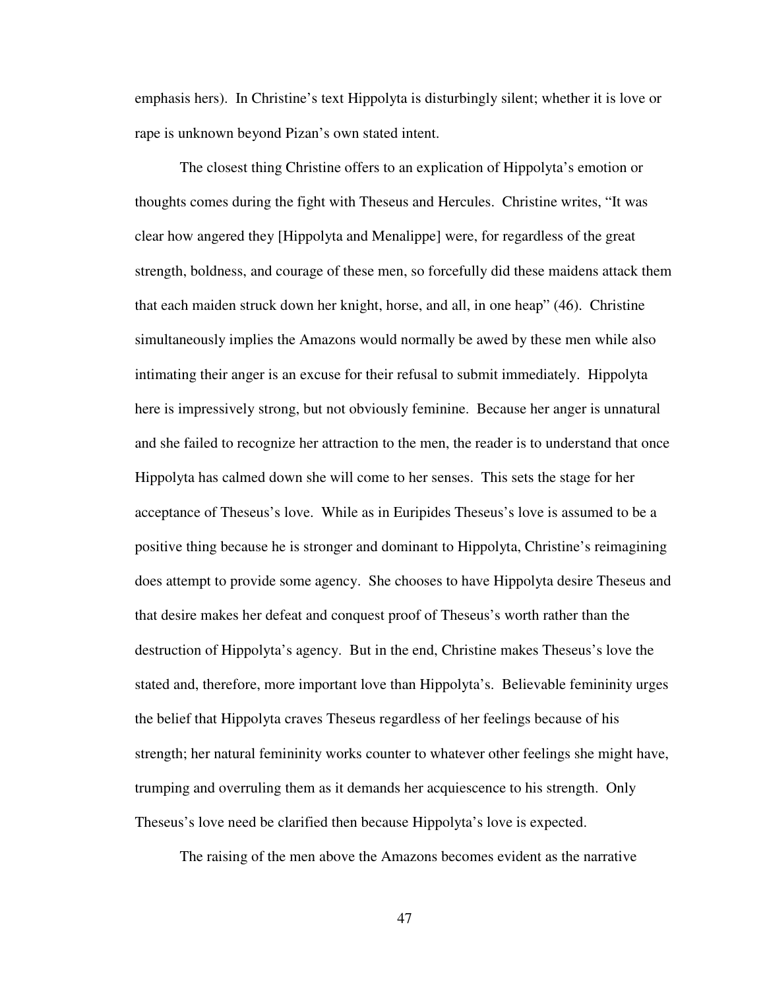emphasis hers). In Christine's text Hippolyta is disturbingly silent; whether it is love or rape is unknown beyond Pizan's own stated intent.

 The closest thing Christine offers to an explication of Hippolyta's emotion or thoughts comes during the fight with Theseus and Hercules. Christine writes, "It was clear how angered they [Hippolyta and Menalippe] were, for regardless of the great strength, boldness, and courage of these men, so forcefully did these maidens attack them that each maiden struck down her knight, horse, and all, in one heap" (46). Christine simultaneously implies the Amazons would normally be awed by these men while also intimating their anger is an excuse for their refusal to submit immediately. Hippolyta here is impressively strong, but not obviously feminine. Because her anger is unnatural and she failed to recognize her attraction to the men, the reader is to understand that once Hippolyta has calmed down she will come to her senses. This sets the stage for her acceptance of Theseus's love. While as in Euripides Theseus's love is assumed to be a positive thing because he is stronger and dominant to Hippolyta, Christine's reimagining does attempt to provide some agency. She chooses to have Hippolyta desire Theseus and that desire makes her defeat and conquest proof of Theseus's worth rather than the destruction of Hippolyta's agency. But in the end, Christine makes Theseus's love the stated and, therefore, more important love than Hippolyta's. Believable femininity urges the belief that Hippolyta craves Theseus regardless of her feelings because of his strength; her natural femininity works counter to whatever other feelings she might have, trumping and overruling them as it demands her acquiescence to his strength. Only Theseus's love need be clarified then because Hippolyta's love is expected.

The raising of the men above the Amazons becomes evident as the narrative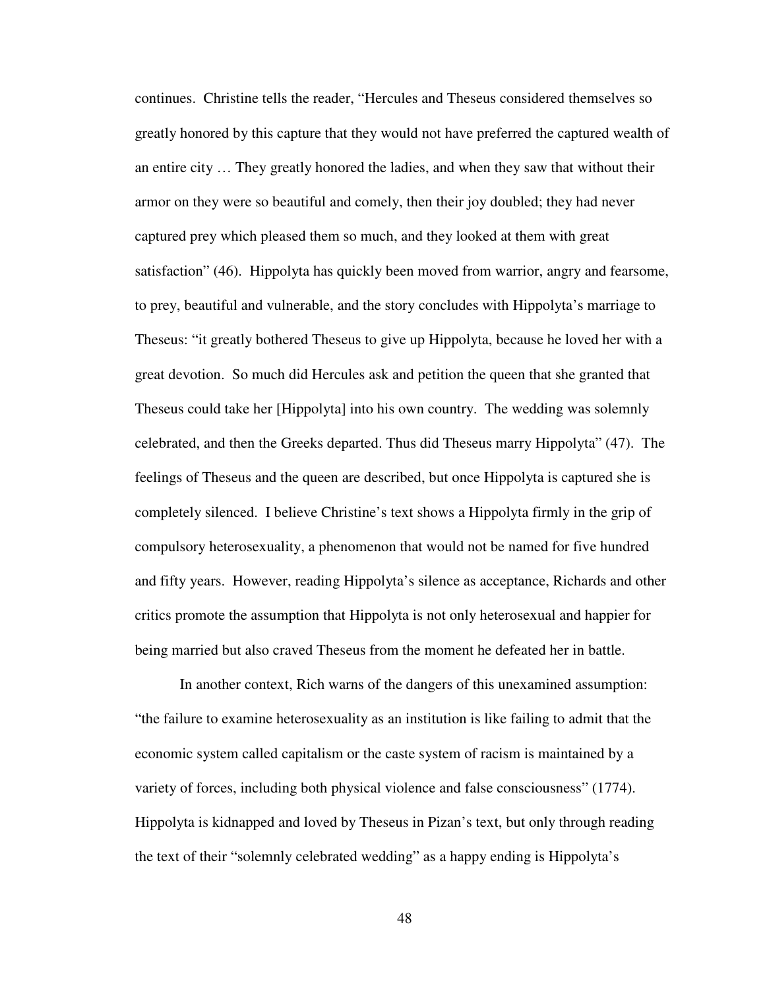continues. Christine tells the reader, "Hercules and Theseus considered themselves so greatly honored by this capture that they would not have preferred the captured wealth of an entire city … They greatly honored the ladies, and when they saw that without their armor on they were so beautiful and comely, then their joy doubled; they had never captured prey which pleased them so much, and they looked at them with great satisfaction" (46). Hippolyta has quickly been moved from warrior, angry and fearsome, to prey, beautiful and vulnerable, and the story concludes with Hippolyta's marriage to Theseus: "it greatly bothered Theseus to give up Hippolyta, because he loved her with a great devotion. So much did Hercules ask and petition the queen that she granted that Theseus could take her [Hippolyta] into his own country. The wedding was solemnly celebrated, and then the Greeks departed. Thus did Theseus marry Hippolyta" (47). The feelings of Theseus and the queen are described, but once Hippolyta is captured she is completely silenced. I believe Christine's text shows a Hippolyta firmly in the grip of compulsory heterosexuality, a phenomenon that would not be named for five hundred and fifty years. However, reading Hippolyta's silence as acceptance, Richards and other critics promote the assumption that Hippolyta is not only heterosexual and happier for being married but also craved Theseus from the moment he defeated her in battle.

 In another context, Rich warns of the dangers of this unexamined assumption: "the failure to examine heterosexuality as an institution is like failing to admit that the economic system called capitalism or the caste system of racism is maintained by a variety of forces, including both physical violence and false consciousness" (1774). Hippolyta is kidnapped and loved by Theseus in Pizan's text, but only through reading the text of their "solemnly celebrated wedding" as a happy ending is Hippolyta's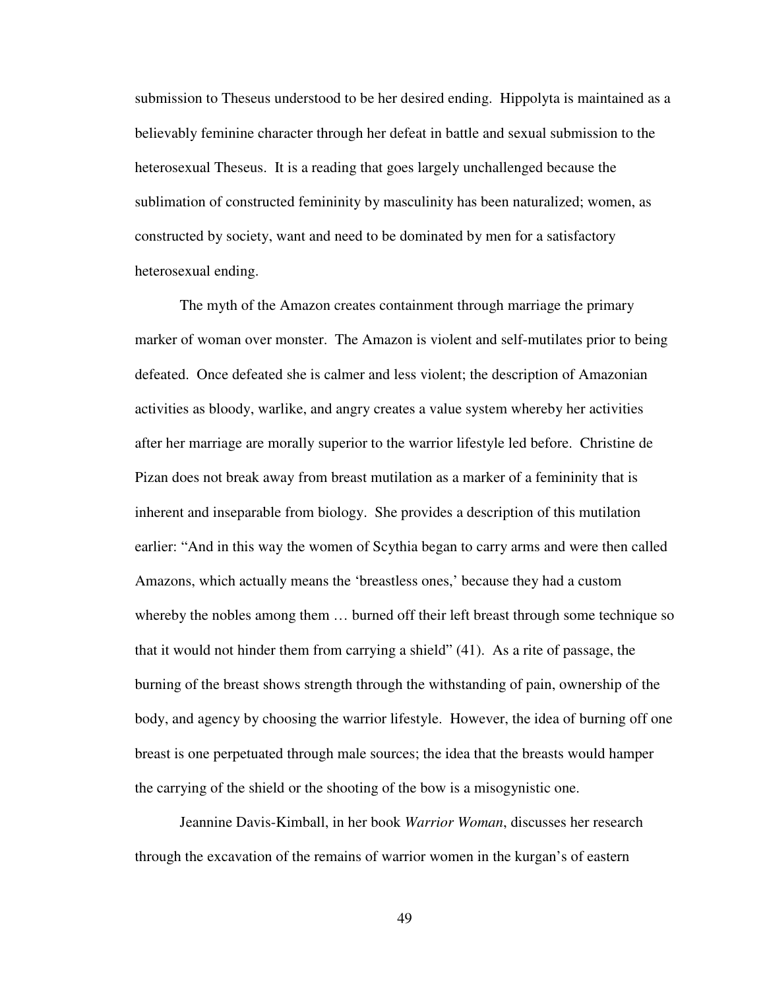submission to Theseus understood to be her desired ending. Hippolyta is maintained as a believably feminine character through her defeat in battle and sexual submission to the heterosexual Theseus. It is a reading that goes largely unchallenged because the sublimation of constructed femininity by masculinity has been naturalized; women, as constructed by society, want and need to be dominated by men for a satisfactory heterosexual ending.

 The myth of the Amazon creates containment through marriage the primary marker of woman over monster. The Amazon is violent and self-mutilates prior to being defeated. Once defeated she is calmer and less violent; the description of Amazonian activities as bloody, warlike, and angry creates a value system whereby her activities after her marriage are morally superior to the warrior lifestyle led before. Christine de Pizan does not break away from breast mutilation as a marker of a femininity that is inherent and inseparable from biology. She provides a description of this mutilation earlier: "And in this way the women of Scythia began to carry arms and were then called Amazons, which actually means the 'breastless ones,' because they had a custom whereby the nobles among them … burned off their left breast through some technique so that it would not hinder them from carrying a shield" (41). As a rite of passage, the burning of the breast shows strength through the withstanding of pain, ownership of the body, and agency by choosing the warrior lifestyle. However, the idea of burning off one breast is one perpetuated through male sources; the idea that the breasts would hamper the carrying of the shield or the shooting of the bow is a misogynistic one.

 Jeannine Davis-Kimball, in her book *Warrior Woman*, discusses her research through the excavation of the remains of warrior women in the kurgan's of eastern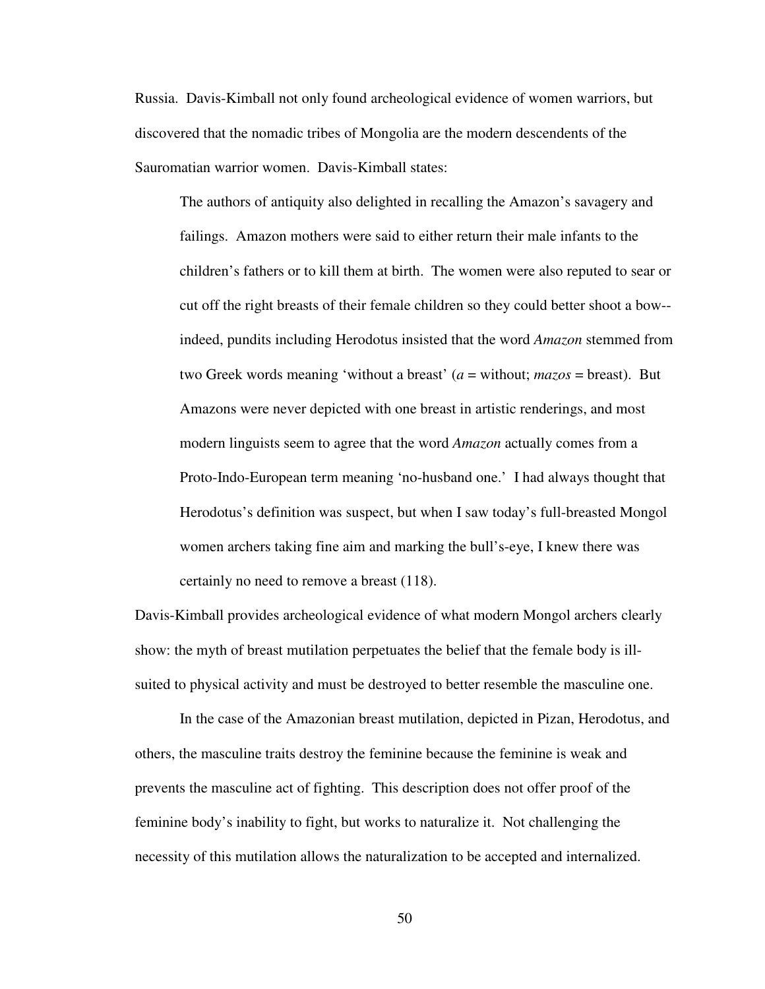Russia. Davis-Kimball not only found archeological evidence of women warriors, but discovered that the nomadic tribes of Mongolia are the modern descendents of the Sauromatian warrior women. Davis-Kimball states:

The authors of antiquity also delighted in recalling the Amazon's savagery and failings. Amazon mothers were said to either return their male infants to the children's fathers or to kill them at birth. The women were also reputed to sear or cut off the right breasts of their female children so they could better shoot a bow- indeed, pundits including Herodotus insisted that the word *Amazon* stemmed from two Greek words meaning 'without a breast' (*a* = without; *mazos* = breast). But Amazons were never depicted with one breast in artistic renderings, and most modern linguists seem to agree that the word *Amazon* actually comes from a Proto-Indo-European term meaning 'no-husband one.' I had always thought that Herodotus's definition was suspect, but when I saw today's full-breasted Mongol women archers taking fine aim and marking the bull's-eye, I knew there was certainly no need to remove a breast (118).

Davis-Kimball provides archeological evidence of what modern Mongol archers clearly show: the myth of breast mutilation perpetuates the belief that the female body is illsuited to physical activity and must be destroyed to better resemble the masculine one.

 In the case of the Amazonian breast mutilation, depicted in Pizan, Herodotus, and others, the masculine traits destroy the feminine because the feminine is weak and prevents the masculine act of fighting. This description does not offer proof of the feminine body's inability to fight, but works to naturalize it. Not challenging the necessity of this mutilation allows the naturalization to be accepted and internalized.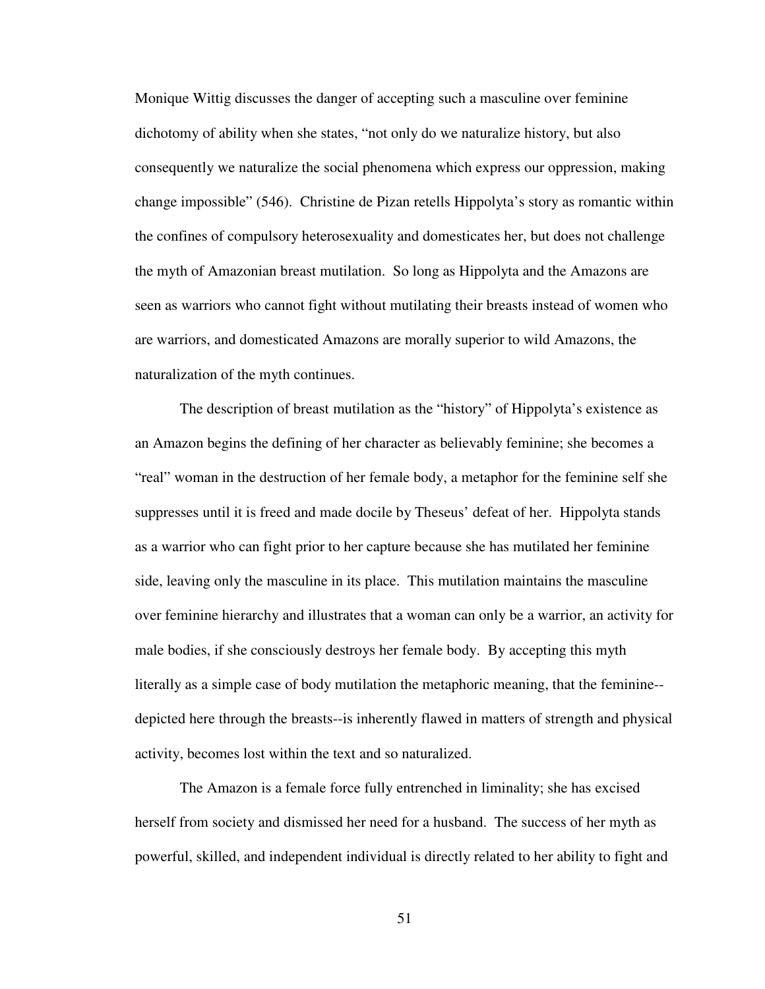Monique Wittig discusses the danger of accepting such a masculine over feminine dichotomy of ability when she states, "not only do we naturalize history, but also consequently we naturalize the social phenomena which express our oppression, making change impossible" (546). Christine de Pizan retells Hippolyta's story as romantic within the confines of compulsory heterosexuality and domesticates her, but does not challenge the myth of Amazonian breast mutilation. So long as Hippolyta and the Amazons are seen as warriors who cannot fight without mutilating their breasts instead of women who are warriors, and domesticated Amazons are morally superior to wild Amazons, the naturalization of the myth continues.

 The description of breast mutilation as the "history" of Hippolyta's existence as an Amazon begins the defining of her character as believably feminine; she becomes a "real" woman in the destruction of her female body, a metaphor for the feminine self she suppresses until it is freed and made docile by Theseus' defeat of her. Hippolyta stands as a warrior who can fight prior to her capture because she has mutilated her feminine side, leaving only the masculine in its place. This mutilation maintains the masculine over feminine hierarchy and illustrates that a woman can only be a warrior, an activity for male bodies, if she consciously destroys her female body. By accepting this myth literally as a simple case of body mutilation the metaphoric meaning, that the feminine- depicted here through the breasts--is inherently flawed in matters of strength and physical activity, becomes lost within the text and so naturalized.

 The Amazon is a female force fully entrenched in liminality; she has excised herself from society and dismissed her need for a husband. The success of her myth as powerful, skilled, and independent individual is directly related to her ability to fight and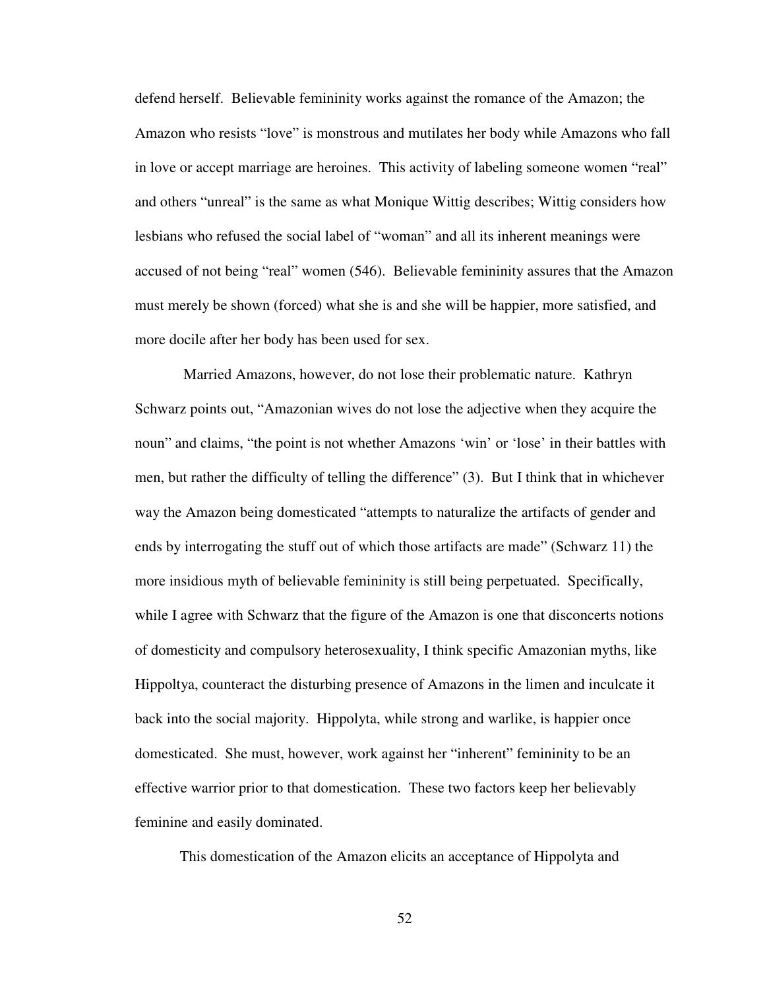defend herself. Believable femininity works against the romance of the Amazon; the Amazon who resists "love" is monstrous and mutilates her body while Amazons who fall in love or accept marriage are heroines. This activity of labeling someone women "real" and others "unreal" is the same as what Monique Wittig describes; Wittig considers how lesbians who refused the social label of "woman" and all its inherent meanings were accused of not being "real" women (546). Believable femininity assures that the Amazon must merely be shown (forced) what she is and she will be happier, more satisfied, and more docile after her body has been used for sex.

 Married Amazons, however, do not lose their problematic nature. Kathryn Schwarz points out, "Amazonian wives do not lose the adjective when they acquire the noun" and claims, "the point is not whether Amazons 'win' or 'lose' in their battles with men, but rather the difficulty of telling the difference" (3). But I think that in whichever way the Amazon being domesticated "attempts to naturalize the artifacts of gender and ends by interrogating the stuff out of which those artifacts are made" (Schwarz 11) the more insidious myth of believable femininity is still being perpetuated. Specifically, while I agree with Schwarz that the figure of the Amazon is one that disconcerts notions of domesticity and compulsory heterosexuality, I think specific Amazonian myths, like Hippoltya, counteract the disturbing presence of Amazons in the limen and inculcate it back into the social majority. Hippolyta, while strong and warlike, is happier once domesticated. She must, however, work against her "inherent" femininity to be an effective warrior prior to that domestication. These two factors keep her believably feminine and easily dominated.

This domestication of the Amazon elicits an acceptance of Hippolyta and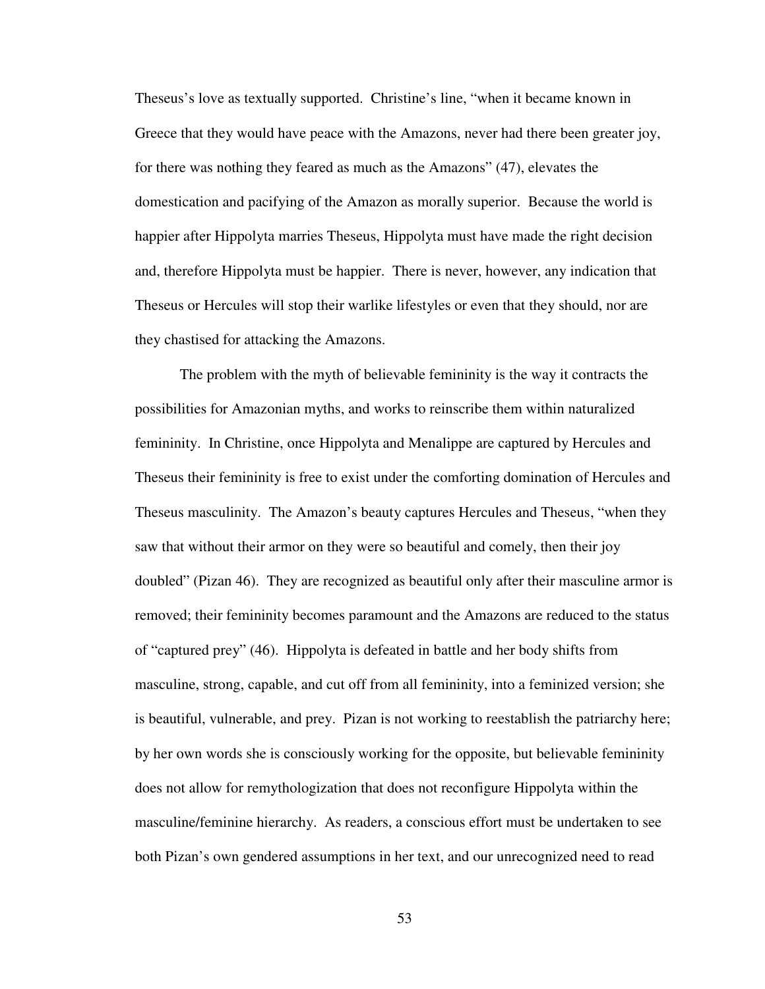Theseus's love as textually supported. Christine's line, "when it became known in Greece that they would have peace with the Amazons, never had there been greater joy, for there was nothing they feared as much as the Amazons" (47), elevates the domestication and pacifying of the Amazon as morally superior. Because the world is happier after Hippolyta marries Theseus, Hippolyta must have made the right decision and, therefore Hippolyta must be happier. There is never, however, any indication that Theseus or Hercules will stop their warlike lifestyles or even that they should, nor are they chastised for attacking the Amazons.

 The problem with the myth of believable femininity is the way it contracts the possibilities for Amazonian myths, and works to reinscribe them within naturalized femininity. In Christine, once Hippolyta and Menalippe are captured by Hercules and Theseus their femininity is free to exist under the comforting domination of Hercules and Theseus masculinity. The Amazon's beauty captures Hercules and Theseus, "when they saw that without their armor on they were so beautiful and comely, then their joy doubled" (Pizan 46). They are recognized as beautiful only after their masculine armor is removed; their femininity becomes paramount and the Amazons are reduced to the status of "captured prey" (46). Hippolyta is defeated in battle and her body shifts from masculine, strong, capable, and cut off from all femininity, into a feminized version; she is beautiful, vulnerable, and prey. Pizan is not working to reestablish the patriarchy here; by her own words she is consciously working for the opposite, but believable femininity does not allow for remythologization that does not reconfigure Hippolyta within the masculine/feminine hierarchy. As readers, a conscious effort must be undertaken to see both Pizan's own gendered assumptions in her text, and our unrecognized need to read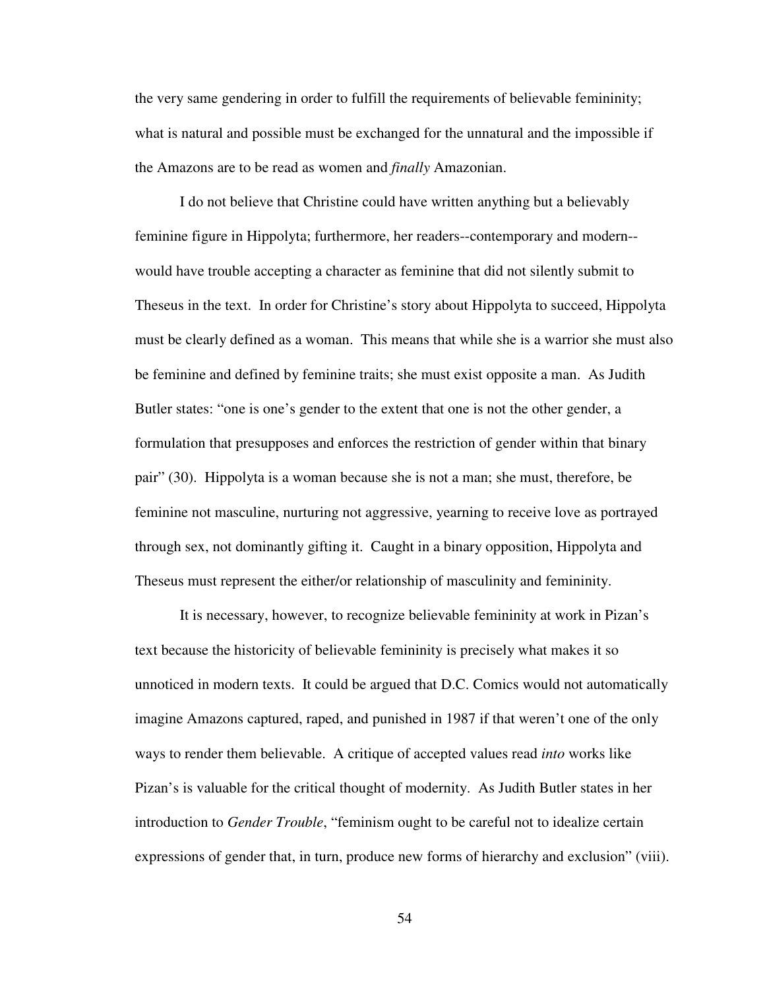the very same gendering in order to fulfill the requirements of believable femininity; what is natural and possible must be exchanged for the unnatural and the impossible if the Amazons are to be read as women and *finally* Amazonian.

 I do not believe that Christine could have written anything but a believably feminine figure in Hippolyta; furthermore, her readers--contemporary and modern- would have trouble accepting a character as feminine that did not silently submit to Theseus in the text. In order for Christine's story about Hippolyta to succeed, Hippolyta must be clearly defined as a woman. This means that while she is a warrior she must also be feminine and defined by feminine traits; she must exist opposite a man. As Judith Butler states: "one is one's gender to the extent that one is not the other gender, a formulation that presupposes and enforces the restriction of gender within that binary pair" (30). Hippolyta is a woman because she is not a man; she must, therefore, be feminine not masculine, nurturing not aggressive, yearning to receive love as portrayed through sex, not dominantly gifting it. Caught in a binary opposition, Hippolyta and Theseus must represent the either/or relationship of masculinity and femininity.

 It is necessary, however, to recognize believable femininity at work in Pizan's text because the historicity of believable femininity is precisely what makes it so unnoticed in modern texts. It could be argued that D.C. Comics would not automatically imagine Amazons captured, raped, and punished in 1987 if that weren't one of the only ways to render them believable. A critique of accepted values read *into* works like Pizan's is valuable for the critical thought of modernity. As Judith Butler states in her introduction to *Gender Trouble*, "feminism ought to be careful not to idealize certain expressions of gender that, in turn, produce new forms of hierarchy and exclusion" (viii).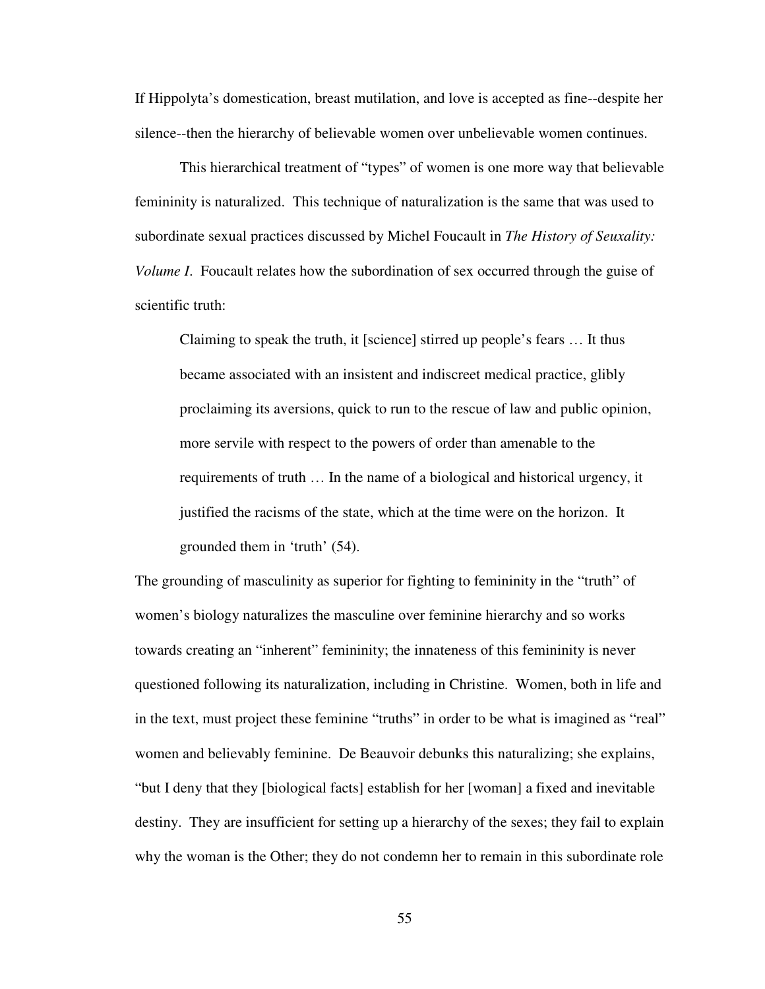If Hippolyta's domestication, breast mutilation, and love is accepted as fine--despite her silence--then the hierarchy of believable women over unbelievable women continues.

 This hierarchical treatment of "types" of women is one more way that believable femininity is naturalized. This technique of naturalization is the same that was used to subordinate sexual practices discussed by Michel Foucault in *The History of Seuxality: Volume I*. Foucault relates how the subordination of sex occurred through the guise of scientific truth:

Claiming to speak the truth, it [science] stirred up people's fears … It thus became associated with an insistent and indiscreet medical practice, glibly proclaiming its aversions, quick to run to the rescue of law and public opinion, more servile with respect to the powers of order than amenable to the requirements of truth … In the name of a biological and historical urgency, it justified the racisms of the state, which at the time were on the horizon. It grounded them in 'truth' (54).

The grounding of masculinity as superior for fighting to femininity in the "truth" of women's biology naturalizes the masculine over feminine hierarchy and so works towards creating an "inherent" femininity; the innateness of this femininity is never questioned following its naturalization, including in Christine. Women, both in life and in the text, must project these feminine "truths" in order to be what is imagined as "real" women and believably feminine. De Beauvoir debunks this naturalizing; she explains, "but I deny that they [biological facts] establish for her [woman] a fixed and inevitable destiny. They are insufficient for setting up a hierarchy of the sexes; they fail to explain why the woman is the Other; they do not condemn her to remain in this subordinate role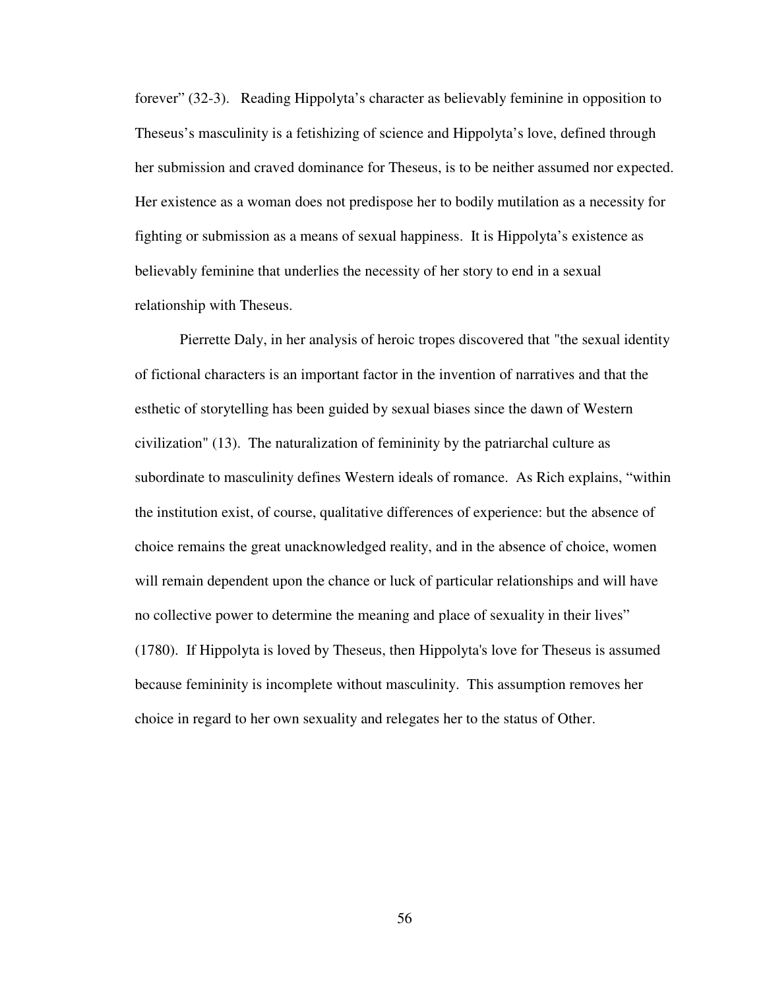forever" (32-3). Reading Hippolyta's character as believably feminine in opposition to Theseus's masculinity is a fetishizing of science and Hippolyta's love, defined through her submission and craved dominance for Theseus, is to be neither assumed nor expected. Her existence as a woman does not predispose her to bodily mutilation as a necessity for fighting or submission as a means of sexual happiness. It is Hippolyta's existence as believably feminine that underlies the necessity of her story to end in a sexual relationship with Theseus.

 Pierrette Daly, in her analysis of heroic tropes discovered that "the sexual identity of fictional characters is an important factor in the invention of narratives and that the esthetic of storytelling has been guided by sexual biases since the dawn of Western civilization" (13). The naturalization of femininity by the patriarchal culture as subordinate to masculinity defines Western ideals of romance. As Rich explains, "within the institution exist, of course, qualitative differences of experience: but the absence of choice remains the great unacknowledged reality, and in the absence of choice, women will remain dependent upon the chance or luck of particular relationships and will have no collective power to determine the meaning and place of sexuality in their lives" (1780). If Hippolyta is loved by Theseus, then Hippolyta's love for Theseus is assumed because femininity is incomplete without masculinity. This assumption removes her choice in regard to her own sexuality and relegates her to the status of Other.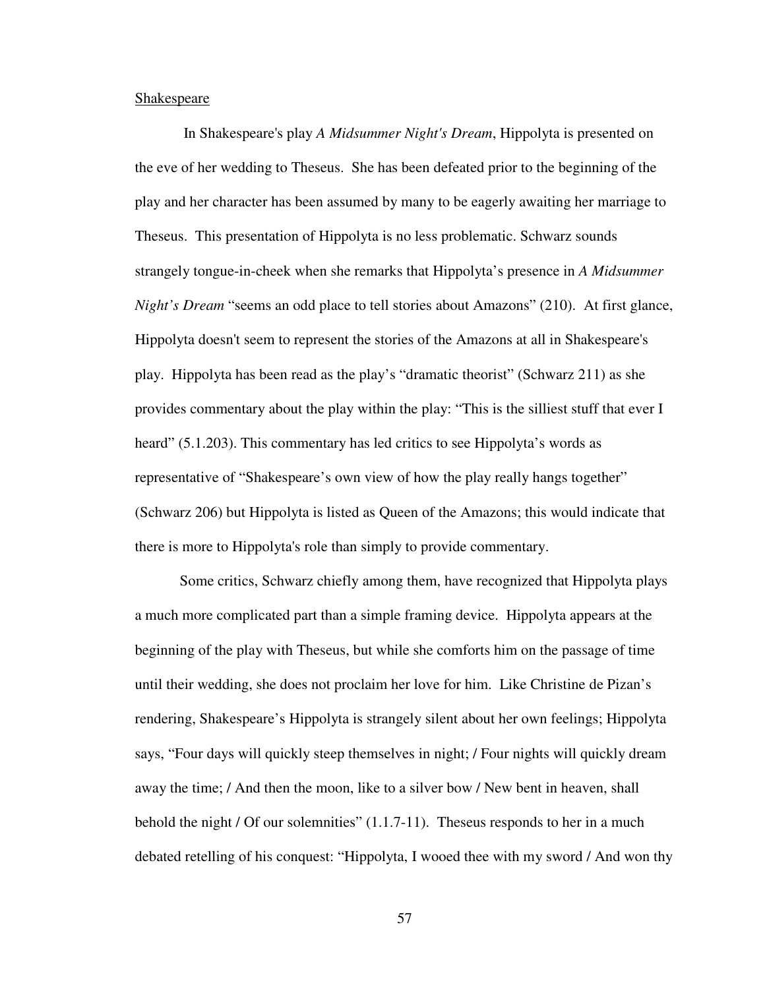#### Shakespeare

 In Shakespeare's play *A Midsummer Night's Dream*, Hippolyta is presented on the eve of her wedding to Theseus. She has been defeated prior to the beginning of the play and her character has been assumed by many to be eagerly awaiting her marriage to Theseus. This presentation of Hippolyta is no less problematic. Schwarz sounds strangely tongue-in-cheek when she remarks that Hippolyta's presence in *A Midsummer Night's Dream* "seems an odd place to tell stories about Amazons" (210). At first glance, Hippolyta doesn't seem to represent the stories of the Amazons at all in Shakespeare's play. Hippolyta has been read as the play's "dramatic theorist" (Schwarz 211) as she provides commentary about the play within the play: "This is the silliest stuff that ever I heard" (5.1.203). This commentary has led critics to see Hippolyta's words as representative of "Shakespeare's own view of how the play really hangs together" (Schwarz 206) but Hippolyta is listed as Queen of the Amazons; this would indicate that there is more to Hippolyta's role than simply to provide commentary.

 Some critics, Schwarz chiefly among them, have recognized that Hippolyta plays a much more complicated part than a simple framing device. Hippolyta appears at the beginning of the play with Theseus, but while she comforts him on the passage of time until their wedding, she does not proclaim her love for him. Like Christine de Pizan's rendering, Shakespeare's Hippolyta is strangely silent about her own feelings; Hippolyta says, "Four days will quickly steep themselves in night; / Four nights will quickly dream away the time; / And then the moon, like to a silver bow / New bent in heaven, shall behold the night / Of our solemnities"  $(1.1.7-11)$ . Theseus responds to her in a much debated retelling of his conquest: "Hippolyta, I wooed thee with my sword / And won thy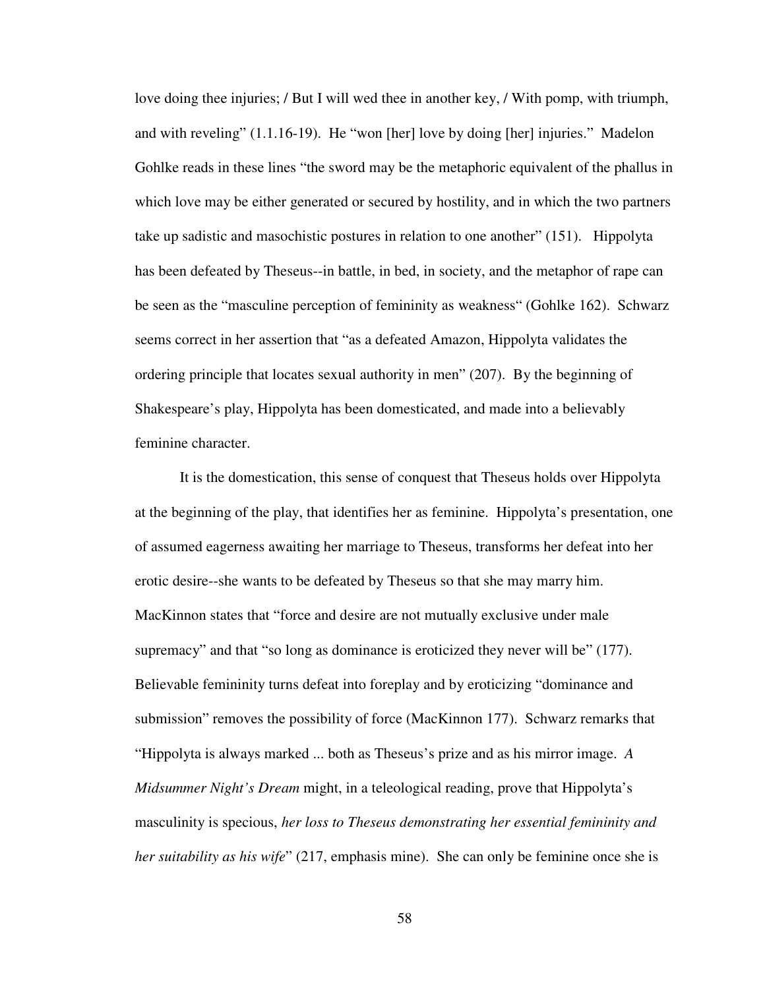love doing thee injuries; / But I will wed thee in another key, / With pomp, with triumph, and with reveling" (1.1.16-19). He "won [her] love by doing [her] injuries." Madelon Gohlke reads in these lines "the sword may be the metaphoric equivalent of the phallus in which love may be either generated or secured by hostility, and in which the two partners take up sadistic and masochistic postures in relation to one another" (151). Hippolyta has been defeated by Theseus--in battle, in bed, in society, and the metaphor of rape can be seen as the "masculine perception of femininity as weakness" (Gohlke 162). Schwarz seems correct in her assertion that "as a defeated Amazon, Hippolyta validates the ordering principle that locates sexual authority in men" (207). By the beginning of Shakespeare's play, Hippolyta has been domesticated, and made into a believably feminine character.

 It is the domestication, this sense of conquest that Theseus holds over Hippolyta at the beginning of the play, that identifies her as feminine. Hippolyta's presentation, one of assumed eagerness awaiting her marriage to Theseus, transforms her defeat into her erotic desire--she wants to be defeated by Theseus so that she may marry him. MacKinnon states that "force and desire are not mutually exclusive under male supremacy" and that "so long as dominance is eroticized they never will be" (177). Believable femininity turns defeat into foreplay and by eroticizing "dominance and submission" removes the possibility of force (MacKinnon 177). Schwarz remarks that "Hippolyta is always marked ... both as Theseus's prize and as his mirror image. *A Midsummer Night's Dream* might, in a teleological reading, prove that Hippolyta's masculinity is specious, *her loss to Theseus demonstrating her essential femininity and her suitability as his wife*" (217, emphasis mine). She can only be feminine once she is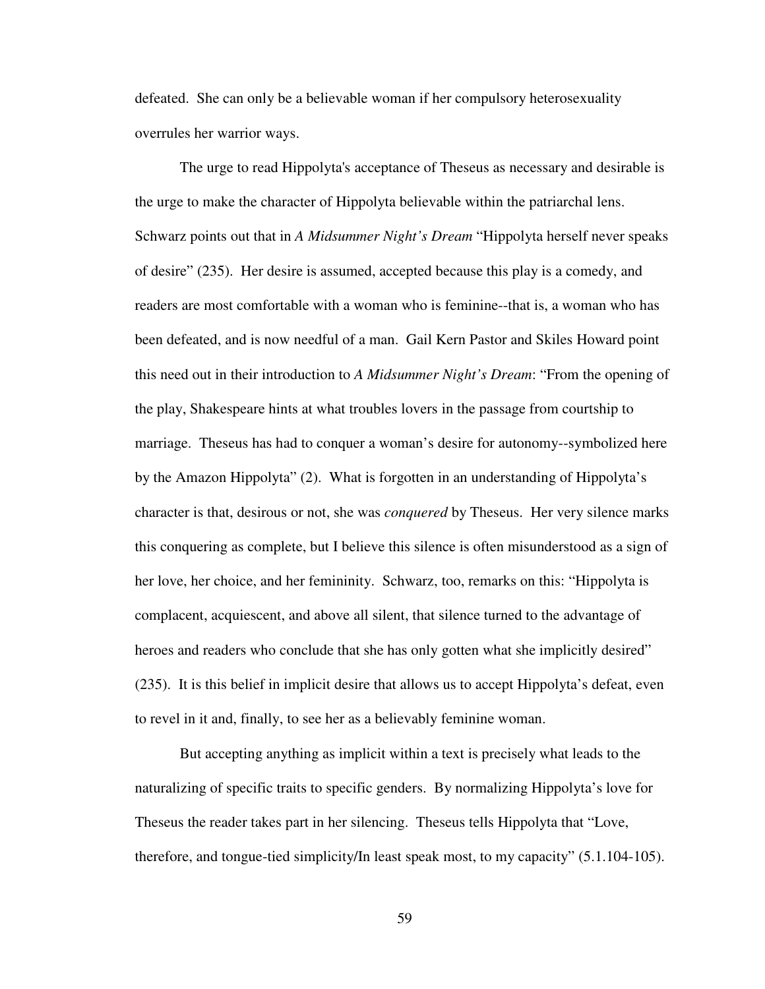defeated. She can only be a believable woman if her compulsory heterosexuality overrules her warrior ways.

 The urge to read Hippolyta's acceptance of Theseus as necessary and desirable is the urge to make the character of Hippolyta believable within the patriarchal lens. Schwarz points out that in *A Midsummer Night's Dream* "Hippolyta herself never speaks of desire" (235). Her desire is assumed, accepted because this play is a comedy, and readers are most comfortable with a woman who is feminine--that is, a woman who has been defeated, and is now needful of a man. Gail Kern Pastor and Skiles Howard point this need out in their introduction to *A Midsummer Night's Dream*: "From the opening of the play, Shakespeare hints at what troubles lovers in the passage from courtship to marriage. Theseus has had to conquer a woman's desire for autonomy--symbolized here by the Amazon Hippolyta" (2). What is forgotten in an understanding of Hippolyta's character is that, desirous or not, she was *conquered* by Theseus. Her very silence marks this conquering as complete, but I believe this silence is often misunderstood as a sign of her love, her choice, and her femininity. Schwarz, too, remarks on this: "Hippolyta is complacent, acquiescent, and above all silent, that silence turned to the advantage of heroes and readers who conclude that she has only gotten what she implicitly desired" (235). It is this belief in implicit desire that allows us to accept Hippolyta's defeat, even to revel in it and, finally, to see her as a believably feminine woman.

 But accepting anything as implicit within a text is precisely what leads to the naturalizing of specific traits to specific genders. By normalizing Hippolyta's love for Theseus the reader takes part in her silencing. Theseus tells Hippolyta that "Love, therefore, and tongue-tied simplicity/In least speak most, to my capacity" (5.1.104-105).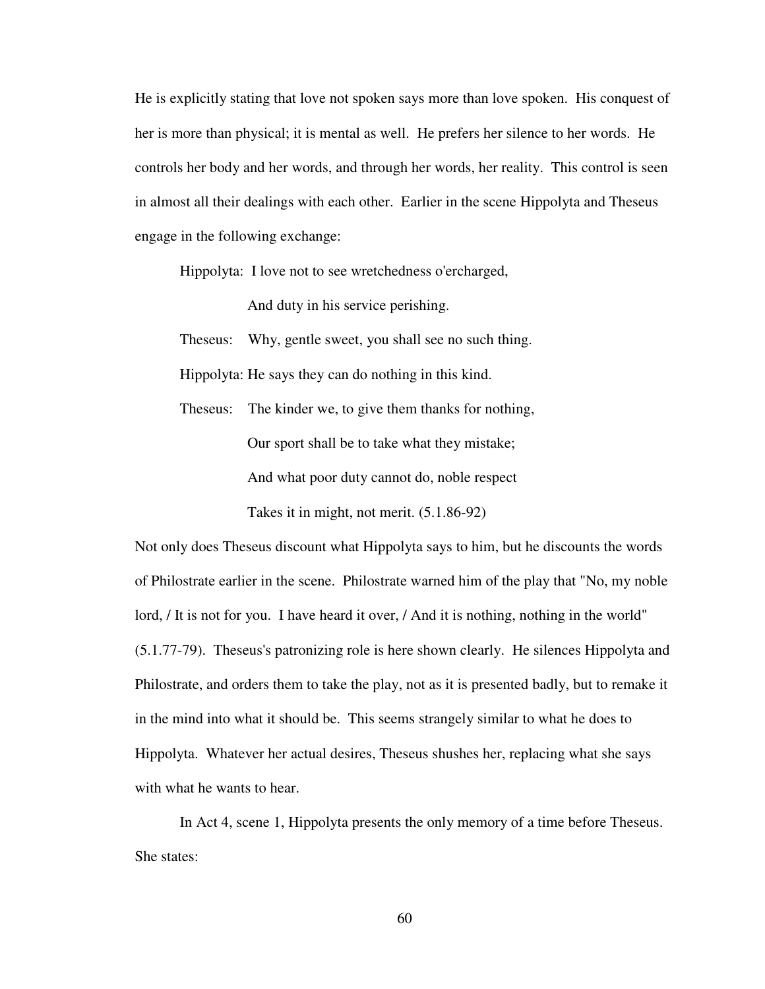He is explicitly stating that love not spoken says more than love spoken. His conquest of her is more than physical; it is mental as well. He prefers her silence to her words. He controls her body and her words, and through her words, her reality. This control is seen in almost all their dealings with each other. Earlier in the scene Hippolyta and Theseus engage in the following exchange:

Hippolyta: I love not to see wretchedness o'ercharged,

And duty in his service perishing.

Theseus: Why, gentle sweet, you shall see no such thing.

Hippolyta: He says they can do nothing in this kind.

Theseus: The kinder we, to give them thanks for nothing, Our sport shall be to take what they mistake; And what poor duty cannot do, noble respect Takes it in might, not merit. (5.1.86-92)

Not only does Theseus discount what Hippolyta says to him, but he discounts the words of Philostrate earlier in the scene. Philostrate warned him of the play that "No, my noble lord, *I* It is not for you. I have heard it over, *I* And it is nothing, nothing in the world" (5.1.77-79). Theseus's patronizing role is here shown clearly. He silences Hippolyta and Philostrate, and orders them to take the play, not as it is presented badly, but to remake it in the mind into what it should be. This seems strangely similar to what he does to Hippolyta. Whatever her actual desires, Theseus shushes her, replacing what she says with what he wants to hear.

 In Act 4, scene 1, Hippolyta presents the only memory of a time before Theseus. She states: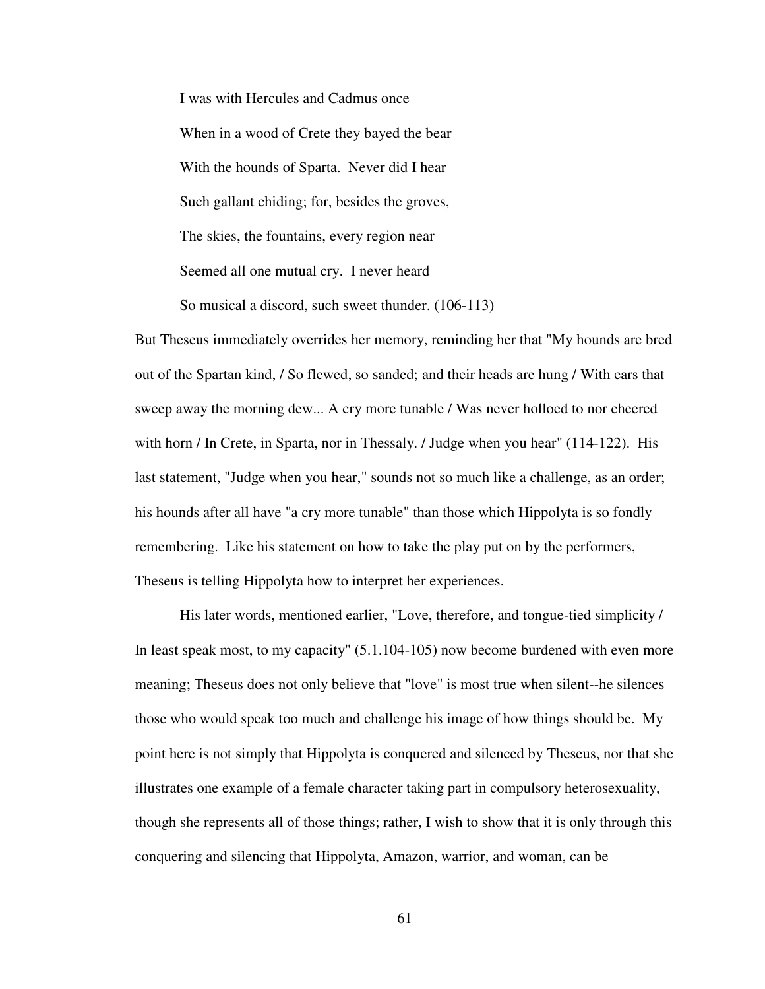I was with Hercules and Cadmus once When in a wood of Crete they bayed the bear With the hounds of Sparta. Never did I hear Such gallant chiding; for, besides the groves, The skies, the fountains, every region near Seemed all one mutual cry. I never heard So musical a discord, such sweet thunder. (106-113)

But Theseus immediately overrides her memory, reminding her that "My hounds are bred out of the Spartan kind, / So flewed, so sanded; and their heads are hung / With ears that sweep away the morning dew... A cry more tunable / Was never holloed to nor cheered with horn / In Crete, in Sparta, nor in Thessaly. / Judge when you hear" (114-122). His last statement, "Judge when you hear," sounds not so much like a challenge, as an order; his hounds after all have "a cry more tunable" than those which Hippolyta is so fondly remembering. Like his statement on how to take the play put on by the performers, Theseus is telling Hippolyta how to interpret her experiences.

His later words, mentioned earlier, "Love, therefore, and tongue-tied simplicity / In least speak most, to my capacity" (5.1.104-105) now become burdened with even more meaning; Theseus does not only believe that "love" is most true when silent--he silences those who would speak too much and challenge his image of how things should be. My point here is not simply that Hippolyta is conquered and silenced by Theseus, nor that she illustrates one example of a female character taking part in compulsory heterosexuality, though she represents all of those things; rather, I wish to show that it is only through this conquering and silencing that Hippolyta, Amazon, warrior, and woman, can be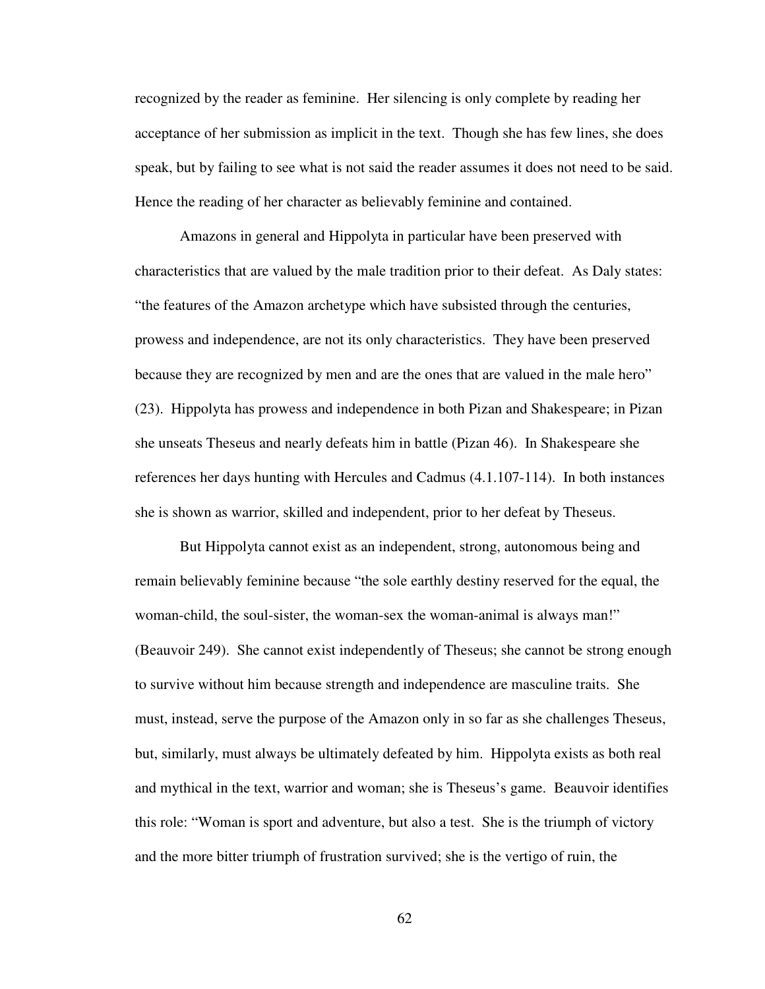recognized by the reader as feminine. Her silencing is only complete by reading her acceptance of her submission as implicit in the text. Though she has few lines, she does speak, but by failing to see what is not said the reader assumes it does not need to be said. Hence the reading of her character as believably feminine and contained.

 Amazons in general and Hippolyta in particular have been preserved with characteristics that are valued by the male tradition prior to their defeat. As Daly states: "the features of the Amazon archetype which have subsisted through the centuries, prowess and independence, are not its only characteristics. They have been preserved because they are recognized by men and are the ones that are valued in the male hero" (23). Hippolyta has prowess and independence in both Pizan and Shakespeare; in Pizan she unseats Theseus and nearly defeats him in battle (Pizan 46). In Shakespeare she references her days hunting with Hercules and Cadmus (4.1.107-114). In both instances she is shown as warrior, skilled and independent, prior to her defeat by Theseus.

 But Hippolyta cannot exist as an independent, strong, autonomous being and remain believably feminine because "the sole earthly destiny reserved for the equal, the woman-child, the soul-sister, the woman-sex the woman-animal is always man!" (Beauvoir 249). She cannot exist independently of Theseus; she cannot be strong enough to survive without him because strength and independence are masculine traits. She must, instead, serve the purpose of the Amazon only in so far as she challenges Theseus, but, similarly, must always be ultimately defeated by him. Hippolyta exists as both real and mythical in the text, warrior and woman; she is Theseus's game. Beauvoir identifies this role: "Woman is sport and adventure, but also a test. She is the triumph of victory and the more bitter triumph of frustration survived; she is the vertigo of ruin, the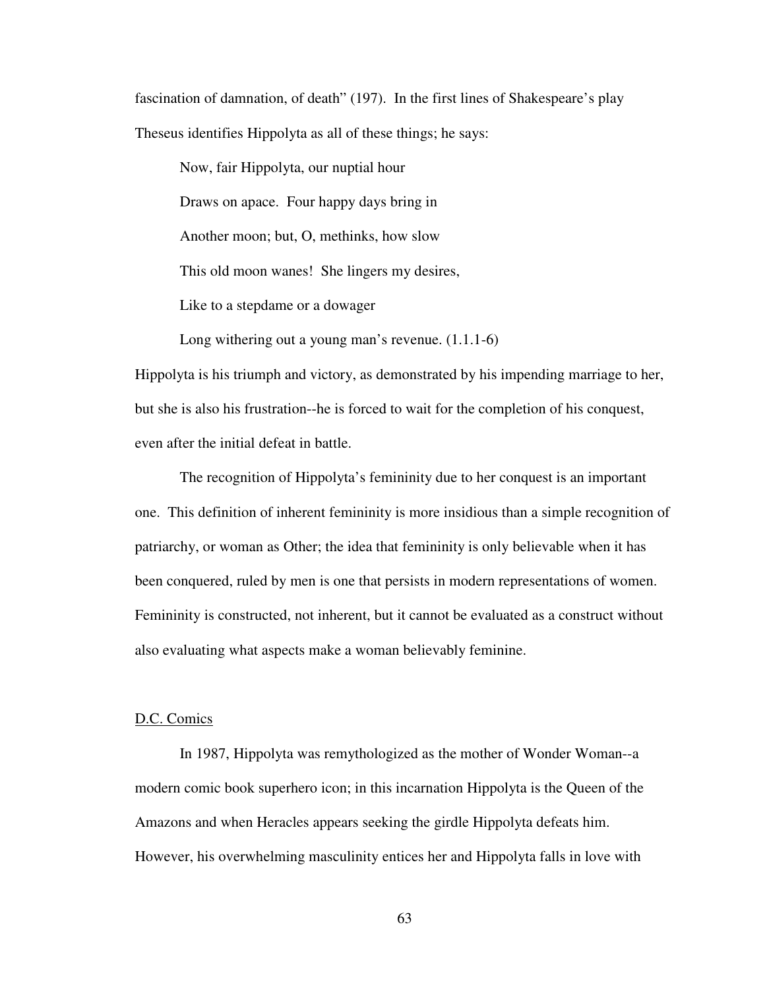fascination of damnation, of death" (197). In the first lines of Shakespeare's play Theseus identifies Hippolyta as all of these things; he says:

Now, fair Hippolyta, our nuptial hour Draws on apace. Four happy days bring in Another moon; but, O, methinks, how slow This old moon wanes! She lingers my desires, Like to a stepdame or a dowager

Long withering out a young man's revenue. (1.1.1-6)

Hippolyta is his triumph and victory, as demonstrated by his impending marriage to her, but she is also his frustration--he is forced to wait for the completion of his conquest, even after the initial defeat in battle.

 The recognition of Hippolyta's femininity due to her conquest is an important one. This definition of inherent femininity is more insidious than a simple recognition of patriarchy, or woman as Other; the idea that femininity is only believable when it has been conquered, ruled by men is one that persists in modern representations of women. Femininity is constructed, not inherent, but it cannot be evaluated as a construct without also evaluating what aspects make a woman believably feminine.

### D.C. Comics

 In 1987, Hippolyta was remythologized as the mother of Wonder Woman--a modern comic book superhero icon; in this incarnation Hippolyta is the Queen of the Amazons and when Heracles appears seeking the girdle Hippolyta defeats him. However, his overwhelming masculinity entices her and Hippolyta falls in love with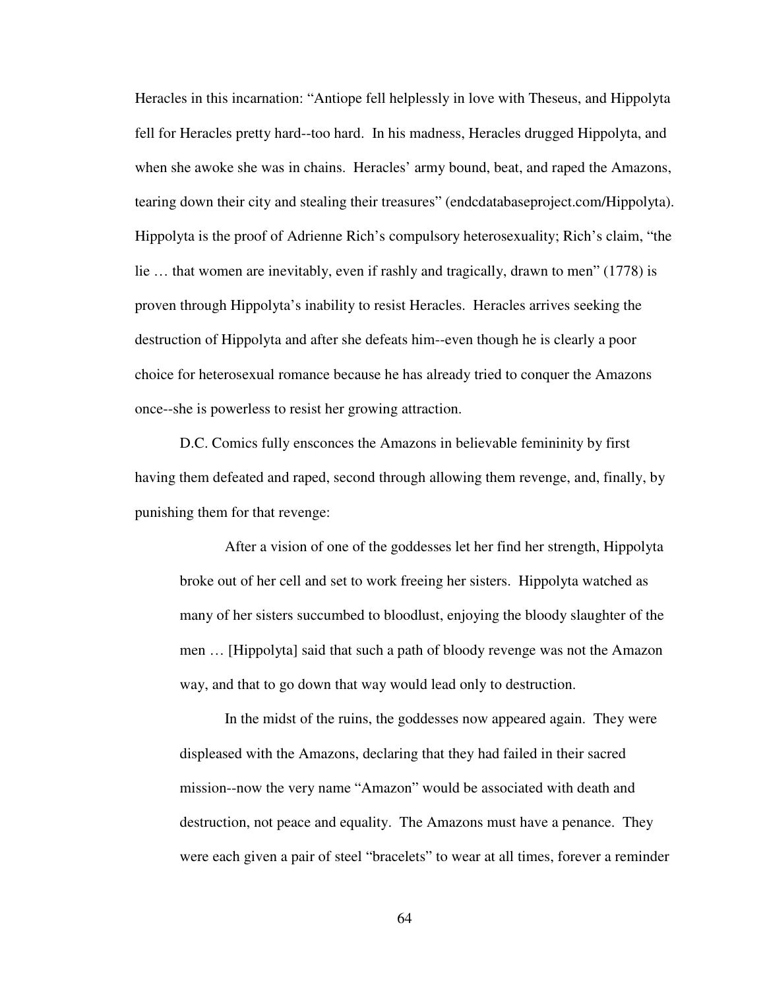Heracles in this incarnation: "Antiope fell helplessly in love with Theseus, and Hippolyta fell for Heracles pretty hard--too hard. In his madness, Heracles drugged Hippolyta, and when she awoke she was in chains. Heracles' army bound, beat, and raped the Amazons, tearing down their city and stealing their treasures" (endcdatabaseproject.com/Hippolyta). Hippolyta is the proof of Adrienne Rich's compulsory heterosexuality; Rich's claim, "the lie … that women are inevitably, even if rashly and tragically, drawn to men" (1778) is proven through Hippolyta's inability to resist Heracles. Heracles arrives seeking the destruction of Hippolyta and after she defeats him--even though he is clearly a poor choice for heterosexual romance because he has already tried to conquer the Amazons once--she is powerless to resist her growing attraction.

 D.C. Comics fully ensconces the Amazons in believable femininity by first having them defeated and raped, second through allowing them revenge, and, finally, by punishing them for that revenge:

 After a vision of one of the goddesses let her find her strength, Hippolyta broke out of her cell and set to work freeing her sisters. Hippolyta watched as many of her sisters succumbed to bloodlust, enjoying the bloody slaughter of the men … [Hippolyta] said that such a path of bloody revenge was not the Amazon way, and that to go down that way would lead only to destruction.

 In the midst of the ruins, the goddesses now appeared again. They were displeased with the Amazons, declaring that they had failed in their sacred mission--now the very name "Amazon" would be associated with death and destruction, not peace and equality. The Amazons must have a penance. They were each given a pair of steel "bracelets" to wear at all times, forever a reminder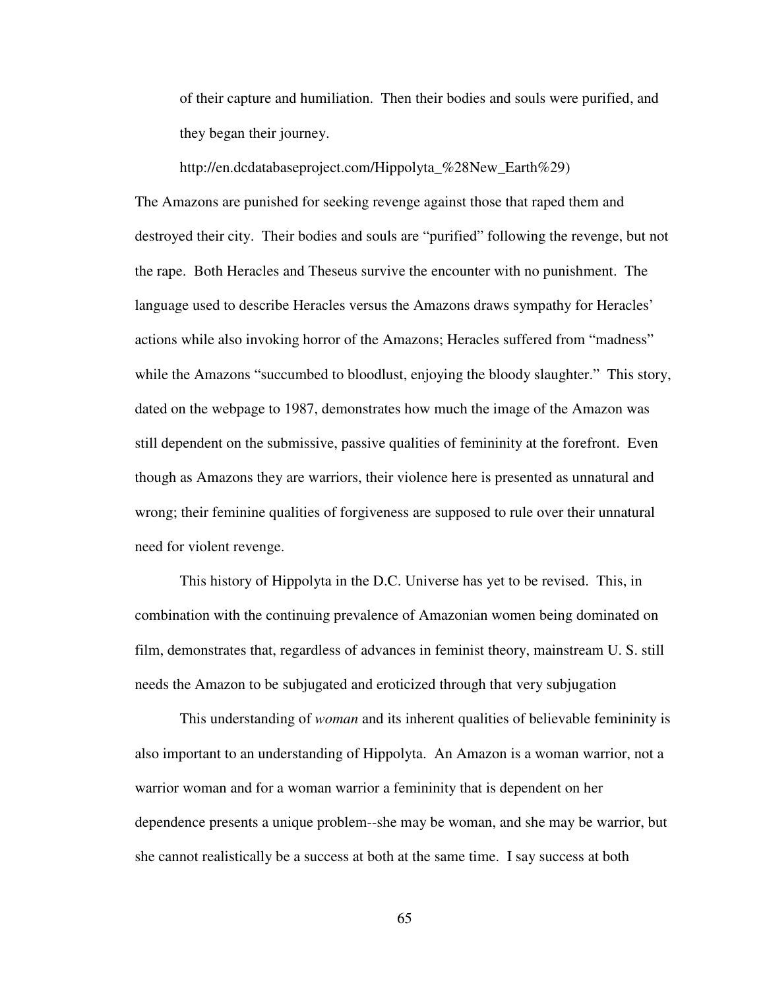of their capture and humiliation. Then their bodies and souls were purified, and they began their journey.

http://en.dcdatabaseproject.com/Hippolyta\_%28New\_Earth%29)

The Amazons are punished for seeking revenge against those that raped them and destroyed their city. Their bodies and souls are "purified" following the revenge, but not the rape. Both Heracles and Theseus survive the encounter with no punishment. The language used to describe Heracles versus the Amazons draws sympathy for Heracles' actions while also invoking horror of the Amazons; Heracles suffered from "madness" while the Amazons "succumbed to bloodlust, enjoying the bloody slaughter." This story, dated on the webpage to 1987, demonstrates how much the image of the Amazon was still dependent on the submissive, passive qualities of femininity at the forefront. Even though as Amazons they are warriors, their violence here is presented as unnatural and wrong; their feminine qualities of forgiveness are supposed to rule over their unnatural need for violent revenge.

 This history of Hippolyta in the D.C. Universe has yet to be revised. This, in combination with the continuing prevalence of Amazonian women being dominated on film, demonstrates that, regardless of advances in feminist theory, mainstream U. S. still needs the Amazon to be subjugated and eroticized through that very subjugation

 This understanding of *woman* and its inherent qualities of believable femininity is also important to an understanding of Hippolyta. An Amazon is a woman warrior, not a warrior woman and for a woman warrior a femininity that is dependent on her dependence presents a unique problem--she may be woman, and she may be warrior, but she cannot realistically be a success at both at the same time. I say success at both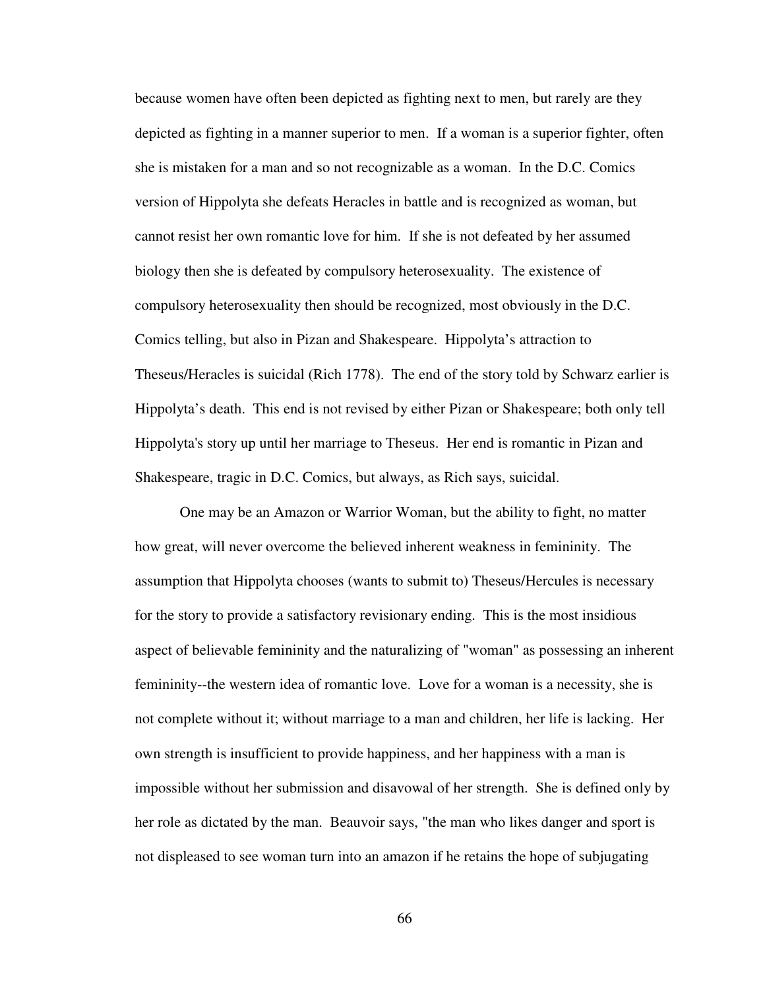because women have often been depicted as fighting next to men, but rarely are they depicted as fighting in a manner superior to men. If a woman is a superior fighter, often she is mistaken for a man and so not recognizable as a woman. In the D.C. Comics version of Hippolyta she defeats Heracles in battle and is recognized as woman, but cannot resist her own romantic love for him. If she is not defeated by her assumed biology then she is defeated by compulsory heterosexuality. The existence of compulsory heterosexuality then should be recognized, most obviously in the D.C. Comics telling, but also in Pizan and Shakespeare. Hippolyta's attraction to Theseus/Heracles is suicidal (Rich 1778). The end of the story told by Schwarz earlier is Hippolyta's death. This end is not revised by either Pizan or Shakespeare; both only tell Hippolyta's story up until her marriage to Theseus. Her end is romantic in Pizan and Shakespeare, tragic in D.C. Comics, but always, as Rich says, suicidal.

 One may be an Amazon or Warrior Woman, but the ability to fight, no matter how great, will never overcome the believed inherent weakness in femininity. The assumption that Hippolyta chooses (wants to submit to) Theseus/Hercules is necessary for the story to provide a satisfactory revisionary ending. This is the most insidious aspect of believable femininity and the naturalizing of "woman" as possessing an inherent femininity--the western idea of romantic love. Love for a woman is a necessity, she is not complete without it; without marriage to a man and children, her life is lacking. Her own strength is insufficient to provide happiness, and her happiness with a man is impossible without her submission and disavowal of her strength. She is defined only by her role as dictated by the man. Beauvoir says, "the man who likes danger and sport is not displeased to see woman turn into an amazon if he retains the hope of subjugating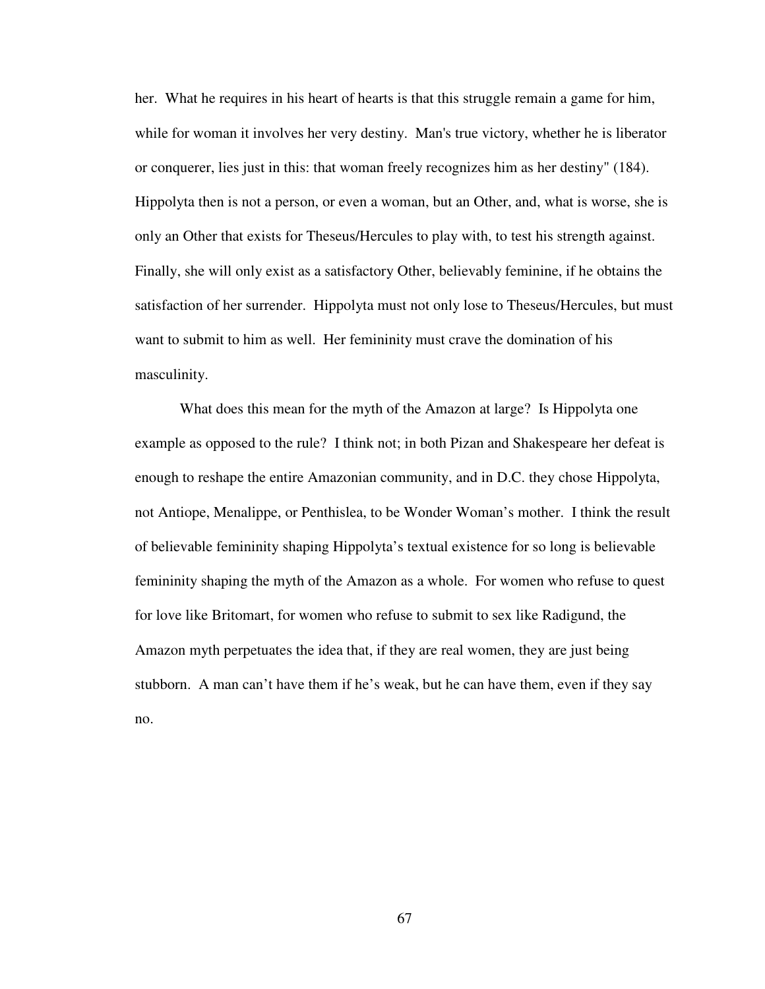her. What he requires in his heart of hearts is that this struggle remain a game for him, while for woman it involves her very destiny. Man's true victory, whether he is liberator or conquerer, lies just in this: that woman freely recognizes him as her destiny" (184). Hippolyta then is not a person, or even a woman, but an Other, and, what is worse, she is only an Other that exists for Theseus/Hercules to play with, to test his strength against. Finally, she will only exist as a satisfactory Other, believably feminine, if he obtains the satisfaction of her surrender. Hippolyta must not only lose to Theseus/Hercules, but must want to submit to him as well. Her femininity must crave the domination of his masculinity.

 What does this mean for the myth of the Amazon at large? Is Hippolyta one example as opposed to the rule? I think not; in both Pizan and Shakespeare her defeat is enough to reshape the entire Amazonian community, and in D.C. they chose Hippolyta, not Antiope, Menalippe, or Penthislea, to be Wonder Woman's mother. I think the result of believable femininity shaping Hippolyta's textual existence for so long is believable femininity shaping the myth of the Amazon as a whole. For women who refuse to quest for love like Britomart, for women who refuse to submit to sex like Radigund, the Amazon myth perpetuates the idea that, if they are real women, they are just being stubborn. A man can't have them if he's weak, but he can have them, even if they say no.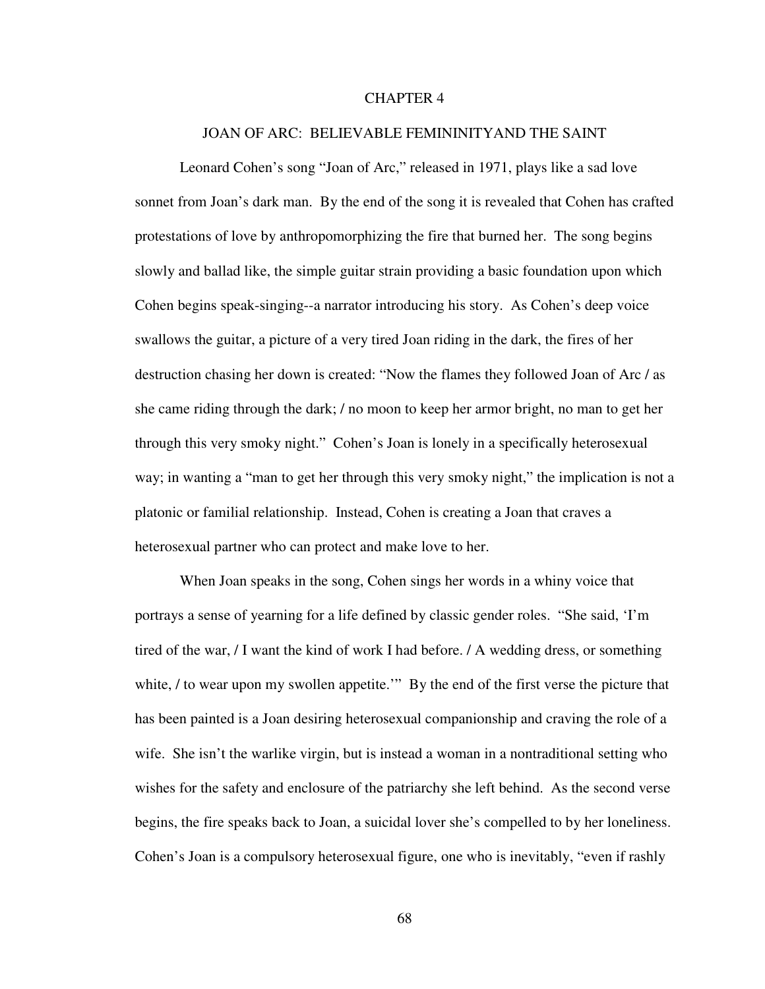# CHAPTER 4

### JOAN OF ARC: BELIEVABLE FEMININITYAND THE SAINT

Leonard Cohen's song "Joan of Arc," released in 1971, plays like a sad love sonnet from Joan's dark man. By the end of the song it is revealed that Cohen has crafted protestations of love by anthropomorphizing the fire that burned her. The song begins slowly and ballad like, the simple guitar strain providing a basic foundation upon which Cohen begins speak-singing--a narrator introducing his story. As Cohen's deep voice swallows the guitar, a picture of a very tired Joan riding in the dark, the fires of her destruction chasing her down is created: "Now the flames they followed Joan of Arc / as she came riding through the dark; / no moon to keep her armor bright, no man to get her through this very smoky night." Cohen's Joan is lonely in a specifically heterosexual way; in wanting a "man to get her through this very smoky night," the implication is not a platonic or familial relationship. Instead, Cohen is creating a Joan that craves a heterosexual partner who can protect and make love to her.

 When Joan speaks in the song, Cohen sings her words in a whiny voice that portrays a sense of yearning for a life defined by classic gender roles. "She said, 'I'm tired of the war, / I want the kind of work I had before. / A wedding dress, or something white, / to wear upon my swollen appetite." By the end of the first verse the picture that has been painted is a Joan desiring heterosexual companionship and craving the role of a wife. She isn't the warlike virgin, but is instead a woman in a nontraditional setting who wishes for the safety and enclosure of the patriarchy she left behind. As the second verse begins, the fire speaks back to Joan, a suicidal lover she's compelled to by her loneliness. Cohen's Joan is a compulsory heterosexual figure, one who is inevitably, "even if rashly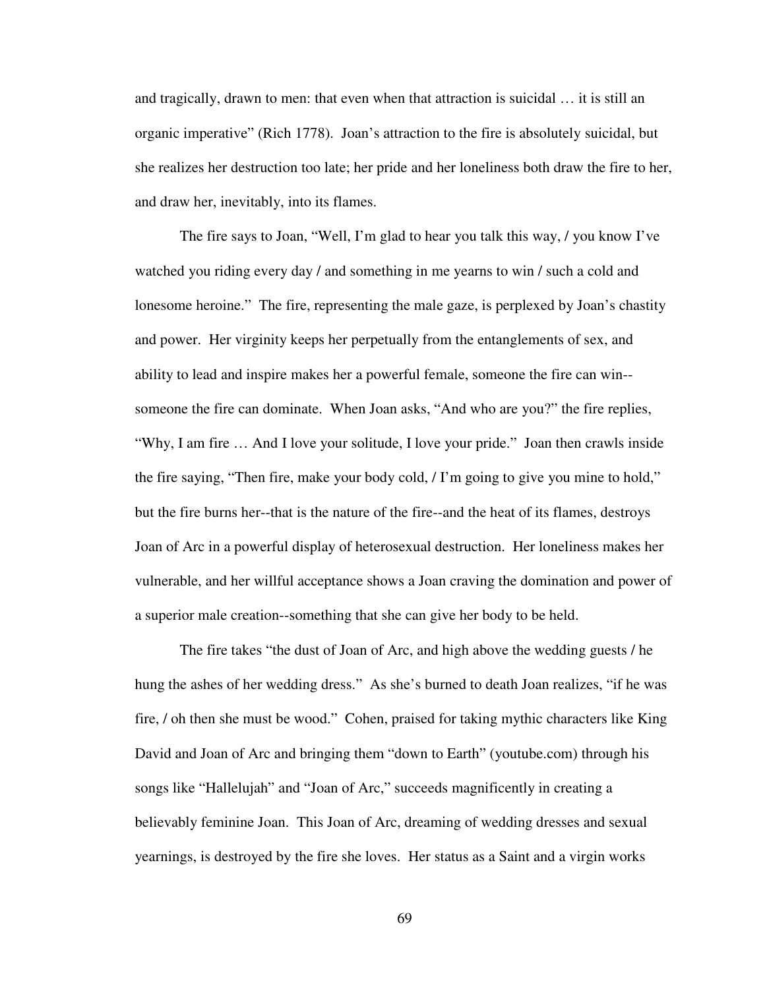and tragically, drawn to men: that even when that attraction is suicidal … it is still an organic imperative" (Rich 1778). Joan's attraction to the fire is absolutely suicidal, but she realizes her destruction too late; her pride and her loneliness both draw the fire to her, and draw her, inevitably, into its flames.

 The fire says to Joan, "Well, I'm glad to hear you talk this way, / you know I've watched you riding every day / and something in me yearns to win / such a cold and lonesome heroine." The fire, representing the male gaze, is perplexed by Joan's chastity and power. Her virginity keeps her perpetually from the entanglements of sex, and ability to lead and inspire makes her a powerful female, someone the fire can win- someone the fire can dominate. When Joan asks, "And who are you?" the fire replies, "Why, I am fire … And I love your solitude, I love your pride." Joan then crawls inside the fire saying, "Then fire, make your body cold, / I'm going to give you mine to hold," but the fire burns her--that is the nature of the fire--and the heat of its flames, destroys Joan of Arc in a powerful display of heterosexual destruction. Her loneliness makes her vulnerable, and her willful acceptance shows a Joan craving the domination and power of a superior male creation--something that she can give her body to be held.

 The fire takes "the dust of Joan of Arc, and high above the wedding guests / he hung the ashes of her wedding dress." As she's burned to death Joan realizes, "if he was fire, / oh then she must be wood." Cohen, praised for taking mythic characters like King David and Joan of Arc and bringing them "down to Earth" (youtube.com) through his songs like "Hallelujah" and "Joan of Arc," succeeds magnificently in creating a believably feminine Joan. This Joan of Arc, dreaming of wedding dresses and sexual yearnings, is destroyed by the fire she loves. Her status as a Saint and a virgin works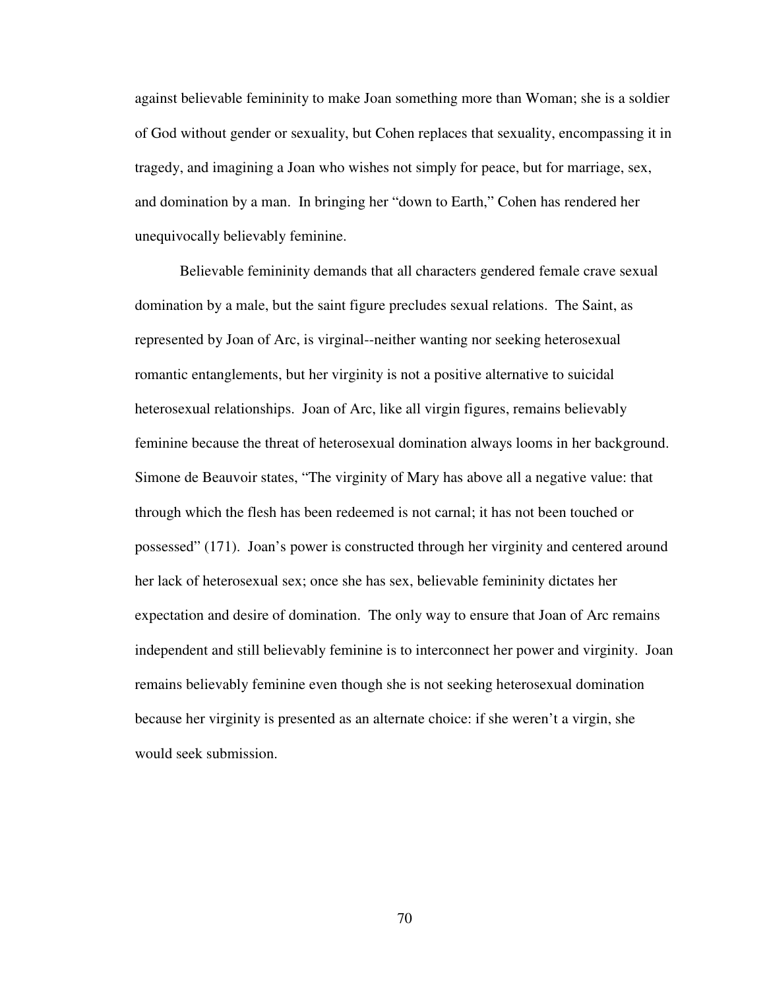against believable femininity to make Joan something more than Woman; she is a soldier of God without gender or sexuality, but Cohen replaces that sexuality, encompassing it in tragedy, and imagining a Joan who wishes not simply for peace, but for marriage, sex, and domination by a man. In bringing her "down to Earth," Cohen has rendered her unequivocally believably feminine.

 Believable femininity demands that all characters gendered female crave sexual domination by a male, but the saint figure precludes sexual relations. The Saint, as represented by Joan of Arc, is virginal--neither wanting nor seeking heterosexual romantic entanglements, but her virginity is not a positive alternative to suicidal heterosexual relationships. Joan of Arc, like all virgin figures, remains believably feminine because the threat of heterosexual domination always looms in her background. Simone de Beauvoir states, "The virginity of Mary has above all a negative value: that through which the flesh has been redeemed is not carnal; it has not been touched or possessed" (171). Joan's power is constructed through her virginity and centered around her lack of heterosexual sex; once she has sex, believable femininity dictates her expectation and desire of domination. The only way to ensure that Joan of Arc remains independent and still believably feminine is to interconnect her power and virginity. Joan remains believably feminine even though she is not seeking heterosexual domination because her virginity is presented as an alternate choice: if she weren't a virgin, she would seek submission.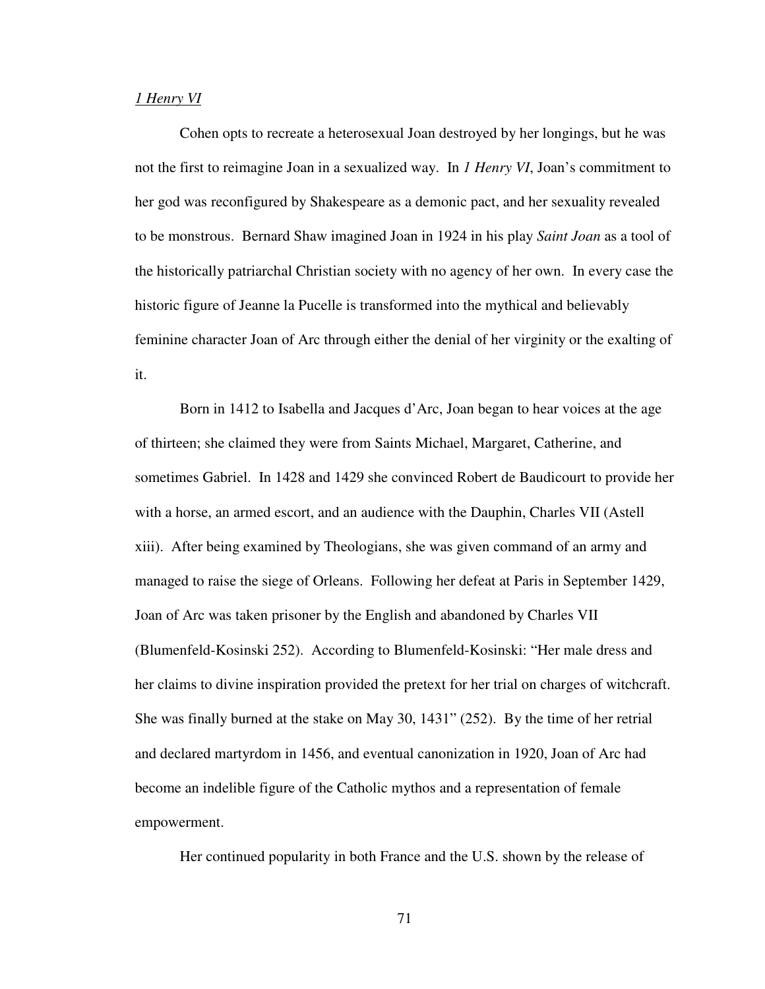### *1 Henry VI*

 Cohen opts to recreate a heterosexual Joan destroyed by her longings, but he was not the first to reimagine Joan in a sexualized way. In *1 Henry VI*, Joan's commitment to her god was reconfigured by Shakespeare as a demonic pact, and her sexuality revealed to be monstrous. Bernard Shaw imagined Joan in 1924 in his play *Saint Joan* as a tool of the historically patriarchal Christian society with no agency of her own. In every case the historic figure of Jeanne la Pucelle is transformed into the mythical and believably feminine character Joan of Arc through either the denial of her virginity or the exalting of it.

 Born in 1412 to Isabella and Jacques d'Arc, Joan began to hear voices at the age of thirteen; she claimed they were from Saints Michael, Margaret, Catherine, and sometimes Gabriel. In 1428 and 1429 she convinced Robert de Baudicourt to provide her with a horse, an armed escort, and an audience with the Dauphin, Charles VII (Astell xiii). After being examined by Theologians, she was given command of an army and managed to raise the siege of Orleans. Following her defeat at Paris in September 1429, Joan of Arc was taken prisoner by the English and abandoned by Charles VII (Blumenfeld-Kosinski 252). According to Blumenfeld-Kosinski: "Her male dress and her claims to divine inspiration provided the pretext for her trial on charges of witchcraft. She was finally burned at the stake on May 30, 1431" (252). By the time of her retrial and declared martyrdom in 1456, and eventual canonization in 1920, Joan of Arc had become an indelible figure of the Catholic mythos and a representation of female empowerment.

Her continued popularity in both France and the U.S. shown by the release of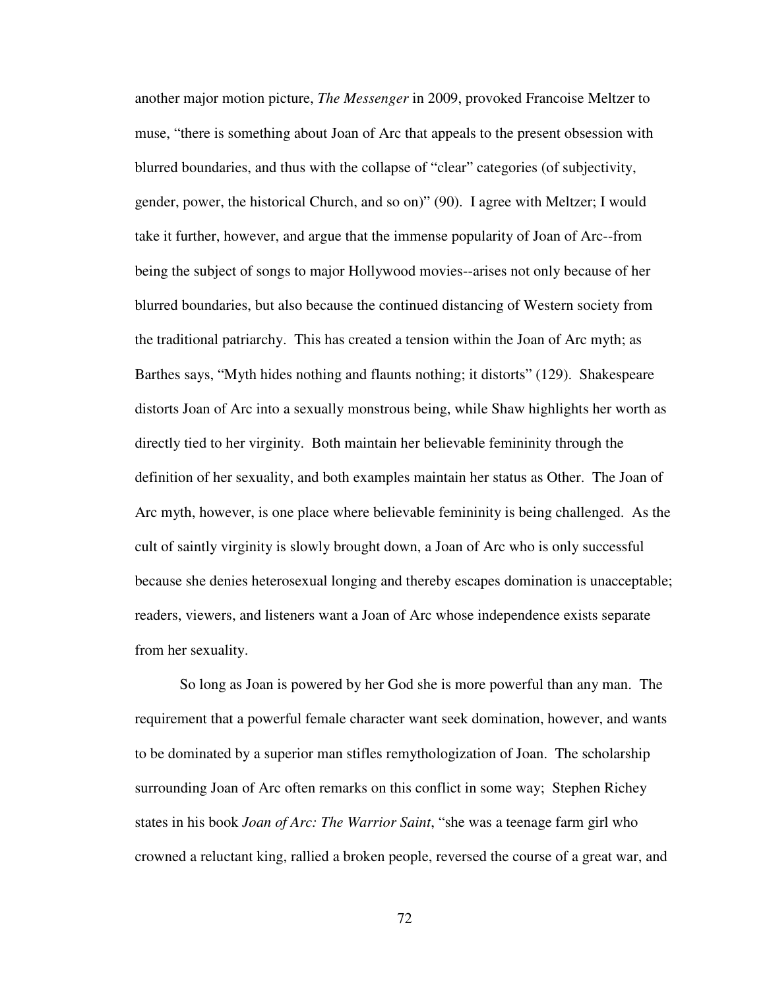another major motion picture, *The Messenger* in 2009, provoked Francoise Meltzer to muse, "there is something about Joan of Arc that appeals to the present obsession with blurred boundaries, and thus with the collapse of "clear" categories (of subjectivity, gender, power, the historical Church, and so on)" (90). I agree with Meltzer; I would take it further, however, and argue that the immense popularity of Joan of Arc--from being the subject of songs to major Hollywood movies--arises not only because of her blurred boundaries, but also because the continued distancing of Western society from the traditional patriarchy. This has created a tension within the Joan of Arc myth; as Barthes says, "Myth hides nothing and flaunts nothing; it distorts" (129). Shakespeare distorts Joan of Arc into a sexually monstrous being, while Shaw highlights her worth as directly tied to her virginity. Both maintain her believable femininity through the definition of her sexuality, and both examples maintain her status as Other. The Joan of Arc myth, however, is one place where believable femininity is being challenged. As the cult of saintly virginity is slowly brought down, a Joan of Arc who is only successful because she denies heterosexual longing and thereby escapes domination is unacceptable; readers, viewers, and listeners want a Joan of Arc whose independence exists separate from her sexuality.

 So long as Joan is powered by her God she is more powerful than any man. The requirement that a powerful female character want seek domination, however, and wants to be dominated by a superior man stifles remythologization of Joan. The scholarship surrounding Joan of Arc often remarks on this conflict in some way; Stephen Richey states in his book *Joan of Arc: The Warrior Saint*, "she was a teenage farm girl who crowned a reluctant king, rallied a broken people, reversed the course of a great war, and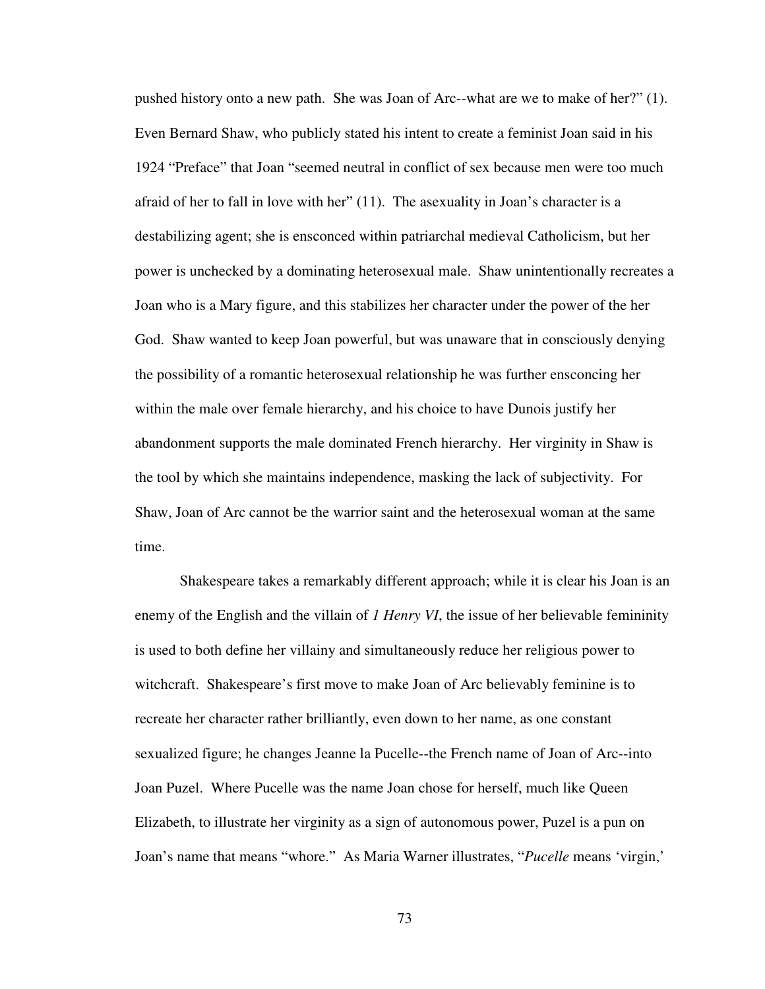pushed history onto a new path. She was Joan of Arc--what are we to make of her?" (1). Even Bernard Shaw, who publicly stated his intent to create a feminist Joan said in his 1924 "Preface" that Joan "seemed neutral in conflict of sex because men were too much afraid of her to fall in love with her" (11). The asexuality in Joan's character is a destabilizing agent; she is ensconced within patriarchal medieval Catholicism, but her power is unchecked by a dominating heterosexual male. Shaw unintentionally recreates a Joan who is a Mary figure, and this stabilizes her character under the power of the her God. Shaw wanted to keep Joan powerful, but was unaware that in consciously denying the possibility of a romantic heterosexual relationship he was further ensconcing her within the male over female hierarchy, and his choice to have Dunois justify her abandonment supports the male dominated French hierarchy. Her virginity in Shaw is the tool by which she maintains independence, masking the lack of subjectivity. For Shaw, Joan of Arc cannot be the warrior saint and the heterosexual woman at the same time.

 Shakespeare takes a remarkably different approach; while it is clear his Joan is an enemy of the English and the villain of *1 Henry VI*, the issue of her believable femininity is used to both define her villainy and simultaneously reduce her religious power to witchcraft. Shakespeare's first move to make Joan of Arc believably feminine is to recreate her character rather brilliantly, even down to her name, as one constant sexualized figure; he changes Jeanne la Pucelle--the French name of Joan of Arc--into Joan Puzel. Where Pucelle was the name Joan chose for herself, much like Queen Elizabeth, to illustrate her virginity as a sign of autonomous power, Puzel is a pun on Joan's name that means "whore." As Maria Warner illustrates, "*Pucelle* means 'virgin,'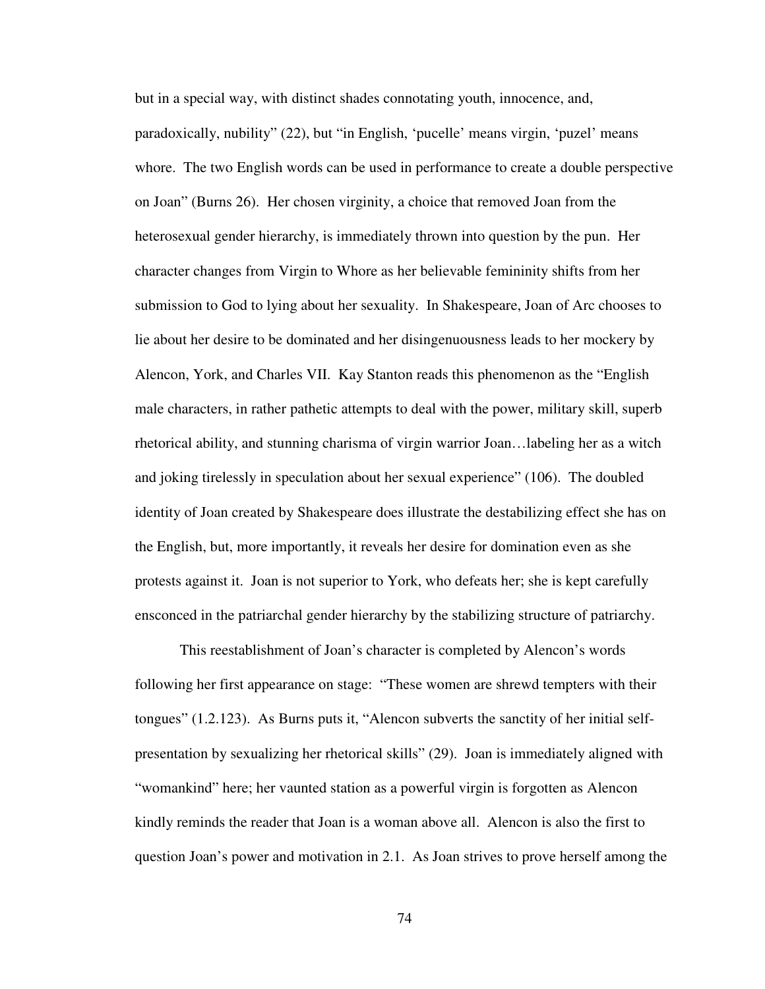but in a special way, with distinct shades connotating youth, innocence, and, paradoxically, nubility" (22), but "in English, 'pucelle' means virgin, 'puzel' means whore. The two English words can be used in performance to create a double perspective on Joan" (Burns 26). Her chosen virginity, a choice that removed Joan from the heterosexual gender hierarchy, is immediately thrown into question by the pun. Her character changes from Virgin to Whore as her believable femininity shifts from her submission to God to lying about her sexuality. In Shakespeare, Joan of Arc chooses to lie about her desire to be dominated and her disingenuousness leads to her mockery by Alencon, York, and Charles VII. Kay Stanton reads this phenomenon as the "English male characters, in rather pathetic attempts to deal with the power, military skill, superb rhetorical ability, and stunning charisma of virgin warrior Joan…labeling her as a witch and joking tirelessly in speculation about her sexual experience" (106). The doubled identity of Joan created by Shakespeare does illustrate the destabilizing effect she has on the English, but, more importantly, it reveals her desire for domination even as she protests against it. Joan is not superior to York, who defeats her; she is kept carefully ensconced in the patriarchal gender hierarchy by the stabilizing structure of patriarchy.

 This reestablishment of Joan's character is completed by Alencon's words following her first appearance on stage: "These women are shrewd tempters with their tongues" (1.2.123). As Burns puts it, "Alencon subverts the sanctity of her initial selfpresentation by sexualizing her rhetorical skills" (29). Joan is immediately aligned with "womankind" here; her vaunted station as a powerful virgin is forgotten as Alencon kindly reminds the reader that Joan is a woman above all. Alencon is also the first to question Joan's power and motivation in 2.1. As Joan strives to prove herself among the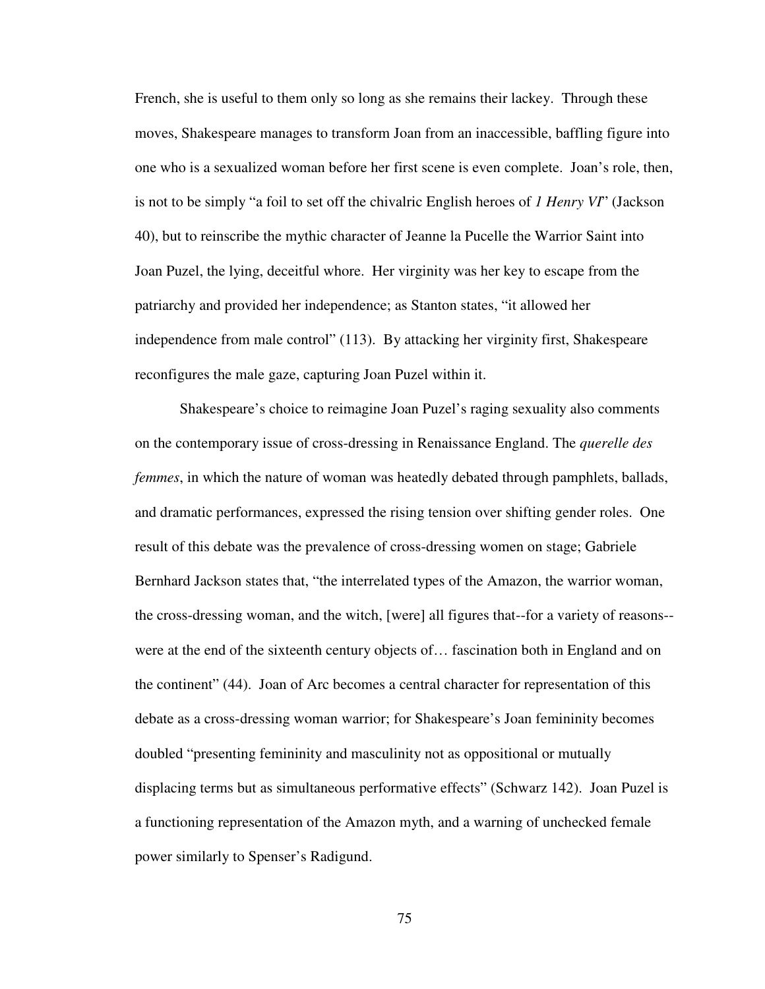French, she is useful to them only so long as she remains their lackey. Through these moves, Shakespeare manages to transform Joan from an inaccessible, baffling figure into one who is a sexualized woman before her first scene is even complete. Joan's role, then, is not to be simply "a foil to set off the chivalric English heroes of *1 Henry VI*" (Jackson 40), but to reinscribe the mythic character of Jeanne la Pucelle the Warrior Saint into Joan Puzel, the lying, deceitful whore. Her virginity was her key to escape from the patriarchy and provided her independence; as Stanton states, "it allowed her independence from male control" (113). By attacking her virginity first, Shakespeare reconfigures the male gaze, capturing Joan Puzel within it.

 Shakespeare's choice to reimagine Joan Puzel's raging sexuality also comments on the contemporary issue of cross-dressing in Renaissance England. The *querelle des femmes*, in which the nature of woman was heatedly debated through pamphlets, ballads, and dramatic performances, expressed the rising tension over shifting gender roles. One result of this debate was the prevalence of cross-dressing women on stage; Gabriele Bernhard Jackson states that, "the interrelated types of the Amazon, the warrior woman, the cross-dressing woman, and the witch, [were] all figures that--for a variety of reasons- were at the end of the sixteenth century objects of… fascination both in England and on the continent" (44). Joan of Arc becomes a central character for representation of this debate as a cross-dressing woman warrior; for Shakespeare's Joan femininity becomes doubled "presenting femininity and masculinity not as oppositional or mutually displacing terms but as simultaneous performative effects" (Schwarz 142). Joan Puzel is a functioning representation of the Amazon myth, and a warning of unchecked female power similarly to Spenser's Radigund.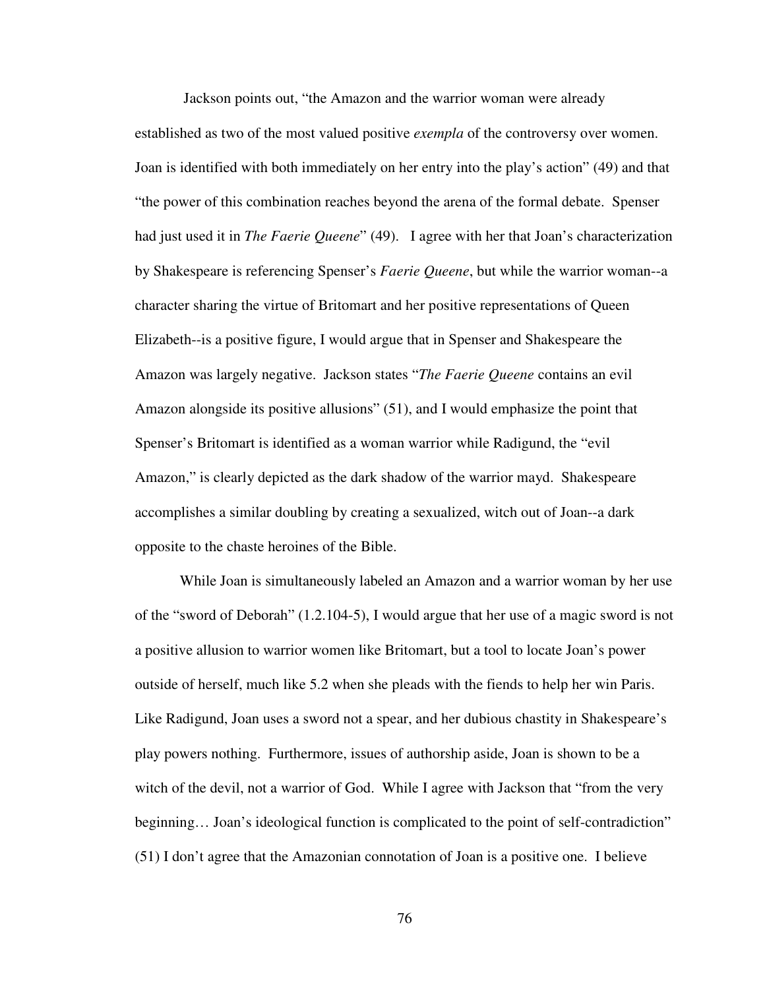Jackson points out, "the Amazon and the warrior woman were already established as two of the most valued positive *exempla* of the controversy over women. Joan is identified with both immediately on her entry into the play's action" (49) and that "the power of this combination reaches beyond the arena of the formal debate. Spenser had just used it in *The Faerie Queene*" (49). I agree with her that Joan's characterization by Shakespeare is referencing Spenser's *Faerie Queene*, but while the warrior woman--a character sharing the virtue of Britomart and her positive representations of Queen Elizabeth--is a positive figure, I would argue that in Spenser and Shakespeare the Amazon was largely negative. Jackson states "*The Faerie Queene* contains an evil Amazon alongside its positive allusions" (51), and I would emphasize the point that Spenser's Britomart is identified as a woman warrior while Radigund, the "evil Amazon," is clearly depicted as the dark shadow of the warrior mayd. Shakespeare accomplishes a similar doubling by creating a sexualized, witch out of Joan--a dark opposite to the chaste heroines of the Bible.

 While Joan is simultaneously labeled an Amazon and a warrior woman by her use of the "sword of Deborah" (1.2.104-5), I would argue that her use of a magic sword is not a positive allusion to warrior women like Britomart, but a tool to locate Joan's power outside of herself, much like 5.2 when she pleads with the fiends to help her win Paris. Like Radigund, Joan uses a sword not a spear, and her dubious chastity in Shakespeare's play powers nothing. Furthermore, issues of authorship aside, Joan is shown to be a witch of the devil, not a warrior of God. While I agree with Jackson that "from the very beginning… Joan's ideological function is complicated to the point of self-contradiction" (51) I don't agree that the Amazonian connotation of Joan is a positive one. I believe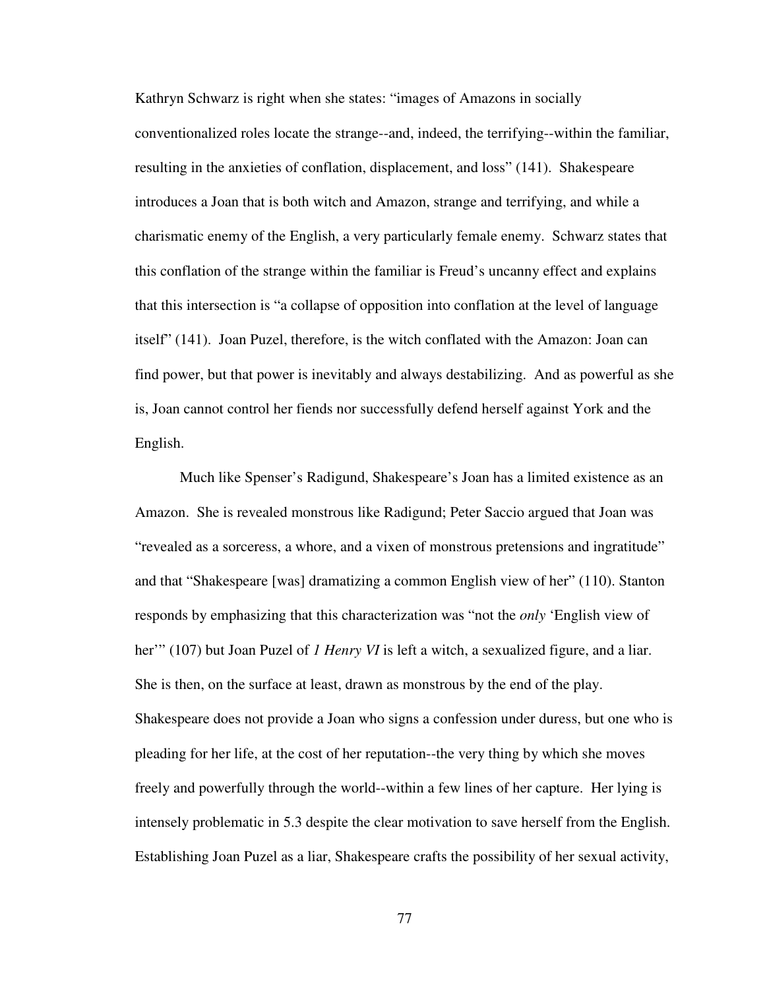Kathryn Schwarz is right when she states: "images of Amazons in socially conventionalized roles locate the strange--and, indeed, the terrifying--within the familiar, resulting in the anxieties of conflation, displacement, and loss" (141). Shakespeare introduces a Joan that is both witch and Amazon, strange and terrifying, and while a charismatic enemy of the English, a very particularly female enemy. Schwarz states that this conflation of the strange within the familiar is Freud's uncanny effect and explains that this intersection is "a collapse of opposition into conflation at the level of language itself" (141). Joan Puzel, therefore, is the witch conflated with the Amazon: Joan can find power, but that power is inevitably and always destabilizing. And as powerful as she is, Joan cannot control her fiends nor successfully defend herself against York and the English.

 Much like Spenser's Radigund, Shakespeare's Joan has a limited existence as an Amazon. She is revealed monstrous like Radigund; Peter Saccio argued that Joan was "revealed as a sorceress, a whore, and a vixen of monstrous pretensions and ingratitude" and that "Shakespeare [was] dramatizing a common English view of her" (110). Stanton responds by emphasizing that this characterization was "not the *only* 'English view of her'" (107) but Joan Puzel of *1 Henry VI* is left a witch, a sexualized figure, and a liar. She is then, on the surface at least, drawn as monstrous by the end of the play. Shakespeare does not provide a Joan who signs a confession under duress, but one who is pleading for her life, at the cost of her reputation--the very thing by which she moves freely and powerfully through the world--within a few lines of her capture. Her lying is intensely problematic in 5.3 despite the clear motivation to save herself from the English. Establishing Joan Puzel as a liar, Shakespeare crafts the possibility of her sexual activity,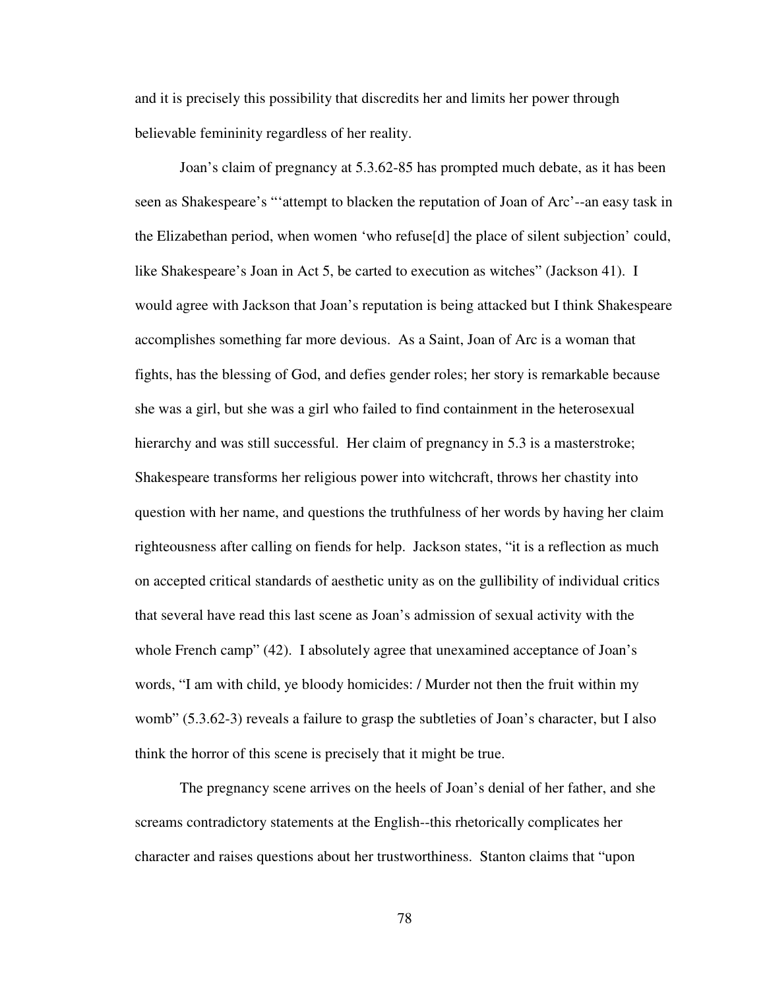and it is precisely this possibility that discredits her and limits her power through believable femininity regardless of her reality.

 Joan's claim of pregnancy at 5.3.62-85 has prompted much debate, as it has been seen as Shakespeare's "'attempt to blacken the reputation of Joan of Arc'--an easy task in the Elizabethan period, when women 'who refuse[d] the place of silent subjection' could, like Shakespeare's Joan in Act 5, be carted to execution as witches" (Jackson 41). I would agree with Jackson that Joan's reputation is being attacked but I think Shakespeare accomplishes something far more devious. As a Saint, Joan of Arc is a woman that fights, has the blessing of God, and defies gender roles; her story is remarkable because she was a girl, but she was a girl who failed to find containment in the heterosexual hierarchy and was still successful. Her claim of pregnancy in 5.3 is a masterstroke; Shakespeare transforms her religious power into witchcraft, throws her chastity into question with her name, and questions the truthfulness of her words by having her claim righteousness after calling on fiends for help. Jackson states, "it is a reflection as much on accepted critical standards of aesthetic unity as on the gullibility of individual critics that several have read this last scene as Joan's admission of sexual activity with the whole French camp" (42). I absolutely agree that unexamined acceptance of Joan's words, "I am with child, ye bloody homicides: / Murder not then the fruit within my womb" (5.3.62-3) reveals a failure to grasp the subtleties of Joan's character, but I also think the horror of this scene is precisely that it might be true.

 The pregnancy scene arrives on the heels of Joan's denial of her father, and she screams contradictory statements at the English--this rhetorically complicates her character and raises questions about her trustworthiness. Stanton claims that "upon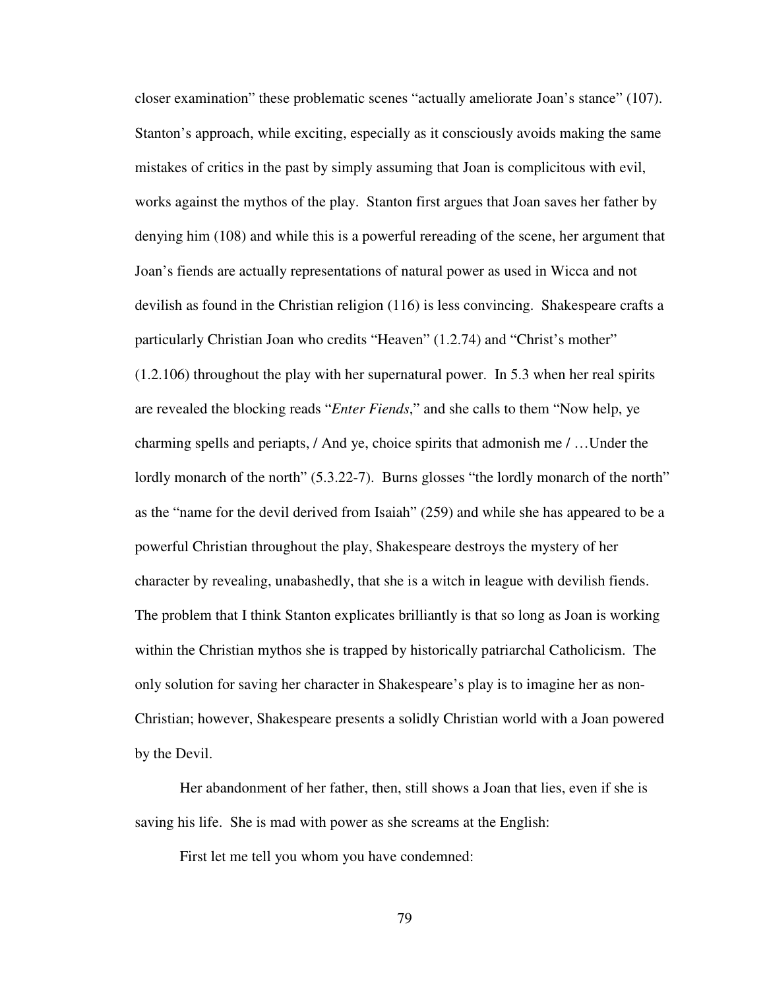closer examination" these problematic scenes "actually ameliorate Joan's stance" (107). Stanton's approach, while exciting, especially as it consciously avoids making the same mistakes of critics in the past by simply assuming that Joan is complicitous with evil, works against the mythos of the play. Stanton first argues that Joan saves her father by denying him (108) and while this is a powerful rereading of the scene, her argument that Joan's fiends are actually representations of natural power as used in Wicca and not devilish as found in the Christian religion (116) is less convincing. Shakespeare crafts a particularly Christian Joan who credits "Heaven" (1.2.74) and "Christ's mother" (1.2.106) throughout the play with her supernatural power. In 5.3 when her real spirits are revealed the blocking reads "*Enter Fiends*," and she calls to them "Now help, ye charming spells and periapts, / And ye, choice spirits that admonish me / …Under the lordly monarch of the north"  $(5.3.22-7)$ . Burns glosses "the lordly monarch of the north" as the "name for the devil derived from Isaiah" (259) and while she has appeared to be a powerful Christian throughout the play, Shakespeare destroys the mystery of her character by revealing, unabashedly, that she is a witch in league with devilish fiends. The problem that I think Stanton explicates brilliantly is that so long as Joan is working within the Christian mythos she is trapped by historically patriarchal Catholicism. The only solution for saving her character in Shakespeare's play is to imagine her as non-Christian; however, Shakespeare presents a solidly Christian world with a Joan powered by the Devil.

 Her abandonment of her father, then, still shows a Joan that lies, even if she is saving his life. She is mad with power as she screams at the English:

First let me tell you whom you have condemned: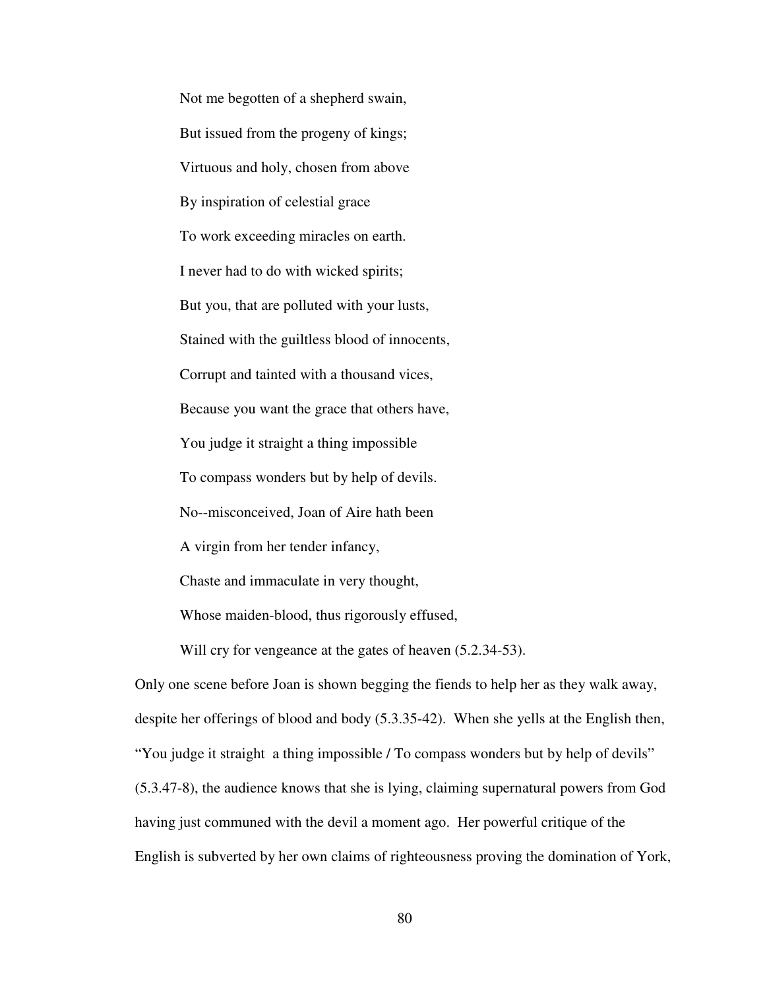Not me begotten of a shepherd swain, But issued from the progeny of kings; Virtuous and holy, chosen from above By inspiration of celestial grace To work exceeding miracles on earth. I never had to do with wicked spirits; But you, that are polluted with your lusts, Stained with the guiltless blood of innocents, Corrupt and tainted with a thousand vices, Because you want the grace that others have, You judge it straight a thing impossible To compass wonders but by help of devils. No--misconceived, Joan of Aire hath been A virgin from her tender infancy, Chaste and immaculate in very thought, Whose maiden-blood, thus rigorously effused, Will cry for vengeance at the gates of heaven  $(5.2.34-53)$ .

Only one scene before Joan is shown begging the fiends to help her as they walk away, despite her offerings of blood and body (5.3.35-42). When she yells at the English then, "You judge it straight a thing impossible / To compass wonders but by help of devils" (5.3.47-8), the audience knows that she is lying, claiming supernatural powers from God having just communed with the devil a moment ago. Her powerful critique of the English is subverted by her own claims of righteousness proving the domination of York,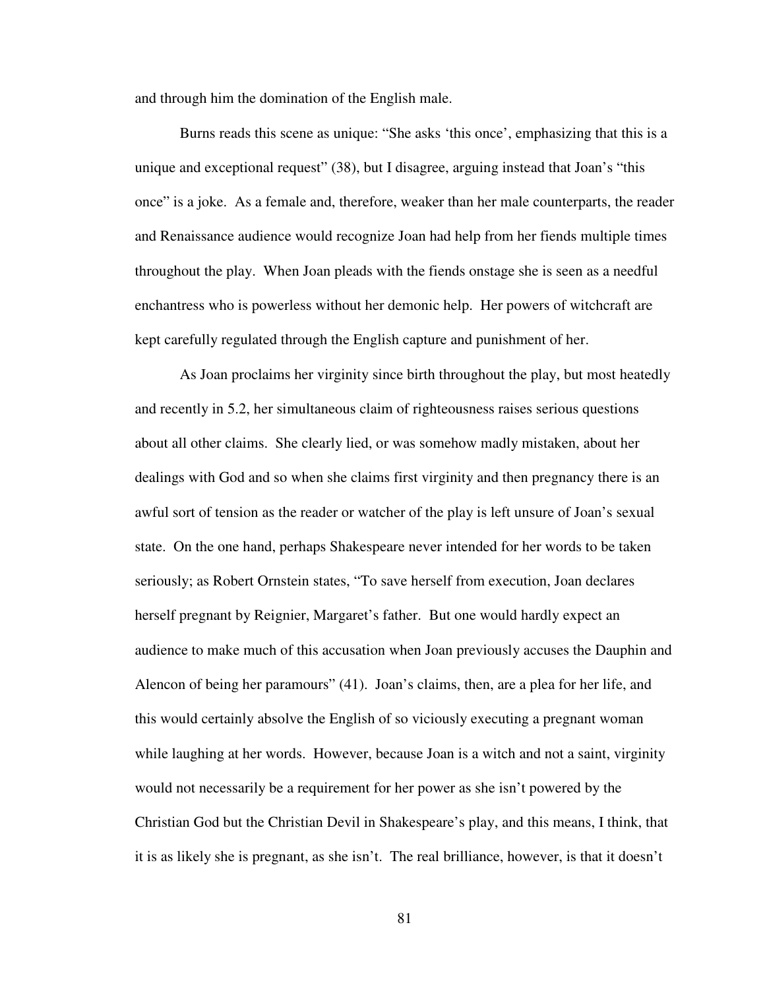and through him the domination of the English male.

 Burns reads this scene as unique: "She asks 'this once', emphasizing that this is a unique and exceptional request" (38), but I disagree, arguing instead that Joan's "this once" is a joke. As a female and, therefore, weaker than her male counterparts, the reader and Renaissance audience would recognize Joan had help from her fiends multiple times throughout the play. When Joan pleads with the fiends onstage she is seen as a needful enchantress who is powerless without her demonic help. Her powers of witchcraft are kept carefully regulated through the English capture and punishment of her.

 As Joan proclaims her virginity since birth throughout the play, but most heatedly and recently in 5.2, her simultaneous claim of righteousness raises serious questions about all other claims. She clearly lied, or was somehow madly mistaken, about her dealings with God and so when she claims first virginity and then pregnancy there is an awful sort of tension as the reader or watcher of the play is left unsure of Joan's sexual state. On the one hand, perhaps Shakespeare never intended for her words to be taken seriously; as Robert Ornstein states, "To save herself from execution, Joan declares herself pregnant by Reignier, Margaret's father. But one would hardly expect an audience to make much of this accusation when Joan previously accuses the Dauphin and Alencon of being her paramours" (41). Joan's claims, then, are a plea for her life, and this would certainly absolve the English of so viciously executing a pregnant woman while laughing at her words. However, because Joan is a witch and not a saint, virginity would not necessarily be a requirement for her power as she isn't powered by the Christian God but the Christian Devil in Shakespeare's play, and this means, I think, that it is as likely she is pregnant, as she isn't. The real brilliance, however, is that it doesn't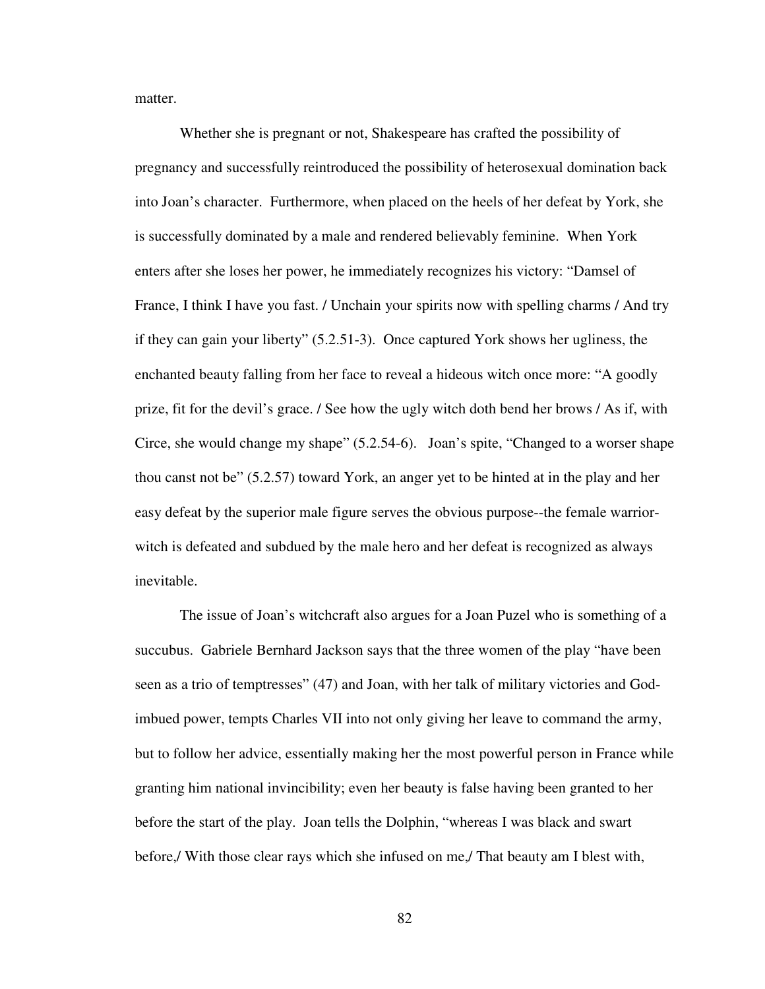matter.

 Whether she is pregnant or not, Shakespeare has crafted the possibility of pregnancy and successfully reintroduced the possibility of heterosexual domination back into Joan's character. Furthermore, when placed on the heels of her defeat by York, she is successfully dominated by a male and rendered believably feminine. When York enters after she loses her power, he immediately recognizes his victory: "Damsel of France, I think I have you fast. / Unchain your spirits now with spelling charms / And try if they can gain your liberty" (5.2.51-3). Once captured York shows her ugliness, the enchanted beauty falling from her face to reveal a hideous witch once more: "A goodly prize, fit for the devil's grace. / See how the ugly witch doth bend her brows / As if, with Circe, she would change my shape" (5.2.54-6). Joan's spite, "Changed to a worser shape thou canst not be" (5.2.57) toward York, an anger yet to be hinted at in the play and her easy defeat by the superior male figure serves the obvious purpose--the female warriorwitch is defeated and subdued by the male hero and her defeat is recognized as always inevitable.

 The issue of Joan's witchcraft also argues for a Joan Puzel who is something of a succubus. Gabriele Bernhard Jackson says that the three women of the play "have been seen as a trio of temptresses" (47) and Joan, with her talk of military victories and Godimbued power, tempts Charles VII into not only giving her leave to command the army, but to follow her advice, essentially making her the most powerful person in France while granting him national invincibility; even her beauty is false having been granted to her before the start of the play. Joan tells the Dolphin, "whereas I was black and swart before,/ With those clear rays which she infused on me,/ That beauty am I blest with,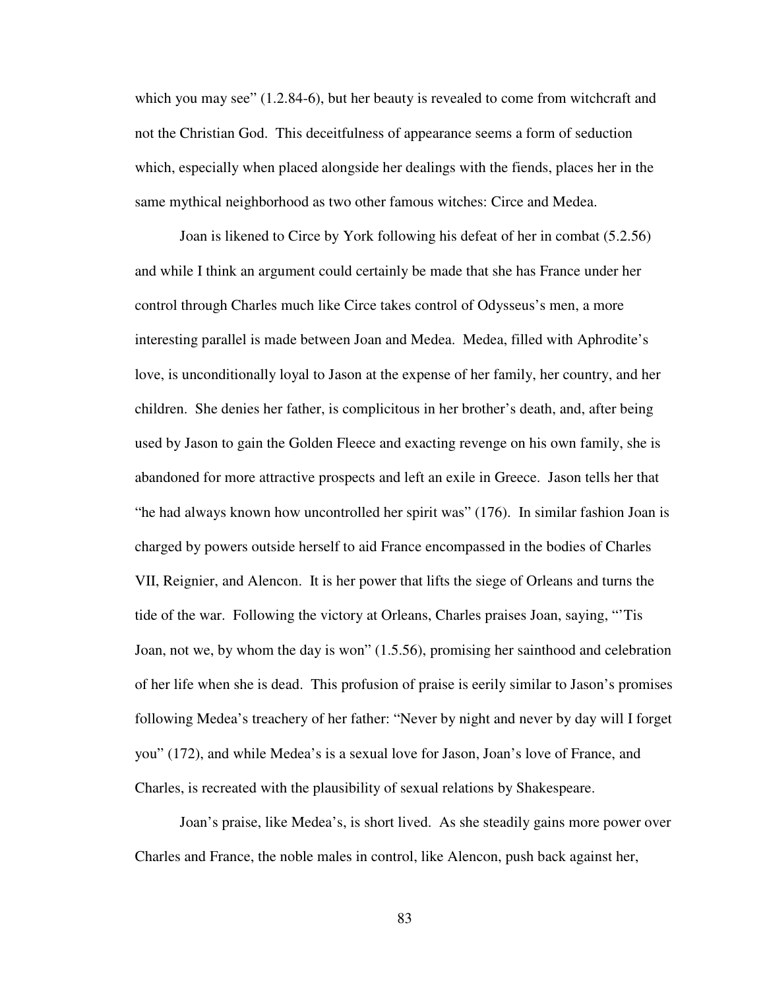which you may see"  $(1.2.84-6)$ , but her beauty is revealed to come from witchcraft and not the Christian God. This deceitfulness of appearance seems a form of seduction which, especially when placed alongside her dealings with the fiends, places her in the same mythical neighborhood as two other famous witches: Circe and Medea.

 Joan is likened to Circe by York following his defeat of her in combat (5.2.56) and while I think an argument could certainly be made that she has France under her control through Charles much like Circe takes control of Odysseus's men, a more interesting parallel is made between Joan and Medea. Medea, filled with Aphrodite's love, is unconditionally loyal to Jason at the expense of her family, her country, and her children. She denies her father, is complicitous in her brother's death, and, after being used by Jason to gain the Golden Fleece and exacting revenge on his own family, she is abandoned for more attractive prospects and left an exile in Greece. Jason tells her that "he had always known how uncontrolled her spirit was" (176). In similar fashion Joan is charged by powers outside herself to aid France encompassed in the bodies of Charles VII, Reignier, and Alencon. It is her power that lifts the siege of Orleans and turns the tide of the war. Following the victory at Orleans, Charles praises Joan, saying, "'Tis Joan, not we, by whom the day is won" (1.5.56), promising her sainthood and celebration of her life when she is dead. This profusion of praise is eerily similar to Jason's promises following Medea's treachery of her father: "Never by night and never by day will I forget you" (172), and while Medea's is a sexual love for Jason, Joan's love of France, and Charles, is recreated with the plausibility of sexual relations by Shakespeare.

 Joan's praise, like Medea's, is short lived. As she steadily gains more power over Charles and France, the noble males in control, like Alencon, push back against her,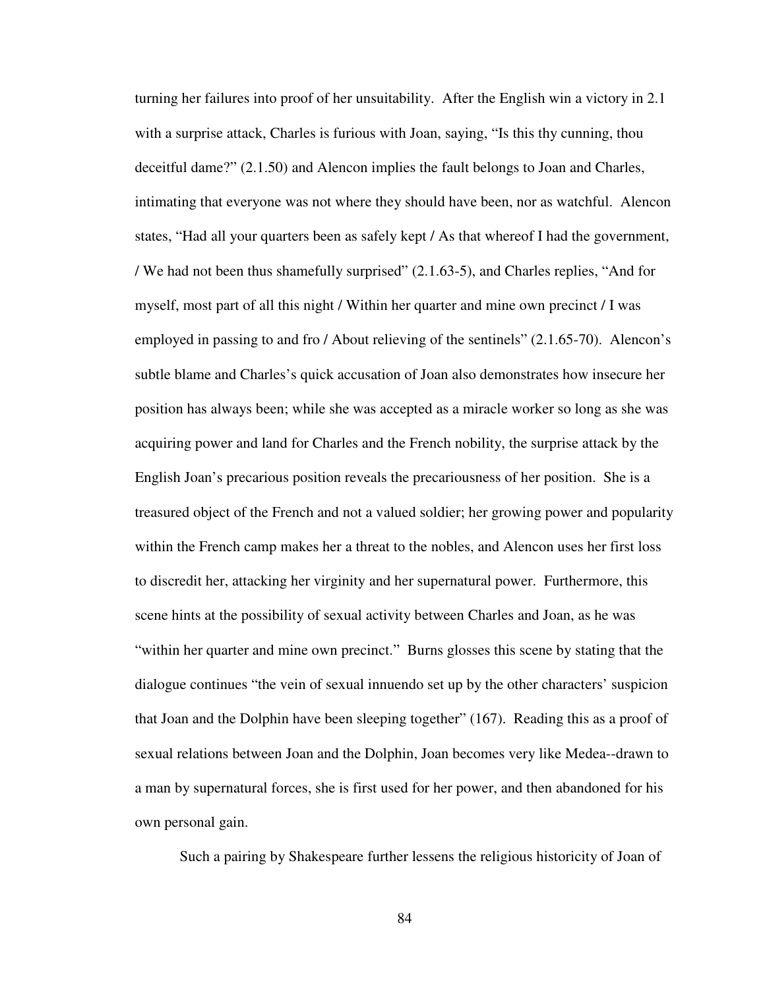turning her failures into proof of her unsuitability. After the English win a victory in 2.1 with a surprise attack, Charles is furious with Joan, saying, "Is this thy cunning, thou deceitful dame?" (2.1.50) and Alencon implies the fault belongs to Joan and Charles, intimating that everyone was not where they should have been, nor as watchful. Alencon states, "Had all your quarters been as safely kept / As that whereof I had the government, / We had not been thus shamefully surprised" (2.1.63-5), and Charles replies, "And for myself, most part of all this night / Within her quarter and mine own precinct / I was employed in passing to and fro / About relieving of the sentinels" (2.1.65-70). Alencon's subtle blame and Charles's quick accusation of Joan also demonstrates how insecure her position has always been; while she was accepted as a miracle worker so long as she was acquiring power and land for Charles and the French nobility, the surprise attack by the English Joan's precarious position reveals the precariousness of her position. She is a treasured object of the French and not a valued soldier; her growing power and popularity within the French camp makes her a threat to the nobles, and Alencon uses her first loss to discredit her, attacking her virginity and her supernatural power. Furthermore, this scene hints at the possibility of sexual activity between Charles and Joan, as he was "within her quarter and mine own precinct." Burns glosses this scene by stating that the dialogue continues "the vein of sexual innuendo set up by the other characters' suspicion that Joan and the Dolphin have been sleeping together" (167). Reading this as a proof of sexual relations between Joan and the Dolphin, Joan becomes very like Medea--drawn to a man by supernatural forces, she is first used for her power, and then abandoned for his own personal gain.

Such a pairing by Shakespeare further lessens the religious historicity of Joan of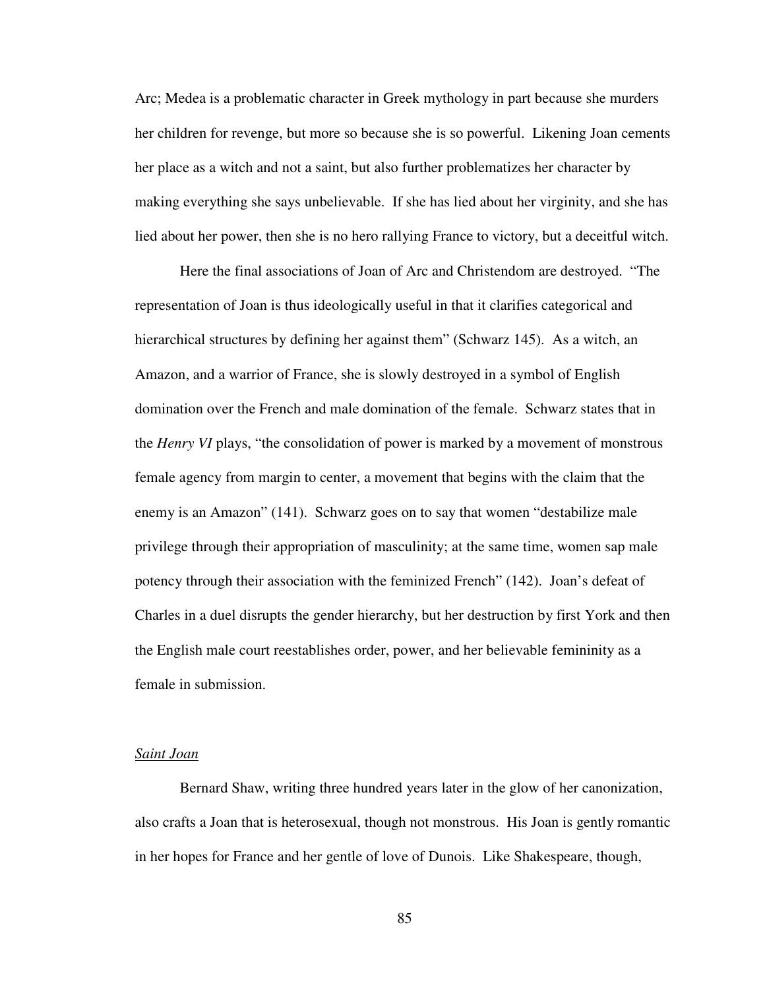Arc; Medea is a problematic character in Greek mythology in part because she murders her children for revenge, but more so because she is so powerful. Likening Joan cements her place as a witch and not a saint, but also further problematizes her character by making everything she says unbelievable. If she has lied about her virginity, and she has lied about her power, then she is no hero rallying France to victory, but a deceitful witch.

 Here the final associations of Joan of Arc and Christendom are destroyed. "The representation of Joan is thus ideologically useful in that it clarifies categorical and hierarchical structures by defining her against them" (Schwarz 145). As a witch, an Amazon, and a warrior of France, she is slowly destroyed in a symbol of English domination over the French and male domination of the female. Schwarz states that in the *Henry VI* plays, "the consolidation of power is marked by a movement of monstrous female agency from margin to center, a movement that begins with the claim that the enemy is an Amazon" (141). Schwarz goes on to say that women "destabilize male privilege through their appropriation of masculinity; at the same time, women sap male potency through their association with the feminized French" (142). Joan's defeat of Charles in a duel disrupts the gender hierarchy, but her destruction by first York and then the English male court reestablishes order, power, and her believable femininity as a female in submission.

## *Saint Joan*

 Bernard Shaw, writing three hundred years later in the glow of her canonization, also crafts a Joan that is heterosexual, though not monstrous. His Joan is gently romantic in her hopes for France and her gentle of love of Dunois. Like Shakespeare, though,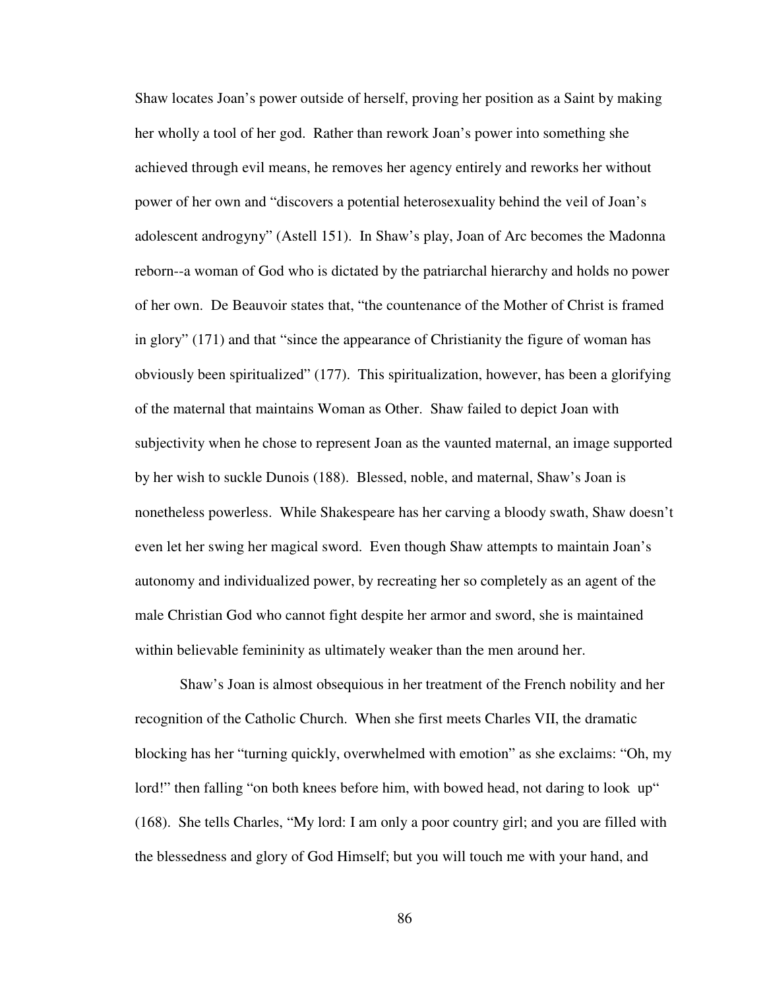Shaw locates Joan's power outside of herself, proving her position as a Saint by making her wholly a tool of her god. Rather than rework Joan's power into something she achieved through evil means, he removes her agency entirely and reworks her without power of her own and "discovers a potential heterosexuality behind the veil of Joan's adolescent androgyny" (Astell 151). In Shaw's play, Joan of Arc becomes the Madonna reborn--a woman of God who is dictated by the patriarchal hierarchy and holds no power of her own. De Beauvoir states that, "the countenance of the Mother of Christ is framed in glory" (171) and that "since the appearance of Christianity the figure of woman has obviously been spiritualized" (177). This spiritualization, however, has been a glorifying of the maternal that maintains Woman as Other. Shaw failed to depict Joan with subjectivity when he chose to represent Joan as the vaunted maternal, an image supported by her wish to suckle Dunois (188). Blessed, noble, and maternal, Shaw's Joan is nonetheless powerless. While Shakespeare has her carving a bloody swath, Shaw doesn't even let her swing her magical sword. Even though Shaw attempts to maintain Joan's autonomy and individualized power, by recreating her so completely as an agent of the male Christian God who cannot fight despite her armor and sword, she is maintained within believable femininity as ultimately weaker than the men around her.

 Shaw's Joan is almost obsequious in her treatment of the French nobility and her recognition of the Catholic Church. When she first meets Charles VII, the dramatic blocking has her "turning quickly, overwhelmed with emotion" as she exclaims: "Oh, my lord!" then falling "on both knees before him, with bowed head, not daring to look up" (168). She tells Charles, "My lord: I am only a poor country girl; and you are filled with the blessedness and glory of God Himself; but you will touch me with your hand, and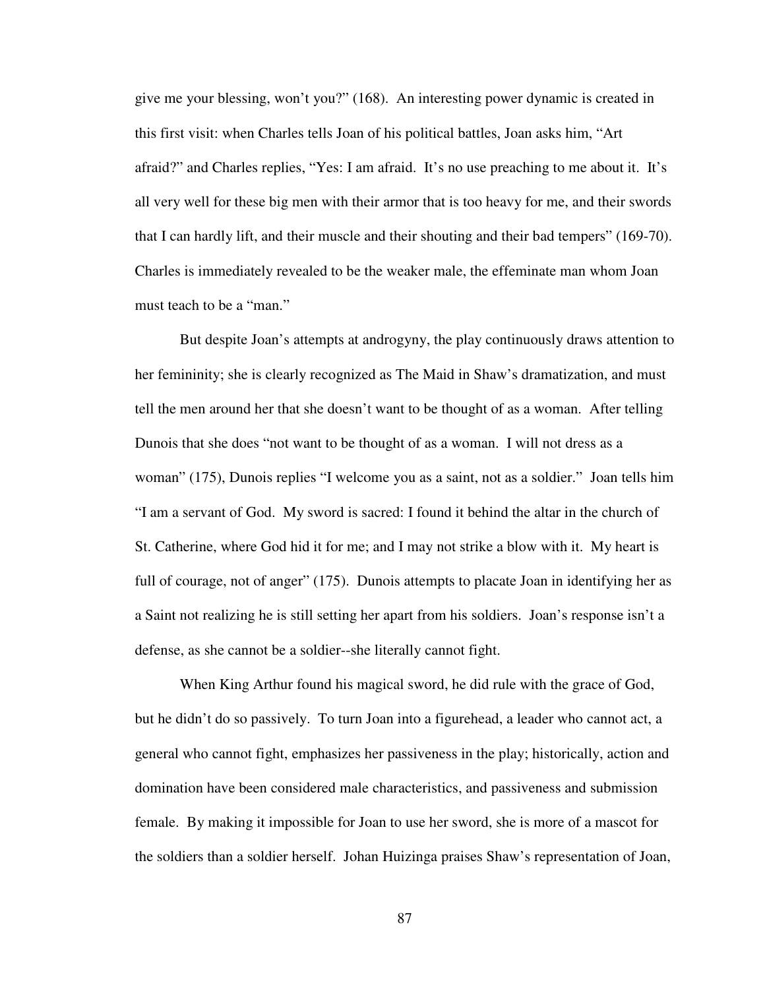give me your blessing, won't you?" (168). An interesting power dynamic is created in this first visit: when Charles tells Joan of his political battles, Joan asks him, "Art afraid?" and Charles replies, "Yes: I am afraid. It's no use preaching to me about it. It's all very well for these big men with their armor that is too heavy for me, and their swords that I can hardly lift, and their muscle and their shouting and their bad tempers" (169-70). Charles is immediately revealed to be the weaker male, the effeminate man whom Joan must teach to be a "man."

 But despite Joan's attempts at androgyny, the play continuously draws attention to her femininity; she is clearly recognized as The Maid in Shaw's dramatization, and must tell the men around her that she doesn't want to be thought of as a woman. After telling Dunois that she does "not want to be thought of as a woman. I will not dress as a woman" (175), Dunois replies "I welcome you as a saint, not as a soldier." Joan tells him "I am a servant of God. My sword is sacred: I found it behind the altar in the church of St. Catherine, where God hid it for me; and I may not strike a blow with it. My heart is full of courage, not of anger" (175). Dunois attempts to placate Joan in identifying her as a Saint not realizing he is still setting her apart from his soldiers. Joan's response isn't a defense, as she cannot be a soldier--she literally cannot fight.

 When King Arthur found his magical sword, he did rule with the grace of God, but he didn't do so passively. To turn Joan into a figurehead, a leader who cannot act, a general who cannot fight, emphasizes her passiveness in the play; historically, action and domination have been considered male characteristics, and passiveness and submission female. By making it impossible for Joan to use her sword, she is more of a mascot for the soldiers than a soldier herself. Johan Huizinga praises Shaw's representation of Joan,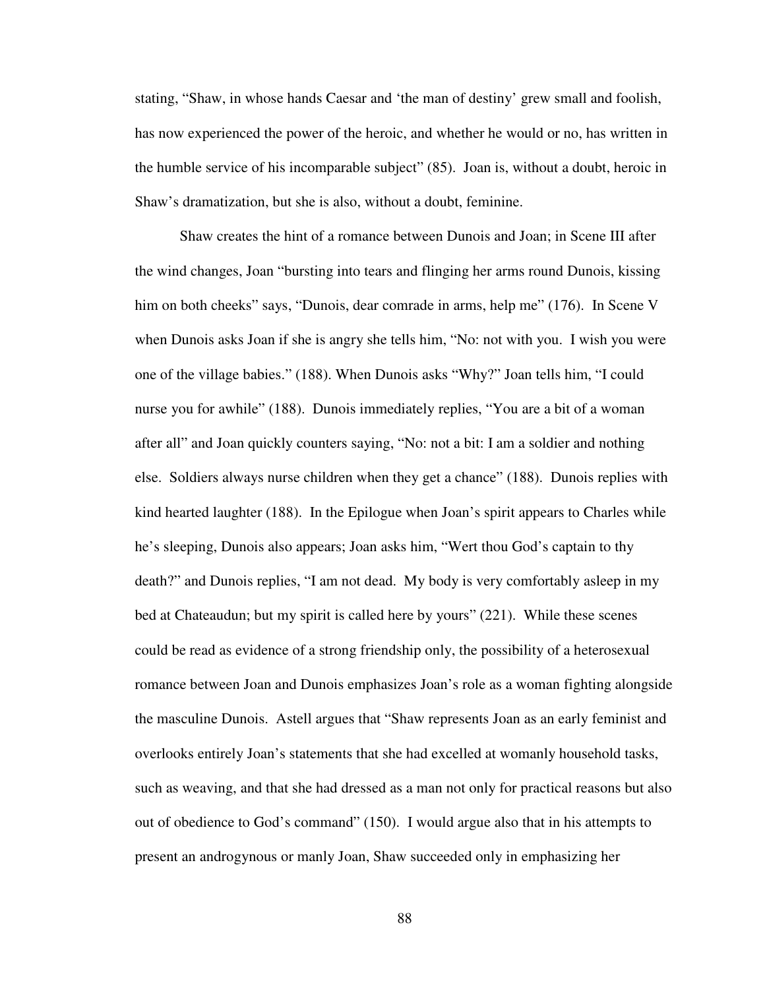stating, "Shaw, in whose hands Caesar and 'the man of destiny' grew small and foolish, has now experienced the power of the heroic, and whether he would or no, has written in the humble service of his incomparable subject" (85). Joan is, without a doubt, heroic in Shaw's dramatization, but she is also, without a doubt, feminine.

 Shaw creates the hint of a romance between Dunois and Joan; in Scene III after the wind changes, Joan "bursting into tears and flinging her arms round Dunois, kissing him on both cheeks" says, "Dunois, dear comrade in arms, help me" (176). In Scene V when Dunois asks Joan if she is angry she tells him, "No: not with you. I wish you were one of the village babies." (188). When Dunois asks "Why?" Joan tells him, "I could nurse you for awhile" (188). Dunois immediately replies, "You are a bit of a woman after all" and Joan quickly counters saying, "No: not a bit: I am a soldier and nothing else. Soldiers always nurse children when they get a chance" (188). Dunois replies with kind hearted laughter (188). In the Epilogue when Joan's spirit appears to Charles while he's sleeping, Dunois also appears; Joan asks him, "Wert thou God's captain to thy death?" and Dunois replies, "I am not dead. My body is very comfortably asleep in my bed at Chateaudun; but my spirit is called here by yours" (221). While these scenes could be read as evidence of a strong friendship only, the possibility of a heterosexual romance between Joan and Dunois emphasizes Joan's role as a woman fighting alongside the masculine Dunois. Astell argues that "Shaw represents Joan as an early feminist and overlooks entirely Joan's statements that she had excelled at womanly household tasks, such as weaving, and that she had dressed as a man not only for practical reasons but also out of obedience to God's command" (150). I would argue also that in his attempts to present an androgynous or manly Joan, Shaw succeeded only in emphasizing her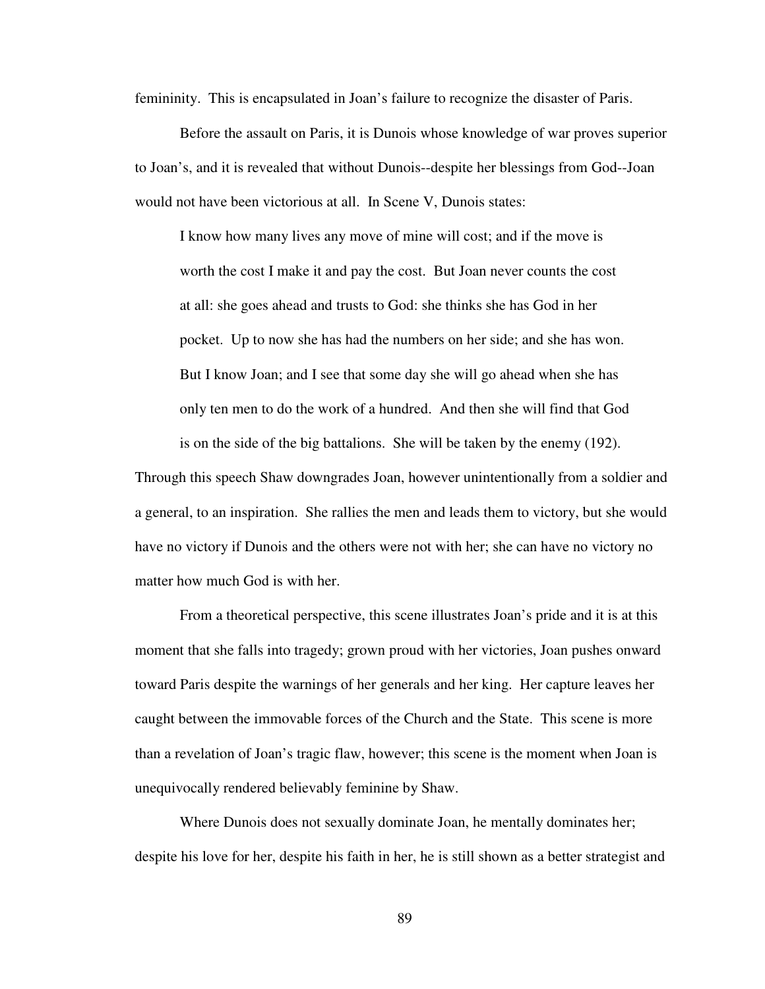femininity. This is encapsulated in Joan's failure to recognize the disaster of Paris.

 Before the assault on Paris, it is Dunois whose knowledge of war proves superior to Joan's, and it is revealed that without Dunois--despite her blessings from God--Joan would not have been victorious at all. In Scene V, Dunois states:

I know how many lives any move of mine will cost; and if the move is worth the cost I make it and pay the cost. But Joan never counts the cost at all: she goes ahead and trusts to God: she thinks she has God in her pocket. Up to now she has had the numbers on her side; and she has won. But I know Joan; and I see that some day she will go ahead when she has only ten men to do the work of a hundred. And then she will find that God is on the side of the big battalions. She will be taken by the enemy (192).

Through this speech Shaw downgrades Joan, however unintentionally from a soldier and a general, to an inspiration. She rallies the men and leads them to victory, but she would have no victory if Dunois and the others were not with her; she can have no victory no matter how much God is with her.

 From a theoretical perspective, this scene illustrates Joan's pride and it is at this moment that she falls into tragedy; grown proud with her victories, Joan pushes onward toward Paris despite the warnings of her generals and her king. Her capture leaves her caught between the immovable forces of the Church and the State. This scene is more than a revelation of Joan's tragic flaw, however; this scene is the moment when Joan is unequivocally rendered believably feminine by Shaw.

 Where Dunois does not sexually dominate Joan, he mentally dominates her; despite his love for her, despite his faith in her, he is still shown as a better strategist and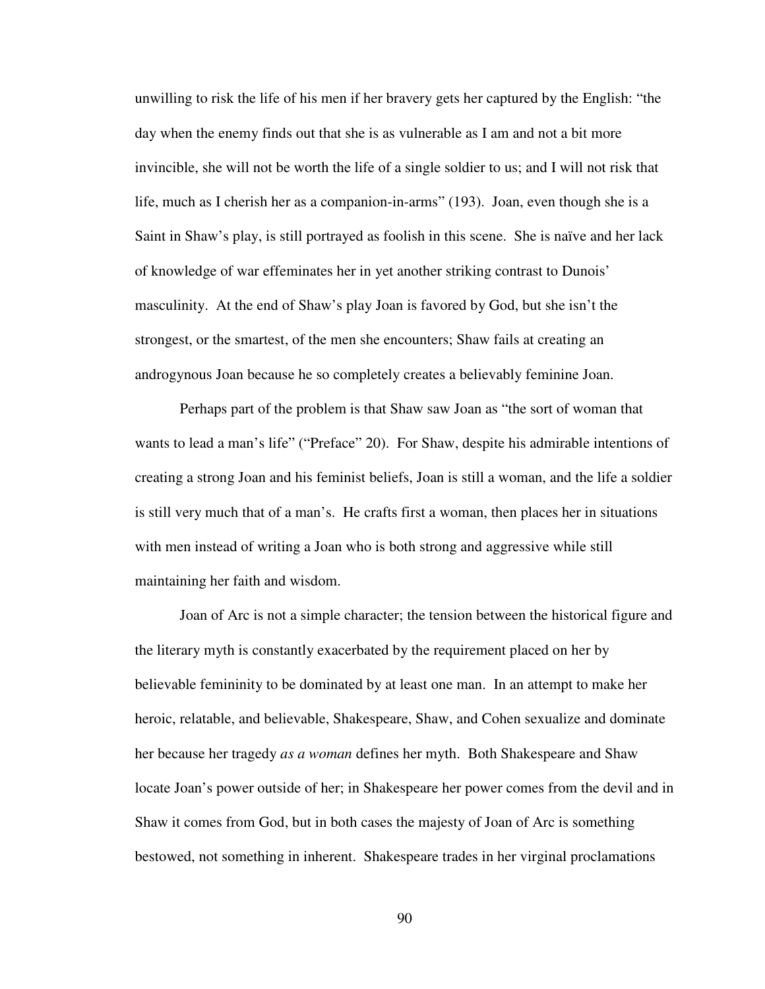unwilling to risk the life of his men if her bravery gets her captured by the English: "the day when the enemy finds out that she is as vulnerable as I am and not a bit more invincible, she will not be worth the life of a single soldier to us; and I will not risk that life, much as I cherish her as a companion-in-arms" (193). Joan, even though she is a Saint in Shaw's play, is still portrayed as foolish in this scene. She is naïve and her lack of knowledge of war effeminates her in yet another striking contrast to Dunois' masculinity. At the end of Shaw's play Joan is favored by God, but she isn't the strongest, or the smartest, of the men she encounters; Shaw fails at creating an androgynous Joan because he so completely creates a believably feminine Joan.

 Perhaps part of the problem is that Shaw saw Joan as "the sort of woman that wants to lead a man's life" ("Preface" 20). For Shaw, despite his admirable intentions of creating a strong Joan and his feminist beliefs, Joan is still a woman, and the life a soldier is still very much that of a man's. He crafts first a woman, then places her in situations with men instead of writing a Joan who is both strong and aggressive while still maintaining her faith and wisdom.

 Joan of Arc is not a simple character; the tension between the historical figure and the literary myth is constantly exacerbated by the requirement placed on her by believable femininity to be dominated by at least one man. In an attempt to make her heroic, relatable, and believable, Shakespeare, Shaw, and Cohen sexualize and dominate her because her tragedy *as a woman* defines her myth. Both Shakespeare and Shaw locate Joan's power outside of her; in Shakespeare her power comes from the devil and in Shaw it comes from God, but in both cases the majesty of Joan of Arc is something bestowed, not something in inherent. Shakespeare trades in her virginal proclamations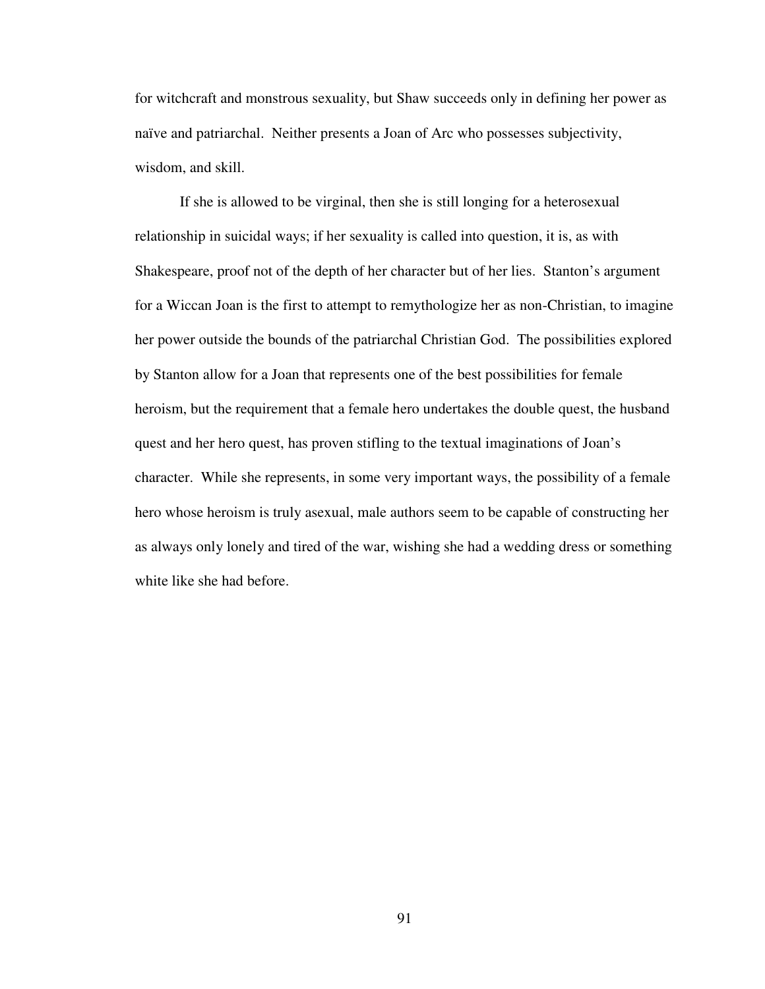for witchcraft and monstrous sexuality, but Shaw succeeds only in defining her power as naïve and patriarchal. Neither presents a Joan of Arc who possesses subjectivity, wisdom, and skill.

 If she is allowed to be virginal, then she is still longing for a heterosexual relationship in suicidal ways; if her sexuality is called into question, it is, as with Shakespeare, proof not of the depth of her character but of her lies. Stanton's argument for a Wiccan Joan is the first to attempt to remythologize her as non-Christian, to imagine her power outside the bounds of the patriarchal Christian God. The possibilities explored by Stanton allow for a Joan that represents one of the best possibilities for female heroism, but the requirement that a female hero undertakes the double quest, the husband quest and her hero quest, has proven stifling to the textual imaginations of Joan's character. While she represents, in some very important ways, the possibility of a female hero whose heroism is truly asexual, male authors seem to be capable of constructing her as always only lonely and tired of the war, wishing she had a wedding dress or something white like she had before.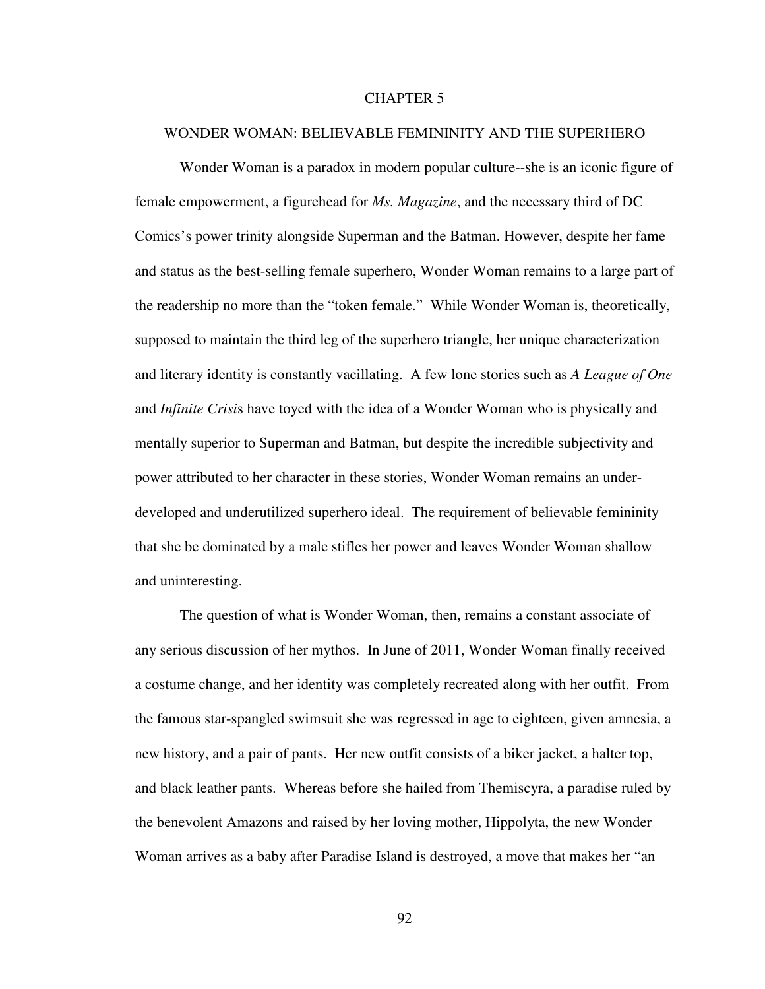### CHAPTER 5

### WONDER WOMAN: BELIEVABLE FEMININITY AND THE SUPERHERO

Wonder Woman is a paradox in modern popular culture--she is an iconic figure of female empowerment, a figurehead for *Ms. Magazine*, and the necessary third of DC Comics's power trinity alongside Superman and the Batman. However, despite her fame and status as the best-selling female superhero, Wonder Woman remains to a large part of the readership no more than the "token female." While Wonder Woman is, theoretically, supposed to maintain the third leg of the superhero triangle, her unique characterization and literary identity is constantly vacillating. A few lone stories such as *A League of One* and *Infinite Crisi*s have toyed with the idea of a Wonder Woman who is physically and mentally superior to Superman and Batman, but despite the incredible subjectivity and power attributed to her character in these stories, Wonder Woman remains an underdeveloped and underutilized superhero ideal. The requirement of believable femininity that she be dominated by a male stifles her power and leaves Wonder Woman shallow and uninteresting.

 The question of what is Wonder Woman, then, remains a constant associate of any serious discussion of her mythos. In June of 2011, Wonder Woman finally received a costume change, and her identity was completely recreated along with her outfit. From the famous star-spangled swimsuit she was regressed in age to eighteen, given amnesia, a new history, and a pair of pants. Her new outfit consists of a biker jacket, a halter top, and black leather pants. Whereas before she hailed from Themiscyra, a paradise ruled by the benevolent Amazons and raised by her loving mother, Hippolyta, the new Wonder Woman arrives as a baby after Paradise Island is destroyed, a move that makes her "an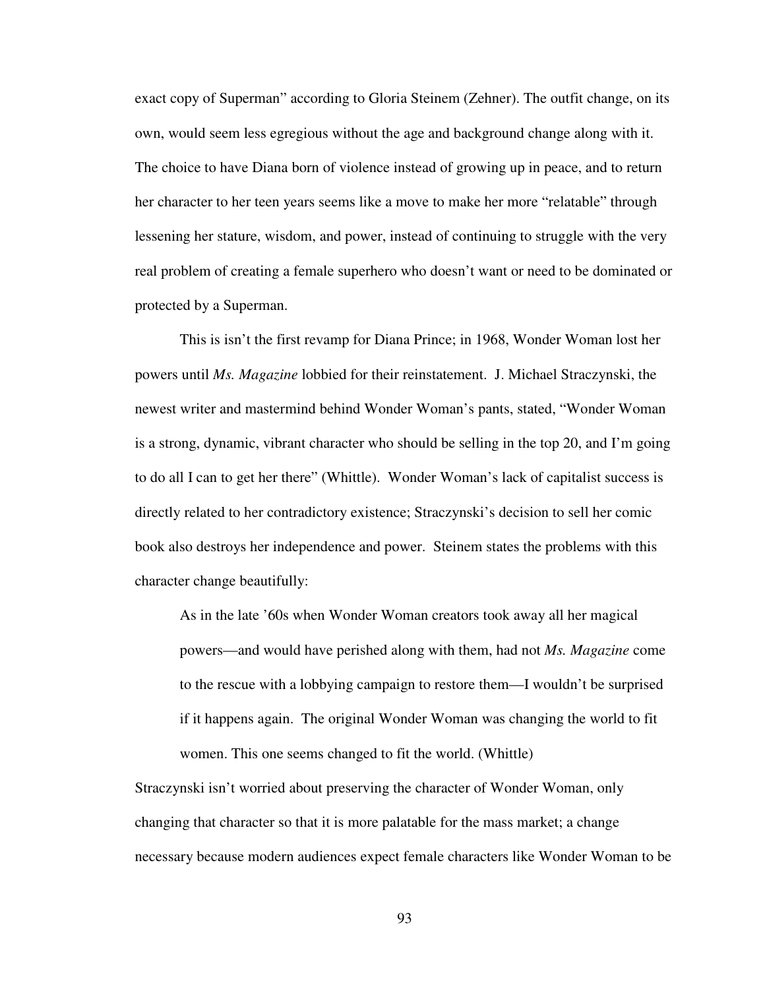exact copy of Superman" according to Gloria Steinem (Zehner). The outfit change, on its own, would seem less egregious without the age and background change along with it. The choice to have Diana born of violence instead of growing up in peace, and to return her character to her teen years seems like a move to make her more "relatable" through lessening her stature, wisdom, and power, instead of continuing to struggle with the very real problem of creating a female superhero who doesn't want or need to be dominated or protected by a Superman.

 This is isn't the first revamp for Diana Prince; in 1968, Wonder Woman lost her powers until *Ms. Magazine* lobbied for their reinstatement. J. Michael Straczynski, the newest writer and mastermind behind Wonder Woman's pants, stated, "Wonder Woman is a strong, dynamic, vibrant character who should be selling in the top 20, and I'm going to do all I can to get her there" (Whittle). Wonder Woman's lack of capitalist success is directly related to her contradictory existence; Straczynski's decision to sell her comic book also destroys her independence and power. Steinem states the problems with this character change beautifully:

As in the late '60s when Wonder Woman creators took away all her magical powers—and would have perished along with them, had not *Ms. Magazine* come to the rescue with a lobbying campaign to restore them—I wouldn't be surprised if it happens again. The original Wonder Woman was changing the world to fit women. This one seems changed to fit the world. (Whittle)

Straczynski isn't worried about preserving the character of Wonder Woman, only changing that character so that it is more palatable for the mass market; a change necessary because modern audiences expect female characters like Wonder Woman to be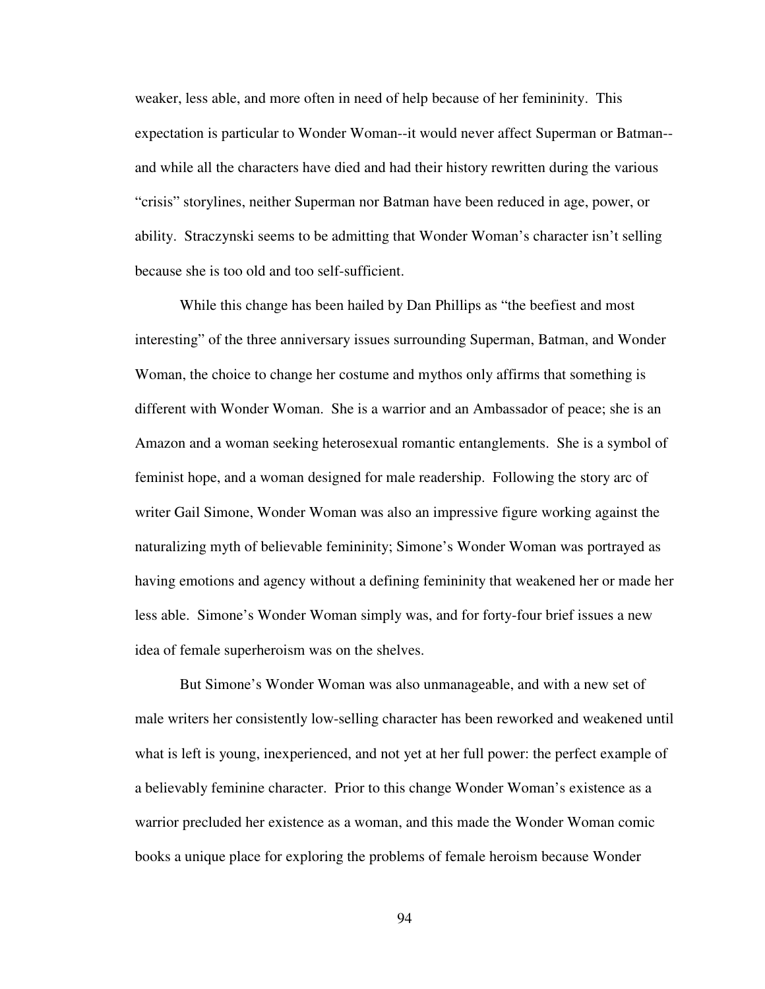weaker, less able, and more often in need of help because of her femininity. This expectation is particular to Wonder Woman--it would never affect Superman or Batman- and while all the characters have died and had their history rewritten during the various "crisis" storylines, neither Superman nor Batman have been reduced in age, power, or ability. Straczynski seems to be admitting that Wonder Woman's character isn't selling because she is too old and too self-sufficient.

 While this change has been hailed by Dan Phillips as "the beefiest and most interesting" of the three anniversary issues surrounding Superman, Batman, and Wonder Woman, the choice to change her costume and mythos only affirms that something is different with Wonder Woman. She is a warrior and an Ambassador of peace; she is an Amazon and a woman seeking heterosexual romantic entanglements. She is a symbol of feminist hope, and a woman designed for male readership. Following the story arc of writer Gail Simone, Wonder Woman was also an impressive figure working against the naturalizing myth of believable femininity; Simone's Wonder Woman was portrayed as having emotions and agency without a defining femininity that weakened her or made her less able. Simone's Wonder Woman simply was, and for forty-four brief issues a new idea of female superheroism was on the shelves.

 But Simone's Wonder Woman was also unmanageable, and with a new set of male writers her consistently low-selling character has been reworked and weakened until what is left is young, inexperienced, and not yet at her full power: the perfect example of a believably feminine character. Prior to this change Wonder Woman's existence as a warrior precluded her existence as a woman, and this made the Wonder Woman comic books a unique place for exploring the problems of female heroism because Wonder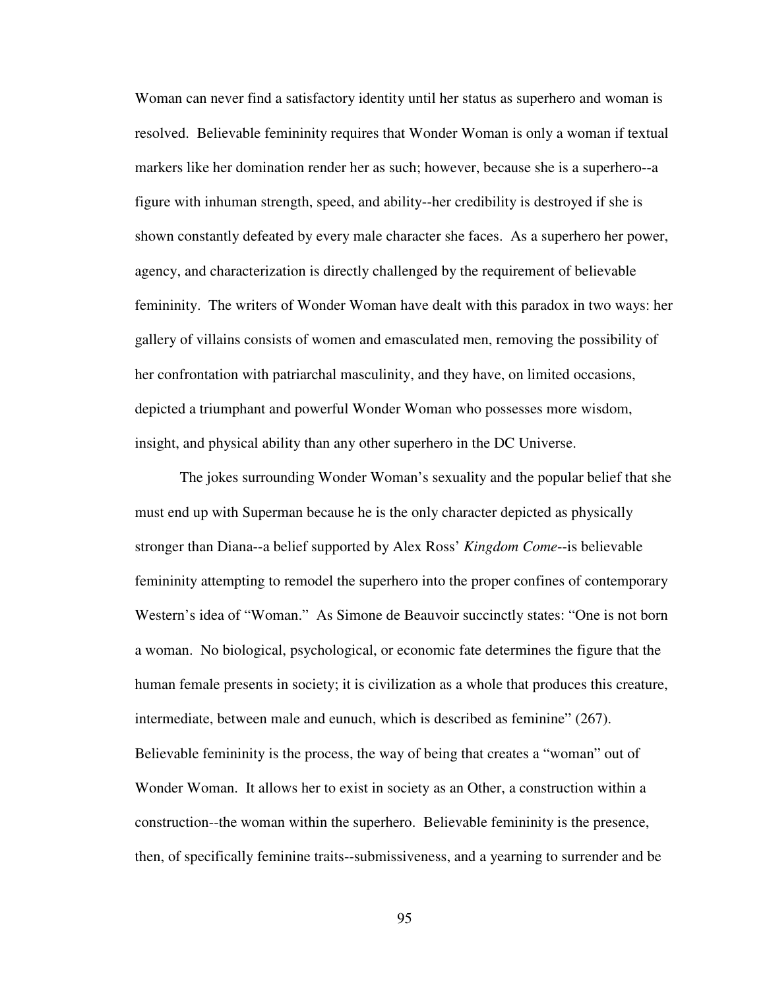Woman can never find a satisfactory identity until her status as superhero and woman is resolved. Believable femininity requires that Wonder Woman is only a woman if textual markers like her domination render her as such; however, because she is a superhero--a figure with inhuman strength, speed, and ability--her credibility is destroyed if she is shown constantly defeated by every male character she faces. As a superhero her power, agency, and characterization is directly challenged by the requirement of believable femininity. The writers of Wonder Woman have dealt with this paradox in two ways: her gallery of villains consists of women and emasculated men, removing the possibility of her confrontation with patriarchal masculinity, and they have, on limited occasions, depicted a triumphant and powerful Wonder Woman who possesses more wisdom, insight, and physical ability than any other superhero in the DC Universe.

 The jokes surrounding Wonder Woman's sexuality and the popular belief that she must end up with Superman because he is the only character depicted as physically stronger than Diana--a belief supported by Alex Ross' *Kingdom Come*--is believable femininity attempting to remodel the superhero into the proper confines of contemporary Western's idea of "Woman." As Simone de Beauvoir succinctly states: "One is not born a woman. No biological, psychological, or economic fate determines the figure that the human female presents in society; it is civilization as a whole that produces this creature, intermediate, between male and eunuch, which is described as feminine" (267). Believable femininity is the process, the way of being that creates a "woman" out of Wonder Woman. It allows her to exist in society as an Other, a construction within a construction--the woman within the superhero. Believable femininity is the presence, then, of specifically feminine traits--submissiveness, and a yearning to surrender and be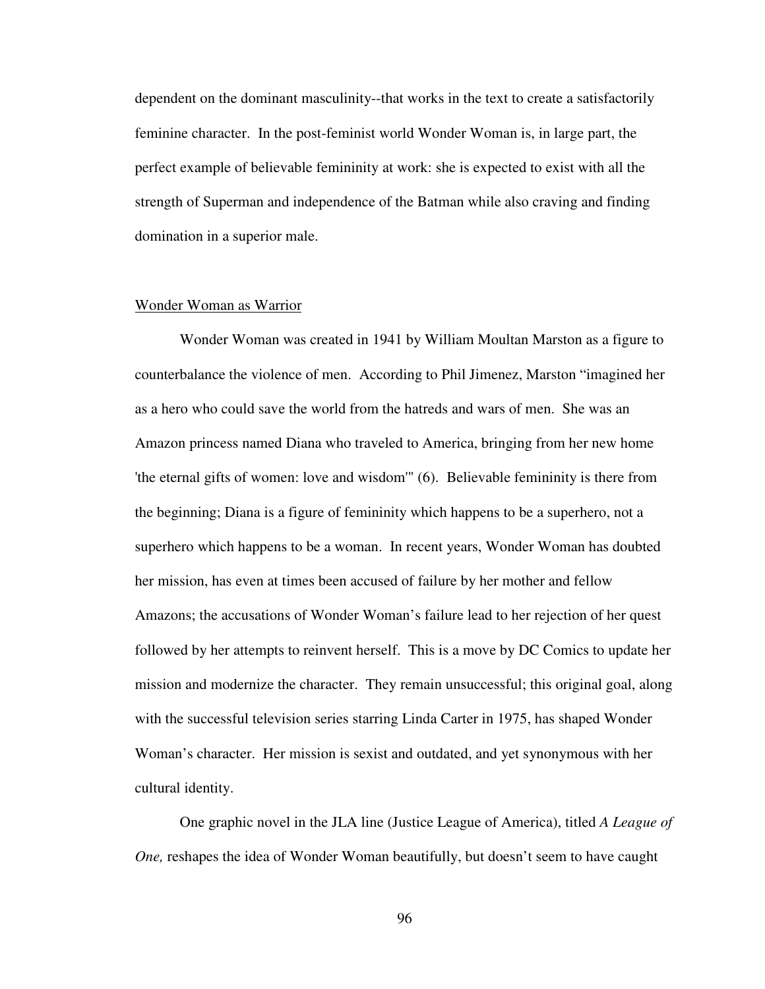dependent on the dominant masculinity--that works in the text to create a satisfactorily feminine character. In the post-feminist world Wonder Woman is, in large part, the perfect example of believable femininity at work: she is expected to exist with all the strength of Superman and independence of the Batman while also craving and finding domination in a superior male.

#### Wonder Woman as Warrior

 Wonder Woman was created in 1941 by William Moultan Marston as a figure to counterbalance the violence of men. According to Phil Jimenez, Marston "imagined her as a hero who could save the world from the hatreds and wars of men. She was an Amazon princess named Diana who traveled to America, bringing from her new home 'the eternal gifts of women: love and wisdom'" (6). Believable femininity is there from the beginning; Diana is a figure of femininity which happens to be a superhero, not a superhero which happens to be a woman. In recent years, Wonder Woman has doubted her mission, has even at times been accused of failure by her mother and fellow Amazons; the accusations of Wonder Woman's failure lead to her rejection of her quest followed by her attempts to reinvent herself. This is a move by DC Comics to update her mission and modernize the character. They remain unsuccessful; this original goal, along with the successful television series starring Linda Carter in 1975, has shaped Wonder Woman's character. Her mission is sexist and outdated, and yet synonymous with her cultural identity.

 One graphic novel in the JLA line (Justice League of America), titled *A League of One,* reshapes the idea of Wonder Woman beautifully, but doesn't seem to have caught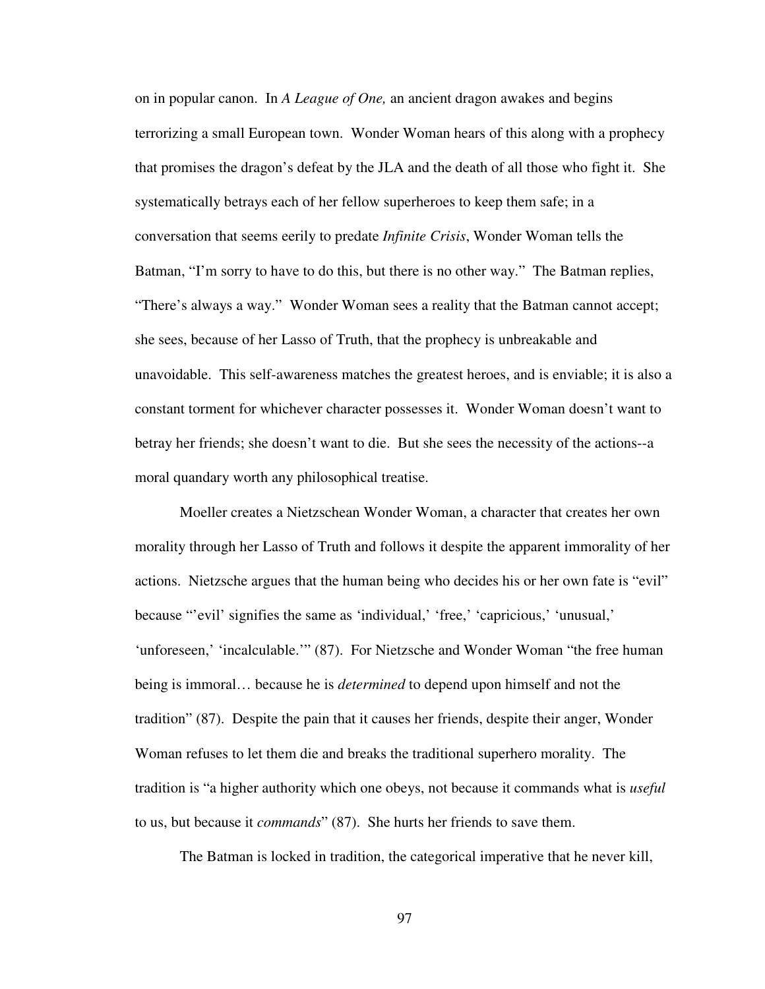on in popular canon. In *A League of One,* an ancient dragon awakes and begins terrorizing a small European town. Wonder Woman hears of this along with a prophecy that promises the dragon's defeat by the JLA and the death of all those who fight it. She systematically betrays each of her fellow superheroes to keep them safe; in a conversation that seems eerily to predate *Infinite Crisis*, Wonder Woman tells the Batman, "I'm sorry to have to do this, but there is no other way." The Batman replies, "There's always a way." Wonder Woman sees a reality that the Batman cannot accept; she sees, because of her Lasso of Truth, that the prophecy is unbreakable and unavoidable. This self-awareness matches the greatest heroes, and is enviable; it is also a constant torment for whichever character possesses it. Wonder Woman doesn't want to betray her friends; she doesn't want to die. But she sees the necessity of the actions--a moral quandary worth any philosophical treatise.

 Moeller creates a Nietzschean Wonder Woman, a character that creates her own morality through her Lasso of Truth and follows it despite the apparent immorality of her actions. Nietzsche argues that the human being who decides his or her own fate is "evil" because "'evil' signifies the same as 'individual,' 'free,' 'capricious,' 'unusual,' 'unforeseen,' 'incalculable.'" (87). For Nietzsche and Wonder Woman "the free human being is immoral… because he is *determined* to depend upon himself and not the tradition" (87). Despite the pain that it causes her friends, despite their anger, Wonder Woman refuses to let them die and breaks the traditional superhero morality. The tradition is "a higher authority which one obeys, not because it commands what is *useful* to us, but because it *commands*" (87). She hurts her friends to save them.

The Batman is locked in tradition, the categorical imperative that he never kill,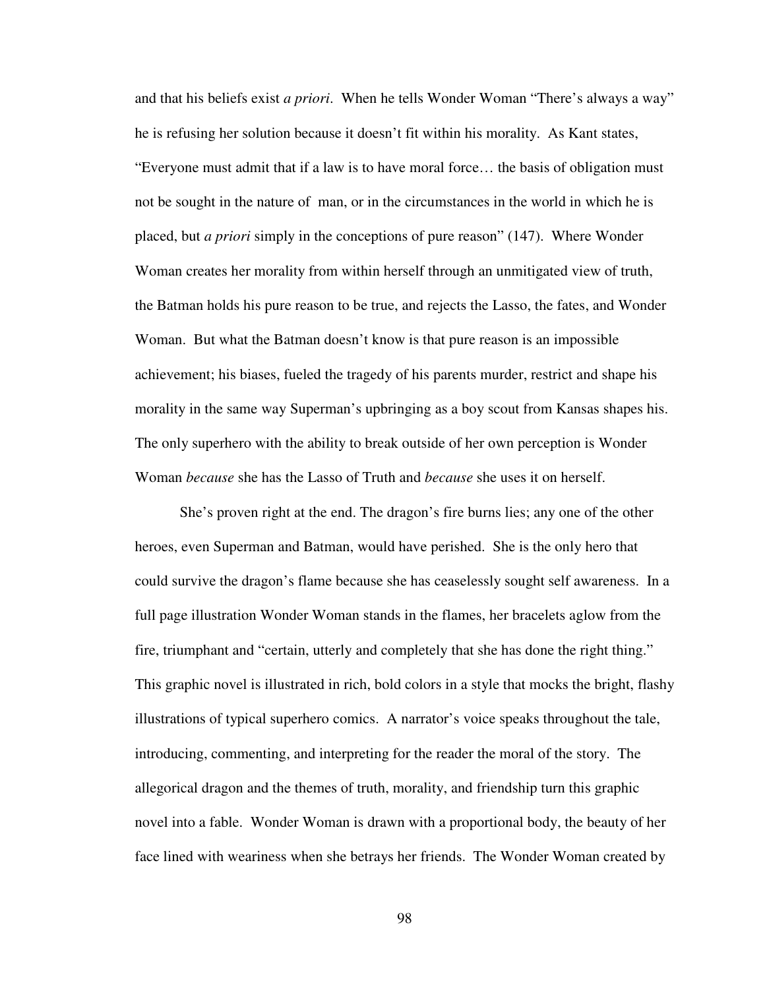and that his beliefs exist *a priori*. When he tells Wonder Woman "There's always a way" he is refusing her solution because it doesn't fit within his morality. As Kant states, "Everyone must admit that if a law is to have moral force… the basis of obligation must not be sought in the nature of man, or in the circumstances in the world in which he is placed, but *a priori* simply in the conceptions of pure reason" (147). Where Wonder Woman creates her morality from within herself through an unmitigated view of truth, the Batman holds his pure reason to be true, and rejects the Lasso, the fates, and Wonder Woman. But what the Batman doesn't know is that pure reason is an impossible achievement; his biases, fueled the tragedy of his parents murder, restrict and shape his morality in the same way Superman's upbringing as a boy scout from Kansas shapes his. The only superhero with the ability to break outside of her own perception is Wonder Woman *because* she has the Lasso of Truth and *because* she uses it on herself.

 She's proven right at the end. The dragon's fire burns lies; any one of the other heroes, even Superman and Batman, would have perished. She is the only hero that could survive the dragon's flame because she has ceaselessly sought self awareness. In a full page illustration Wonder Woman stands in the flames, her bracelets aglow from the fire, triumphant and "certain, utterly and completely that she has done the right thing." This graphic novel is illustrated in rich, bold colors in a style that mocks the bright, flashy illustrations of typical superhero comics. A narrator's voice speaks throughout the tale, introducing, commenting, and interpreting for the reader the moral of the story. The allegorical dragon and the themes of truth, morality, and friendship turn this graphic novel into a fable. Wonder Woman is drawn with a proportional body, the beauty of her face lined with weariness when she betrays her friends. The Wonder Woman created by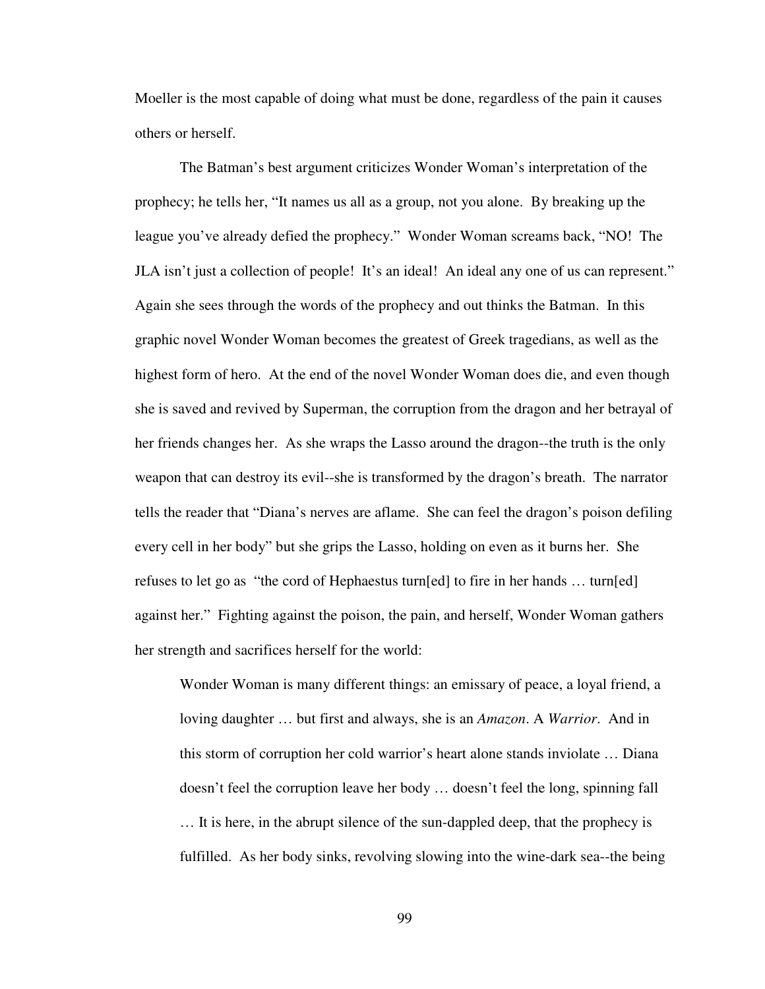Moeller is the most capable of doing what must be done, regardless of the pain it causes others or herself.

 The Batman's best argument criticizes Wonder Woman's interpretation of the prophecy; he tells her, "It names us all as a group, not you alone. By breaking up the league you've already defied the prophecy." Wonder Woman screams back, "NO! The JLA isn't just a collection of people! It's an ideal! An ideal any one of us can represent." Again she sees through the words of the prophecy and out thinks the Batman. In this graphic novel Wonder Woman becomes the greatest of Greek tragedians, as well as the highest form of hero. At the end of the novel Wonder Woman does die, and even though she is saved and revived by Superman, the corruption from the dragon and her betrayal of her friends changes her. As she wraps the Lasso around the dragon--the truth is the only weapon that can destroy its evil--she is transformed by the dragon's breath. The narrator tells the reader that "Diana's nerves are aflame. She can feel the dragon's poison defiling every cell in her body" but she grips the Lasso, holding on even as it burns her. She refuses to let go as "the cord of Hephaestus turn[ed] to fire in her hands … turn[ed] against her." Fighting against the poison, the pain, and herself, Wonder Woman gathers her strength and sacrifices herself for the world:

Wonder Woman is many different things: an emissary of peace, a loyal friend, a loving daughter … but first and always, she is an *Amazon*. A *Warrior*. And in this storm of corruption her cold warrior's heart alone stands inviolate … Diana doesn't feel the corruption leave her body … doesn't feel the long, spinning fall … It is here, in the abrupt silence of the sun-dappled deep, that the prophecy is fulfilled. As her body sinks, revolving slowing into the wine-dark sea--the being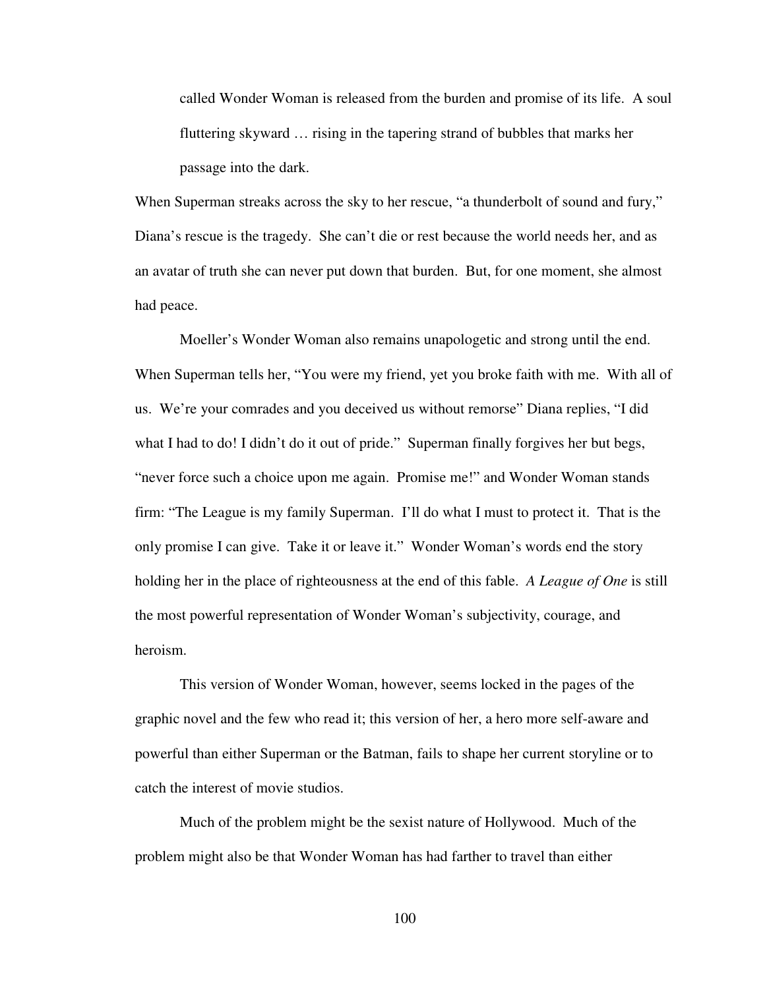called Wonder Woman is released from the burden and promise of its life. A soul fluttering skyward … rising in the tapering strand of bubbles that marks her passage into the dark.

When Superman streaks across the sky to her rescue, "a thunderbolt of sound and fury," Diana's rescue is the tragedy. She can't die or rest because the world needs her, and as an avatar of truth she can never put down that burden. But, for one moment, she almost had peace.

 Moeller's Wonder Woman also remains unapologetic and strong until the end. When Superman tells her, "You were my friend, yet you broke faith with me. With all of us. We're your comrades and you deceived us without remorse" Diana replies, "I did what I had to do! I didn't do it out of pride." Superman finally forgives her but begs, "never force such a choice upon me again. Promise me!" and Wonder Woman stands firm: "The League is my family Superman. I'll do what I must to protect it. That is the only promise I can give. Take it or leave it." Wonder Woman's words end the story holding her in the place of righteousness at the end of this fable. *A League of One* is still the most powerful representation of Wonder Woman's subjectivity, courage, and heroism.

 This version of Wonder Woman, however, seems locked in the pages of the graphic novel and the few who read it; this version of her, a hero more self-aware and powerful than either Superman or the Batman, fails to shape her current storyline or to catch the interest of movie studios.

 Much of the problem might be the sexist nature of Hollywood. Much of the problem might also be that Wonder Woman has had farther to travel than either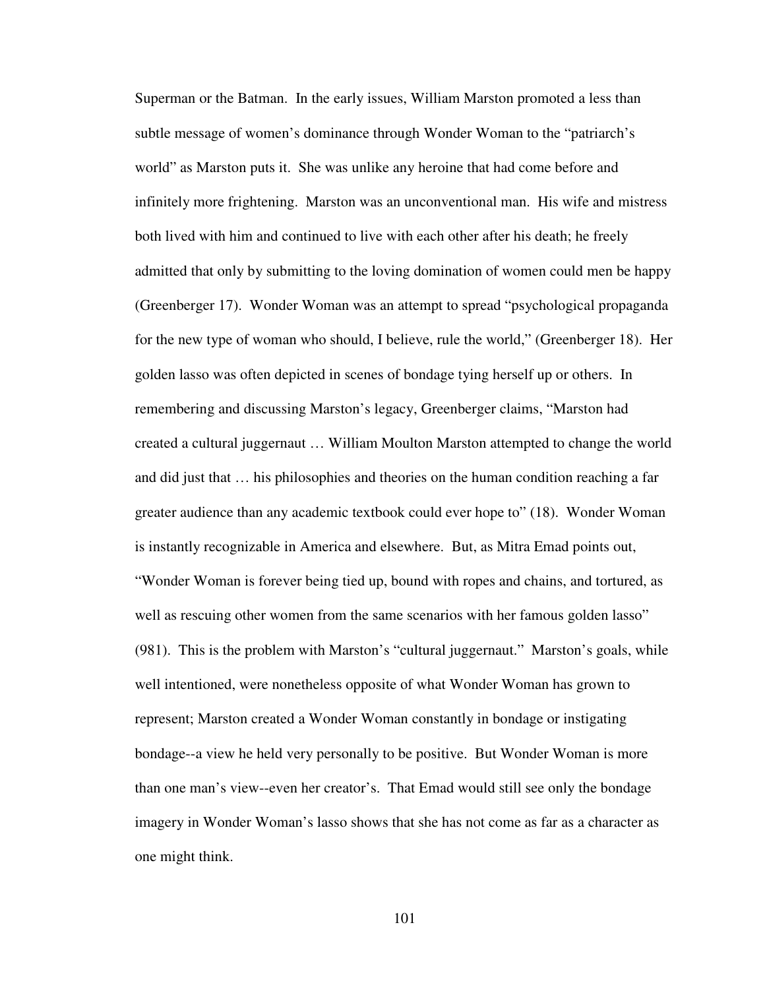Superman or the Batman. In the early issues, William Marston promoted a less than subtle message of women's dominance through Wonder Woman to the "patriarch's world" as Marston puts it. She was unlike any heroine that had come before and infinitely more frightening. Marston was an unconventional man. His wife and mistress both lived with him and continued to live with each other after his death; he freely admitted that only by submitting to the loving domination of women could men be happy (Greenberger 17). Wonder Woman was an attempt to spread "psychological propaganda for the new type of woman who should, I believe, rule the world," (Greenberger 18). Her golden lasso was often depicted in scenes of bondage tying herself up or others. In remembering and discussing Marston's legacy, Greenberger claims, "Marston had created a cultural juggernaut … William Moulton Marston attempted to change the world and did just that … his philosophies and theories on the human condition reaching a far greater audience than any academic textbook could ever hope to" (18). Wonder Woman is instantly recognizable in America and elsewhere. But, as Mitra Emad points out, "Wonder Woman is forever being tied up, bound with ropes and chains, and tortured, as well as rescuing other women from the same scenarios with her famous golden lasso" (981). This is the problem with Marston's "cultural juggernaut." Marston's goals, while well intentioned, were nonetheless opposite of what Wonder Woman has grown to represent; Marston created a Wonder Woman constantly in bondage or instigating bondage--a view he held very personally to be positive. But Wonder Woman is more than one man's view--even her creator's. That Emad would still see only the bondage imagery in Wonder Woman's lasso shows that she has not come as far as a character as one might think.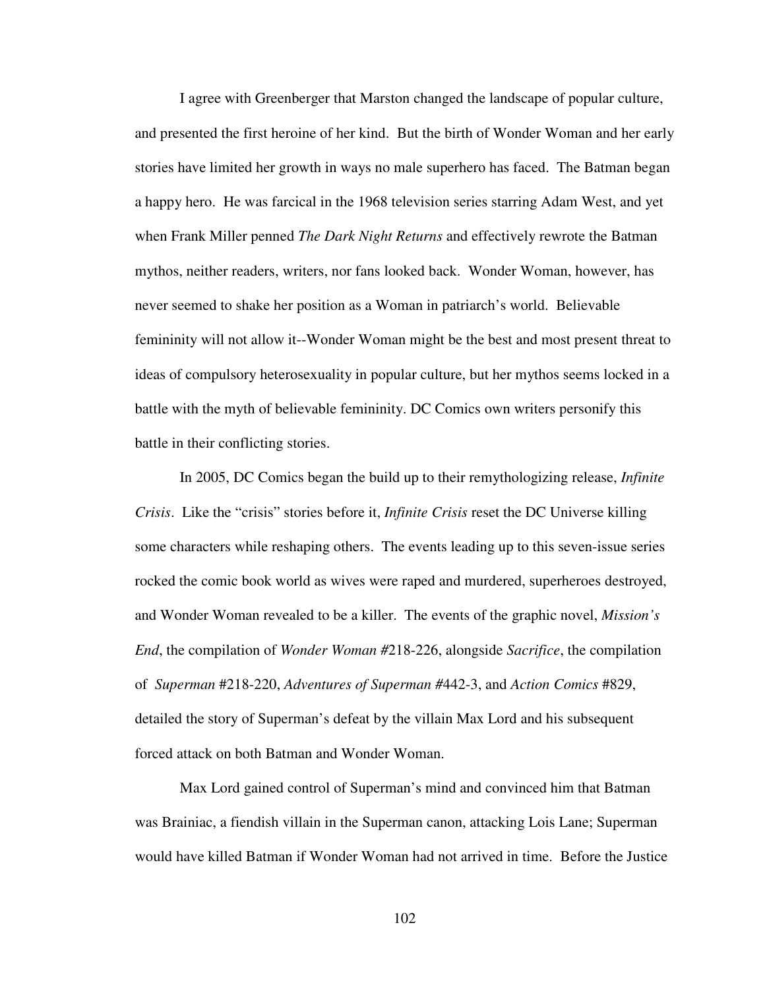I agree with Greenberger that Marston changed the landscape of popular culture, and presented the first heroine of her kind. But the birth of Wonder Woman and her early stories have limited her growth in ways no male superhero has faced. The Batman began a happy hero. He was farcical in the 1968 television series starring Adam West, and yet when Frank Miller penned *The Dark Night Returns* and effectively rewrote the Batman mythos, neither readers, writers, nor fans looked back. Wonder Woman, however, has never seemed to shake her position as a Woman in patriarch's world. Believable femininity will not allow it--Wonder Woman might be the best and most present threat to ideas of compulsory heterosexuality in popular culture, but her mythos seems locked in a battle with the myth of believable femininity. DC Comics own writers personify this battle in their conflicting stories.

In 2005, DC Comics began the build up to their remythologizing release, *Infinite Crisis*. Like the "crisis" stories before it, *Infinite Crisis* reset the DC Universe killing some characters while reshaping others. The events leading up to this seven-issue series rocked the comic book world as wives were raped and murdered, superheroes destroyed, and Wonder Woman revealed to be a killer. The events of the graphic novel, *Mission's End*, the compilation of *Wonder Woman #*218-226, alongside *Sacrifice*, the compilation of *Superman* #218-220, *Adventures of Superman #*442-3, and *Action Comics* #829, detailed the story of Superman's defeat by the villain Max Lord and his subsequent forced attack on both Batman and Wonder Woman.

 Max Lord gained control of Superman's mind and convinced him that Batman was Brainiac, a fiendish villain in the Superman canon, attacking Lois Lane; Superman would have killed Batman if Wonder Woman had not arrived in time. Before the Justice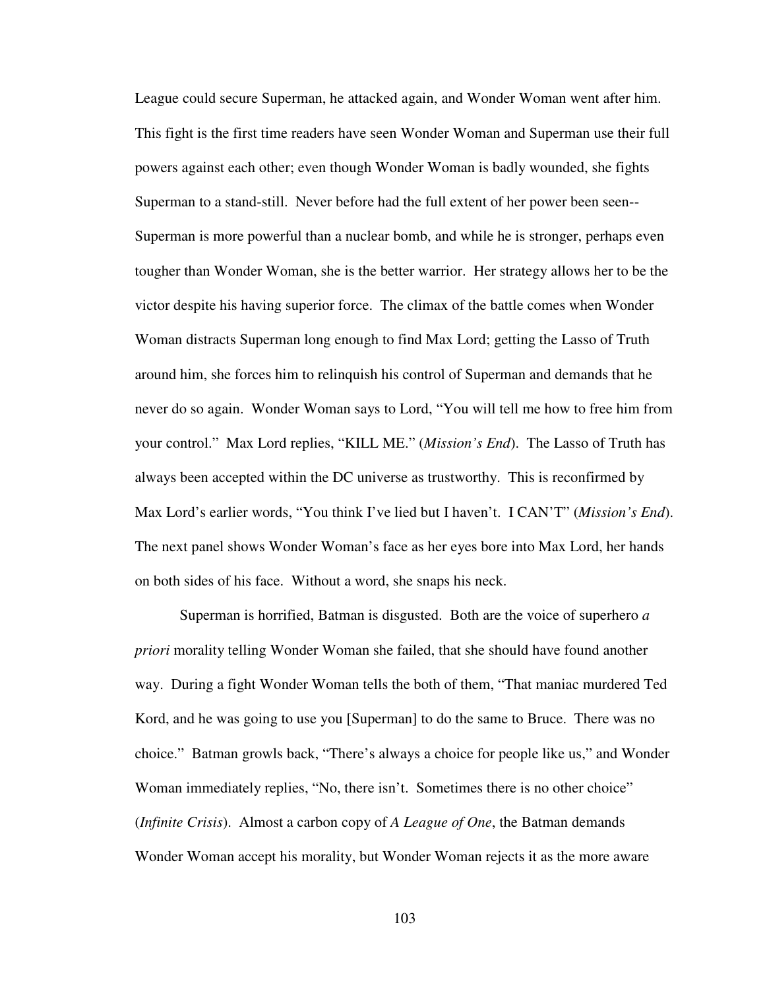League could secure Superman, he attacked again, and Wonder Woman went after him. This fight is the first time readers have seen Wonder Woman and Superman use their full powers against each other; even though Wonder Woman is badly wounded, she fights Superman to a stand-still. Never before had the full extent of her power been seen-- Superman is more powerful than a nuclear bomb, and while he is stronger, perhaps even tougher than Wonder Woman, she is the better warrior. Her strategy allows her to be the victor despite his having superior force. The climax of the battle comes when Wonder Woman distracts Superman long enough to find Max Lord; getting the Lasso of Truth around him, she forces him to relinquish his control of Superman and demands that he never do so again. Wonder Woman says to Lord, "You will tell me how to free him from your control." Max Lord replies, "KILL ME." (*Mission's End*). The Lasso of Truth has always been accepted within the DC universe as trustworthy. This is reconfirmed by Max Lord's earlier words, "You think I've lied but I haven't. I CAN'T" (*Mission's End*). The next panel shows Wonder Woman's face as her eyes bore into Max Lord, her hands on both sides of his face. Without a word, she snaps his neck.

 Superman is horrified, Batman is disgusted. Both are the voice of superhero *a priori* morality telling Wonder Woman she failed, that she should have found another way. During a fight Wonder Woman tells the both of them, "That maniac murdered Ted Kord, and he was going to use you [Superman] to do the same to Bruce. There was no choice." Batman growls back, "There's always a choice for people like us," and Wonder Woman immediately replies, "No, there isn't. Sometimes there is no other choice" (*Infinite Crisis*). Almost a carbon copy of *A League of One*, the Batman demands Wonder Woman accept his morality, but Wonder Woman rejects it as the more aware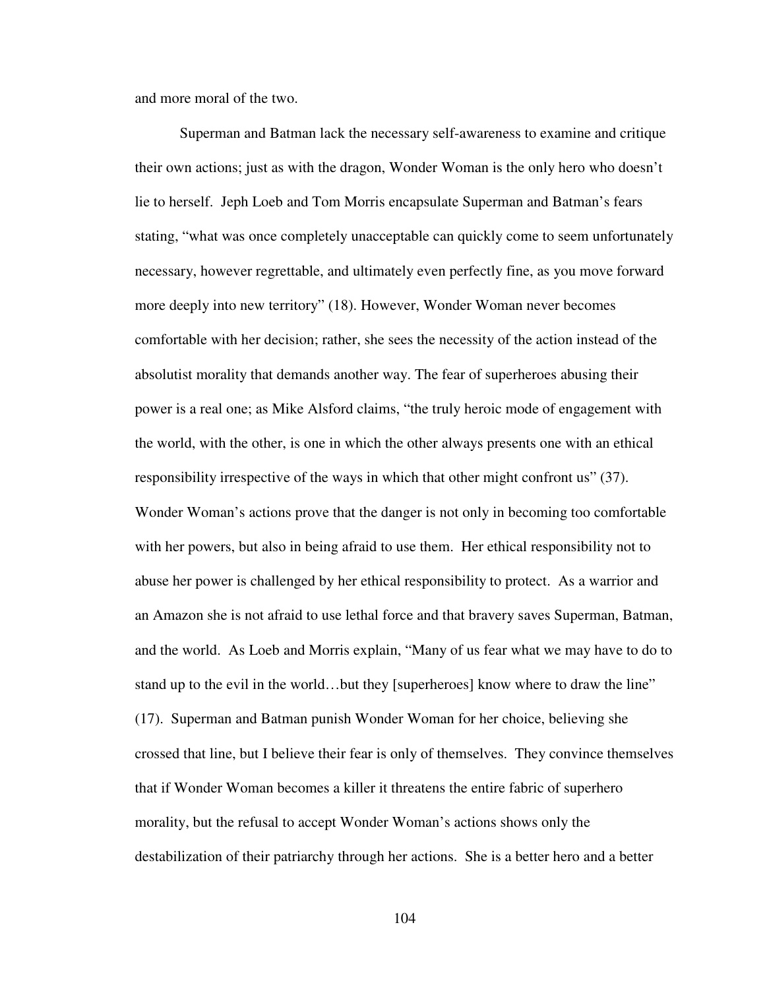and more moral of the two.

 Superman and Batman lack the necessary self-awareness to examine and critique their own actions; just as with the dragon, Wonder Woman is the only hero who doesn't lie to herself. Jeph Loeb and Tom Morris encapsulate Superman and Batman's fears stating, "what was once completely unacceptable can quickly come to seem unfortunately necessary, however regrettable, and ultimately even perfectly fine, as you move forward more deeply into new territory" (18). However, Wonder Woman never becomes comfortable with her decision; rather, she sees the necessity of the action instead of the absolutist morality that demands another way. The fear of superheroes abusing their power is a real one; as Mike Alsford claims, "the truly heroic mode of engagement with the world, with the other, is one in which the other always presents one with an ethical responsibility irrespective of the ways in which that other might confront us" (37). Wonder Woman's actions prove that the danger is not only in becoming too comfortable with her powers, but also in being afraid to use them. Her ethical responsibility not to abuse her power is challenged by her ethical responsibility to protect. As a warrior and an Amazon she is not afraid to use lethal force and that bravery saves Superman, Batman, and the world. As Loeb and Morris explain, "Many of us fear what we may have to do to stand up to the evil in the world…but they [superheroes] know where to draw the line" (17). Superman and Batman punish Wonder Woman for her choice, believing she crossed that line, but I believe their fear is only of themselves. They convince themselves that if Wonder Woman becomes a killer it threatens the entire fabric of superhero morality, but the refusal to accept Wonder Woman's actions shows only the destabilization of their patriarchy through her actions. She is a better hero and a better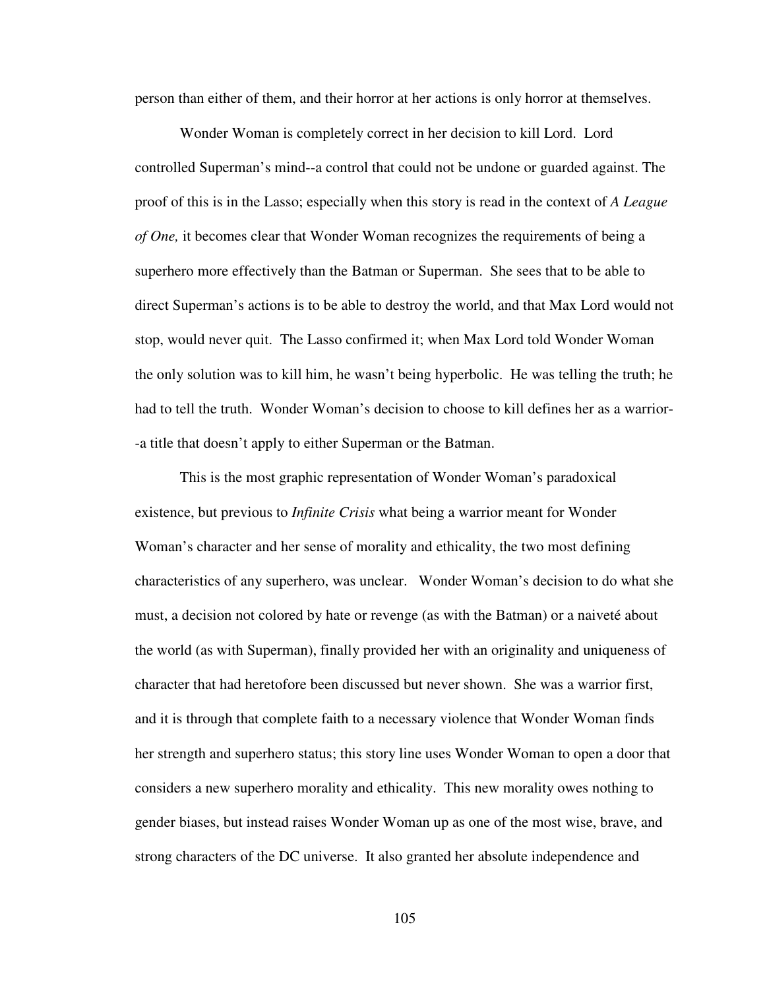person than either of them, and their horror at her actions is only horror at themselves.

 Wonder Woman is completely correct in her decision to kill Lord. Lord controlled Superman's mind--a control that could not be undone or guarded against. The proof of this is in the Lasso; especially when this story is read in the context of *A League of One,* it becomes clear that Wonder Woman recognizes the requirements of being a superhero more effectively than the Batman or Superman. She sees that to be able to direct Superman's actions is to be able to destroy the world, and that Max Lord would not stop, would never quit. The Lasso confirmed it; when Max Lord told Wonder Woman the only solution was to kill him, he wasn't being hyperbolic. He was telling the truth; he had to tell the truth. Wonder Woman's decision to choose to kill defines her as a warrior- -a title that doesn't apply to either Superman or the Batman.

 This is the most graphic representation of Wonder Woman's paradoxical existence, but previous to *Infinite Crisis* what being a warrior meant for Wonder Woman's character and her sense of morality and ethicality, the two most defining characteristics of any superhero, was unclear. Wonder Woman's decision to do what she must, a decision not colored by hate or revenge (as with the Batman) or a naiveté about the world (as with Superman), finally provided her with an originality and uniqueness of character that had heretofore been discussed but never shown. She was a warrior first, and it is through that complete faith to a necessary violence that Wonder Woman finds her strength and superhero status; this story line uses Wonder Woman to open a door that considers a new superhero morality and ethicality. This new morality owes nothing to gender biases, but instead raises Wonder Woman up as one of the most wise, brave, and strong characters of the DC universe. It also granted her absolute independence and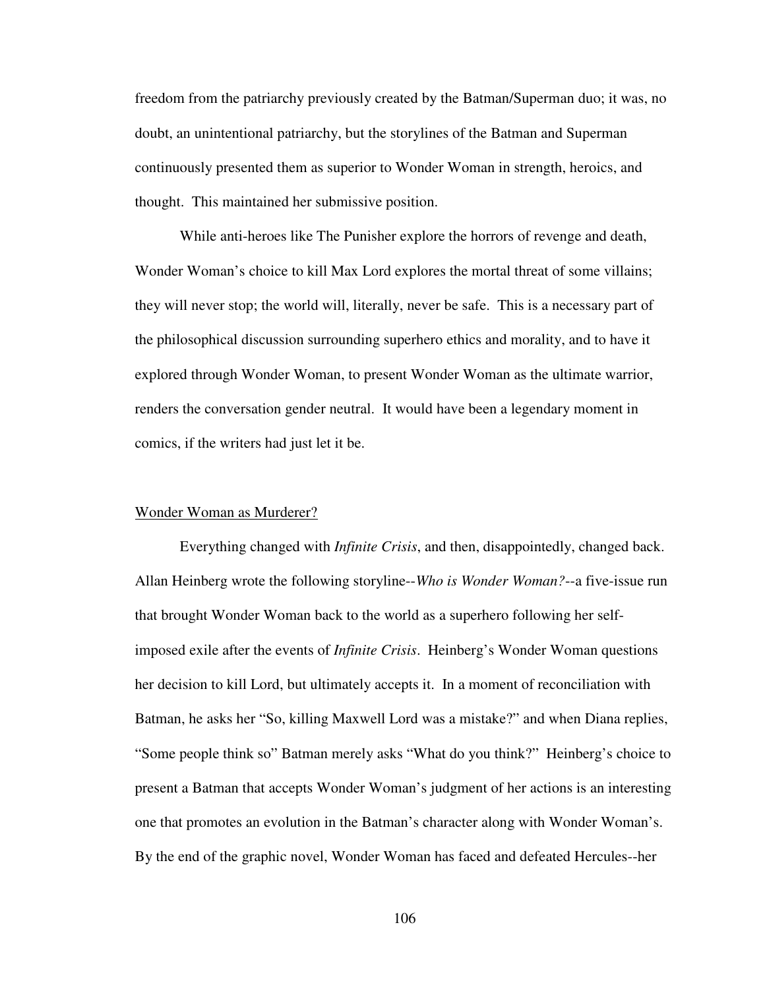freedom from the patriarchy previously created by the Batman/Superman duo; it was, no doubt, an unintentional patriarchy, but the storylines of the Batman and Superman continuously presented them as superior to Wonder Woman in strength, heroics, and thought. This maintained her submissive position.

 While anti-heroes like The Punisher explore the horrors of revenge and death, Wonder Woman's choice to kill Max Lord explores the mortal threat of some villains; they will never stop; the world will, literally, never be safe. This is a necessary part of the philosophical discussion surrounding superhero ethics and morality, and to have it explored through Wonder Woman, to present Wonder Woman as the ultimate warrior, renders the conversation gender neutral. It would have been a legendary moment in comics, if the writers had just let it be.

# Wonder Woman as Murderer?

 Everything changed with *Infinite Crisis*, and then, disappointedly, changed back. Allan Heinberg wrote the following storyline--*Who is Wonder Woman?*--a five-issue run that brought Wonder Woman back to the world as a superhero following her selfimposed exile after the events of *Infinite Crisis*. Heinberg's Wonder Woman questions her decision to kill Lord, but ultimately accepts it. In a moment of reconciliation with Batman, he asks her "So, killing Maxwell Lord was a mistake?" and when Diana replies, "Some people think so" Batman merely asks "What do you think?" Heinberg's choice to present a Batman that accepts Wonder Woman's judgment of her actions is an interesting one that promotes an evolution in the Batman's character along with Wonder Woman's. By the end of the graphic novel, Wonder Woman has faced and defeated Hercules--her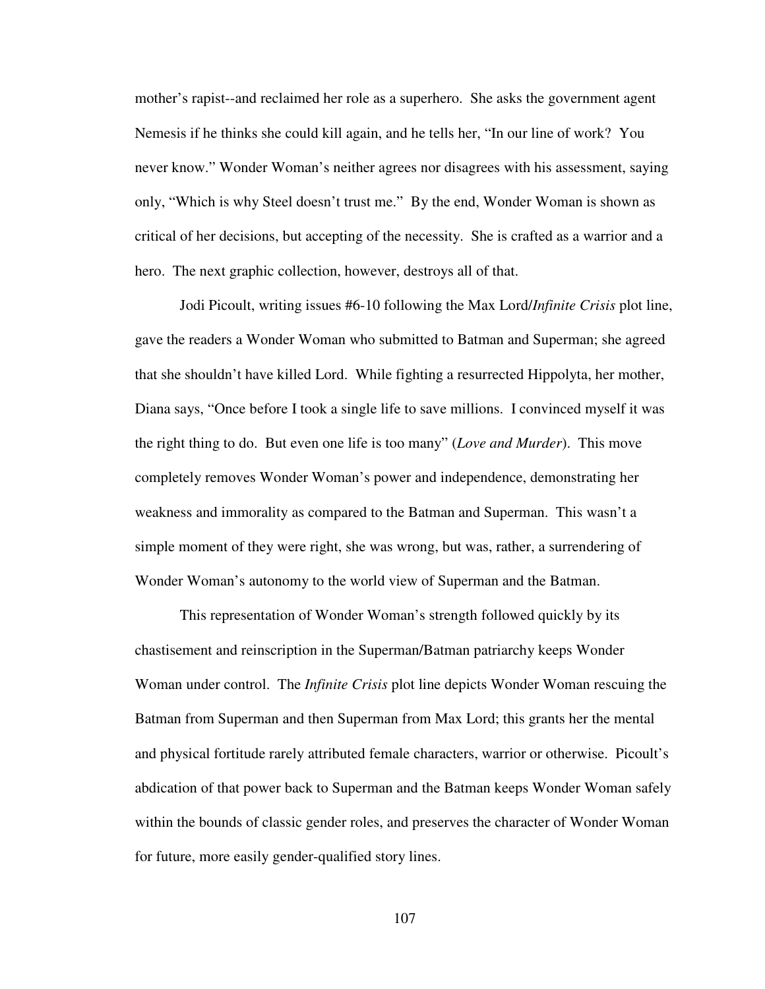mother's rapist--and reclaimed her role as a superhero. She asks the government agent Nemesis if he thinks she could kill again, and he tells her, "In our line of work? You never know." Wonder Woman's neither agrees nor disagrees with his assessment, saying only, "Which is why Steel doesn't trust me." By the end, Wonder Woman is shown as critical of her decisions, but accepting of the necessity. She is crafted as a warrior and a hero. The next graphic collection, however, destroys all of that.

 Jodi Picoult, writing issues #6-10 following the Max Lord/*Infinite Crisis* plot line, gave the readers a Wonder Woman who submitted to Batman and Superman; she agreed that she shouldn't have killed Lord. While fighting a resurrected Hippolyta, her mother, Diana says, "Once before I took a single life to save millions. I convinced myself it was the right thing to do. But even one life is too many" (*Love and Murder*). This move completely removes Wonder Woman's power and independence, demonstrating her weakness and immorality as compared to the Batman and Superman. This wasn't a simple moment of they were right, she was wrong, but was, rather, a surrendering of Wonder Woman's autonomy to the world view of Superman and the Batman.

 This representation of Wonder Woman's strength followed quickly by its chastisement and reinscription in the Superman/Batman patriarchy keeps Wonder Woman under control. The *Infinite Crisis* plot line depicts Wonder Woman rescuing the Batman from Superman and then Superman from Max Lord; this grants her the mental and physical fortitude rarely attributed female characters, warrior or otherwise. Picoult's abdication of that power back to Superman and the Batman keeps Wonder Woman safely within the bounds of classic gender roles, and preserves the character of Wonder Woman for future, more easily gender-qualified story lines.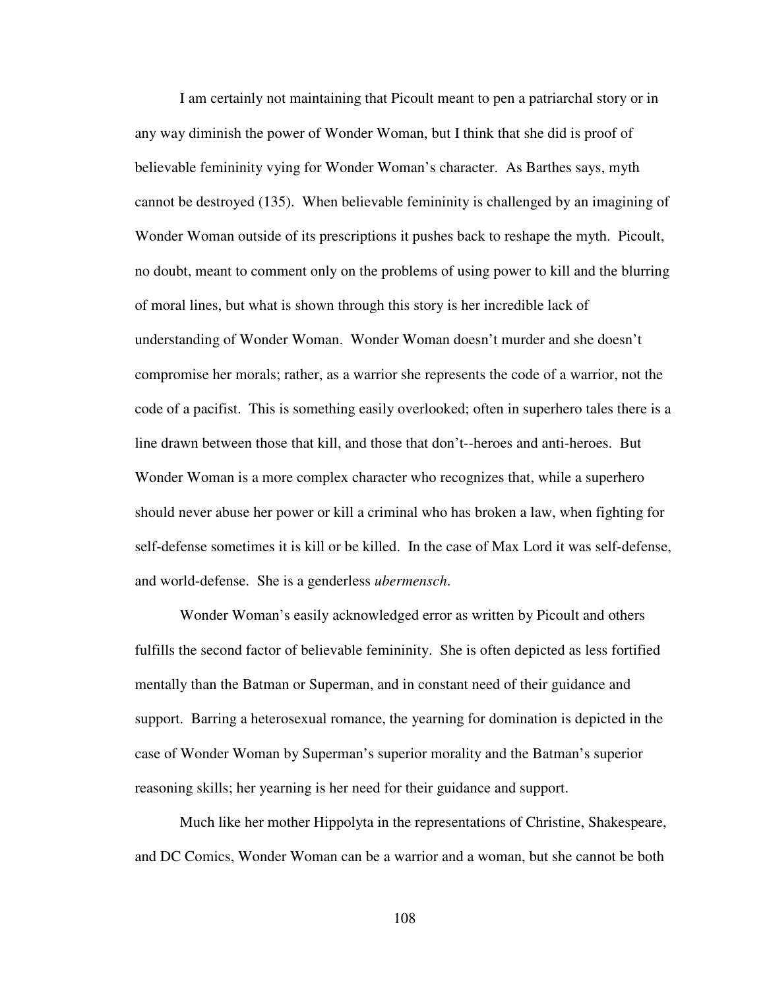I am certainly not maintaining that Picoult meant to pen a patriarchal story or in any way diminish the power of Wonder Woman, but I think that she did is proof of believable femininity vying for Wonder Woman's character. As Barthes says, myth cannot be destroyed (135). When believable femininity is challenged by an imagining of Wonder Woman outside of its prescriptions it pushes back to reshape the myth. Picoult, no doubt, meant to comment only on the problems of using power to kill and the blurring of moral lines, but what is shown through this story is her incredible lack of understanding of Wonder Woman. Wonder Woman doesn't murder and she doesn't compromise her morals; rather, as a warrior she represents the code of a warrior, not the code of a pacifist. This is something easily overlooked; often in superhero tales there is a line drawn between those that kill, and those that don't--heroes and anti-heroes. But Wonder Woman is a more complex character who recognizes that, while a superhero should never abuse her power or kill a criminal who has broken a law, when fighting for self-defense sometimes it is kill or be killed. In the case of Max Lord it was self-defense, and world-defense. She is a genderless *ubermensch*.

 Wonder Woman's easily acknowledged error as written by Picoult and others fulfills the second factor of believable femininity. She is often depicted as less fortified mentally than the Batman or Superman, and in constant need of their guidance and support. Barring a heterosexual romance, the yearning for domination is depicted in the case of Wonder Woman by Superman's superior morality and the Batman's superior reasoning skills; her yearning is her need for their guidance and support.

 Much like her mother Hippolyta in the representations of Christine, Shakespeare, and DC Comics, Wonder Woman can be a warrior and a woman, but she cannot be both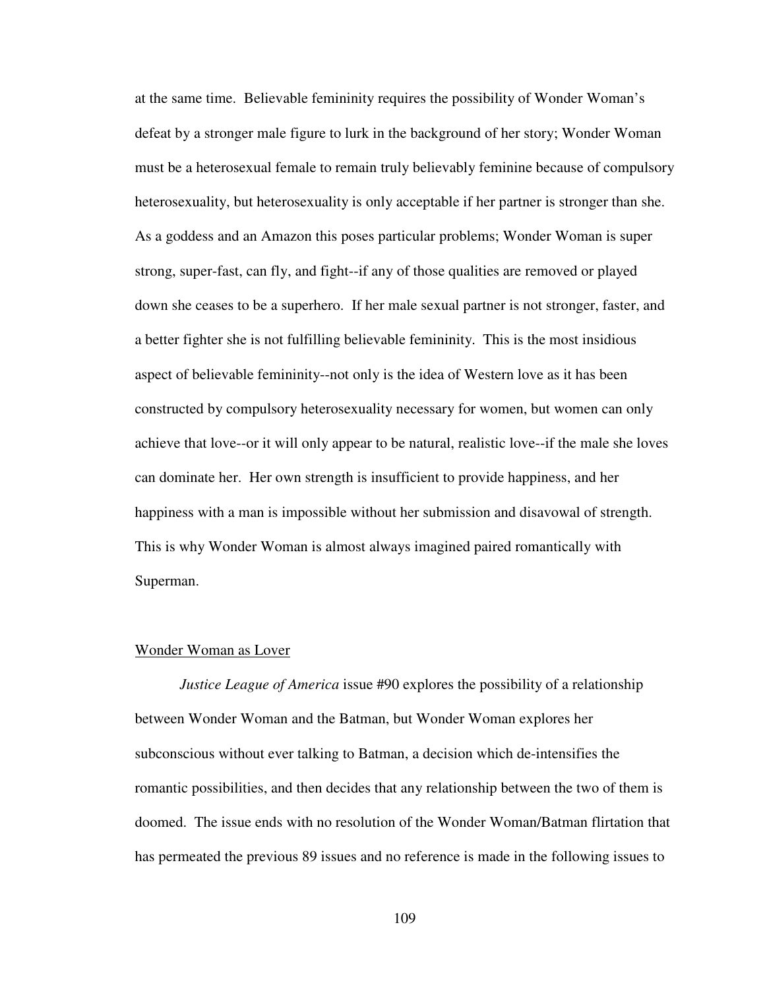at the same time. Believable femininity requires the possibility of Wonder Woman's defeat by a stronger male figure to lurk in the background of her story; Wonder Woman must be a heterosexual female to remain truly believably feminine because of compulsory heterosexuality, but heterosexuality is only acceptable if her partner is stronger than she. As a goddess and an Amazon this poses particular problems; Wonder Woman is super strong, super-fast, can fly, and fight--if any of those qualities are removed or played down she ceases to be a superhero. If her male sexual partner is not stronger, faster, and a better fighter she is not fulfilling believable femininity. This is the most insidious aspect of believable femininity--not only is the idea of Western love as it has been constructed by compulsory heterosexuality necessary for women, but women can only achieve that love--or it will only appear to be natural, realistic love--if the male she loves can dominate her. Her own strength is insufficient to provide happiness, and her happiness with a man is impossible without her submission and disavowal of strength. This is why Wonder Woman is almost always imagined paired romantically with Superman.

#### Wonder Woman as Lover

 *Justice League of America* issue #90 explores the possibility of a relationship between Wonder Woman and the Batman, but Wonder Woman explores her subconscious without ever talking to Batman, a decision which de-intensifies the romantic possibilities, and then decides that any relationship between the two of them is doomed. The issue ends with no resolution of the Wonder Woman/Batman flirtation that has permeated the previous 89 issues and no reference is made in the following issues to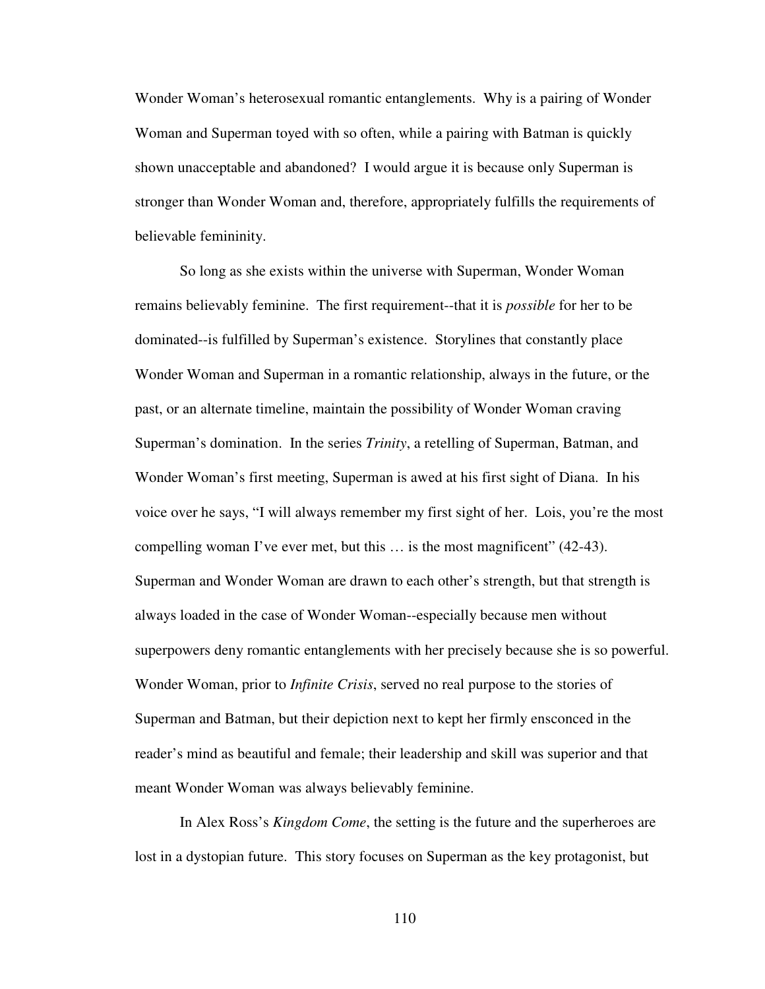Wonder Woman's heterosexual romantic entanglements. Why is a pairing of Wonder Woman and Superman toyed with so often, while a pairing with Batman is quickly shown unacceptable and abandoned? I would argue it is because only Superman is stronger than Wonder Woman and, therefore, appropriately fulfills the requirements of believable femininity.

 So long as she exists within the universe with Superman, Wonder Woman remains believably feminine. The first requirement--that it is *possible* for her to be dominated--is fulfilled by Superman's existence. Storylines that constantly place Wonder Woman and Superman in a romantic relationship, always in the future, or the past, or an alternate timeline, maintain the possibility of Wonder Woman craving Superman's domination. In the series *Trinity*, a retelling of Superman, Batman, and Wonder Woman's first meeting, Superman is awed at his first sight of Diana. In his voice over he says, "I will always remember my first sight of her. Lois, you're the most compelling woman I've ever met, but this … is the most magnificent" (42-43). Superman and Wonder Woman are drawn to each other's strength, but that strength is always loaded in the case of Wonder Woman--especially because men without superpowers deny romantic entanglements with her precisely because she is so powerful. Wonder Woman, prior to *Infinite Crisis*, served no real purpose to the stories of Superman and Batman, but their depiction next to kept her firmly ensconced in the reader's mind as beautiful and female; their leadership and skill was superior and that meant Wonder Woman was always believably feminine.

 In Alex Ross's *Kingdom Come*, the setting is the future and the superheroes are lost in a dystopian future. This story focuses on Superman as the key protagonist, but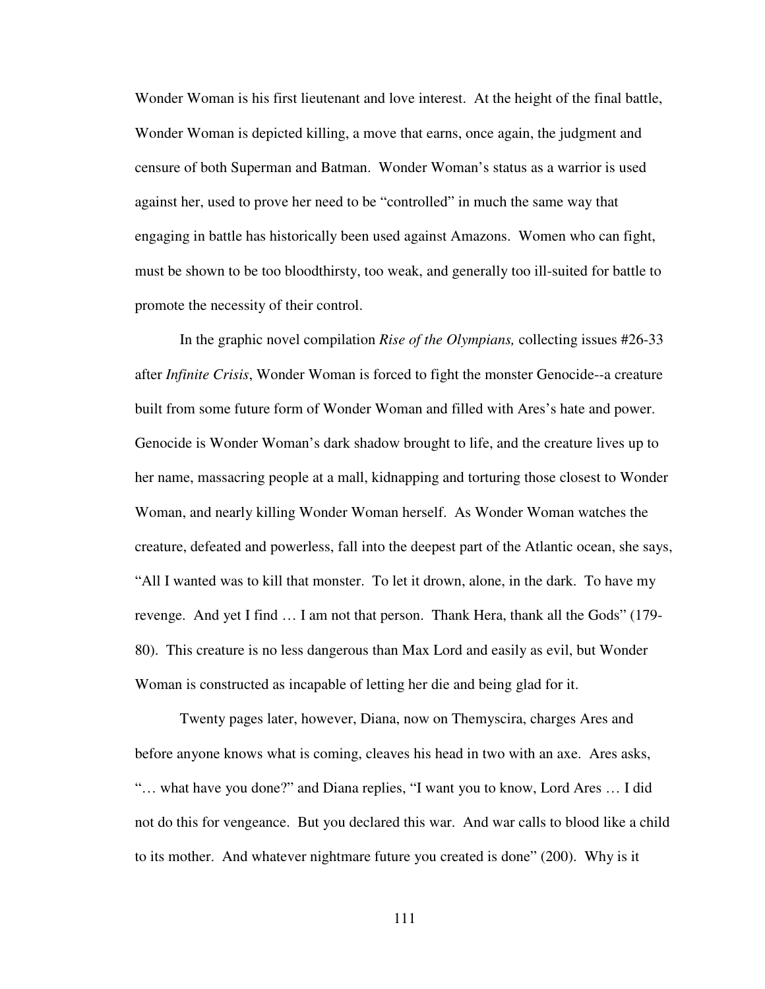Wonder Woman is his first lieutenant and love interest. At the height of the final battle, Wonder Woman is depicted killing, a move that earns, once again, the judgment and censure of both Superman and Batman. Wonder Woman's status as a warrior is used against her, used to prove her need to be "controlled" in much the same way that engaging in battle has historically been used against Amazons. Women who can fight, must be shown to be too bloodthirsty, too weak, and generally too ill-suited for battle to promote the necessity of their control.

 In the graphic novel compilation *Rise of the Olympians,* collecting issues #26-33 after *Infinite Crisis*, Wonder Woman is forced to fight the monster Genocide--a creature built from some future form of Wonder Woman and filled with Ares's hate and power. Genocide is Wonder Woman's dark shadow brought to life, and the creature lives up to her name, massacring people at a mall, kidnapping and torturing those closest to Wonder Woman, and nearly killing Wonder Woman herself. As Wonder Woman watches the creature, defeated and powerless, fall into the deepest part of the Atlantic ocean, she says, "All I wanted was to kill that monster. To let it drown, alone, in the dark. To have my revenge. And yet I find … I am not that person. Thank Hera, thank all the Gods" (179- 80). This creature is no less dangerous than Max Lord and easily as evil, but Wonder Woman is constructed as incapable of letting her die and being glad for it.

 Twenty pages later, however, Diana, now on Themyscira, charges Ares and before anyone knows what is coming, cleaves his head in two with an axe. Ares asks, "… what have you done?" and Diana replies, "I want you to know, Lord Ares … I did not do this for vengeance. But you declared this war. And war calls to blood like a child to its mother. And whatever nightmare future you created is done" (200). Why is it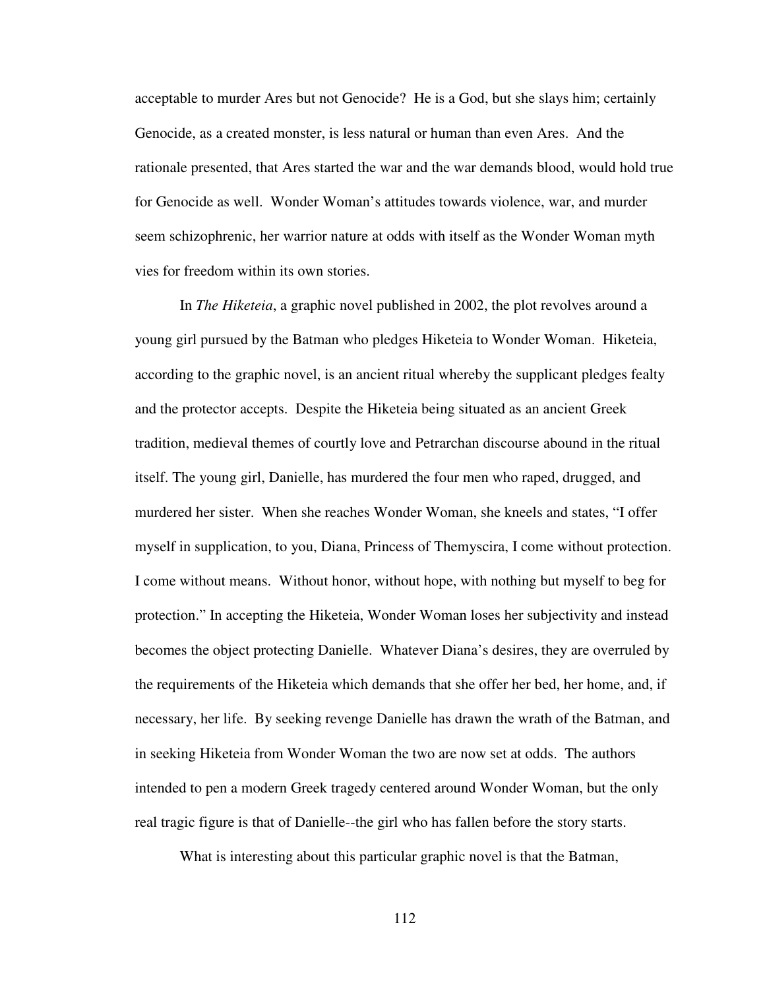acceptable to murder Ares but not Genocide? He is a God, but she slays him; certainly Genocide, as a created monster, is less natural or human than even Ares. And the rationale presented, that Ares started the war and the war demands blood, would hold true for Genocide as well. Wonder Woman's attitudes towards violence, war, and murder seem schizophrenic, her warrior nature at odds with itself as the Wonder Woman myth vies for freedom within its own stories.

 In *The Hiketeia*, a graphic novel published in 2002, the plot revolves around a young girl pursued by the Batman who pledges Hiketeia to Wonder Woman. Hiketeia, according to the graphic novel, is an ancient ritual whereby the supplicant pledges fealty and the protector accepts. Despite the Hiketeia being situated as an ancient Greek tradition, medieval themes of courtly love and Petrarchan discourse abound in the ritual itself. The young girl, Danielle, has murdered the four men who raped, drugged, and murdered her sister. When she reaches Wonder Woman, she kneels and states, "I offer myself in supplication, to you, Diana, Princess of Themyscira, I come without protection. I come without means. Without honor, without hope, with nothing but myself to beg for protection." In accepting the Hiketeia, Wonder Woman loses her subjectivity and instead becomes the object protecting Danielle. Whatever Diana's desires, they are overruled by the requirements of the Hiketeia which demands that she offer her bed, her home, and, if necessary, her life. By seeking revenge Danielle has drawn the wrath of the Batman, and in seeking Hiketeia from Wonder Woman the two are now set at odds. The authors intended to pen a modern Greek tragedy centered around Wonder Woman, but the only real tragic figure is that of Danielle--the girl who has fallen before the story starts.

What is interesting about this particular graphic novel is that the Batman,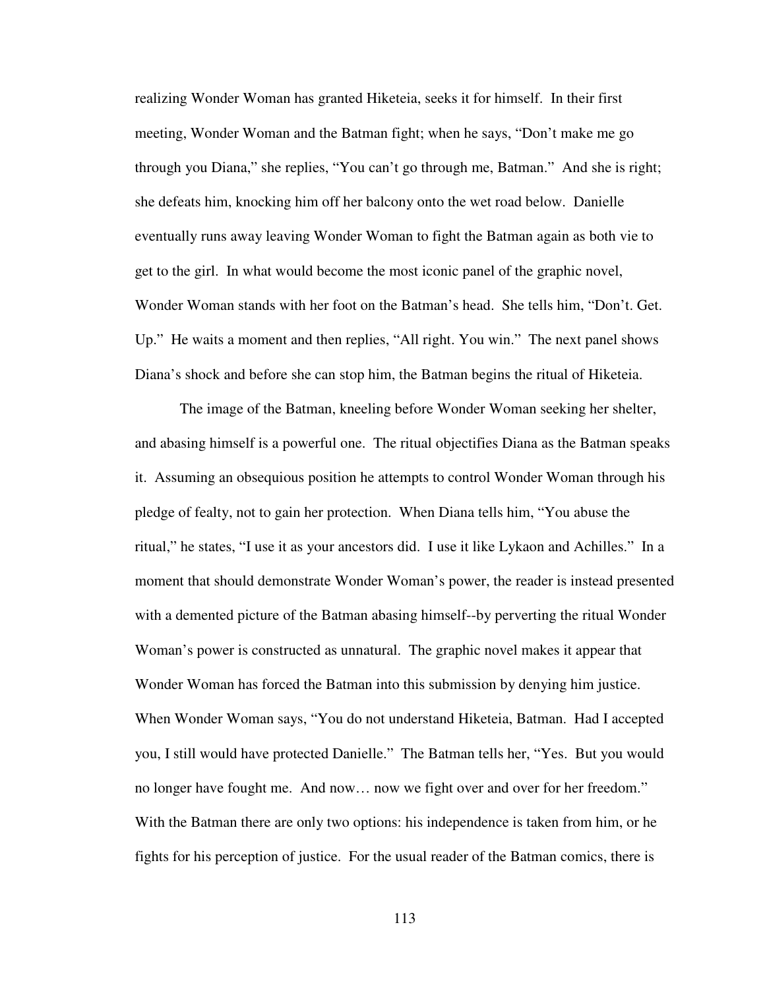realizing Wonder Woman has granted Hiketeia, seeks it for himself. In their first meeting, Wonder Woman and the Batman fight; when he says, "Don't make me go through you Diana," she replies, "You can't go through me, Batman." And she is right; she defeats him, knocking him off her balcony onto the wet road below. Danielle eventually runs away leaving Wonder Woman to fight the Batman again as both vie to get to the girl. In what would become the most iconic panel of the graphic novel, Wonder Woman stands with her foot on the Batman's head. She tells him, "Don't. Get. Up." He waits a moment and then replies, "All right. You win." The next panel shows Diana's shock and before she can stop him, the Batman begins the ritual of Hiketeia.

 The image of the Batman, kneeling before Wonder Woman seeking her shelter, and abasing himself is a powerful one. The ritual objectifies Diana as the Batman speaks it. Assuming an obsequious position he attempts to control Wonder Woman through his pledge of fealty, not to gain her protection. When Diana tells him, "You abuse the ritual," he states, "I use it as your ancestors did. I use it like Lykaon and Achilles." In a moment that should demonstrate Wonder Woman's power, the reader is instead presented with a demented picture of the Batman abasing himself--by perverting the ritual Wonder Woman's power is constructed as unnatural. The graphic novel makes it appear that Wonder Woman has forced the Batman into this submission by denying him justice. When Wonder Woman says, "You do not understand Hiketeia, Batman. Had I accepted you, I still would have protected Danielle." The Batman tells her, "Yes. But you would no longer have fought me. And now… now we fight over and over for her freedom." With the Batman there are only two options: his independence is taken from him, or he fights for his perception of justice. For the usual reader of the Batman comics, there is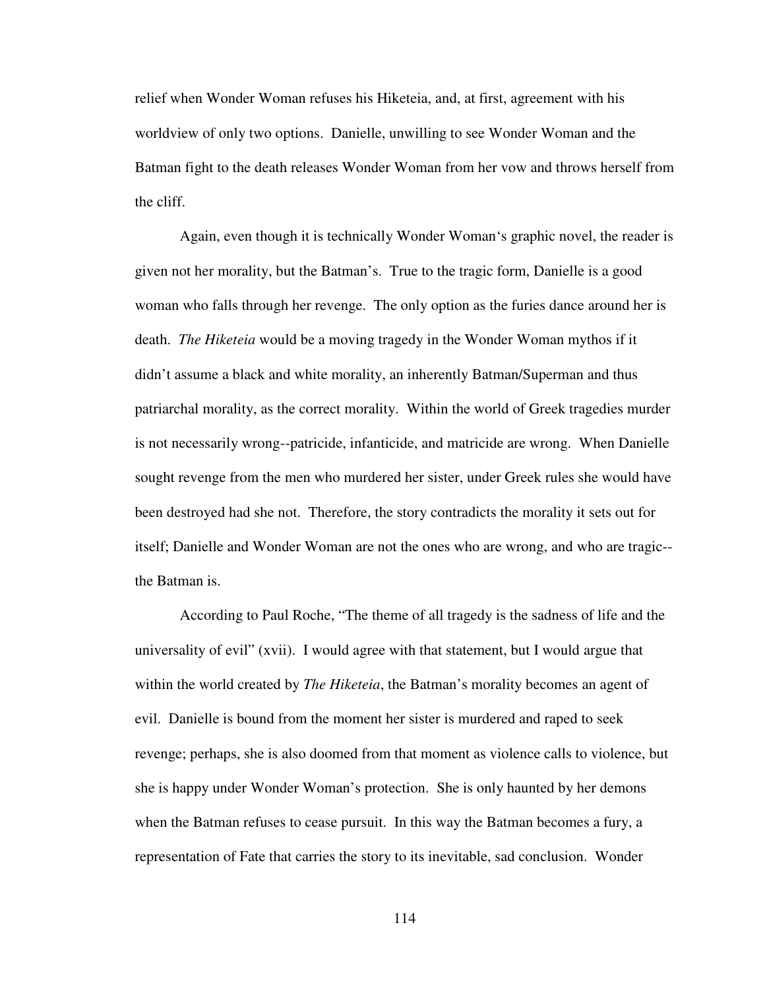relief when Wonder Woman refuses his Hiketeia, and, at first, agreement with his worldview of only two options. Danielle, unwilling to see Wonder Woman and the Batman fight to the death releases Wonder Woman from her vow and throws herself from the cliff.

 Again, even though it is technically Wonder Woman's graphic novel, the reader is given not her morality, but the Batman's. True to the tragic form, Danielle is a good woman who falls through her revenge. The only option as the furies dance around her is death. *The Hiketeia* would be a moving tragedy in the Wonder Woman mythos if it didn't assume a black and white morality, an inherently Batman/Superman and thus patriarchal morality, as the correct morality. Within the world of Greek tragedies murder is not necessarily wrong--patricide, infanticide, and matricide are wrong. When Danielle sought revenge from the men who murdered her sister, under Greek rules she would have been destroyed had she not. Therefore, the story contradicts the morality it sets out for itself; Danielle and Wonder Woman are not the ones who are wrong, and who are tragic- the Batman is.

 According to Paul Roche, "The theme of all tragedy is the sadness of life and the universality of evil" (xvii). I would agree with that statement, but I would argue that within the world created by *The Hiketeia*, the Batman's morality becomes an agent of evil. Danielle is bound from the moment her sister is murdered and raped to seek revenge; perhaps, she is also doomed from that moment as violence calls to violence, but she is happy under Wonder Woman's protection. She is only haunted by her demons when the Batman refuses to cease pursuit. In this way the Batman becomes a fury, a representation of Fate that carries the story to its inevitable, sad conclusion. Wonder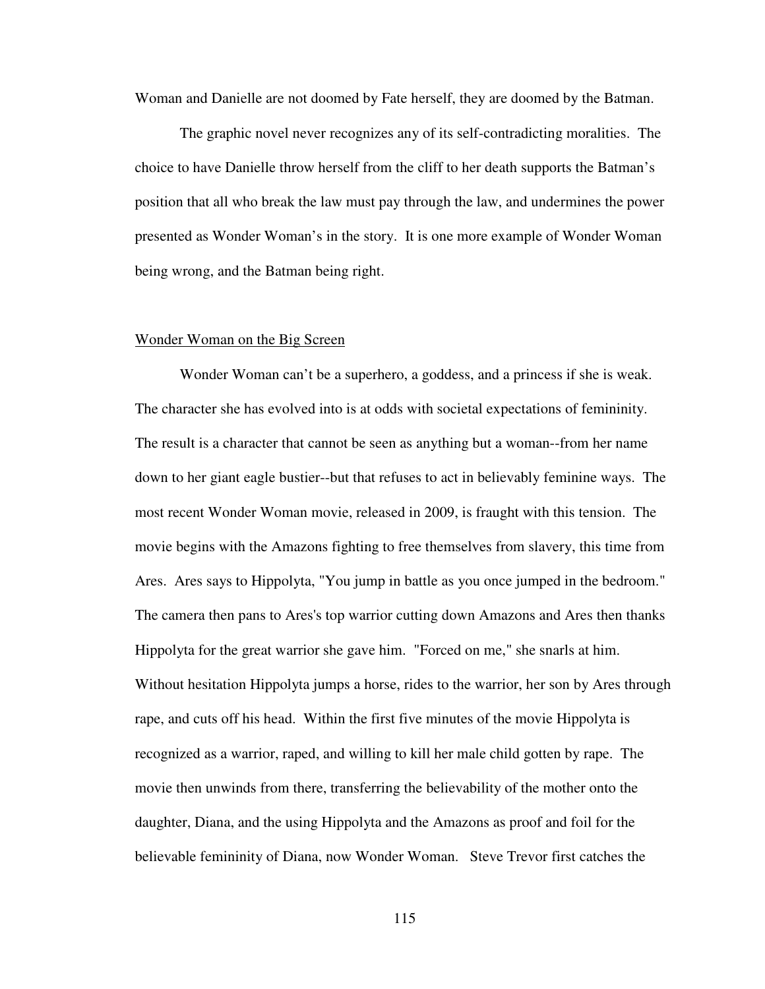Woman and Danielle are not doomed by Fate herself, they are doomed by the Batman.

 The graphic novel never recognizes any of its self-contradicting moralities. The choice to have Danielle throw herself from the cliff to her death supports the Batman's position that all who break the law must pay through the law, and undermines the power presented as Wonder Woman's in the story. It is one more example of Wonder Woman being wrong, and the Batman being right.

#### Wonder Woman on the Big Screen

 Wonder Woman can't be a superhero, a goddess, and a princess if she is weak. The character she has evolved into is at odds with societal expectations of femininity. The result is a character that cannot be seen as anything but a woman--from her name down to her giant eagle bustier--but that refuses to act in believably feminine ways. The most recent Wonder Woman movie, released in 2009, is fraught with this tension. The movie begins with the Amazons fighting to free themselves from slavery, this time from Ares. Ares says to Hippolyta, "You jump in battle as you once jumped in the bedroom." The camera then pans to Ares's top warrior cutting down Amazons and Ares then thanks Hippolyta for the great warrior she gave him. "Forced on me," she snarls at him. Without hesitation Hippolyta jumps a horse, rides to the warrior, her son by Ares through rape, and cuts off his head. Within the first five minutes of the movie Hippolyta is recognized as a warrior, raped, and willing to kill her male child gotten by rape. The movie then unwinds from there, transferring the believability of the mother onto the daughter, Diana, and the using Hippolyta and the Amazons as proof and foil for the believable femininity of Diana, now Wonder Woman. Steve Trevor first catches the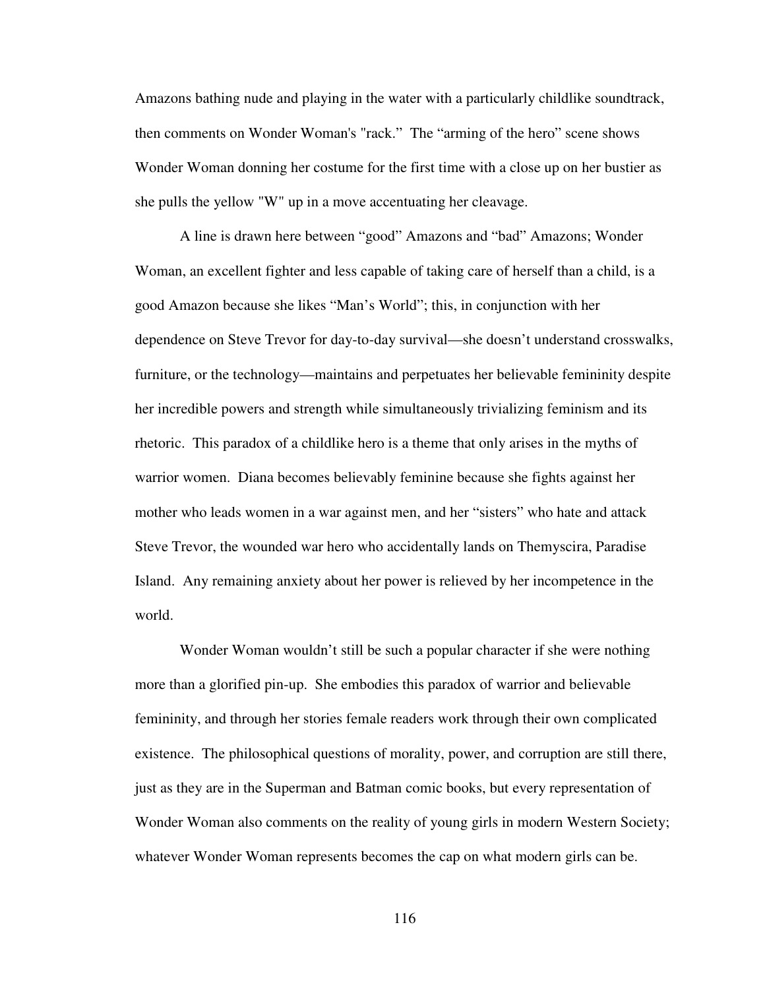Amazons bathing nude and playing in the water with a particularly childlike soundtrack, then comments on Wonder Woman's "rack." The "arming of the hero" scene shows Wonder Woman donning her costume for the first time with a close up on her bustier as she pulls the yellow "W" up in a move accentuating her cleavage.

 A line is drawn here between "good" Amazons and "bad" Amazons; Wonder Woman, an excellent fighter and less capable of taking care of herself than a child, is a good Amazon because she likes "Man's World"; this, in conjunction with her dependence on Steve Trevor for day-to-day survival—she doesn't understand crosswalks, furniture, or the technology—maintains and perpetuates her believable femininity despite her incredible powers and strength while simultaneously trivializing feminism and its rhetoric. This paradox of a childlike hero is a theme that only arises in the myths of warrior women. Diana becomes believably feminine because she fights against her mother who leads women in a war against men, and her "sisters" who hate and attack Steve Trevor, the wounded war hero who accidentally lands on Themyscira, Paradise Island. Any remaining anxiety about her power is relieved by her incompetence in the world.

 Wonder Woman wouldn't still be such a popular character if she were nothing more than a glorified pin-up. She embodies this paradox of warrior and believable femininity, and through her stories female readers work through their own complicated existence. The philosophical questions of morality, power, and corruption are still there, just as they are in the Superman and Batman comic books, but every representation of Wonder Woman also comments on the reality of young girls in modern Western Society; whatever Wonder Woman represents becomes the cap on what modern girls can be.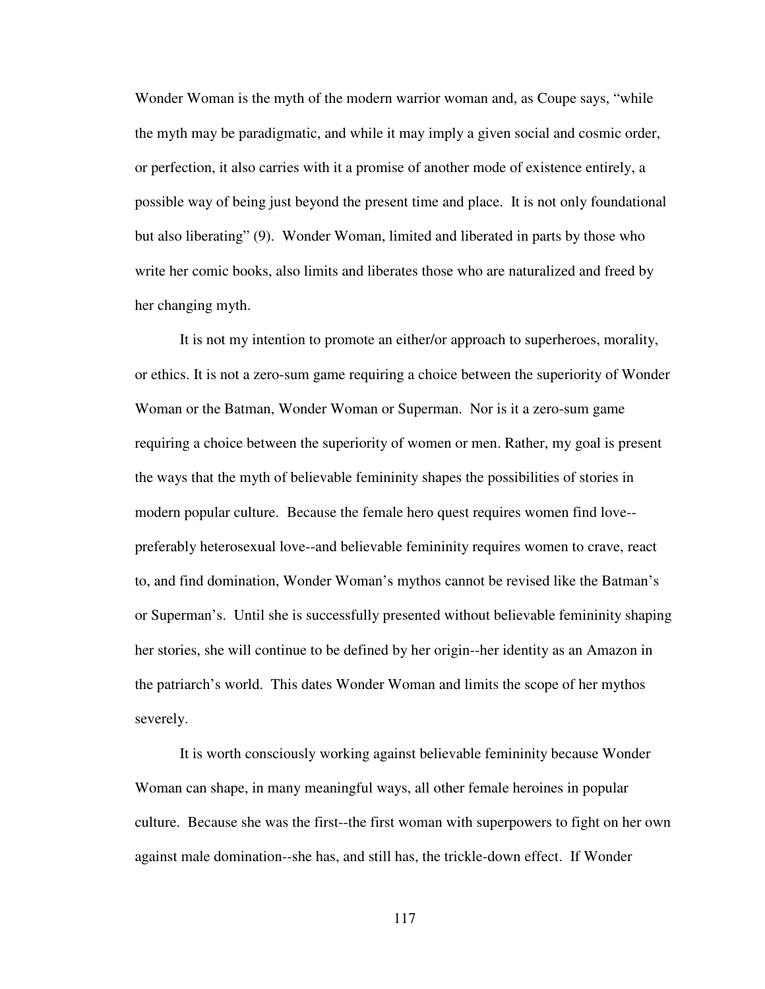Wonder Woman is the myth of the modern warrior woman and, as Coupe says, "while the myth may be paradigmatic, and while it may imply a given social and cosmic order, or perfection, it also carries with it a promise of another mode of existence entirely, a possible way of being just beyond the present time and place. It is not only foundational but also liberating" (9). Wonder Woman, limited and liberated in parts by those who write her comic books, also limits and liberates those who are naturalized and freed by her changing myth.

 It is not my intention to promote an either/or approach to superheroes, morality, or ethics. It is not a zero-sum game requiring a choice between the superiority of Wonder Woman or the Batman, Wonder Woman or Superman. Nor is it a zero-sum game requiring a choice between the superiority of women or men. Rather, my goal is present the ways that the myth of believable femininity shapes the possibilities of stories in modern popular culture. Because the female hero quest requires women find love- preferably heterosexual love--and believable femininity requires women to crave, react to, and find domination, Wonder Woman's mythos cannot be revised like the Batman's or Superman's. Until she is successfully presented without believable femininity shaping her stories, she will continue to be defined by her origin--her identity as an Amazon in the patriarch's world. This dates Wonder Woman and limits the scope of her mythos severely.

 It is worth consciously working against believable femininity because Wonder Woman can shape, in many meaningful ways, all other female heroines in popular culture. Because she was the first--the first woman with superpowers to fight on her own against male domination--she has, and still has, the trickle-down effect. If Wonder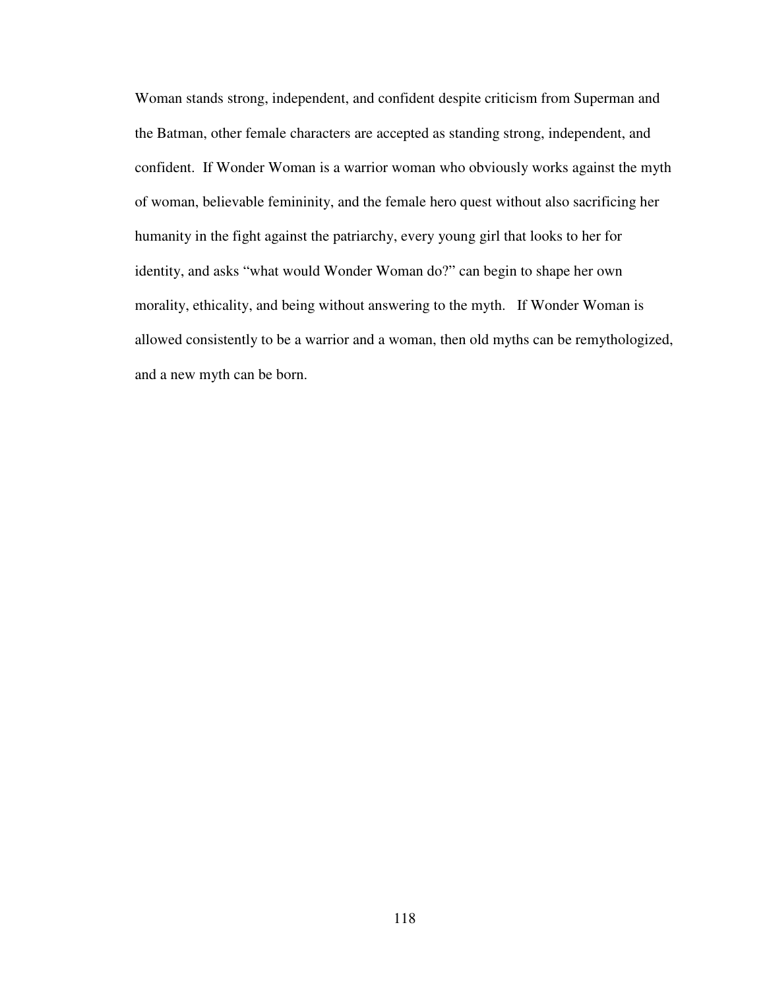Woman stands strong, independent, and confident despite criticism from Superman and the Batman, other female characters are accepted as standing strong, independent, and confident. If Wonder Woman is a warrior woman who obviously works against the myth of woman, believable femininity, and the female hero quest without also sacrificing her humanity in the fight against the patriarchy, every young girl that looks to her for identity, and asks "what would Wonder Woman do?" can begin to shape her own morality, ethicality, and being without answering to the myth. If Wonder Woman is allowed consistently to be a warrior and a woman, then old myths can be remythologized, and a new myth can be born.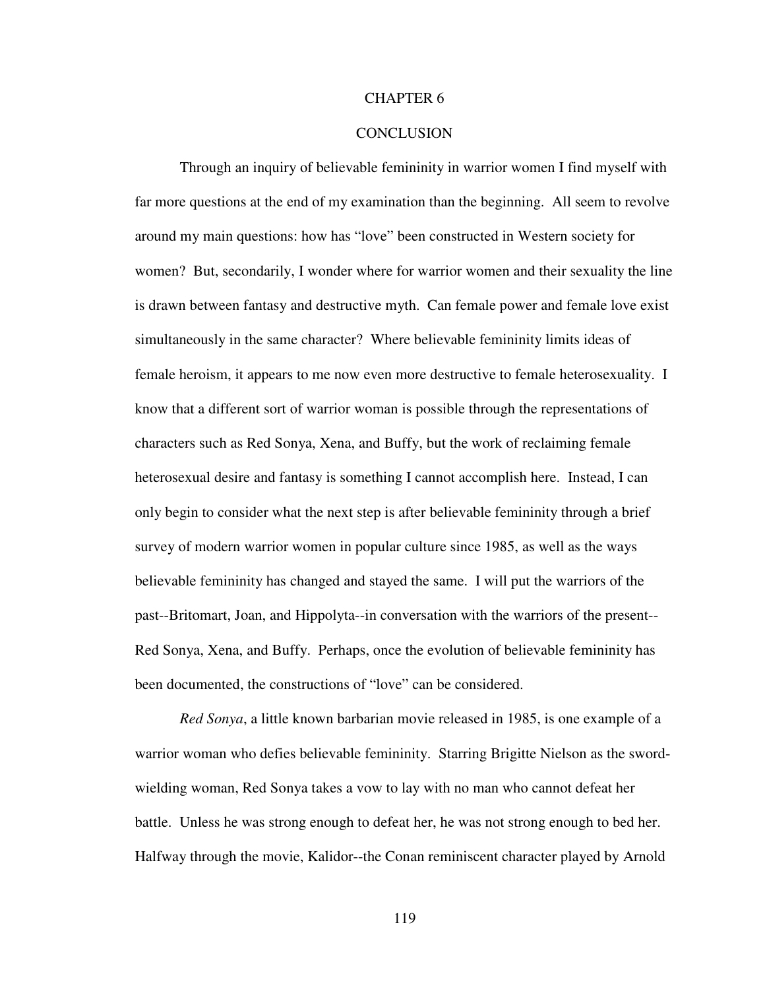### CHAPTER 6

## **CONCLUSION**

Through an inquiry of believable femininity in warrior women I find myself with far more questions at the end of my examination than the beginning. All seem to revolve around my main questions: how has "love" been constructed in Western society for women? But, secondarily, I wonder where for warrior women and their sexuality the line is drawn between fantasy and destructive myth. Can female power and female love exist simultaneously in the same character? Where believable femininity limits ideas of female heroism, it appears to me now even more destructive to female heterosexuality. I know that a different sort of warrior woman is possible through the representations of characters such as Red Sonya, Xena, and Buffy, but the work of reclaiming female heterosexual desire and fantasy is something I cannot accomplish here. Instead, I can only begin to consider what the next step is after believable femininity through a brief survey of modern warrior women in popular culture since 1985, as well as the ways believable femininity has changed and stayed the same. I will put the warriors of the past--Britomart, Joan, and Hippolyta--in conversation with the warriors of the present-- Red Sonya, Xena, and Buffy. Perhaps, once the evolution of believable femininity has been documented, the constructions of "love" can be considered.

*Red Sonya*, a little known barbarian movie released in 1985, is one example of a warrior woman who defies believable femininity. Starring Brigitte Nielson as the swordwielding woman, Red Sonya takes a vow to lay with no man who cannot defeat her battle. Unless he was strong enough to defeat her, he was not strong enough to bed her. Halfway through the movie, Kalidor--the Conan reminiscent character played by Arnold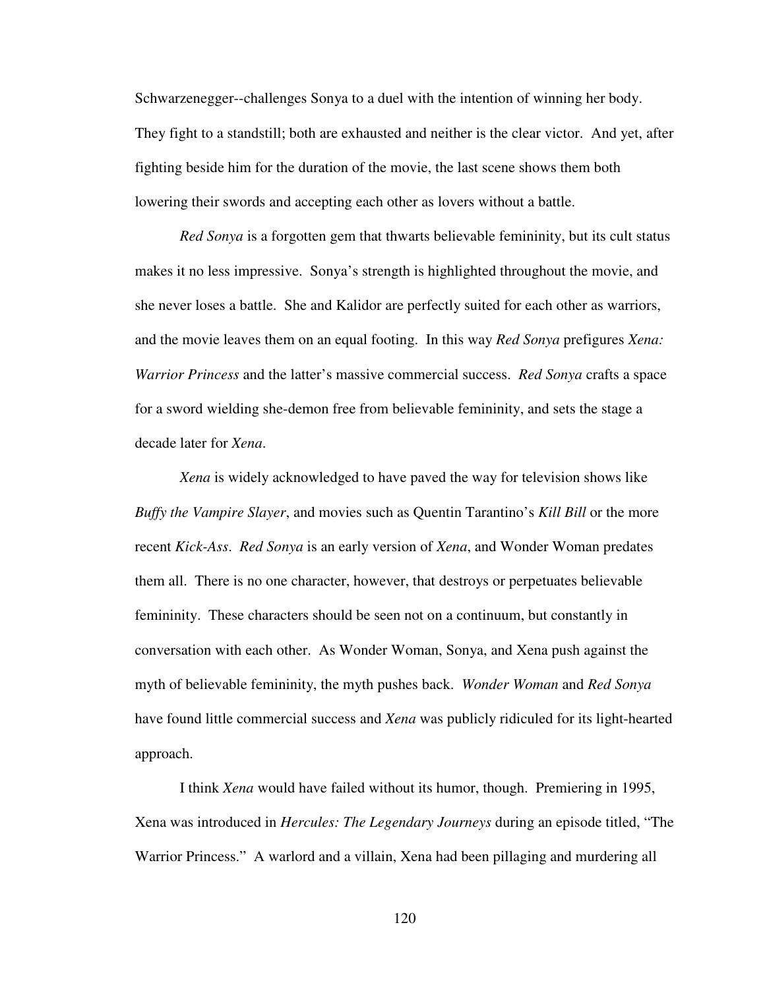Schwarzenegger--challenges Sonya to a duel with the intention of winning her body. They fight to a standstill; both are exhausted and neither is the clear victor. And yet, after fighting beside him for the duration of the movie, the last scene shows them both lowering their swords and accepting each other as lovers without a battle.

*Red Sonya* is a forgotten gem that thwarts believable femininity, but its cult status makes it no less impressive. Sonya's strength is highlighted throughout the movie, and she never loses a battle. She and Kalidor are perfectly suited for each other as warriors, and the movie leaves them on an equal footing. In this way *Red Sonya* prefigures *Xena: Warrior Princess* and the latter's massive commercial success. *Red Sonya* crafts a space for a sword wielding she-demon free from believable femininity, and sets the stage a decade later for *Xena*.

*Xena* is widely acknowledged to have paved the way for television shows like *Buffy the Vampire Slayer*, and movies such as Quentin Tarantino's *Kill Bill* or the more recent *Kick-Ass*. *Red Sonya* is an early version of *Xena*, and Wonder Woman predates them all. There is no one character, however, that destroys or perpetuates believable femininity. These characters should be seen not on a continuum, but constantly in conversation with each other. As Wonder Woman, Sonya, and Xena push against the myth of believable femininity, the myth pushes back. *Wonder Woman* and *Red Sonya* have found little commercial success and *Xena* was publicly ridiculed for its light-hearted approach.

 I think *Xena* would have failed without its humor, though. Premiering in 1995, Xena was introduced in *Hercules: The Legendary Journeys* during an episode titled, "The Warrior Princess." A warlord and a villain, Xena had been pillaging and murdering all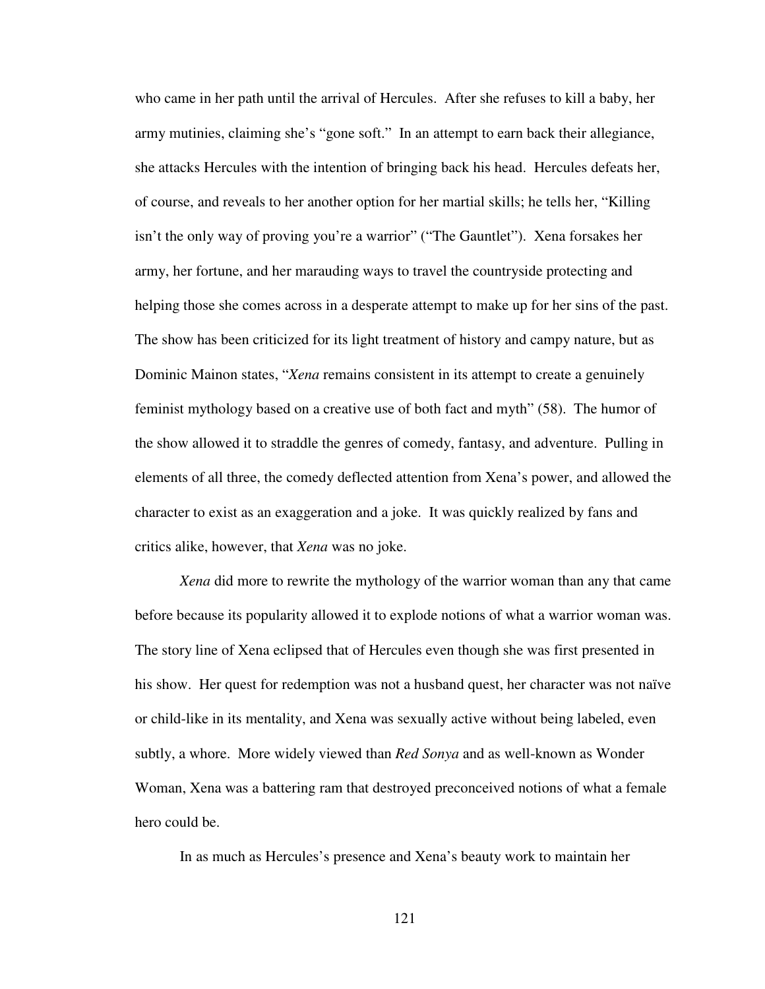who came in her path until the arrival of Hercules. After she refuses to kill a baby, her army mutinies, claiming she's "gone soft." In an attempt to earn back their allegiance, she attacks Hercules with the intention of bringing back his head. Hercules defeats her, of course, and reveals to her another option for her martial skills; he tells her, "Killing isn't the only way of proving you're a warrior" ("The Gauntlet"). Xena forsakes her army, her fortune, and her marauding ways to travel the countryside protecting and helping those she comes across in a desperate attempt to make up for her sins of the past. The show has been criticized for its light treatment of history and campy nature, but as Dominic Mainon states, "*Xena* remains consistent in its attempt to create a genuinely feminist mythology based on a creative use of both fact and myth" (58). The humor of the show allowed it to straddle the genres of comedy, fantasy, and adventure. Pulling in elements of all three, the comedy deflected attention from Xena's power, and allowed the character to exist as an exaggeration and a joke. It was quickly realized by fans and critics alike, however, that *Xena* was no joke.

*Xena* did more to rewrite the mythology of the warrior woman than any that came before because its popularity allowed it to explode notions of what a warrior woman was. The story line of Xena eclipsed that of Hercules even though she was first presented in his show. Her quest for redemption was not a husband quest, her character was not naïve or child-like in its mentality, and Xena was sexually active without being labeled, even subtly, a whore. More widely viewed than *Red Sonya* and as well-known as Wonder Woman, Xena was a battering ram that destroyed preconceived notions of what a female hero could be.

In as much as Hercules's presence and Xena's beauty work to maintain her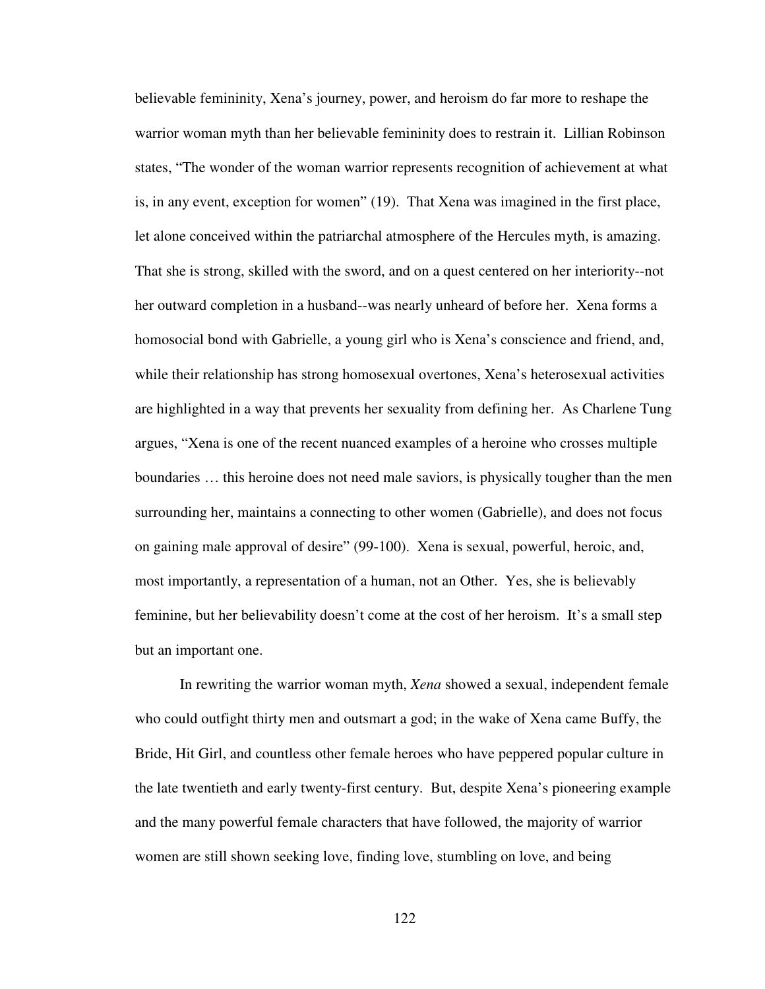believable femininity, Xena's journey, power, and heroism do far more to reshape the warrior woman myth than her believable femininity does to restrain it. Lillian Robinson states, "The wonder of the woman warrior represents recognition of achievement at what is, in any event, exception for women" (19). That Xena was imagined in the first place, let alone conceived within the patriarchal atmosphere of the Hercules myth, is amazing. That she is strong, skilled with the sword, and on a quest centered on her interiority--not her outward completion in a husband--was nearly unheard of before her. Xena forms a homosocial bond with Gabrielle, a young girl who is Xena's conscience and friend, and, while their relationship has strong homosexual overtones, Xena's heterosexual activities are highlighted in a way that prevents her sexuality from defining her. As Charlene Tung argues, "Xena is one of the recent nuanced examples of a heroine who crosses multiple boundaries … this heroine does not need male saviors, is physically tougher than the men surrounding her, maintains a connecting to other women (Gabrielle), and does not focus on gaining male approval of desire" (99-100). Xena is sexual, powerful, heroic, and, most importantly, a representation of a human, not an Other. Yes, she is believably feminine, but her believability doesn't come at the cost of her heroism. It's a small step but an important one.

 In rewriting the warrior woman myth, *Xena* showed a sexual, independent female who could outfight thirty men and outsmart a god; in the wake of Xena came Buffy, the Bride, Hit Girl, and countless other female heroes who have peppered popular culture in the late twentieth and early twenty-first century. But, despite Xena's pioneering example and the many powerful female characters that have followed, the majority of warrior women are still shown seeking love, finding love, stumbling on love, and being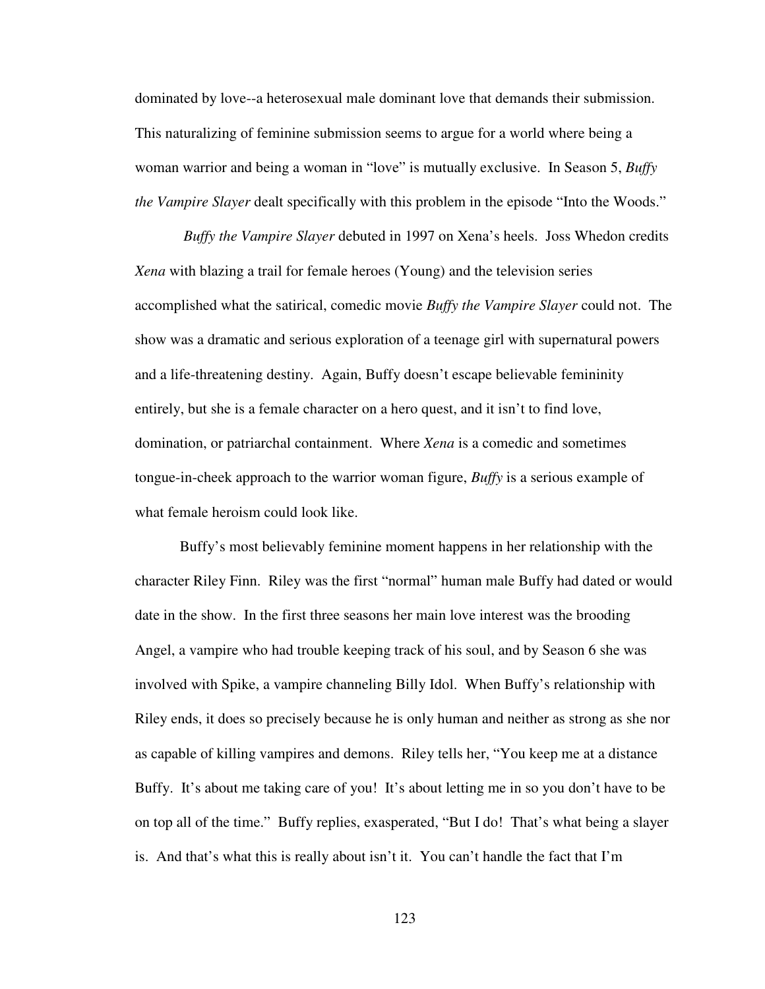dominated by love--a heterosexual male dominant love that demands their submission. This naturalizing of feminine submission seems to argue for a world where being a woman warrior and being a woman in "love" is mutually exclusive. In Season 5, *Buffy the Vampire Slayer* dealt specifically with this problem in the episode "Into the Woods."

 *Buffy the Vampire Slayer* debuted in 1997 on Xena's heels. Joss Whedon credits *Xena* with blazing a trail for female heroes (Young) and the television series accomplished what the satirical, comedic movie *Buffy the Vampire Slayer* could not. The show was a dramatic and serious exploration of a teenage girl with supernatural powers and a life-threatening destiny. Again, Buffy doesn't escape believable femininity entirely, but she is a female character on a hero quest, and it isn't to find love, domination, or patriarchal containment. Where *Xena* is a comedic and sometimes tongue-in-cheek approach to the warrior woman figure, *Buffy* is a serious example of what female heroism could look like.

 Buffy's most believably feminine moment happens in her relationship with the character Riley Finn. Riley was the first "normal" human male Buffy had dated or would date in the show. In the first three seasons her main love interest was the brooding Angel, a vampire who had trouble keeping track of his soul, and by Season 6 she was involved with Spike, a vampire channeling Billy Idol. When Buffy's relationship with Riley ends, it does so precisely because he is only human and neither as strong as she nor as capable of killing vampires and demons. Riley tells her, "You keep me at a distance Buffy. It's about me taking care of you! It's about letting me in so you don't have to be on top all of the time." Buffy replies, exasperated, "But I do! That's what being a slayer is. And that's what this is really about isn't it. You can't handle the fact that I'm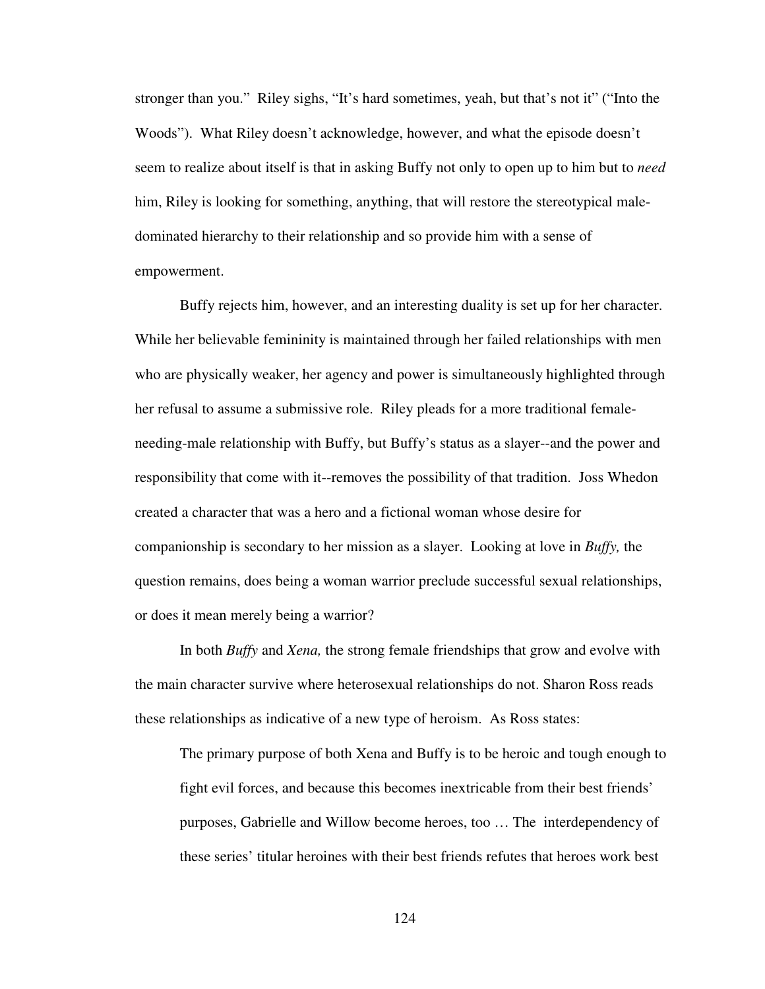stronger than you." Riley sighs, "It's hard sometimes, yeah, but that's not it" ("Into the Woods"). What Riley doesn't acknowledge, however, and what the episode doesn't seem to realize about itself is that in asking Buffy not only to open up to him but to *need*  him, Riley is looking for something, anything, that will restore the stereotypical maledominated hierarchy to their relationship and so provide him with a sense of empowerment.

 Buffy rejects him, however, and an interesting duality is set up for her character. While her believable femininity is maintained through her failed relationships with men who are physically weaker, her agency and power is simultaneously highlighted through her refusal to assume a submissive role. Riley pleads for a more traditional femaleneeding-male relationship with Buffy, but Buffy's status as a slayer--and the power and responsibility that come with it--removes the possibility of that tradition. Joss Whedon created a character that was a hero and a fictional woman whose desire for companionship is secondary to her mission as a slayer. Looking at love in *Buffy,* the question remains, does being a woman warrior preclude successful sexual relationships, or does it mean merely being a warrior?

 In both *Buffy* and *Xena,* the strong female friendships that grow and evolve with the main character survive where heterosexual relationships do not. Sharon Ross reads these relationships as indicative of a new type of heroism. As Ross states:

The primary purpose of both Xena and Buffy is to be heroic and tough enough to fight evil forces, and because this becomes inextricable from their best friends' purposes, Gabrielle and Willow become heroes, too … The interdependency of these series' titular heroines with their best friends refutes that heroes work best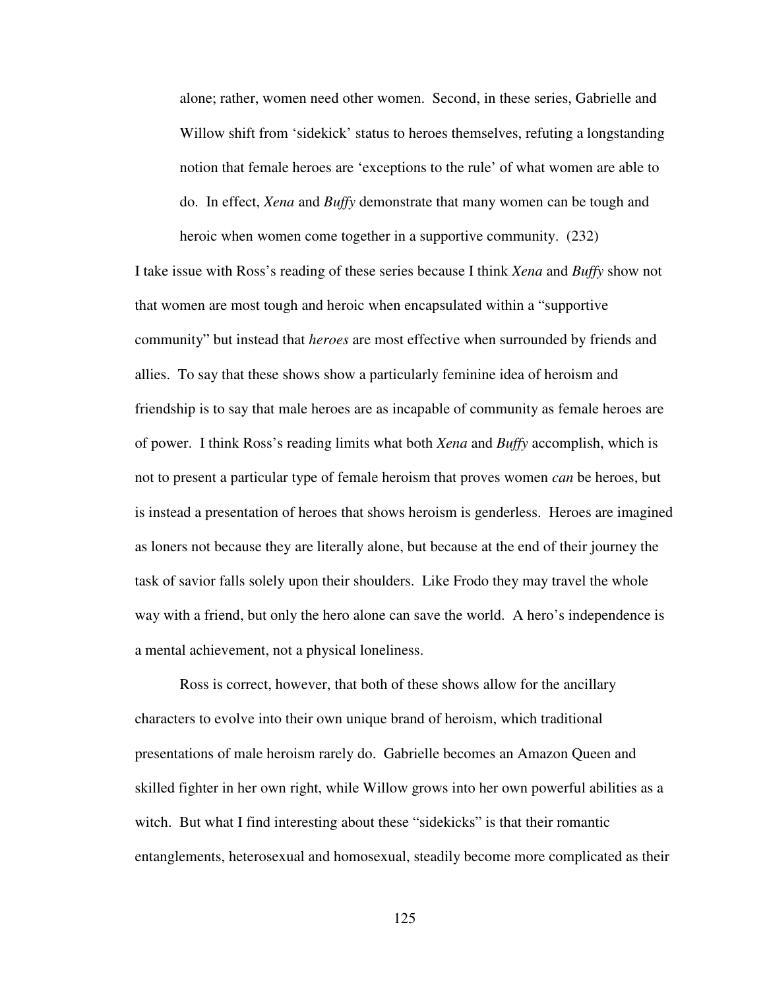alone; rather, women need other women. Second, in these series, Gabrielle and Willow shift from 'sidekick' status to heroes themselves, refuting a longstanding notion that female heroes are 'exceptions to the rule' of what women are able to do. In effect, *Xena* and *Buffy* demonstrate that many women can be tough and heroic when women come together in a supportive community. (232)

I take issue with Ross's reading of these series because I think *Xena* and *Buffy* show not that women are most tough and heroic when encapsulated within a "supportive community" but instead that *heroes* are most effective when surrounded by friends and allies. To say that these shows show a particularly feminine idea of heroism and friendship is to say that male heroes are as incapable of community as female heroes are of power. I think Ross's reading limits what both *Xena* and *Buffy* accomplish, which is not to present a particular type of female heroism that proves women *can* be heroes, but is instead a presentation of heroes that shows heroism is genderless. Heroes are imagined as loners not because they are literally alone, but because at the end of their journey the task of savior falls solely upon their shoulders. Like Frodo they may travel the whole way with a friend, but only the hero alone can save the world. A hero's independence is a mental achievement, not a physical loneliness.

 Ross is correct, however, that both of these shows allow for the ancillary characters to evolve into their own unique brand of heroism, which traditional presentations of male heroism rarely do. Gabrielle becomes an Amazon Queen and skilled fighter in her own right, while Willow grows into her own powerful abilities as a witch. But what I find interesting about these "sidekicks" is that their romantic entanglements, heterosexual and homosexual, steadily become more complicated as their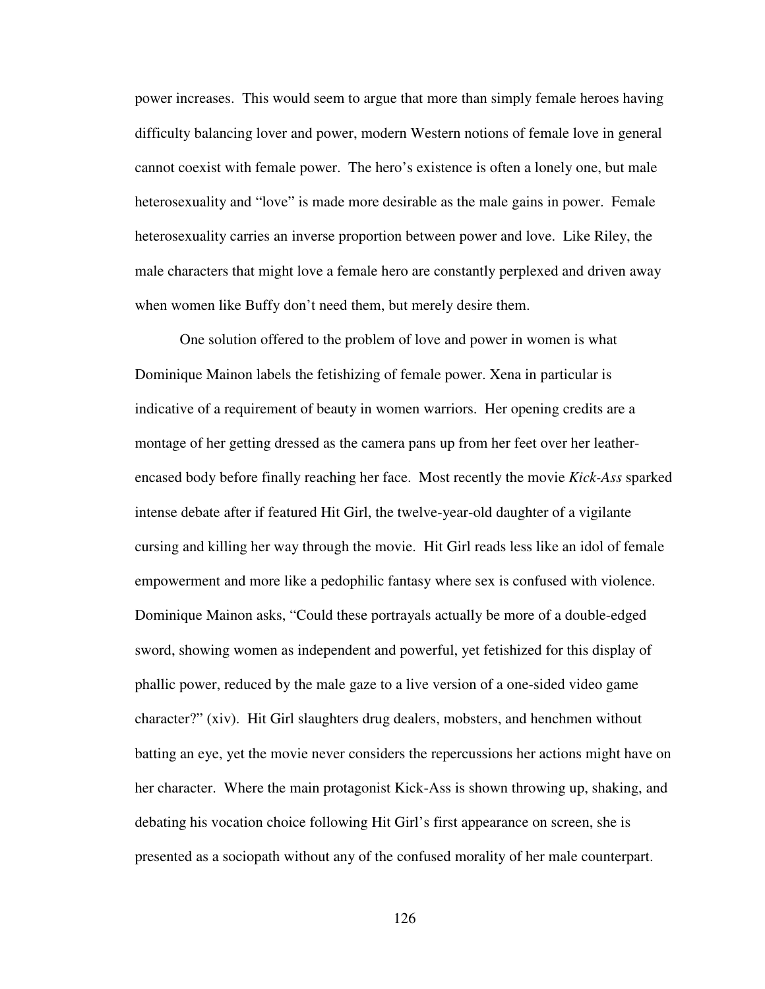power increases. This would seem to argue that more than simply female heroes having difficulty balancing lover and power, modern Western notions of female love in general cannot coexist with female power. The hero's existence is often a lonely one, but male heterosexuality and "love" is made more desirable as the male gains in power. Female heterosexuality carries an inverse proportion between power and love. Like Riley, the male characters that might love a female hero are constantly perplexed and driven away when women like Buffy don't need them, but merely desire them.

 One solution offered to the problem of love and power in women is what Dominique Mainon labels the fetishizing of female power. Xena in particular is indicative of a requirement of beauty in women warriors. Her opening credits are a montage of her getting dressed as the camera pans up from her feet over her leatherencased body before finally reaching her face. Most recently the movie *Kick-Ass* sparked intense debate after if featured Hit Girl, the twelve-year-old daughter of a vigilante cursing and killing her way through the movie. Hit Girl reads less like an idol of female empowerment and more like a pedophilic fantasy where sex is confused with violence. Dominique Mainon asks, "Could these portrayals actually be more of a double-edged sword, showing women as independent and powerful, yet fetishized for this display of phallic power, reduced by the male gaze to a live version of a one-sided video game character?" (xiv). Hit Girl slaughters drug dealers, mobsters, and henchmen without batting an eye, yet the movie never considers the repercussions her actions might have on her character. Where the main protagonist Kick-Ass is shown throwing up, shaking, and debating his vocation choice following Hit Girl's first appearance on screen, she is presented as a sociopath without any of the confused morality of her male counterpart.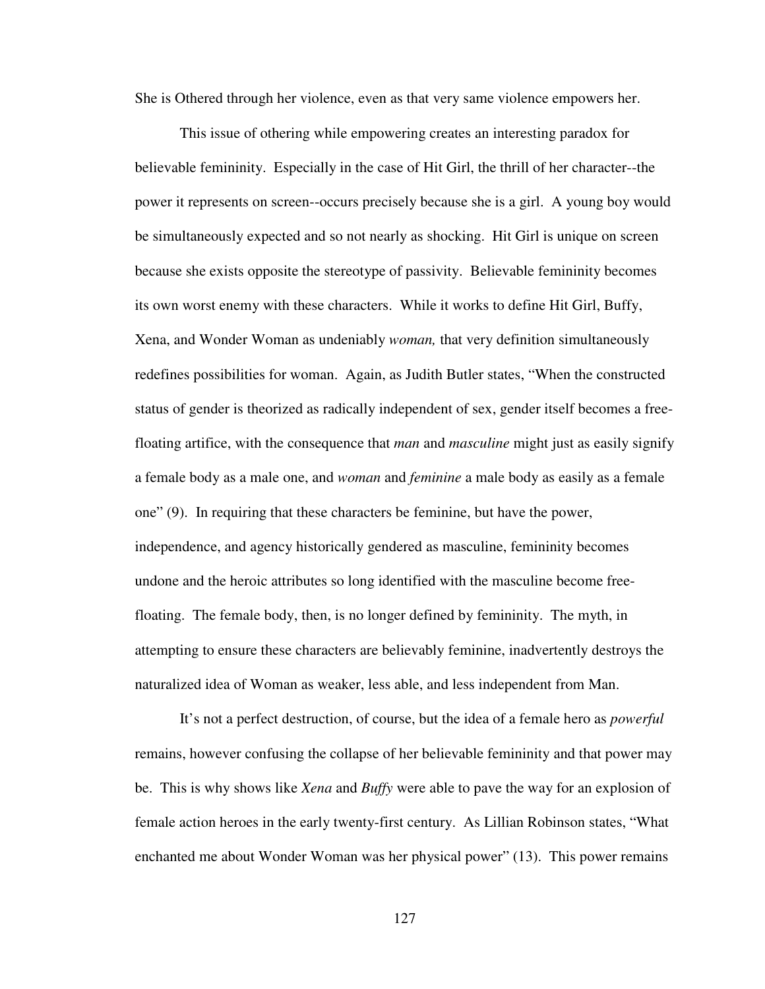She is Othered through her violence, even as that very same violence empowers her.

 This issue of othering while empowering creates an interesting paradox for believable femininity. Especially in the case of Hit Girl, the thrill of her character--the power it represents on screen--occurs precisely because she is a girl. A young boy would be simultaneously expected and so not nearly as shocking. Hit Girl is unique on screen because she exists opposite the stereotype of passivity. Believable femininity becomes its own worst enemy with these characters. While it works to define Hit Girl, Buffy, Xena, and Wonder Woman as undeniably *woman,* that very definition simultaneously redefines possibilities for woman. Again, as Judith Butler states, "When the constructed status of gender is theorized as radically independent of sex, gender itself becomes a freefloating artifice, with the consequence that *man* and *masculine* might just as easily signify a female body as a male one, and *woman* and *feminine* a male body as easily as a female one" (9). In requiring that these characters be feminine, but have the power, independence, and agency historically gendered as masculine, femininity becomes undone and the heroic attributes so long identified with the masculine become freefloating. The female body, then, is no longer defined by femininity. The myth, in attempting to ensure these characters are believably feminine, inadvertently destroys the naturalized idea of Woman as weaker, less able, and less independent from Man.

 It's not a perfect destruction, of course, but the idea of a female hero as *powerful* remains, however confusing the collapse of her believable femininity and that power may be. This is why shows like *Xena* and *Buffy* were able to pave the way for an explosion of female action heroes in the early twenty-first century. As Lillian Robinson states, "What enchanted me about Wonder Woman was her physical power" (13). This power remains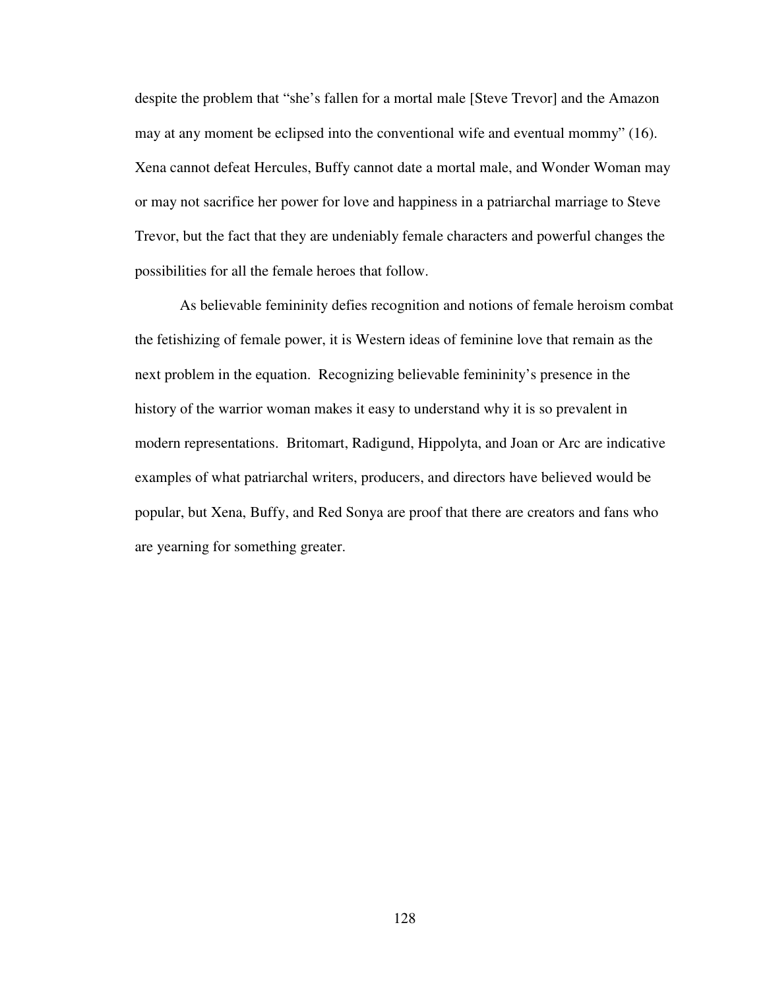despite the problem that "she's fallen for a mortal male [Steve Trevor] and the Amazon may at any moment be eclipsed into the conventional wife and eventual mommy" (16). Xena cannot defeat Hercules, Buffy cannot date a mortal male, and Wonder Woman may or may not sacrifice her power for love and happiness in a patriarchal marriage to Steve Trevor, but the fact that they are undeniably female characters and powerful changes the possibilities for all the female heroes that follow.

 As believable femininity defies recognition and notions of female heroism combat the fetishizing of female power, it is Western ideas of feminine love that remain as the next problem in the equation. Recognizing believable femininity's presence in the history of the warrior woman makes it easy to understand why it is so prevalent in modern representations. Britomart, Radigund, Hippolyta, and Joan or Arc are indicative examples of what patriarchal writers, producers, and directors have believed would be popular, but Xena, Buffy, and Red Sonya are proof that there are creators and fans who are yearning for something greater.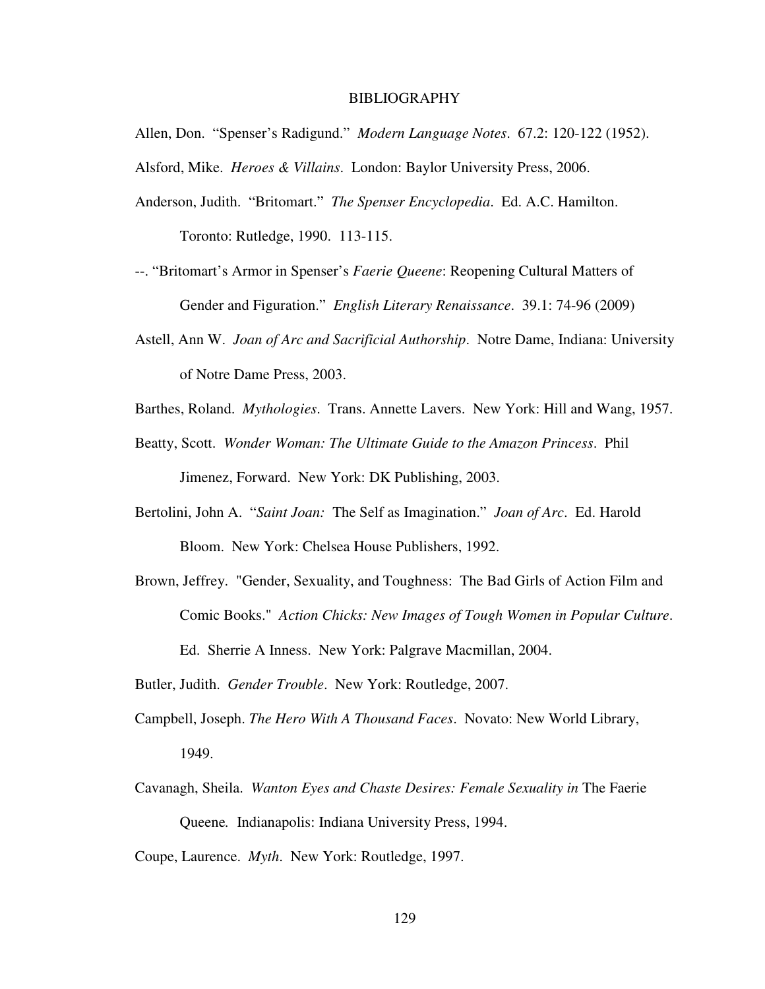### BIBLIOGRAPHY

Allen, Don. "Spenser's Radigund." *Modern Language Notes*. 67.2: 120-122 (1952). Alsford, Mike. *Heroes & Villains*. London: Baylor University Press, 2006.

Anderson, Judith. "Britomart." *The Spenser Encyclopedia*. Ed. A.C. Hamilton.

Toronto: Rutledge, 1990. 113-115.

- --. "Britomart's Armor in Spenser's *Faerie Queene*: Reopening Cultural Matters of Gender and Figuration." *English Literary Renaissance*. 39.1: 74-96 (2009)
- Astell, Ann W. *Joan of Arc and Sacrificial Authorship*. Notre Dame, Indiana: University of Notre Dame Press, 2003.
- Barthes, Roland. *Mythologies*. Trans. Annette Lavers. New York: Hill and Wang, 1957.
- Beatty, Scott. *Wonder Woman: The Ultimate Guide to the Amazon Princess*. Phil Jimenez, Forward. New York: DK Publishing, 2003.
- Bertolini, John A. "*Saint Joan:* The Self as Imagination." *Joan of Arc*. Ed. Harold Bloom. New York: Chelsea House Publishers, 1992.
- Brown, Jeffrey. "Gender, Sexuality, and Toughness: The Bad Girls of Action Film and Comic Books." *Action Chicks: New Images of Tough Women in Popular Culture*. Ed. Sherrie A Inness. New York: Palgrave Macmillan, 2004.
- Butler, Judith. *Gender Trouble*. New York: Routledge, 2007.
- Campbell, Joseph. *The Hero With A Thousand Faces*. Novato: New World Library, 1949.
- Cavanagh, Sheila. *Wanton Eyes and Chaste Desires: Female Sexuality in* The Faerie Queene*.* Indianapolis: Indiana University Press, 1994.

Coupe, Laurence. *Myth*. New York: Routledge, 1997.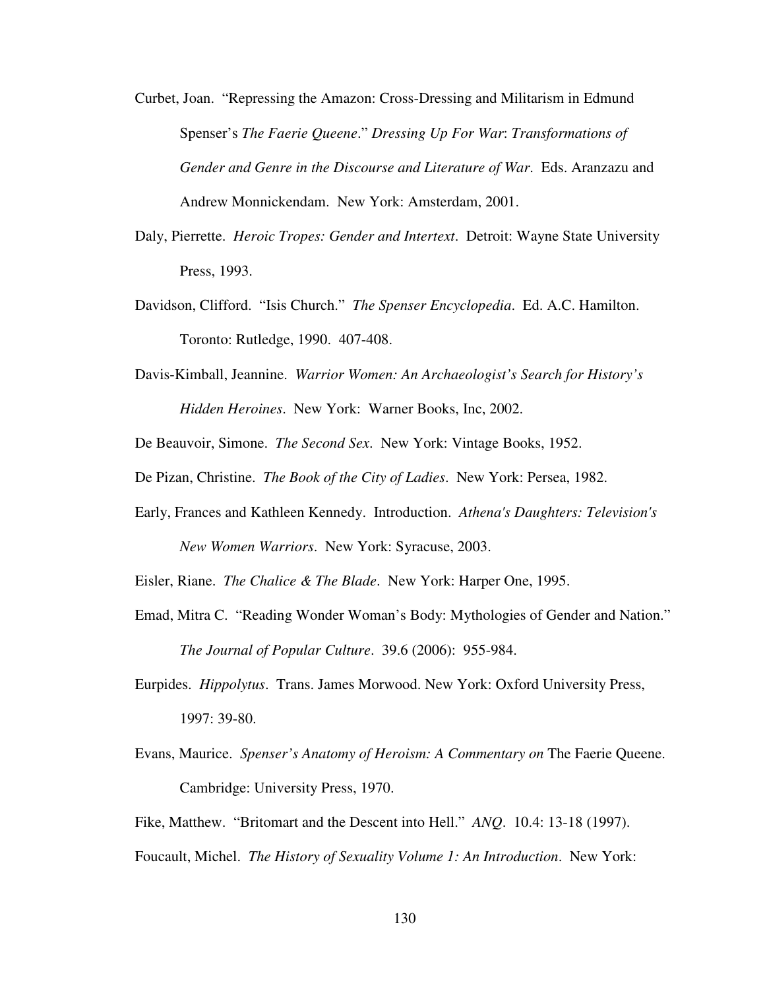- Curbet, Joan. "Repressing the Amazon: Cross-Dressing and Militarism in Edmund Spenser's *The Faerie Queene*." *Dressing Up For War*: *Transformations of Gender and Genre in the Discourse and Literature of War*. Eds. Aranzazu and Andrew Monnickendam. New York: Amsterdam, 2001.
- Daly, Pierrette. *Heroic Tropes: Gender and Intertext*. Detroit: Wayne State University Press, 1993.
- Davidson, Clifford. "Isis Church." *The Spenser Encyclopedia*. Ed. A.C. Hamilton. Toronto: Rutledge, 1990. 407-408.
- Davis-Kimball, Jeannine. *Warrior Women: An Archaeologist's Search for History's Hidden Heroines*. New York: Warner Books, Inc, 2002.

De Beauvoir, Simone. *The Second Sex*. New York: Vintage Books, 1952.

De Pizan, Christine. *The Book of the City of Ladies*. New York: Persea, 1982.

Early, Frances and Kathleen Kennedy. Introduction. *Athena's Daughters: Television's New Women Warriors*. New York: Syracuse, 2003.

Eisler, Riane. *The Chalice & The Blade*. New York: Harper One, 1995.

- Emad, Mitra C. "Reading Wonder Woman's Body: Mythologies of Gender and Nation." *The Journal of Popular Culture*. 39.6 (2006): 955-984.
- Eurpides. *Hippolytus*. Trans. James Morwood. New York: Oxford University Press, 1997: 39-80.
- Evans, Maurice. *Spenser's Anatomy of Heroism: A Commentary on* The Faerie Queene. Cambridge: University Press, 1970.

Fike, Matthew. "Britomart and the Descent into Hell." *ANQ*. 10.4: 13-18 (1997).

Foucault, Michel. *The History of Sexuality Volume 1: An Introduction*. New York: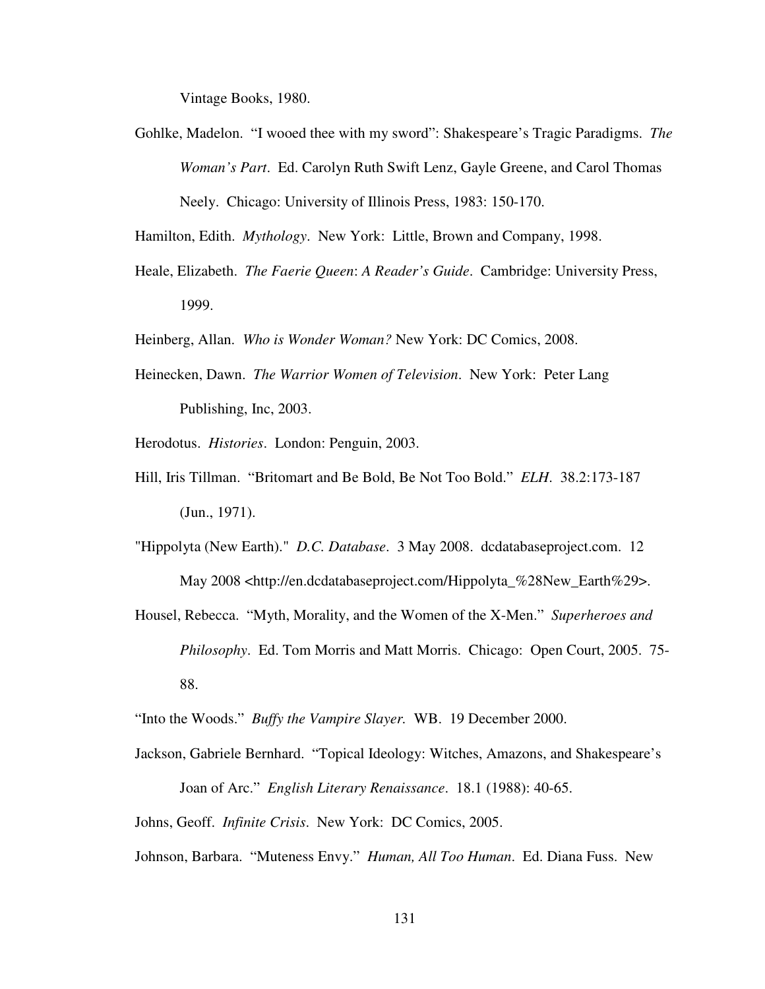Vintage Books, 1980.

- Gohlke, Madelon. "I wooed thee with my sword": Shakespeare's Tragic Paradigms. *The Woman's Part*. Ed. Carolyn Ruth Swift Lenz, Gayle Greene, and Carol Thomas Neely. Chicago: University of Illinois Press, 1983: 150-170.
- Hamilton, Edith. *Mythology*. New York: Little, Brown and Company, 1998.
- Heale, Elizabeth. *The Faerie Queen*: *A Reader's Guide*. Cambridge: University Press, 1999.
- Heinberg, Allan. *Who is Wonder Woman?* New York: DC Comics, 2008.
- Heinecken, Dawn. *The Warrior Women of Television*. New York: Peter Lang Publishing, Inc, 2003.
- Herodotus. *Histories*. London: Penguin, 2003.
- Hill, Iris Tillman. "Britomart and Be Bold, Be Not Too Bold." *ELH*. 38.2:173-187 (Jun., 1971).
- "Hippolyta (New Earth)." *D.C. Database*. 3 May 2008. dcdatabaseproject.com. 12 May 2008 <http://en.dcdatabaseproject.com/Hippolyta\_%28New\_Earth%29>.
- Housel, Rebecca. "Myth, Morality, and the Women of the X-Men." *Superheroes and Philosophy*. Ed. Tom Morris and Matt Morris. Chicago: Open Court, 2005. 75- 88.

"Into the Woods." *Buffy the Vampire Slayer.* WB. 19 December 2000.

- Jackson, Gabriele Bernhard. "Topical Ideology: Witches, Amazons, and Shakespeare's Joan of Arc." *English Literary Renaissance*. 18.1 (1988): 40-65.
- Johns, Geoff. *Infinite Crisis*. New York: DC Comics, 2005.

Johnson, Barbara. "Muteness Envy." *Human, All Too Human*. Ed. Diana Fuss. New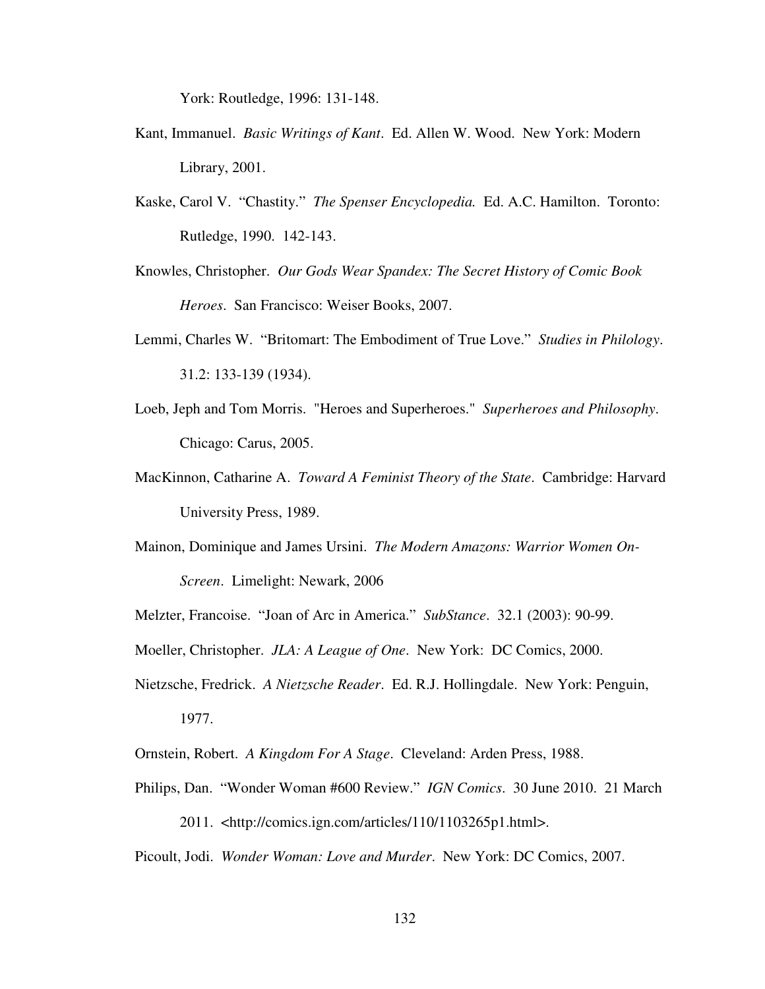York: Routledge, 1996: 131-148.

- Kant, Immanuel. *Basic Writings of Kant*. Ed. Allen W. Wood. New York: Modern Library, 2001.
- Kaske, Carol V. "Chastity." *The Spenser Encyclopedia.* Ed. A.C. Hamilton. Toronto: Rutledge, 1990. 142-143.
- Knowles, Christopher. *Our Gods Wear Spandex: The Secret History of Comic Book Heroes*. San Francisco: Weiser Books, 2007.
- Lemmi, Charles W. "Britomart: The Embodiment of True Love." *Studies in Philology*. 31.2: 133-139 (1934).
- Loeb, Jeph and Tom Morris. "Heroes and Superheroes." *Superheroes and Philosophy*. Chicago: Carus, 2005.
- MacKinnon, Catharine A. *Toward A Feminist Theory of the State*. Cambridge: Harvard University Press, 1989.
- Mainon, Dominique and James Ursini. *The Modern Amazons: Warrior Women On-Screen*. Limelight: Newark, 2006
- Melzter, Francoise. "Joan of Arc in America." *SubStance*. 32.1 (2003): 90-99.

Moeller, Christopher. *JLA: A League of One*. New York: DC Comics, 2000.

- Nietzsche, Fredrick. *A Nietzsche Reader*. Ed. R.J. Hollingdale. New York: Penguin, 1977.
- Ornstein, Robert. *A Kingdom For A Stage*. Cleveland: Arden Press, 1988.
- Philips, Dan. "Wonder Woman #600 Review." *IGN Comics*. 30 June 2010. 21 March
	- 2011. <http://comics.ign.com/articles/110/1103265p1.html>.
- Picoult, Jodi. *Wonder Woman: Love and Murder*. New York: DC Comics, 2007.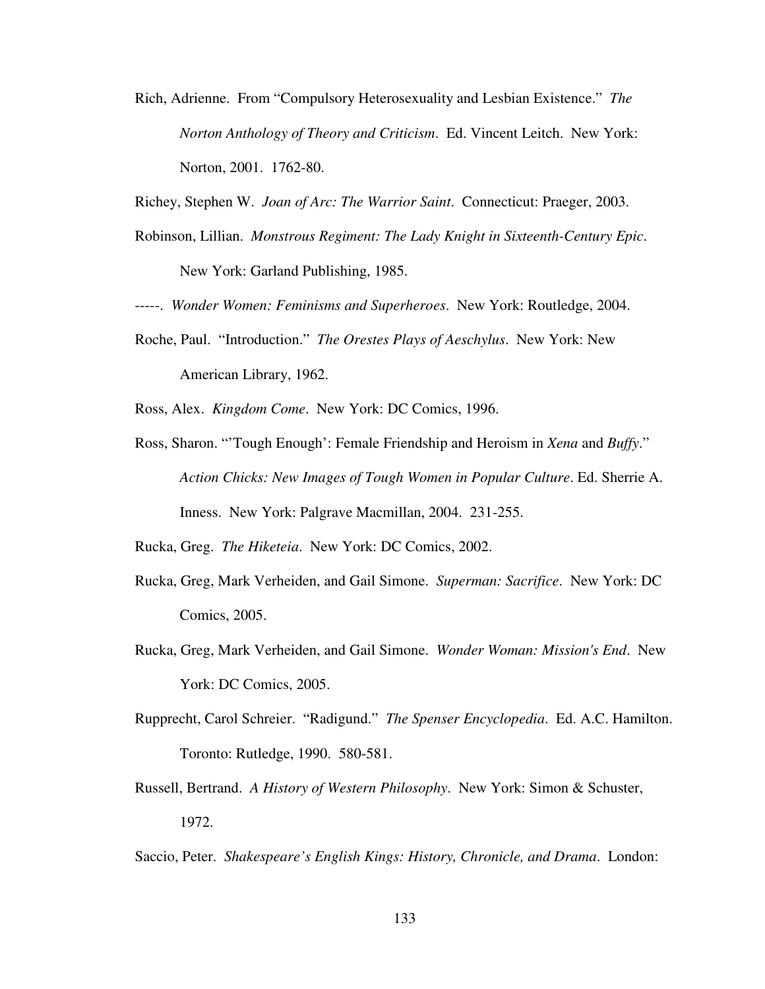- Rich, Adrienne. From "Compulsory Heterosexuality and Lesbian Existence." *The Norton Anthology of Theory and Criticism*. Ed. Vincent Leitch. New York: Norton, 2001. 1762-80.
- Richey, Stephen W. *Joan of Arc: The Warrior Saint*. Connecticut: Praeger, 2003.
- Robinson, Lillian. *Monstrous Regiment: The Lady Knight in Sixteenth-Century Epic*. New York: Garland Publishing, 1985.
- -----. *Wonder Women: Feminisms and Superheroes*. New York: Routledge, 2004.
- Roche, Paul. "Introduction." *The Orestes Plays of Aeschylus*. New York: New American Library, 1962.
- Ross, Alex. *Kingdom Come*. New York: DC Comics, 1996.
- Ross, Sharon. "'Tough Enough': Female Friendship and Heroism in *Xena* and *Buffy*."  *Action Chicks: New Images of Tough Women in Popular Culture*. Ed. Sherrie A. Inness. New York: Palgrave Macmillan, 2004. 231-255.
- Rucka, Greg. *The Hiketeia*. New York: DC Comics, 2002.
- Rucka, Greg, Mark Verheiden, and Gail Simone. *Superman: Sacrifice*. New York: DC Comics, 2005.
- Rucka, Greg, Mark Verheiden, and Gail Simone. *Wonder Woman: Mission's End*. New York: DC Comics, 2005.
- Rupprecht, Carol Schreier. "Radigund." *The Spenser Encyclopedia*. Ed. A.C. Hamilton. Toronto: Rutledge, 1990. 580-581.
- Russell, Bertrand. *A History of Western Philosophy*. New York: Simon & Schuster, 1972.
- Saccio, Peter. *Shakespeare's English Kings: History, Chronicle, and Drama*. London: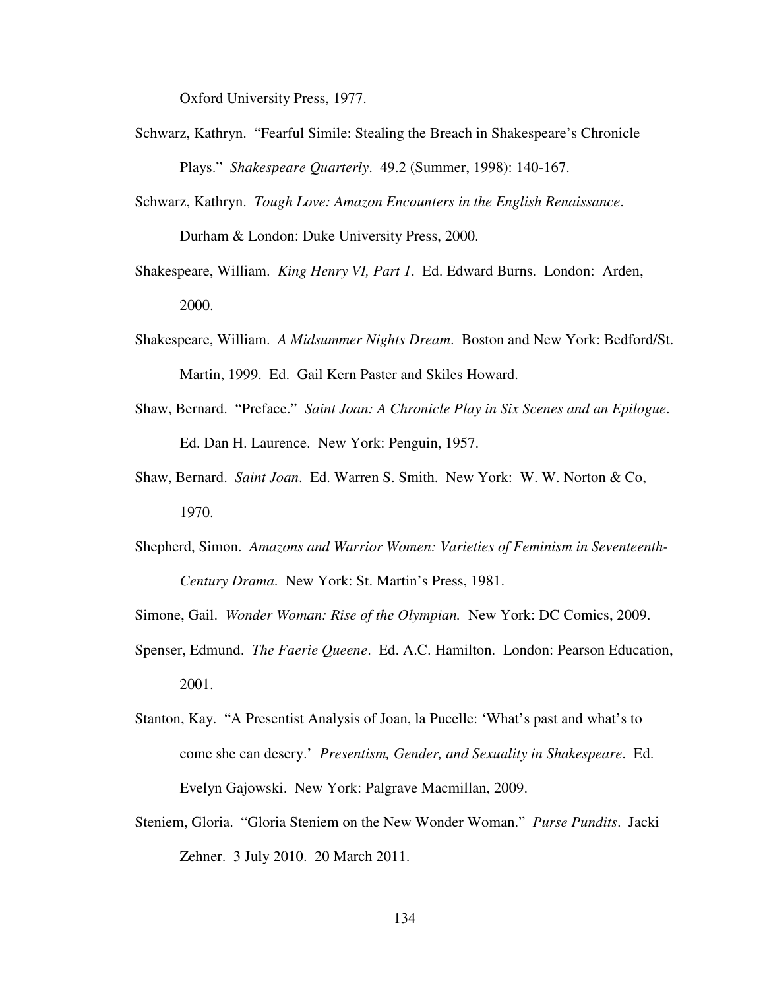Oxford University Press, 1977.

- Schwarz, Kathryn. "Fearful Simile: Stealing the Breach in Shakespeare's Chronicle Plays." *Shakespeare Quarterly*. 49.2 (Summer, 1998): 140-167.
- Schwarz, Kathryn. *Tough Love: Amazon Encounters in the English Renaissance*. Durham & London: Duke University Press, 2000.
- Shakespeare, William. *King Henry VI, Part 1*. Ed. Edward Burns. London: Arden, 2000.
- Shakespeare, William. *A Midsummer Nights Dream*. Boston and New York: Bedford/St. Martin, 1999. Ed. Gail Kern Paster and Skiles Howard.
- Shaw, Bernard. "Preface." *Saint Joan: A Chronicle Play in Six Scenes and an Epilogue*. Ed. Dan H. Laurence. New York: Penguin, 1957.
- Shaw, Bernard. *Saint Joan*. Ed. Warren S. Smith. New York: W. W. Norton & Co, 1970.
- Shepherd, Simon. *Amazons and Warrior Women: Varieties of Feminism in Seventeenth-Century Drama*. New York: St. Martin's Press, 1981.
- Simone, Gail. *Wonder Woman: Rise of the Olympian.* New York: DC Comics, 2009.
- Spenser, Edmund. *The Faerie Queene*. Ed. A.C. Hamilton. London: Pearson Education, 2001.
- Stanton, Kay. "A Presentist Analysis of Joan, la Pucelle: 'What's past and what's to come she can descry.' *Presentism, Gender, and Sexuality in Shakespeare*. Ed. Evelyn Gajowski. New York: Palgrave Macmillan, 2009.
- Steniem, Gloria. "Gloria Steniem on the New Wonder Woman." *Purse Pundits*. Jacki Zehner. 3 July 2010. 20 March 2011.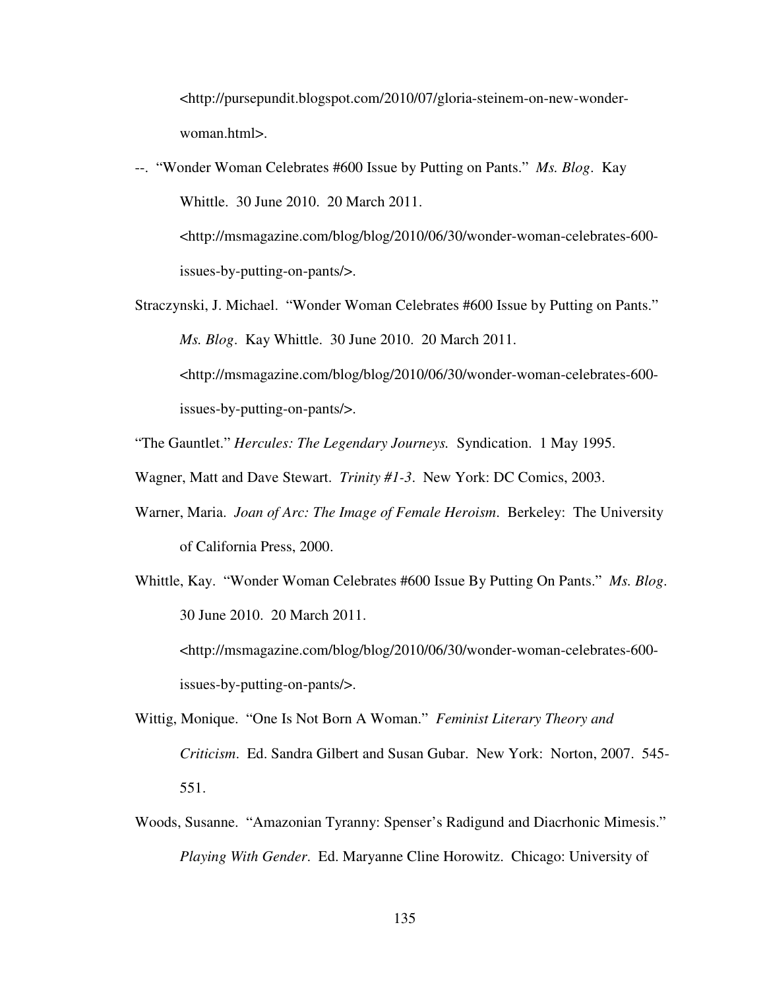<http://pursepundit.blogspot.com/2010/07/gloria-steinem-on-new-wonderwoman.html>.

--. "Wonder Woman Celebrates #600 Issue by Putting on Pants." *Ms. Blog*. Kay Whittle. 30 June 2010. 20 March 2011.

<http://msmagazine.com/blog/blog/2010/06/30/wonder-woman-celebrates-600 issues-by-putting-on-pants/>.

- Straczynski, J. Michael. "Wonder Woman Celebrates #600 Issue by Putting on Pants."  *Ms. Blog*. Kay Whittle. 30 June 2010. 20 March 2011. <http://msmagazine.com/blog/blog/2010/06/30/wonder-woman-celebrates-600 issues-by-putting-on-pants/>.
- "The Gauntlet." *Hercules: The Legendary Journeys.* Syndication. 1 May 1995.
- Wagner, Matt and Dave Stewart. *Trinity #1-3*. New York: DC Comics, 2003.
- Warner, Maria. *Joan of Arc: The Image of Female Heroism*. Berkeley: The University of California Press, 2000.
- Whittle, Kay. "Wonder Woman Celebrates #600 Issue By Putting On Pants." *Ms. Blog*. 30 June 2010. 20 March 2011. <http://msmagazine.com/blog/blog/2010/06/30/wonder-woman-celebrates-600-

issues-by-putting-on-pants/>.

- Wittig, Monique. "One Is Not Born A Woman." *Feminist Literary Theory and Criticism*. Ed. Sandra Gilbert and Susan Gubar. New York: Norton, 2007. 545- 551.
- Woods, Susanne. "Amazonian Tyranny: Spenser's Radigund and Diacrhonic Mimesis." *Playing With Gender*. Ed. Maryanne Cline Horowitz. Chicago: University of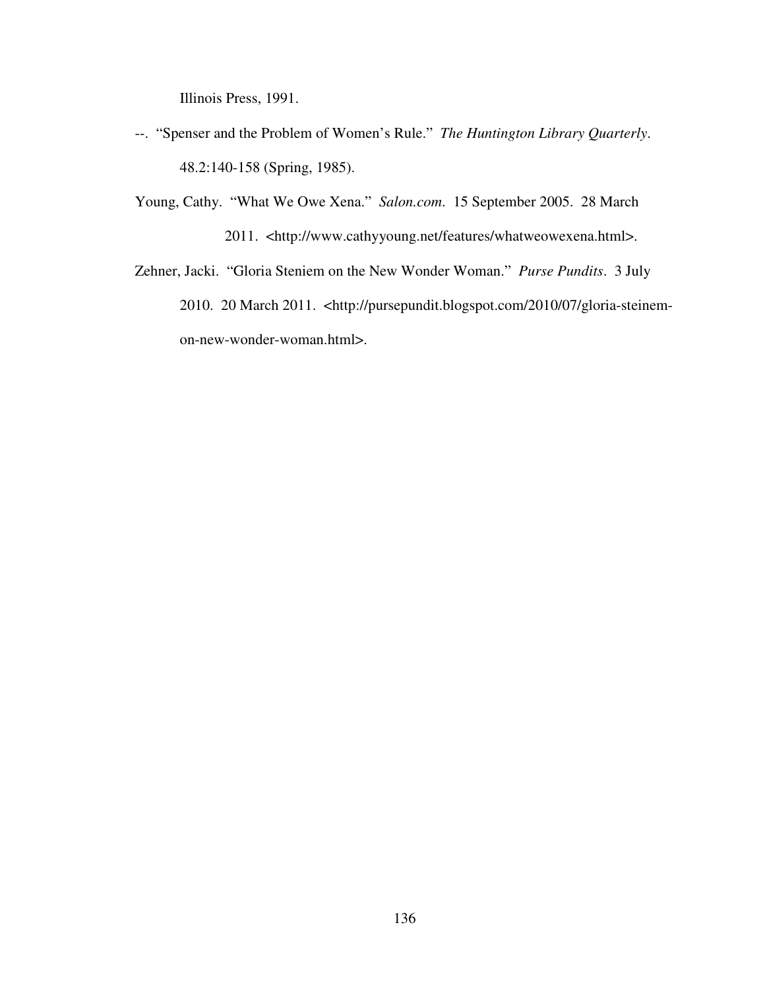Illinois Press, 1991.

--. "Spenser and the Problem of Women's Rule." *The Huntington Library Quarterly*. 48.2:140-158 (Spring, 1985).

Young, Cathy. "What We Owe Xena." *Salon.com*. 15 September 2005. 28 March 2011. <http://www.cathyyoung.net/features/whatweowexena.html>.

Zehner, Jacki. "Gloria Steniem on the New Wonder Woman." *Purse Pundits*. 3 July 2010. 20 March 2011. <http://pursepundit.blogspot.com/2010/07/gloria-steinemon-new-wonder-woman.html>.